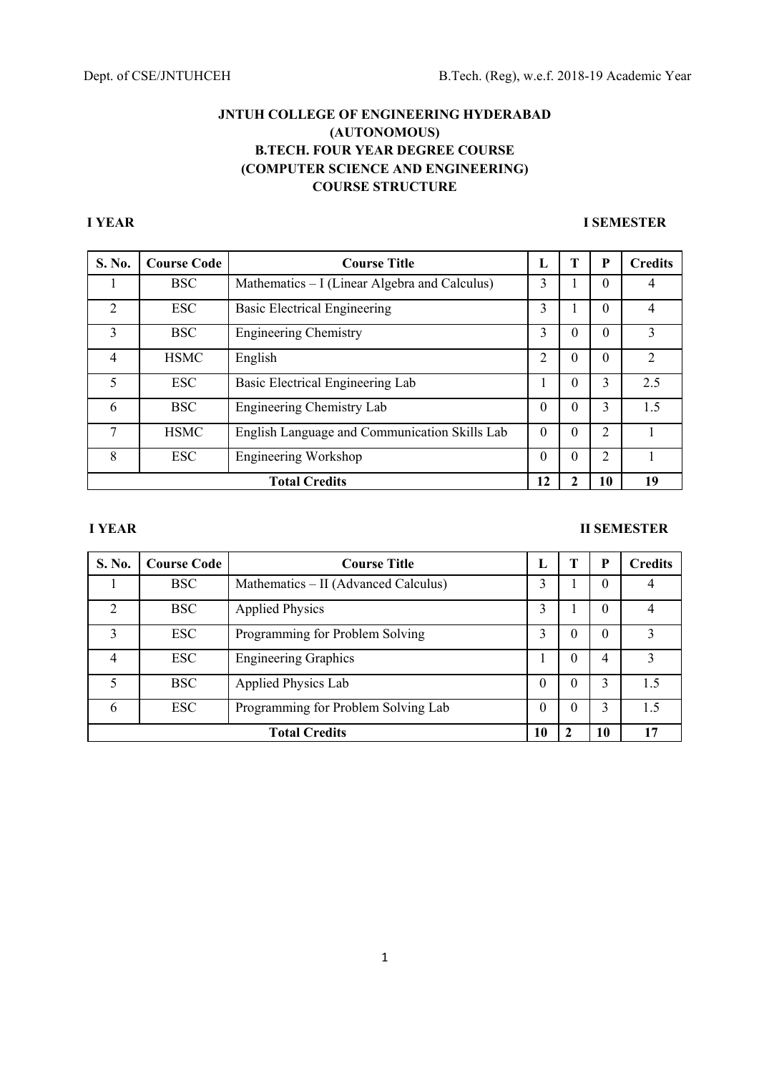# **I YEAR I SEMESTER**

| S. No.         | <b>Course Code</b> | <b>Course Title</b>                           | L  | Т        | P              | <b>Credits</b> |
|----------------|--------------------|-----------------------------------------------|----|----------|----------------|----------------|
|                | <b>BSC</b>         | Mathematics – I (Linear Algebra and Calculus) | 3  |          | $\Omega$       |                |
| $\overline{2}$ | <b>ESC</b>         | <b>Basic Electrical Engineering</b>           | 3  |          | $\Omega$       | 4              |
| 3              | <b>BSC</b>         | <b>Engineering Chemistry</b>                  | 3  | $\Omega$ | $\Omega$       | 3              |
| 4              | <b>HSMC</b>        | English                                       |    | O        | $\theta$       |                |
| 5              | <b>ESC</b>         | Basic Electrical Engineering Lab              |    | $\Omega$ | 3              | 2.5            |
| 6              | <b>BSC</b>         | Engineering Chemistry Lab                     | 0  | $\theta$ | 3              | 1.5            |
| 7              | <b>HSMC</b>        | English Language and Communication Skills Lab | 0  | $\theta$ | 2              |                |
| 8              | <b>ESC</b>         | Engineering Workshop                          | 0  | $\Omega$ | $\overline{2}$ |                |
|                |                    | <b>Total Credits</b>                          | 12 |          | 10             | 19             |

# **I YEAR II SEMESTER**

| S. No.         | <b>Course Code</b> | <b>Course Title</b>                  | п.       |        | D  | <b>Credits</b> |
|----------------|--------------------|--------------------------------------|----------|--------|----|----------------|
|                | <b>BSC</b>         | Mathematics – II (Advanced Calculus) | 3        |        | 0  |                |
| $\mathfrak{D}$ | <b>BSC</b>         | <b>Applied Physics</b>               | 3        |        | 0  | 4              |
| 3              | <b>ESC</b>         | Programming for Problem Solving      |          | 0      | 0  | 3              |
| 4              | ESC.               | <b>Engineering Graphics</b>          |          | 0      | 4  | 3              |
|                | <b>BSC</b>         | Applied Physics Lab                  | $\Omega$ | 0      | 3  | 1.5            |
| 6              | <b>ESC</b>         | Programming for Problem Solving Lab  | $\theta$ | $_{0}$ |    | 1.5            |
|                |                    | <b>Total Credits</b>                 | 10       |        | 10 | 17             |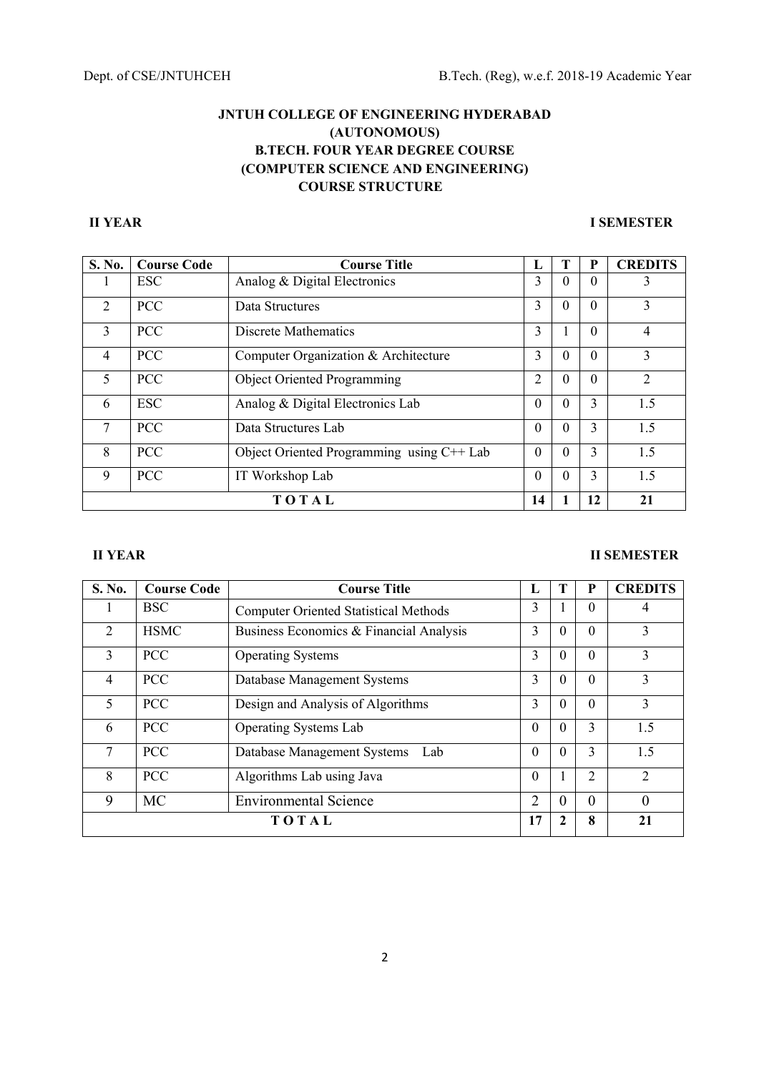# **II YEAR I SEMESTER**

| S. No.                   | <b>Course Code</b> | <b>Course Title</b>                       | ъ.             |          | P        | <b>CREDITS</b>              |
|--------------------------|--------------------|-------------------------------------------|----------------|----------|----------|-----------------------------|
| 1                        | <b>ESC</b>         | Analog & Digital Electronics              | 3              | $\theta$ | $\Omega$ | 3                           |
| $\overline{2}$           | <b>PCC</b>         | Data Structures                           | 3              | $\theta$ | $\Omega$ | 3                           |
| 3                        | <b>PCC</b>         | Discrete Mathematics                      | 3              |          | 0        | $\overline{4}$              |
| $\overline{4}$           | <b>PCC</b>         | Computer Organization & Architecture      | 3              | $\theta$ | $\Omega$ | 3                           |
| $\overline{\mathcal{L}}$ | <b>PCC</b>         | <b>Object Oriented Programming</b>        | 2              | $\Omega$ | $\Omega$ | $\mathcal{D}_{\mathcal{L}}$ |
| 6                        | <b>ESC</b>         | Analog & Digital Electronics Lab          | $\theta$       | $\theta$ | 3        | 1.5                         |
| 7                        | <b>PCC</b>         | Data Structures Lab                       | $\theta$       | $\theta$ | 3        | 1.5                         |
| 8                        | <b>PCC</b>         | Object Oriented Programming using C++ Lab | $\theta$       | $\Omega$ | 3        | 1.5                         |
| 9                        | <b>PCC</b>         | IT Workshop Lab                           | $\overline{0}$ | $\Omega$ | 3        | 1.5                         |
|                          |                    | TOTAL                                     | 14             |          | 12       | 21                          |

# **II YEAR II SEMESTER**

| S. No.         | <b>Course Code</b> | <b>Course Title</b>                          | ы        | т            | P              | <b>CREDITS</b> |
|----------------|--------------------|----------------------------------------------|----------|--------------|----------------|----------------|
|                | <b>BSC</b>         | <b>Computer Oriented Statistical Methods</b> | 3        |              | $\Omega$       | 4              |
| $\overline{2}$ | <b>HSMC</b>        | Business Economics & Financial Analysis      | 3        | $\Omega$     | $\Omega$       | 3              |
| 3              | <b>PCC</b>         | <b>Operating Systems</b>                     | 3        | $\Omega$     | $\Omega$       | 3              |
| 4              | <b>PCC</b>         | Database Management Systems                  | 3        | $\Omega$     | $\Omega$       | 3              |
| 5              | <b>PCC</b>         | Design and Analysis of Algorithms            | 3        | $\Omega$     | $\Omega$       | 3              |
| 6              | <b>PCC</b>         | <b>Operating Systems Lab</b>                 | $\theta$ | $\Omega$     | 3              | 1.5            |
| 7              | <b>PCC</b>         | Database Management Systems<br>Lab           | $\theta$ | $\Omega$     | 3              | 1.5            |
| 8              | <b>PCC</b>         | Algorithms Lab using Java                    | $\theta$ |              | $\overline{2}$ | $\overline{2}$ |
| 9              | MC                 | <b>Environmental Science</b>                 | 2        | 0            | $\theta$       | $\Omega$       |
|                |                    | TOTAL                                        | 17       | $\mathbf{2}$ | 8              | 21             |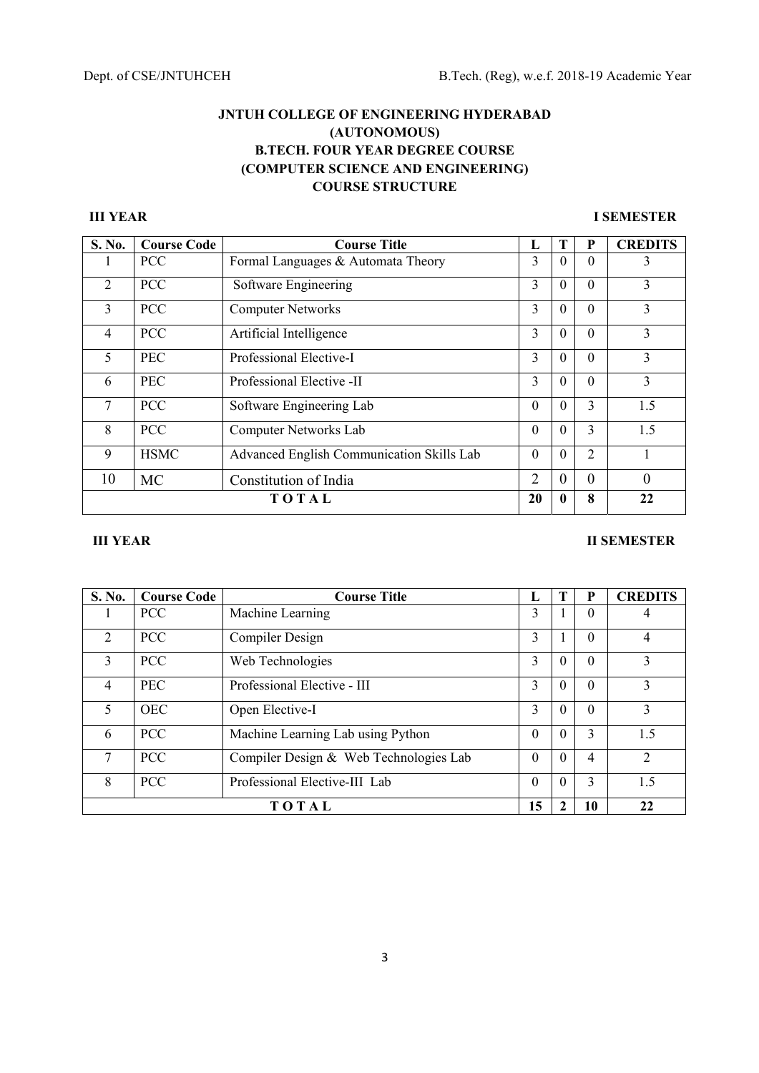# **III YEAR I SEMESTER**

| S. No.         | <b>Course Code</b> | <b>Course Title</b>                       | L              | Т            | P        | <b>CREDITS</b> |
|----------------|--------------------|-------------------------------------------|----------------|--------------|----------|----------------|
|                | <b>PCC</b>         | Formal Languages & Automata Theory        | 3              | $\Omega$     | $\Omega$ | 3              |
| $\overline{2}$ | <b>PCC</b>         | Software Engineering                      | 3              | $\theta$     | $\Omega$ | 3              |
| $\mathbf{3}$   | <b>PCC</b>         | <b>Computer Networks</b>                  | 3              | $\Omega$     | $\Omega$ | 3              |
| $\overline{4}$ | <b>PCC</b>         | Artificial Intelligence                   | 3              | $\Omega$     | $\Omega$ | 3              |
| 5              | <b>PEC</b>         | Professional Elective-I                   | 3              | $\theta$     | $\Omega$ | 3              |
| 6              | <b>PEC</b>         | Professional Elective -II                 | 3              | $\theta$     | $\Omega$ | 3              |
| 7              | <b>PCC</b>         | Software Engineering Lab                  | $\Omega$       | $\Omega$     | 3        | 1.5            |
| 8              | <b>PCC</b>         | Computer Networks Lab                     | $\Omega$       | $\Omega$     | 3        | 1.5            |
| 9              | <b>HSMC</b>        | Advanced English Communication Skills Lab | $\Omega$       | $\Omega$     | 2        |                |
| 10             | MC                 | Constitution of India                     | $\overline{2}$ | $\theta$     | $\theta$ | $\Omega$       |
|                | TOTAL              |                                           |                | $\mathbf{0}$ | 8        | 22             |

# **III YEAR III SEMESTER**

| S. No.         | <b>Course Code</b> | <b>Course Title</b>                    | L        | т        | P        | <b>CREDITS</b> |
|----------------|--------------------|----------------------------------------|----------|----------|----------|----------------|
|                | <b>PCC</b>         | Machine Learning                       | 3        |          | $\Omega$ | 4              |
| $\overline{2}$ | <b>PCC</b>         | Compiler Design                        | 3        |          | $\Omega$ | $\overline{4}$ |
| $\mathbf{3}$   | <b>PCC</b>         | Web Technologies                       | 3        | $\Omega$ | $\Omega$ | 3              |
| $\overline{4}$ | <b>PEC</b>         | Professional Elective - III            | 3        | $\Omega$ | $\Omega$ | 3              |
| 5              | <b>OEC</b>         | Open Elective-I                        | 3        | $\Omega$ | $\Omega$ | 3              |
| 6              | <b>PCC</b>         | Machine Learning Lab using Python      | $\theta$ | $\Omega$ | 3        | 1.5            |
| 7              | <b>PCC</b>         | Compiler Design & Web Technologies Lab | $\Omega$ | $\Omega$ | 4        | $\mathfrak{D}$ |
| 8              | <b>PCC</b>         | Professional Elective-III Lab          | $\Omega$ | $\Omega$ | 3        | 1.5            |
|                |                    | TOTAL                                  | 15       | 2        | 10       | 22             |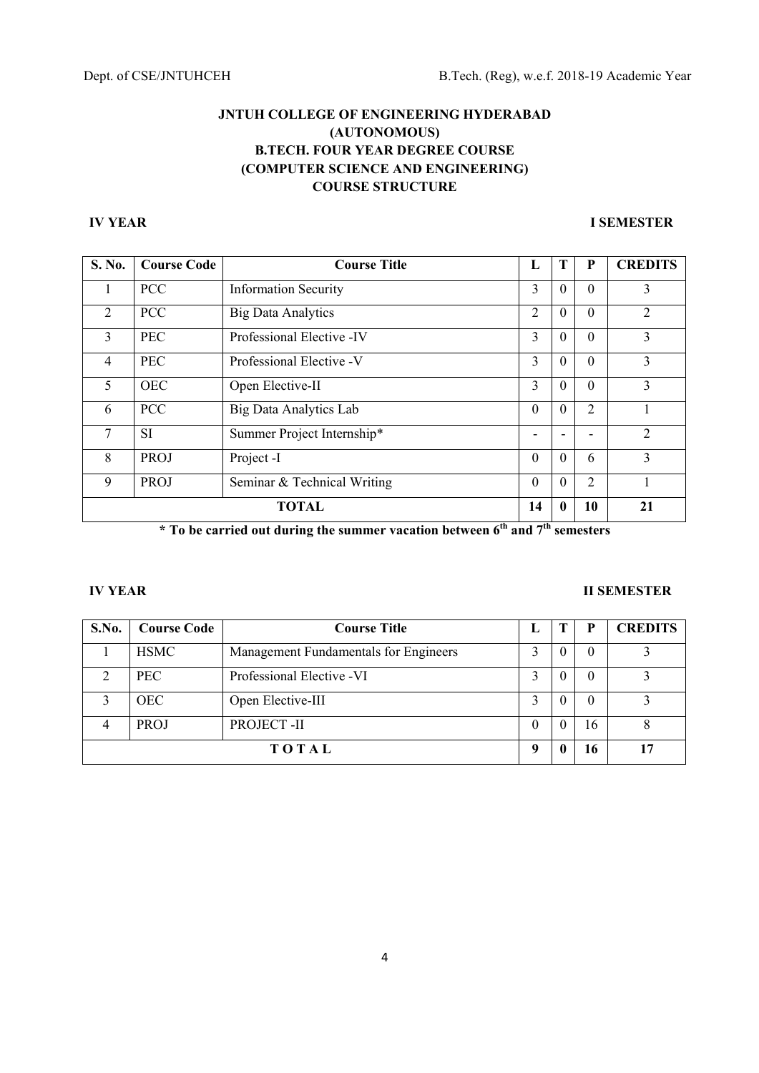# **IV YEAR I SEMESTER**

| S. No.         | <b>Course Code</b> | <b>Course Title</b>           | L              | Т            | P        | <b>CREDITS</b> |
|----------------|--------------------|-------------------------------|----------------|--------------|----------|----------------|
|                | <b>PCC</b>         | <b>Information Security</b>   | 3              | $\Omega$     | $\Omega$ | 3              |
| 2              | <b>PCC</b>         | <b>Big Data Analytics</b>     | $\overline{2}$ | $\theta$     | $\Omega$ | $\overline{2}$ |
| 3              | <b>PEC</b>         | Professional Elective -IV     | 3              | $\theta$     | $\Omega$ | 3              |
| $\overline{4}$ | <b>PEC</b>         | Professional Elective -V      | 3              | $\theta$     | $\Omega$ | 3              |
| 5              | <b>OEC</b>         | Open Elective-II              | 3              | $\theta$     | $\Omega$ | 3              |
| 6              | <b>PCC</b>         | <b>Big Data Analytics Lab</b> | $\Omega$       | $\Omega$     | 2        |                |
| 7              | <b>SI</b>          | Summer Project Internship*    |                |              |          | $\mathfrak{D}$ |
| 8              | <b>PROJ</b>        | Project -I                    | $\theta$       | $\Omega$     | 6        | 3              |
| 9              | PROJ               | Seminar & Technical Writing   | $\theta$       | $\theta$     | 2        |                |
|                | <b>TOTAL</b>       |                               |                | $\mathbf{0}$ | 10       | 21             |

\* To be carried out during the summer vacation between 6<sup>th</sup> and 7<sup>th</sup> semesters

## **IV YEAR II SEMESTER**

| S.No. | <b>Course Code</b> | <b>Course Title</b>                   | п,       |   |          | <b>CREDITS</b> |
|-------|--------------------|---------------------------------------|----------|---|----------|----------------|
|       | <b>HSMC</b>        | Management Fundamentals for Engineers |          | 0 | O        |                |
| ◠     | PEC.               | Professional Elective -VI             |          |   | $\theta$ |                |
|       | <b>OEC</b>         | Open Elective-III                     |          |   | $\theta$ |                |
|       | <b>PROJ</b>        | PROJECT-II                            |          |   | 16       | 8              |
|       | TOTAL              |                                       | $\bf{o}$ |   | 16       | 17             |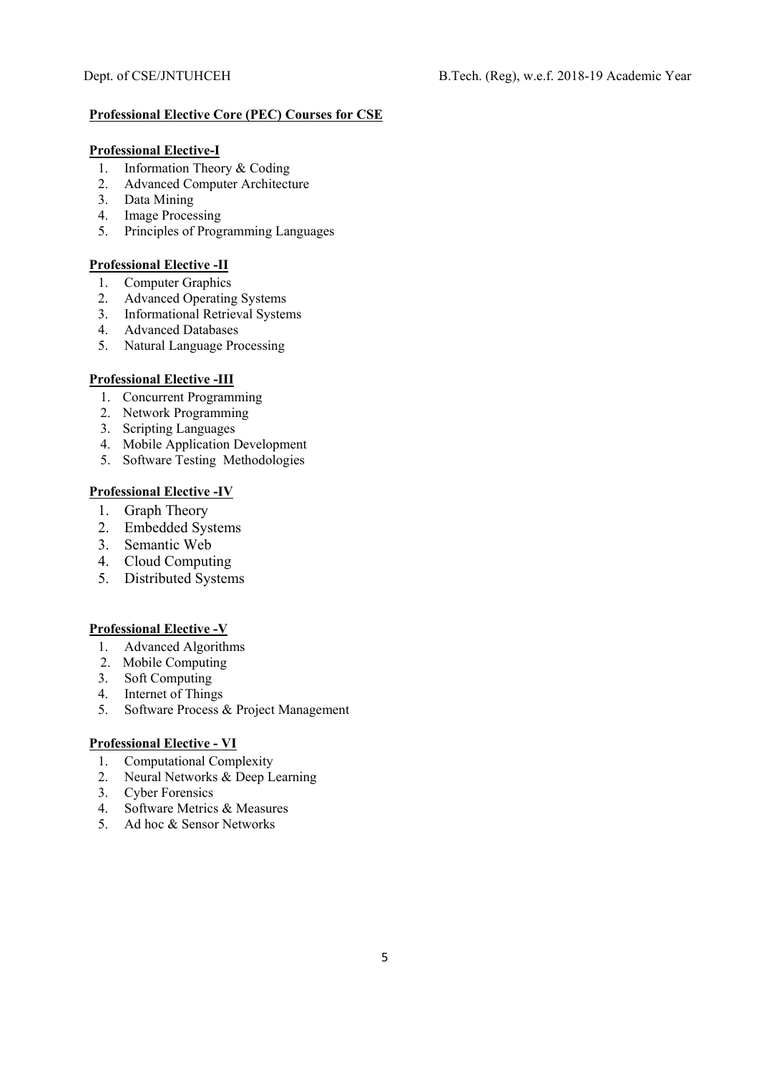# **Professional Elective Core (PEC) Courses for CSE**

# **Professional Elective-I**

- 1. Information Theory & Coding
- 2. Advanced Computer Architecture
- 3. Data Mining
- 4. Image Processing
- 5. Principles of Programming Languages

# **Professional Elective -II**

- 1. Computer Graphics
- 2. Advanced Operating Systems
- 3. Informational Retrieval Systems<br>4. Advanced Databases
- 4. Advanced Databases
- 5. Natural Language Processing

# **Professional Elective -III**

- 1. Concurrent Programming
- 2. Network Programming
- 3. Scripting Languages
- 4. Mobile Application Development
- 5. Software Testing Methodologies

# **Professional Elective -IV**

- 1. Graph Theory
- 2. Embedded Systems
- 3. Semantic Web
- 4. Cloud Computing
- 5. Distributed Systems

# **Professional Elective -V**

- 1. Advanced Algorithms
- 2. Mobile Computing
- 3. Soft Computing<br>4. Internet of Thing
- Internet of Things
- 5. Software Process & Project Management

# **Professional Elective - VI**

- 1. Computational Complexity
- 2. Neural Networks & Deep Learning
- 3. Cyber Forensics<br>4. Software Metrics
- Software Metrics & Measures
- 5. Ad hoc & Sensor Networks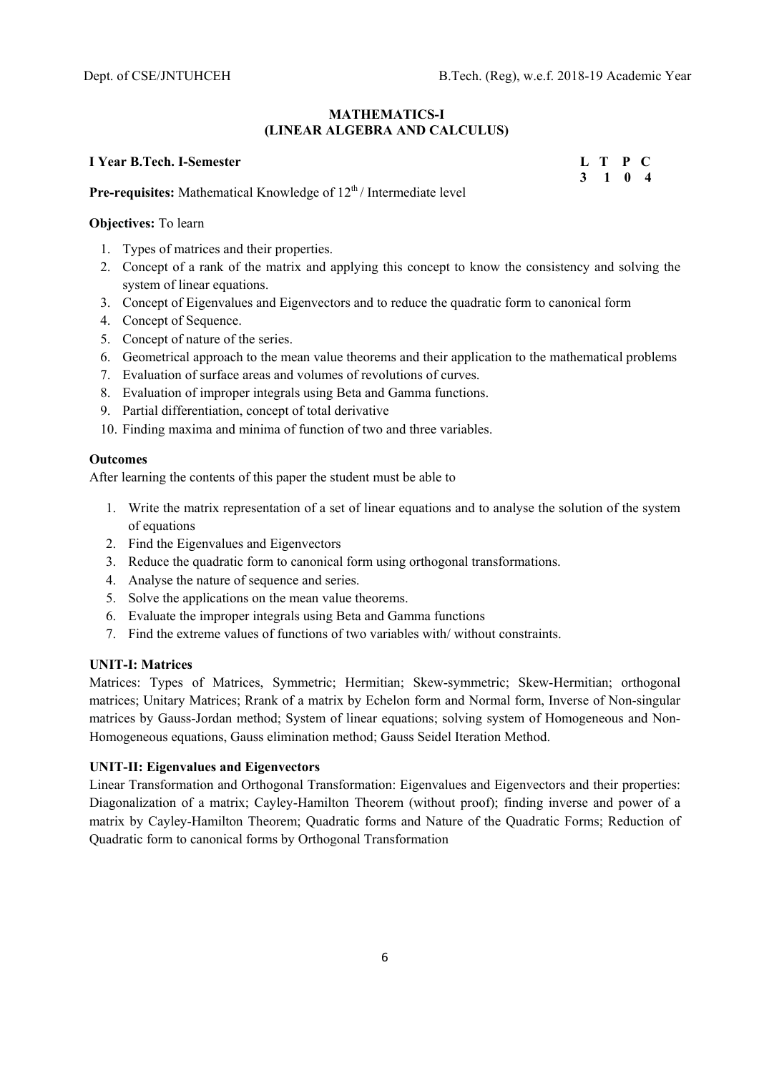### **MATHEMATICS-I (LINEAR ALGEBRA AND CALCULUS)**

# **I** Year B.Tech. I-Semester **L** T P C

 **3 1 0 4** 

**Pre-requisites:** Mathematical Knowledge of  $12^{th}$  / Intermediate level

# **Objectives:** To learn

- 1. Types of matrices and their properties.
- 2. Concept of a rank of the matrix and applying this concept to know the consistency and solving the system of linear equations.
- 3. Concept of Eigenvalues and Eigenvectors and to reduce the quadratic form to canonical form
- 4. Concept of Sequence.
- 5. Concept of nature of the series.
- 6. Geometrical approach to the mean value theorems and their application to the mathematical problems
- 7. Evaluation of surface areas and volumes of revolutions of curves.
- 8. Evaluation of improper integrals using Beta and Gamma functions.
- 9. Partial differentiation, concept of total derivative
- 10. Finding maxima and minima of function of two and three variables.

#### **Outcomes**

After learning the contents of this paper the student must be able to

- 1. Write the matrix representation of a set of linear equations and to analyse the solution of the system of equations
- 2. Find the Eigenvalues and Eigenvectors
- 3. Reduce the quadratic form to canonical form using orthogonal transformations.
- 4. Analyse the nature of sequence and series.
- 5. Solve the applications on the mean value theorems.
- 6. Evaluate the improper integrals using Beta and Gamma functions
- 7. Find the extreme values of functions of two variables with/ without constraints.

# **UNIT-I: Matrices**

Matrices: Types of Matrices, Symmetric; Hermitian; Skew-symmetric; Skew-Hermitian; orthogonal matrices; Unitary Matrices; Rrank of a matrix by Echelon form and Normal form, Inverse of Non-singular matrices by Gauss-Jordan method; System of linear equations; solving system of Homogeneous and Non-Homogeneous equations, Gauss elimination method; Gauss Seidel Iteration Method.

# **UNIT-II: Eigenvalues and Eigenvectors**

Linear Transformation and Orthogonal Transformation: Eigenvalues and Eigenvectors and their properties: Diagonalization of a matrix; Cayley-Hamilton Theorem (without proof); finding inverse and power of a matrix by Cayley-Hamilton Theorem; Quadratic forms and Nature of the Quadratic Forms; Reduction of Quadratic form to canonical forms by Orthogonal Transformation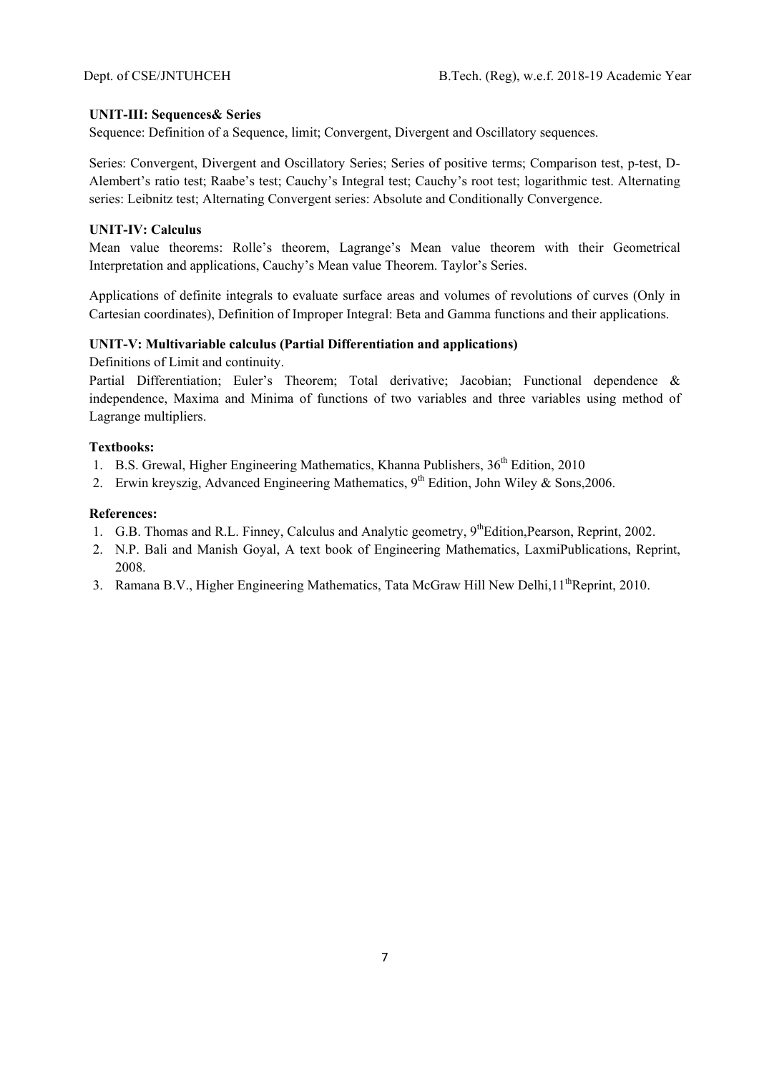# **UNIT-III: Sequences& Series**

Sequence: Definition of a Sequence, limit; Convergent, Divergent and Oscillatory sequences.

Series: Convergent, Divergent and Oscillatory Series; Series of positive terms; Comparison test, p-test, D-Alembert's ratio test; Raabe's test; Cauchy's Integral test; Cauchy's root test; logarithmic test. Alternating series: Leibnitz test; Alternating Convergent series: Absolute and Conditionally Convergence.

# **UNIT-IV: Calculus**

Mean value theorems: Rolle's theorem, Lagrange's Mean value theorem with their Geometrical Interpretation and applications, Cauchy's Mean value Theorem. Taylor's Series.

Applications of definite integrals to evaluate surface areas and volumes of revolutions of curves (Only in Cartesian coordinates), Definition of Improper Integral: Beta and Gamma functions and their applications.

# **UNIT-V: Multivariable calculus (Partial Differentiation and applications)**

Definitions of Limit and continuity.

Partial Differentiation; Euler's Theorem; Total derivative; Jacobian; Functional dependence & independence, Maxima and Minima of functions of two variables and three variables using method of Lagrange multipliers.

# **Textbooks:**

- 1. B.S. Grewal, Higher Engineering Mathematics, Khanna Publishers,  $36<sup>th</sup>$  Edition, 2010
- 2. Erwin kreyszig, Advanced Engineering Mathematics,  $9<sup>th</sup>$  Edition, John Wiley & Sons, 2006.

- 1. G.B. Thomas and R.L. Finney, Calculus and Analytic geometry, 9<sup>th</sup>Edition, Pearson, Reprint, 2002.
- 2. N.P. Bali and Manish Goyal, A text book of Engineering Mathematics, LaxmiPublications, Reprint, 2008.
- 3. Ramana B.V., Higher Engineering Mathematics, Tata McGraw Hill New Delhi,  $11^{th}$ Reprint, 2010.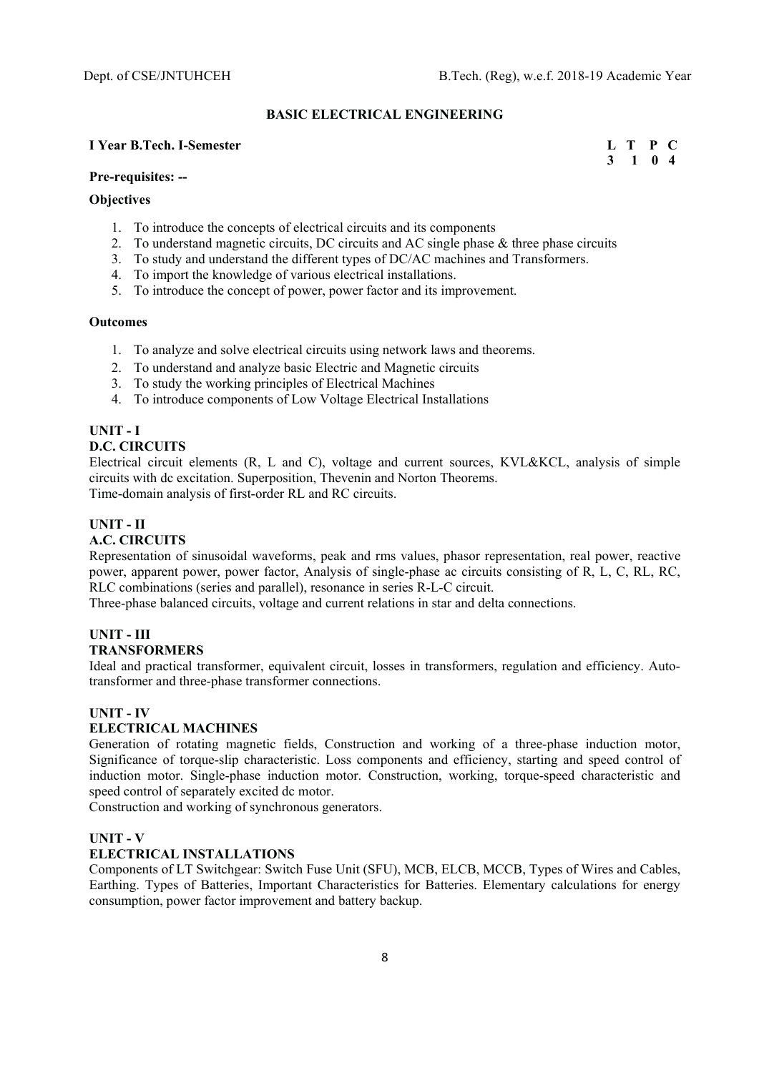# **BASIC ELECTRICAL ENGINEERING**

#### **I** Year B.Tech. I-Semester **L** T P C

#### **Pre-requisites: --**

#### **Objectives**

- 1. To introduce the concepts of electrical circuits and its components
- 2. To understand magnetic circuits, DC circuits and AC single phase & three phase circuits
- 3. To study and understand the different types of DC/AC machines and Transformers.
- 4. To import the knowledge of various electrical installations.
- 5. To introduce the concept of power, power factor and its improvement.

#### **Outcomes**

- 1. To analyze and solve electrical circuits using network laws and theorems.
- 2. To understand and analyze basic Electric and Magnetic circuits
- 3. To study the working principles of Electrical Machines
- 4. To introduce components of Low Voltage Electrical Installations

# **UNIT - I**

#### **D.C. CIRCUITS**

Electrical circuit elements (R, L and C), voltage and current sources, KVL&KCL, analysis of simple circuits with dc excitation. Superposition, Thevenin and Norton Theorems. Time-domain analysis of first-order RL and RC circuits.

**UNIT - II** 

## **A.C. CIRCUITS**

Representation of sinusoidal waveforms, peak and rms values, phasor representation, real power, reactive power, apparent power, power factor, Analysis of single-phase ac circuits consisting of R, L, C, RL, RC, RLC combinations (series and parallel), resonance in series R-L-C circuit.

Three-phase balanced circuits, voltage and current relations in star and delta connections.

# **UNIT - III**

# **TRANSFORMERS**

Ideal and practical transformer, equivalent circuit, losses in transformers, regulation and efficiency. Autotransformer and three-phase transformer connections.

#### **UNIT - IV**

### **ELECTRICAL MACHINES**

Generation of rotating magnetic fields, Construction and working of a three-phase induction motor, Significance of torque-slip characteristic. Loss components and efficiency, starting and speed control of induction motor. Single-phase induction motor. Construction, working, torque-speed characteristic and speed control of separately excited dc motor.

Construction and working of synchronous generators.

#### **UNIT - V**

#### **ELECTRICAL INSTALLATIONS**

Components of LT Switchgear: Switch Fuse Unit (SFU), MCB, ELCB, MCCB, Types of Wires and Cables, Earthing. Types of Batteries, Important Characteristics for Batteries. Elementary calculations for energy consumption, power factor improvement and battery backup.

 **3 1 0 4**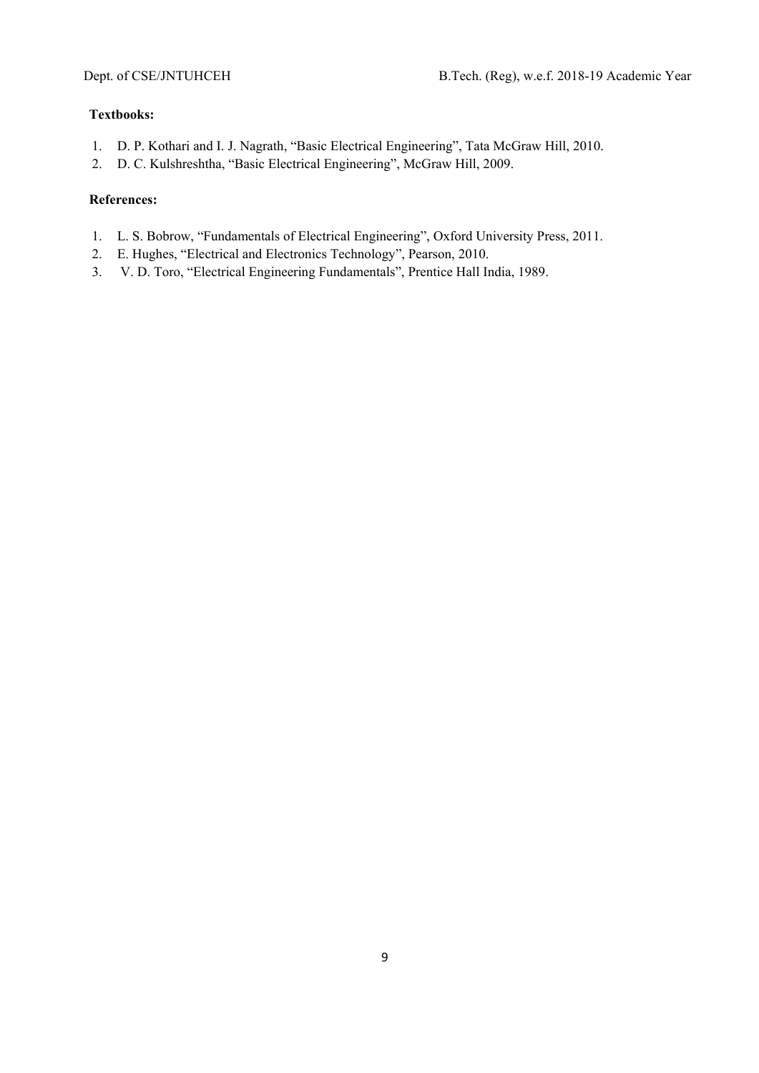# **Textbooks:**

- 1. D. P. Kothari and I. J. Nagrath, "Basic Electrical Engineering", Tata McGraw Hill, 2010.
- 2. D. C. Kulshreshtha, "Basic Electrical Engineering", McGraw Hill, 2009.

- 1. L. S. Bobrow, "Fundamentals of Electrical Engineering", Oxford University Press, 2011.
- 2. E. Hughes, "Electrical and Electronics Technology", Pearson, 2010.
- 3. V. D. Toro, "Electrical Engineering Fundamentals", Prentice Hall India, 1989.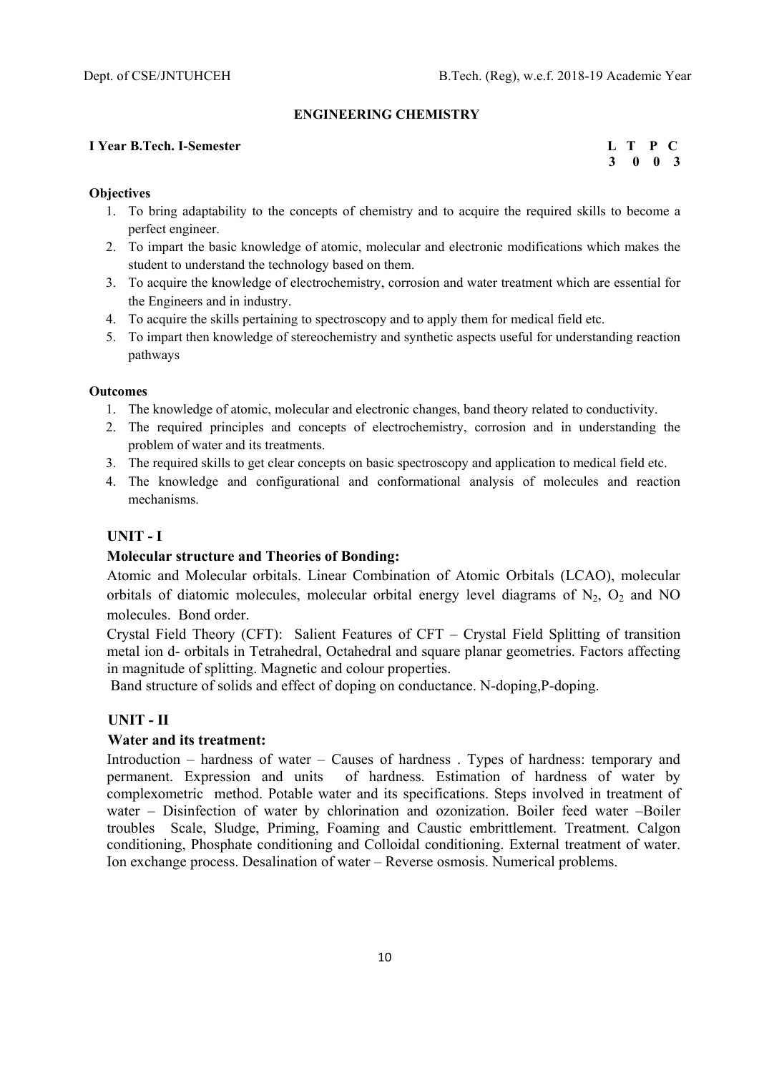#### **ENGINEERING CHEMISTRY**

## **I Year B.Tech. I-Semester L T P C**

 **3 0 0 3** 

#### **Objectives**

- 1. To bring adaptability to the concepts of chemistry and to acquire the required skills to become a perfect engineer.
- 2. To impart the basic knowledge of atomic, molecular and electronic modifications which makes the student to understand the technology based on them.
- 3. To acquire the knowledge of electrochemistry, corrosion and water treatment which are essential for the Engineers and in industry.
- 4. To acquire the skills pertaining to spectroscopy and to apply them for medical field etc.
- 5. To impart then knowledge of stereochemistry and synthetic aspects useful for understanding reaction pathways

#### **Outcomes**

- 1. The knowledge of atomic, molecular and electronic changes, band theory related to conductivity.
- 2. The required principles and concepts of electrochemistry, corrosion and in understanding the problem of water and its treatments.
- 3. The required skills to get clear concepts on basic spectroscopy and application to medical field etc.
- 4. The knowledge and configurational and conformational analysis of molecules and reaction mechanisms.

# **UNIT - I**

# **Molecular structure and Theories of Bonding:**

Atomic and Molecular orbitals. Linear Combination of Atomic Orbitals (LCAO), molecular orbitals of diatomic molecules, molecular orbital energy level diagrams of  $N_2$ ,  $O_2$  and NO molecules. Bond order.

Crystal Field Theory (CFT): Salient Features of CFT – Crystal Field Splitting of transition metal ion d- orbitals in Tetrahedral, Octahedral and square planar geometries. Factors affecting in magnitude of splitting. Magnetic and colour properties.

Band structure of solids and effect of doping on conductance. N-doping, P-doping.

# **UNIT - II**

# **Water and its treatment:**

Introduction – hardness of water – Causes of hardness . Types of hardness: temporary and permanent. Expression and units of hardness. Estimation of hardness of water by complexometric method. Potable water and its specifications. Steps involved in treatment of water – Disinfection of water by chlorination and ozonization. Boiler feed water –Boiler troubles Scale, Sludge, Priming, Foaming and Caustic embrittlement. Treatment. Calgon conditioning, Phosphate conditioning and Colloidal conditioning. External treatment of water. Ion exchange process. Desalination of water – Reverse osmosis. Numerical problems.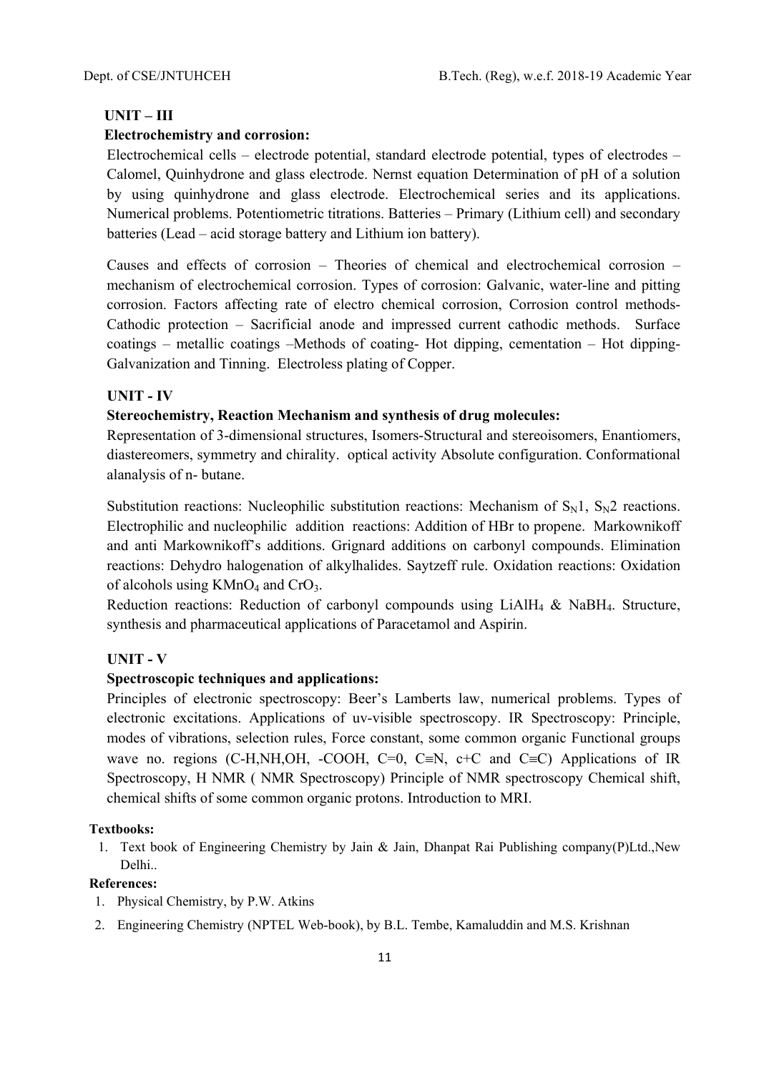# **UNIT – III**

# **Electrochemistry and corrosion:**

Electrochemical cells – electrode potential, standard electrode potential, types of electrodes – Calomel, Quinhydrone and glass electrode. Nernst equation Determination of pH of a solution by using quinhydrone and glass electrode. Electrochemical series and its applications. Numerical problems. Potentiometric titrations. Batteries – Primary (Lithium cell) and secondary batteries (Lead – acid storage battery and Lithium ion battery).

Causes and effects of corrosion – Theories of chemical and electrochemical corrosion – mechanism of electrochemical corrosion. Types of corrosion: Galvanic, water-line and pitting corrosion. Factors affecting rate of electro chemical corrosion, Corrosion control methods-Cathodic protection – Sacrificial anode and impressed current cathodic methods. Surface coatings – metallic coatings –Methods of coating- Hot dipping, cementation – Hot dipping-Galvanization and Tinning. Electroless plating of Copper.

# **UNIT - IV**

# **Stereochemistry, Reaction Mechanism and synthesis of drug molecules:**

Representation of 3-dimensional structures, Isomers-Structural and stereoisomers, Enantiomers, diastereomers, symmetry and chirality. optical activity Absolute configuration. Conformational alanalysis of n- butane.

Substitution reactions: Nucleophilic substitution reactions: Mechanism of  $S_N1$ ,  $S_N2$  reactions. Electrophilic and nucleophilic addition reactions: Addition of HBr to propene. Markownikoff and anti Markownikoff's additions. Grignard additions on carbonyl compounds. Elimination reactions: Dehydro halogenation of alkylhalides. Saytzeff rule. Oxidation reactions: Oxidation of alcohols using  $KMnO<sub>4</sub>$  and CrO<sub>3</sub>.

Reduction reactions: Reduction of carbonyl compounds using LiAlH<sub>4</sub> & NaBH<sub>4</sub>. Structure, synthesis and pharmaceutical applications of Paracetamol and Aspirin.

# **UNIT - V**

# **Spectroscopic techniques and applications:**

Principles of electronic spectroscopy: Beer's Lamberts law, numerical problems. Types of electronic excitations. Applications of uv-visible spectroscopy. IR Spectroscopy: Principle, modes of vibrations, selection rules, Force constant, some common organic Functional groups wave no. regions (C-H,NH,OH, -COOH, C=0, C=N, c+C and C=C) Applications of IR Spectroscopy, H NMR ( NMR Spectroscopy) Principle of NMR spectroscopy Chemical shift, chemical shifts of some common organic protons. Introduction to MRI.

#### **Textbooks:**

1. Text book of Engineering Chemistry by Jain & Jain, Dhanpat Rai Publishing company(P)Ltd.,New Delhi..

- 1. Physical Chemistry, by P.W. Atkins
- 2. Engineering Chemistry (NPTEL Web-book), by B.L. Tembe, Kamaluddin and M.S. Krishnan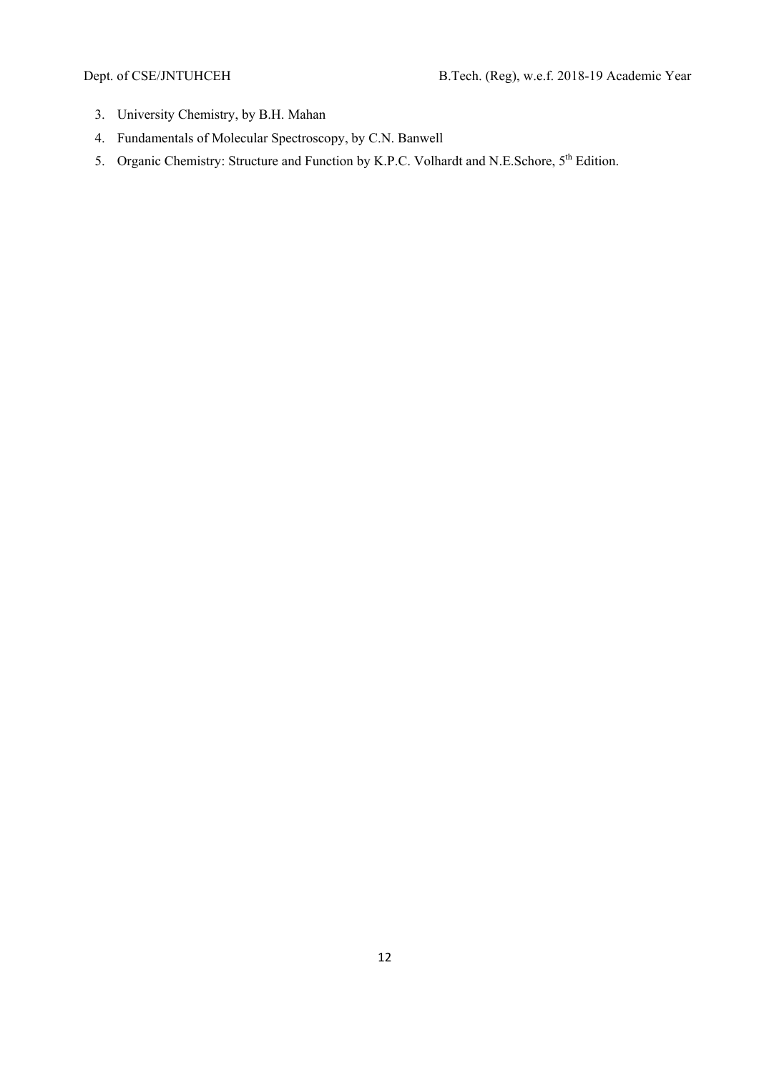- 3. University Chemistry, by B.H. Mahan
- 4. Fundamentals of Molecular Spectroscopy, by C.N. Banwell
- 5. Organic Chemistry: Structure and Function by K.P.C. Volhardt and N.E.Schore, 5<sup>th</sup> Edition.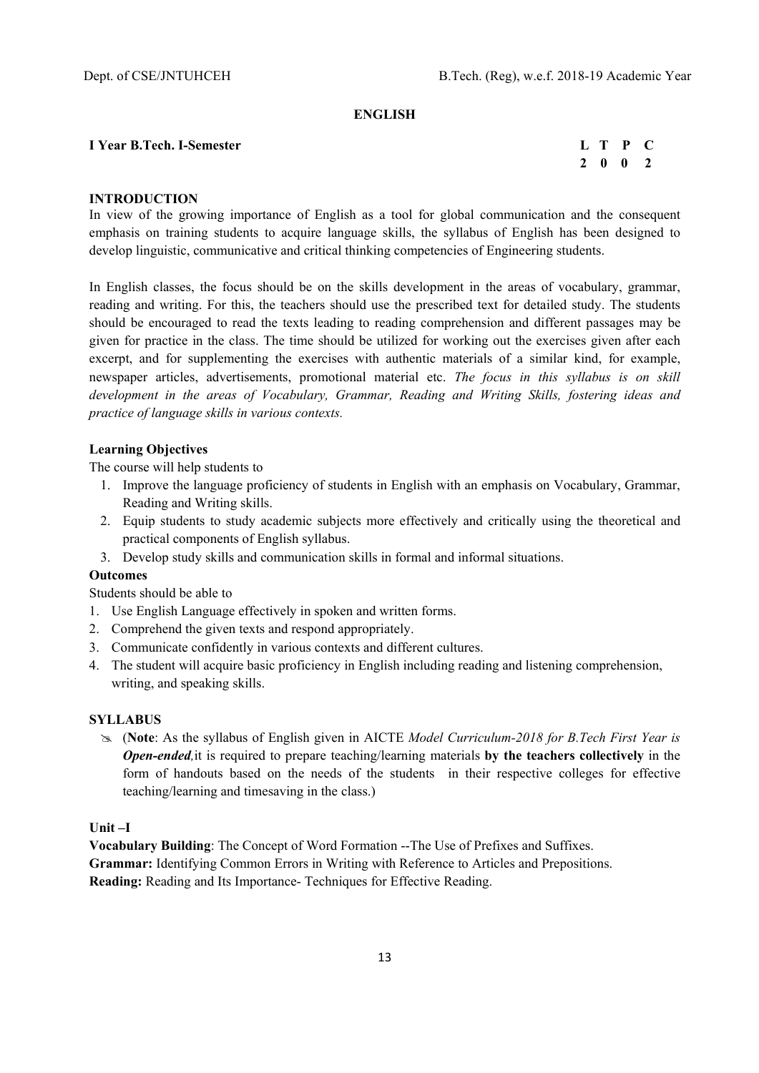#### **ENGLISH**

# **I Year B.Tech. I-Semester**

| I Year B.Tech. I-Semester |  | L T P C |  |
|---------------------------|--|---------|--|
|                           |  | 2 0 0 2 |  |

# **INTRODUCTION**

In view of the growing importance of English as a tool for global communication and the consequent emphasis on training students to acquire language skills, the syllabus of English has been designed to develop linguistic, communicative and critical thinking competencies of Engineering students.

In English classes, the focus should be on the skills development in the areas of vocabulary, grammar, reading and writing. For this, the teachers should use the prescribed text for detailed study. The students should be encouraged to read the texts leading to reading comprehension and different passages may be given for practice in the class. The time should be utilized for working out the exercises given after each excerpt, and for supplementing the exercises with authentic materials of a similar kind, for example, newspaper articles, advertisements, promotional material etc. *The focus in this syllabus is on skill development in the areas of Vocabulary, Grammar, Reading and Writing Skills, fostering ideas and practice of language skills in various contexts.* 

# **Learning Objectives**

The course will help students to

- 1. Improve the language proficiency of students in English with an emphasis on Vocabulary, Grammar, Reading and Writing skills.
- 2. Equip students to study academic subjects more effectively and critically using the theoretical and practical components of English syllabus.
- 3. Develop study skills and communication skills in formal and informal situations.

#### **Outcomes**

Students should be able to

- 1. Use English Language effectively in spoken and written forms.
- 2. Comprehend the given texts and respond appropriately.
- 3. Communicate confidently in various contexts and different cultures.
- 4. The student will acquire basic proficiency in English including reading and listening comprehension, writing, and speaking skills.

# **SYLLABUS**

 (**Note**: As the syllabus of English given in AICTE *Model Curriculum-2018 for B.Tech First Year is Open-ended,*it is required to prepare teaching/learning materials **by the teachers collectively** in the form of handouts based on the needs of the students in their respective colleges for effective teaching/learning and timesaving in the class.)

**Unit –I**

**Vocabulary Building**: The Concept of Word Formation --The Use of Prefixes and Suffixes. **Grammar:** Identifying Common Errors in Writing with Reference to Articles and Prepositions. **Reading:** Reading and Its Importance- Techniques for Effective Reading.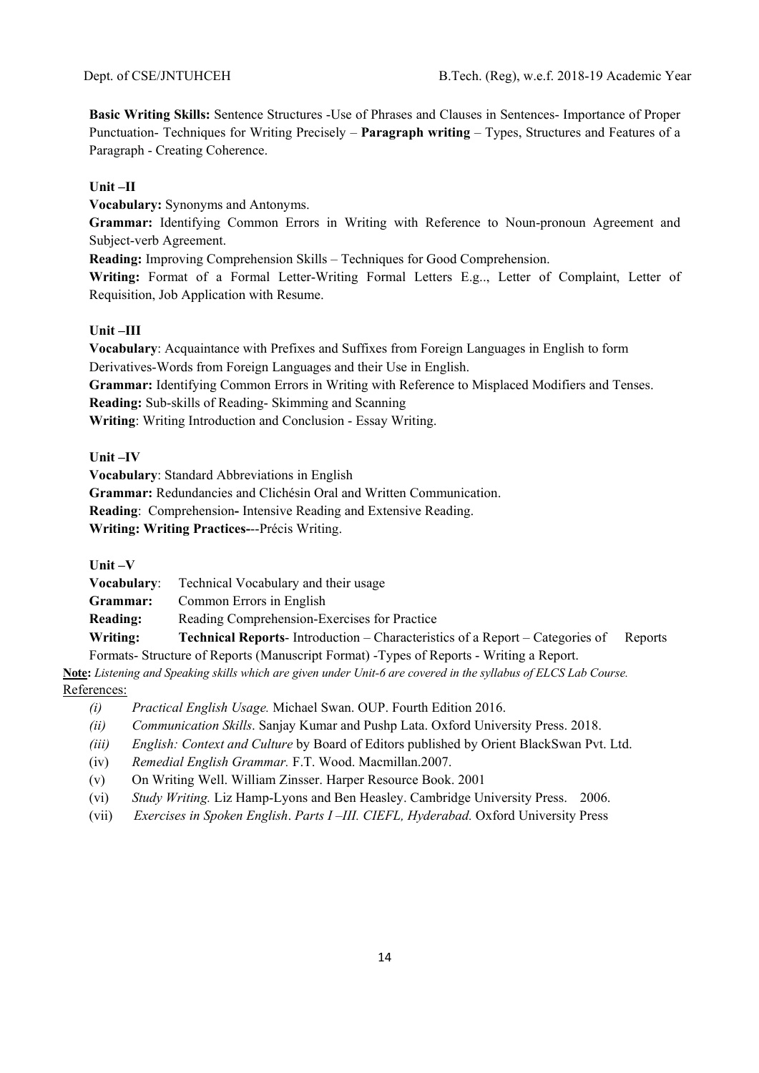**Basic Writing Skills:** Sentence Structures -Use of Phrases and Clauses in Sentences- Importance of Proper Punctuation- Techniques for Writing Precisely – **Paragraph writing** – Types, Structures and Features of a Paragraph - Creating Coherence.

# **Unit –II**

**Vocabulary:** Synonyms and Antonyms.

**Grammar:** Identifying Common Errors in Writing with Reference to Noun-pronoun Agreement and Subject-verb Agreement.

**Reading:** Improving Comprehension Skills – Techniques for Good Comprehension.

**Writing:** Format of a Formal Letter-Writing Formal Letters E.g.., Letter of Complaint, Letter of Requisition, Job Application with Resume.

# **Unit –III**

**Vocabulary**: Acquaintance with Prefixes and Suffixes from Foreign Languages in English to form Derivatives-Words from Foreign Languages and their Use in English.

**Grammar:** Identifying Common Errors in Writing with Reference to Misplaced Modifiers and Tenses.

**Reading:** Sub-skills of Reading- Skimming and Scanning

**Writing**: Writing Introduction and Conclusion - Essay Writing.

# **Unit –IV**

**Vocabulary**: Standard Abbreviations in English

**Grammar:** Redundancies and Clichésin Oral and Written Communication.

**Reading**: Comprehension**-** Intensive Reading and Extensive Reading.

**Writing: Writing Practices-**--Précis Writing.

**Unit –V** 

**Vocabulary**: Technical Vocabulary and their usage

**Grammar:** Common Errors in English

**Reading:** Reading Comprehension-Exercises for Practice

**Writing: Technical Reports**- Introduction – Characteristics of a Report – Categories of Reports Formats- Structure of Reports (Manuscript Format) -Types of Reports - Writing a Report.

**Note:** *Listening and Speaking skills which are given under Unit-6 are covered in the syllabus of ELCS Lab Course.*  References:

- *(i) Practical English Usage.* Michael Swan. OUP. Fourth Edition 2016.
- *(ii) Communication Skills*. Sanjay Kumar and Pushp Lata. Oxford University Press. 2018.
- *(iii) English: Context and Culture* by Board of Editors published by Orient BlackSwan Pvt. Ltd.
- (iv) *Remedial English Grammar.* F.T. Wood. Macmillan.2007.
- (v) On Writing Well. William Zinsser. Harper Resource Book. 2001
- (vi) *Study Writing.* Liz Hamp-Lyons and Ben Heasley. Cambridge University Press. 2006.
- (vii) *Exercises in Spoken English*. *Parts I –III. CIEFL, Hyderabad.* Oxford University Press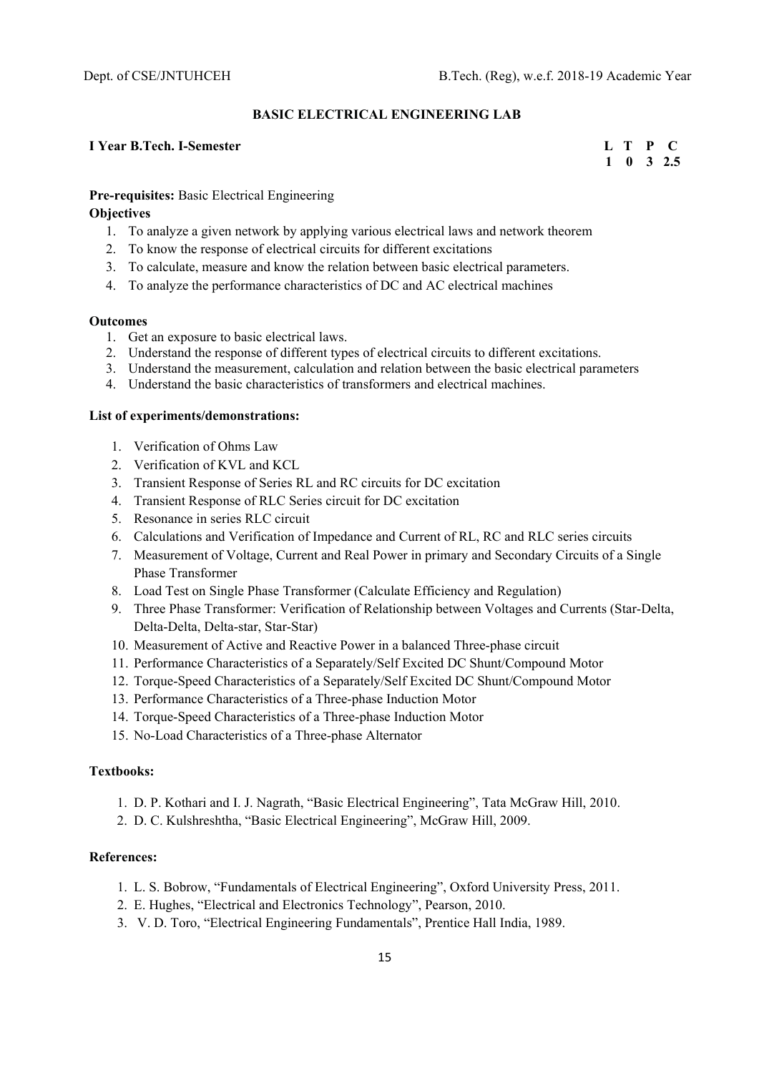#### **BASIC ELECTRICAL ENGINEERING LAB**

# **I** Year B.Tech. I-Semester **L** T P C

 **1 0 3 2.5** 

# **Pre-requisites:** Basic Electrical Engineering

## **Objectives**

- 1. To analyze a given network by applying various electrical laws and network theorem
- 2. To know the response of electrical circuits for different excitations
- 3. To calculate, measure and know the relation between basic electrical parameters.
- 4. To analyze the performance characteristics of DC and AC electrical machines

#### **Outcomes**

- 1. Get an exposure to basic electrical laws.
- 2. Understand the response of different types of electrical circuits to different excitations.
- 3. Understand the measurement, calculation and relation between the basic electrical parameters
- 4. Understand the basic characteristics of transformers and electrical machines.

#### **List of experiments/demonstrations:**

- 1. Verification of Ohms Law
- 2. Verification of KVL and KCL
- 3. Transient Response of Series RL and RC circuits for DC excitation
- 4. Transient Response of RLC Series circuit for DC excitation
- 5. Resonance in series RLC circuit
- 6. Calculations and Verification of Impedance and Current of RL, RC and RLC series circuits
- 7. Measurement of Voltage, Current and Real Power in primary and Secondary Circuits of a Single Phase Transformer
- 8. Load Test on Single Phase Transformer (Calculate Efficiency and Regulation)
- 9. Three Phase Transformer: Verification of Relationship between Voltages and Currents (Star-Delta, Delta-Delta, Delta-star, Star-Star)
- 10. Measurement of Active and Reactive Power in a balanced Three-phase circuit
- 11. Performance Characteristics of a Separately/Self Excited DC Shunt/Compound Motor
- 12. Torque-Speed Characteristics of a Separately/Self Excited DC Shunt/Compound Motor
- 13. Performance Characteristics of a Three-phase Induction Motor
- 14. Torque-Speed Characteristics of a Three-phase Induction Motor
- 15. No-Load Characteristics of a Three-phase Alternator

#### **Textbooks:**

- 1. D. P. Kothari and I. J. Nagrath, "Basic Electrical Engineering", Tata McGraw Hill, 2010.
- 2. D. C. Kulshreshtha, "Basic Electrical Engineering", McGraw Hill, 2009.

- 1. L. S. Bobrow, "Fundamentals of Electrical Engineering", Oxford University Press, 2011.
- 2. E. Hughes, "Electrical and Electronics Technology", Pearson, 2010.
- 3. V. D. Toro, "Electrical Engineering Fundamentals", Prentice Hall India, 1989.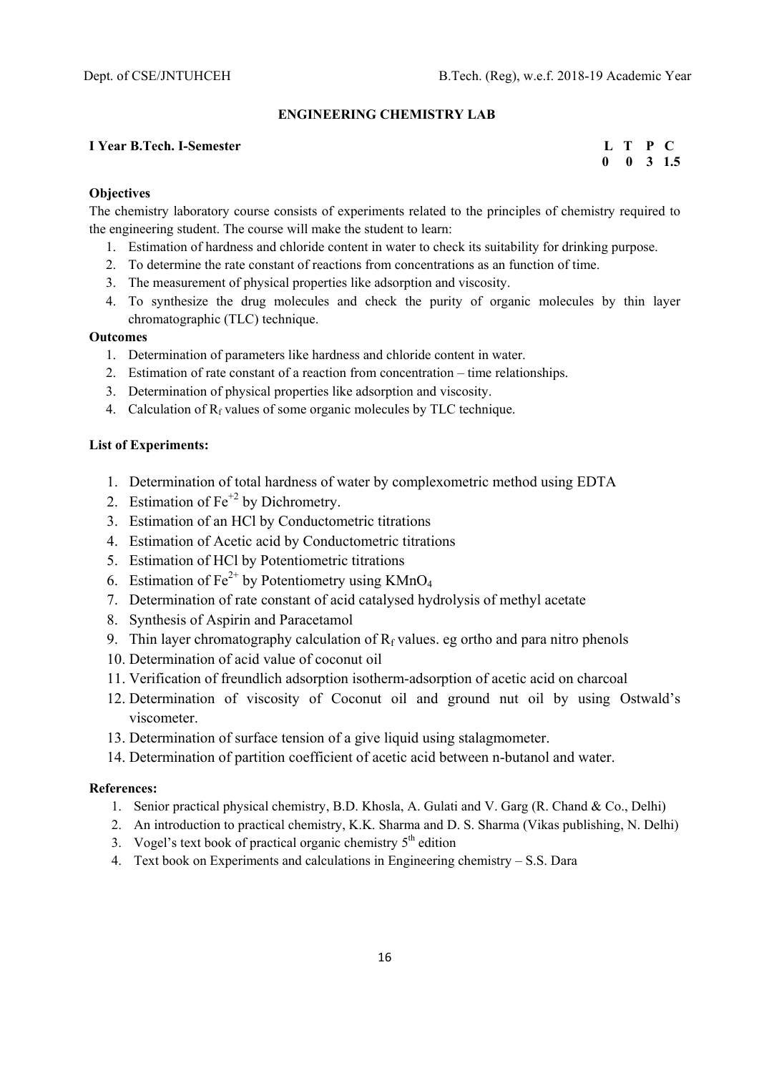#### **ENGINEERING CHEMISTRY LAB**

#### **I** Year B.Tech. I-Semester **Let us a set of the set of the set of the Semester Let us a set of the Semester C**

 **0 0 3 1.5** 

#### **Objectives**

The chemistry laboratory course consists of experiments related to the principles of chemistry required to the engineering student. The course will make the student to learn:

- 1. Estimation of hardness and chloride content in water to check its suitability for drinking purpose.
- 2. To determine the rate constant of reactions from concentrations as an function of time.
- 3. The measurement of physical properties like adsorption and viscosity.
- 4. To synthesize the drug molecules and check the purity of organic molecules by thin layer chromatographic (TLC) technique.

# **Outcomes**

- 1. Determination of parameters like hardness and chloride content in water.
- 2. Estimation of rate constant of a reaction from concentration time relationships.
- 3. Determination of physical properties like adsorption and viscosity.
- 4. Calculation of  $R_f$  values of some organic molecules by TLC technique.

# **List of Experiments:**

- 1. Determination of total hardness of water by complexometric method using EDTA
- 2. Estimation of  $Fe<sup>+2</sup>$  by Dichrometry.
- 3. Estimation of an HCl by Conductometric titrations
- 4. Estimation of Acetic acid by Conductometric titrations
- 5. Estimation of HCl by Potentiometric titrations
- 6. Estimation of  $Fe^{2+}$  by Potentiometry using KMnO<sub>4</sub>
- 7. Determination of rate constant of acid catalysed hydrolysis of methyl acetate
- 8. Synthesis of Aspirin and Paracetamol
- 9. Thin layer chromatography calculation of  $R_f$  values. eg ortho and para nitro phenols
- 10. Determination of acid value of coconut oil
- 11. Verification of freundlich adsorption isotherm-adsorption of acetic acid on charcoal
- 12. Determination of viscosity of Coconut oil and ground nut oil by using Ostwald's viscometer.
- 13. Determination of surface tension of a give liquid using stalagmometer.
- 14. Determination of partition coefficient of acetic acid between n-butanol and water.

- 1. Senior practical physical chemistry, B.D. Khosla, A. Gulati and V. Garg (R. Chand & Co., Delhi)
- 2. An introduction to practical chemistry, K.K. Sharma and D. S. Sharma (Vikas publishing, N. Delhi)
- 3. Vogel's text book of practical organic chemistry  $5<sup>th</sup>$  edition
- 4. Text book on Experiments and calculations in Engineering chemistry S.S. Dara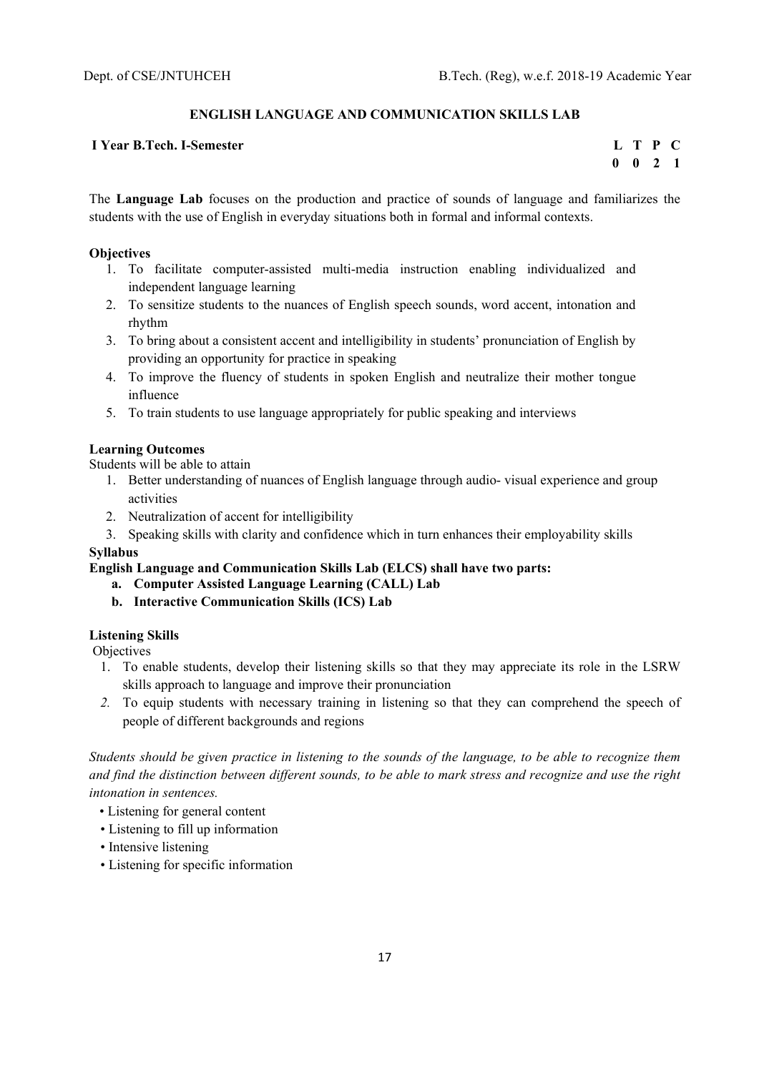# **ENGLISH LANGUAGE AND COMMUNICATION SKILLS LAB**

## **I** Year B.Tech. I-Semester **L** T P C

 **0 0 2 1** 

The **Language Lab** focuses on the production and practice of sounds of language and familiarizes the students with the use of English in everyday situations both in formal and informal contexts.

#### **Objectives**

- 1. To facilitate computer-assisted multi-media instruction enabling individualized and independent language learning
- 2. To sensitize students to the nuances of English speech sounds, word accent, intonation and rhythm
- 3. To bring about a consistent accent and intelligibility in students' pronunciation of English by providing an opportunity for practice in speaking
- 4. To improve the fluency of students in spoken English and neutralize their mother tongue influence
- 5. To train students to use language appropriately for public speaking and interviews

# **Learning Outcomes**

Students will be able to attain

- 1. Better understanding of nuances of English language through audio- visual experience and group activities
- 2. Neutralization of accent for intelligibility

3. Speaking skills with clarity and confidence which in turn enhances their employability skills

## **Syllabus**

**English Language and Communication Skills Lab (ELCS) shall have two parts:** 

- **a. Computer Assisted Language Learning (CALL) Lab**
- **b. Interactive Communication Skills (ICS) Lab**

#### **Listening Skills**

**Objectives** 

- 1. To enable students, develop their listening skills so that they may appreciate its role in the LSRW skills approach to language and improve their pronunciation
- *2.* To equip students with necessary training in listening so that they can comprehend the speech of people of different backgrounds and regions

*Students should be given practice in listening to the sounds of the language, to be able to recognize them and find the distinction between different sounds, to be able to mark stress and recognize and use the right intonation in sentences.* 

- Listening for general content
- Listening to fill up information
- Intensive listening
- Listening for specific information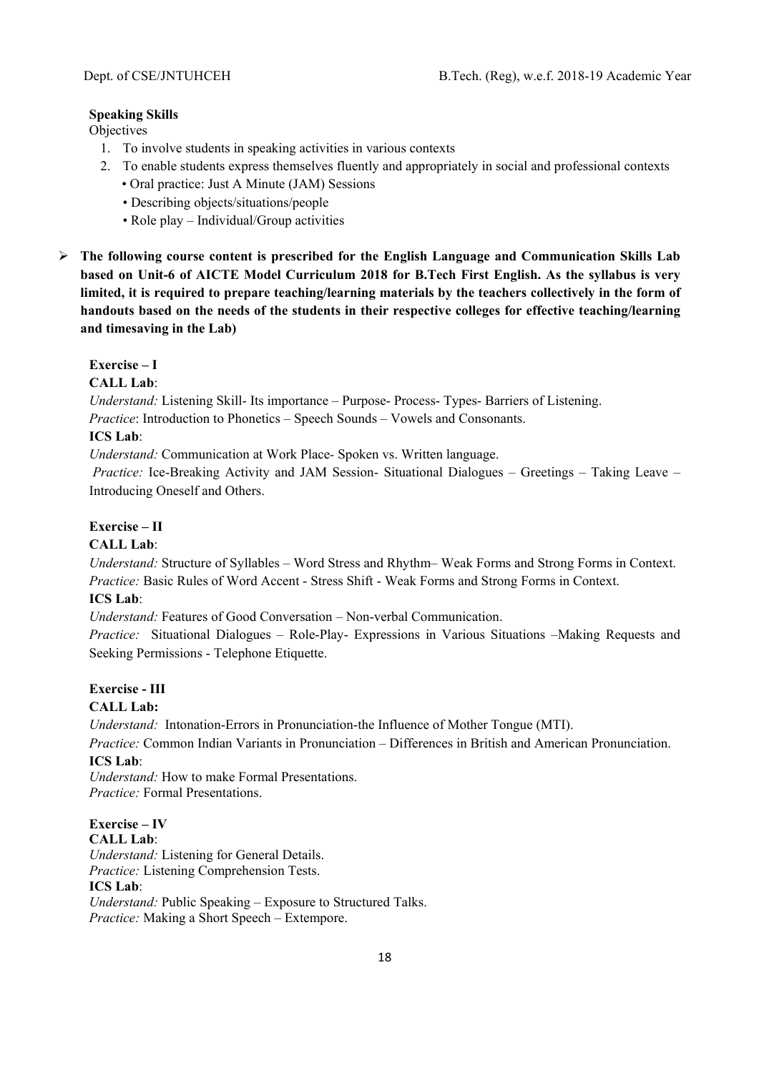# **Speaking Skills**

Objectives

- 1. To involve students in speaking activities in various contexts
- 2. To enable students express themselves fluently and appropriately in social and professional contexts
	- Oral practice: Just A Minute (JAM) Sessions
	- Describing objects/situations/people
	- Role play Individual/Group activities
- **The following course content is prescribed for the English Language and Communication Skills Lab based on Unit-6 of AICTE Model Curriculum 2018 for B.Tech First English. As the syllabus is very limited, it is required to prepare teaching/learning materials by the teachers collectively in the form of handouts based on the needs of the students in their respective colleges for effective teaching/learning and timesaving in the Lab)**

# **Exercise – I**

**CALL Lab**:

*Understand:* Listening Skill- Its importance – Purpose- Process- Types- Barriers of Listening. *Practice*: Introduction to Phonetics – Speech Sounds – Vowels and Consonants.

# **ICS Lab**:

*Understand:* Communication at Work Place*-* Spoken vs. Written language.

 *Practice:* Ice-Breaking Activity and JAM Session- Situational Dialogues – Greetings – Taking Leave – Introducing Oneself and Others.

# **Exercise – II**

### **CALL Lab**:

*Understand:* Structure of Syllables – Word Stress and Rhythm– Weak Forms and Strong Forms in Context. *Practice:* Basic Rules of Word Accent - Stress Shift - Weak Forms and Strong Forms in Context.

# **ICS Lab**:

*Understand:* Features of Good Conversation – Non-verbal Communication.

*Practice:* Situational Dialogues – Role-Play- Expressions in Various Situations –Making Requests and Seeking Permissions - Telephone Etiquette.

# **Exercise - III**

# **CALL Lab:**

*Understand:* Intonation-Errors in Pronunciation-the Influence of Mother Tongue (MTI).

*Practice:* Common Indian Variants in Pronunciation *–* Differences in British and American Pronunciation. **ICS Lab**:

*Understand:* How to make Formal Presentations. *Practice:* Formal Presentations.

#### **Exercise – IV CALL Lab**:

*Understand:* Listening for General Details.

*Practice:* Listening Comprehension Tests.

# **ICS Lab**:

*Understand:* Public Speaking – Exposure to Structured Talks. *Practice:* Making a Short Speech – Extempore.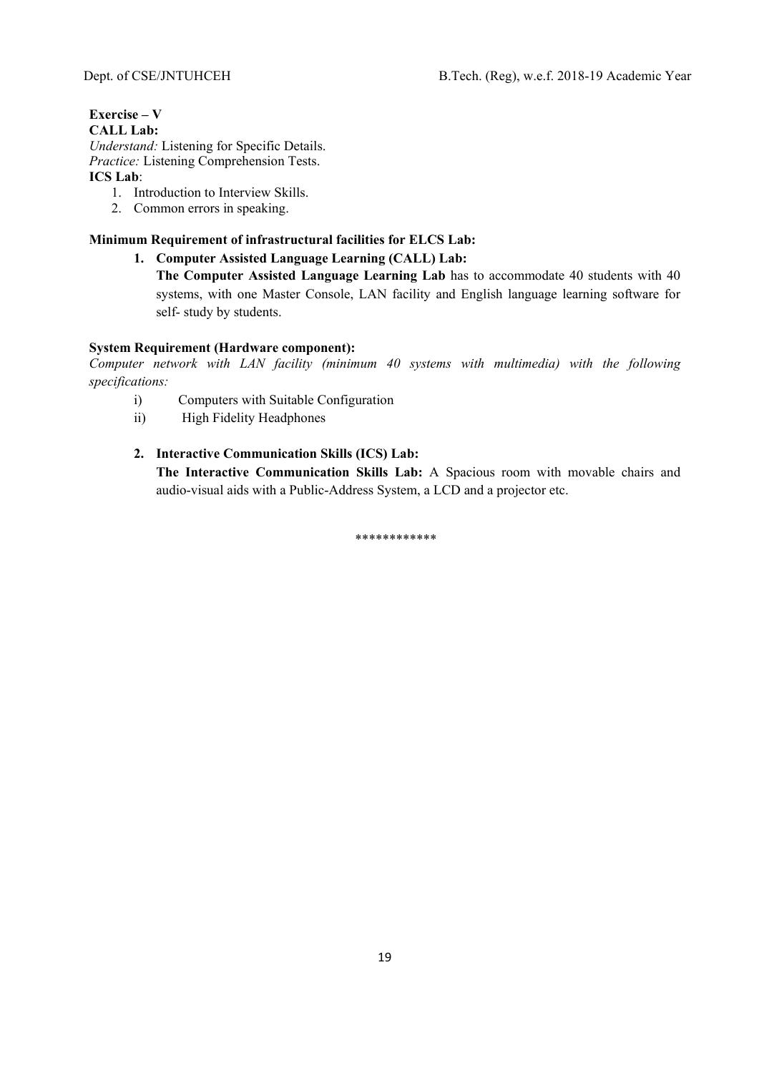# **Exercise – V**

# **CALL Lab:**

*Understand:* Listening for Specific Details. *Practice:* Listening Comprehension Tests. **ICS Lab**:

- 1. Introduction to Interview Skills.
- 2. Common errors in speaking.

# **Minimum Requirement of infrastructural facilities for ELCS Lab:**

**1. Computer Assisted Language Learning (CALL) Lab:** 

**The Computer Assisted Language Learning Lab** has to accommodate 40 students with 40 systems, with one Master Console, LAN facility and English language learning software for self- study by students.

# **System Requirement (Hardware component):**

*Computer network with LAN facility (minimum 40 systems with multimedia) with the following specifications:* 

- i) Computers with Suitable Configuration
- ii) High Fidelity Headphones

# **2. Interactive Communication Skills (ICS) Lab:**

**The Interactive Communication Skills Lab:** A Spacious room with movable chairs and audio-visual aids with a Public-Address System, a LCD and a projector etc.

\*\*\*\*\*\*\*\*\*\*\*\*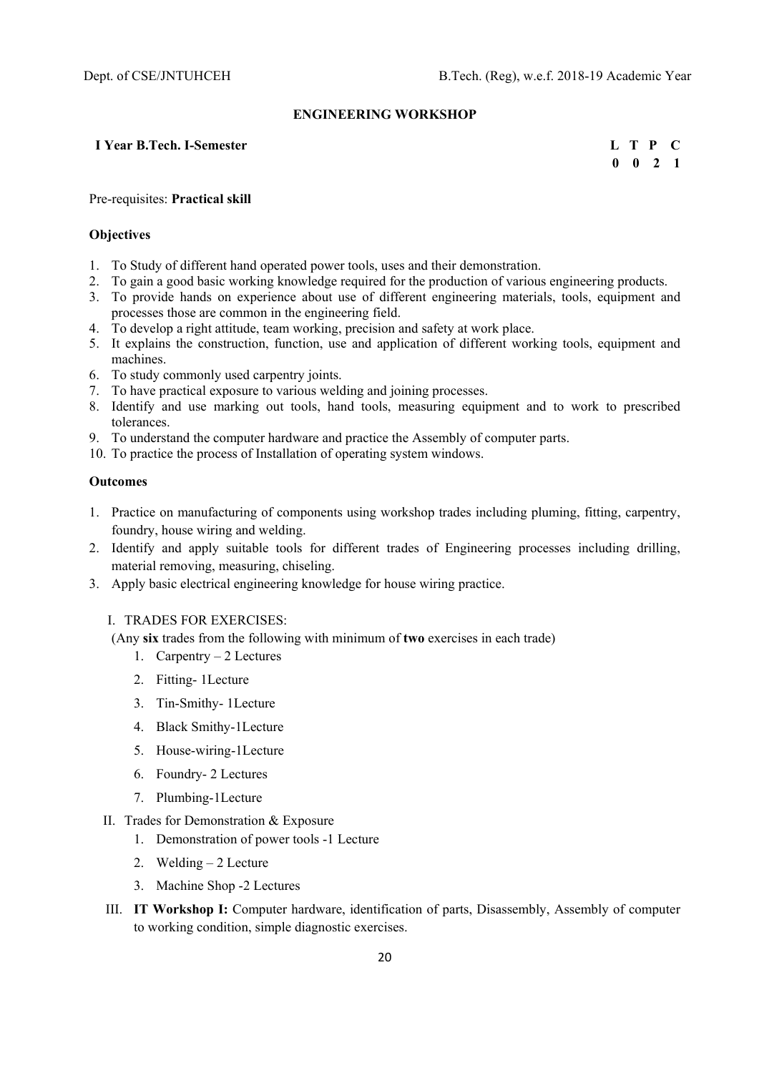#### **ENGINEERING WORKSHOP**

# **I** Year B.Tech. I-Semester **L** T P C

 **0 0 2 1** 

#### Pre-requisites: **Practical skill**

#### **Objectives**

- 1. To Study of different hand operated power tools, uses and their demonstration.
- 2. To gain a good basic working knowledge required for the production of various engineering products.
- 3. To provide hands on experience about use of different engineering materials, tools, equipment and processes those are common in the engineering field.
- 4. To develop a right attitude, team working, precision and safety at work place.
- 5. It explains the construction, function, use and application of different working tools, equipment and machines.
- 6. To study commonly used carpentry joints.
- 7. To have practical exposure to various welding and joining processes.
- 8. Identify and use marking out tools, hand tools, measuring equipment and to work to prescribed tolerances.
- 9. To understand the computer hardware and practice the Assembly of computer parts.
- 10. To practice the process of Installation of operating system windows.

#### **Outcomes**

- 1. Practice on manufacturing of components using workshop trades including pluming, fitting, carpentry, foundry, house wiring and welding.
- 2. Identify and apply suitable tools for different trades of Engineering processes including drilling, material removing, measuring, chiseling.
- 3. Apply basic electrical engineering knowledge for house wiring practice.

#### I. TRADES FOR EXERCISES:

(Any **six** trades from the following with minimum of **two** exercises in each trade)

- 1. Carpentry 2 Lectures
- 2. Fitting- 1Lecture
- 3. Tin-Smithy- 1Lecture
- 4. Black Smithy-1Lecture
- 5. House-wiring-1Lecture
- 6. Foundry- 2 Lectures
- 7. Plumbing-1Lecture

### II. Trades for Demonstration & Exposure

- 1. Demonstration of power tools -1 Lecture
- 2. Welding 2 Lecture
- 3. Machine Shop -2 Lectures
- III. **IT Workshop I:** Computer hardware, identification of parts, Disassembly, Assembly of computer to working condition, simple diagnostic exercises.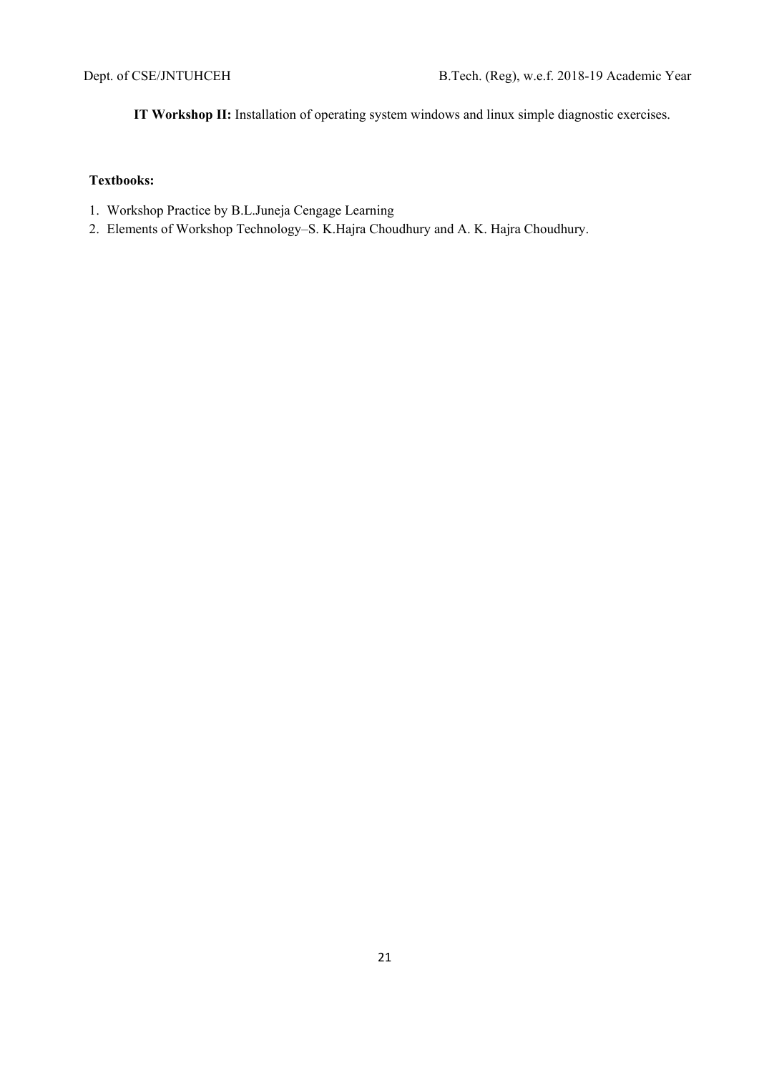**IT Workshop II:** Installation of operating system windows and linux simple diagnostic exercises.

# **Textbooks:**

- 1. Workshop Practice by B.L.Juneja Cengage Learning
- 2. Elements of Workshop Technology–S. K.Hajra Choudhury and A. K. Hajra Choudhury.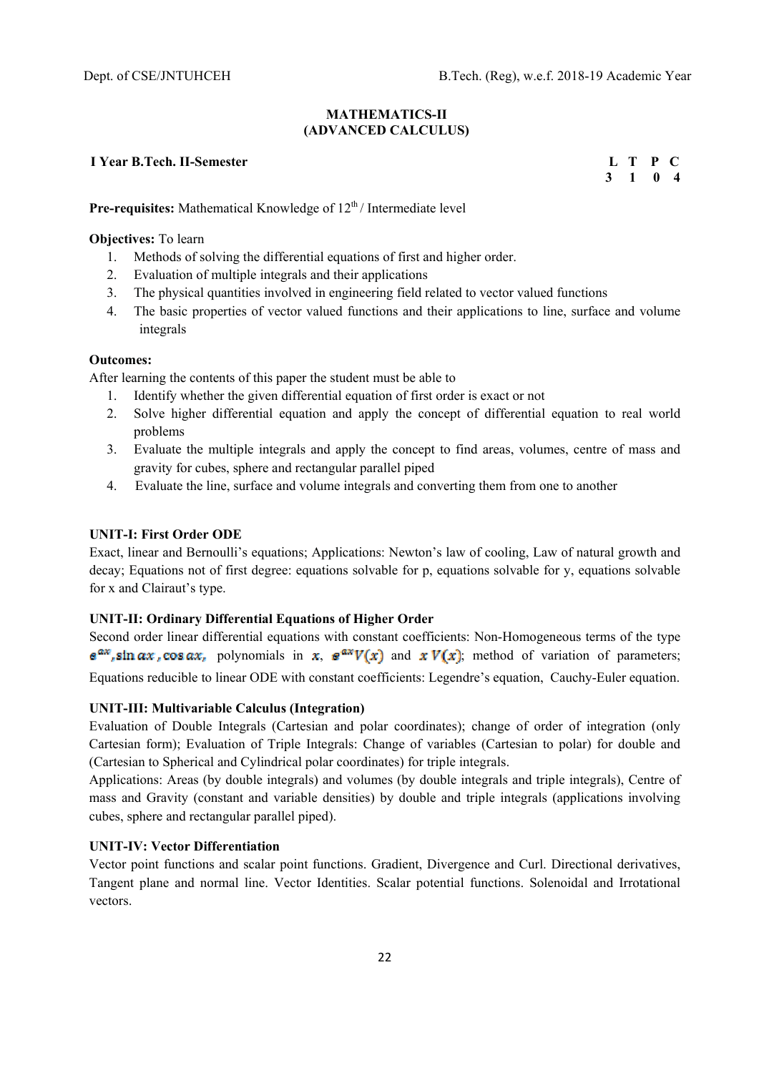#### **MATHEMATICS-II (ADVANCED CALCULUS)**

# **I** Year B.Tech. II-Semester **L** T P C

 **3 1 0 4** 

**Pre-requisites:** Mathematical Knowledge of  $12<sup>th</sup>$  / Intermediate level

**Objectives:** To learn

- 1. Methods of solving the differential equations of first and higher order.
- 2. Evaluation of multiple integrals and their applications
- 3. The physical quantities involved in engineering field related to vector valued functions
- 4. The basic properties of vector valued functions and their applications to line, surface and volume integrals

# **Outcomes:**

After learning the contents of this paper the student must be able to

- 1. Identify whether the given differential equation of first order is exact or not
- 2. Solve higher differential equation and apply the concept of differential equation to real world problems
- 3. Evaluate the multiple integrals and apply the concept to find areas, volumes, centre of mass and gravity for cubes, sphere and rectangular parallel piped
- 4. Evaluate the line, surface and volume integrals and converting them from one to another

# **UNIT-I: First Order ODE**

Exact, linear and Bernoulli's equations; Applications: Newton's law of cooling, Law of natural growth and decay; Equations not of first degree: equations solvable for p, equations solvable for y, equations solvable for x and Clairaut's type.

# **UNIT-II: Ordinary Differential Equations of Higher Order**

Second order linear differential equations with constant coefficients: Non-Homogeneous terms of the type  $e^{ax}$ , sin  $ax$ , cos  $ax$ , polynomials in x,  $e^{ax}V(x)$  and  $xV(x)$ ; method of variation of parameters; Equations reducible to linear ODE with constant coefficients: Legendre's equation, Cauchy-Euler equation.

#### **UNIT-III: Multivariable Calculus (Integration)**

Evaluation of Double Integrals (Cartesian and polar coordinates); change of order of integration (only Cartesian form); Evaluation of Triple Integrals: Change of variables (Cartesian to polar) for double and (Cartesian to Spherical and Cylindrical polar coordinates) for triple integrals.

Applications: Areas (by double integrals) and volumes (by double integrals and triple integrals), Centre of mass and Gravity (constant and variable densities) by double and triple integrals (applications involving cubes, sphere and rectangular parallel piped).

# **UNIT-IV: Vector Differentiation**

Vector point functions and scalar point functions. Gradient, Divergence and Curl. Directional derivatives, Tangent plane and normal line. Vector Identities. Scalar potential functions. Solenoidal and Irrotational vectors.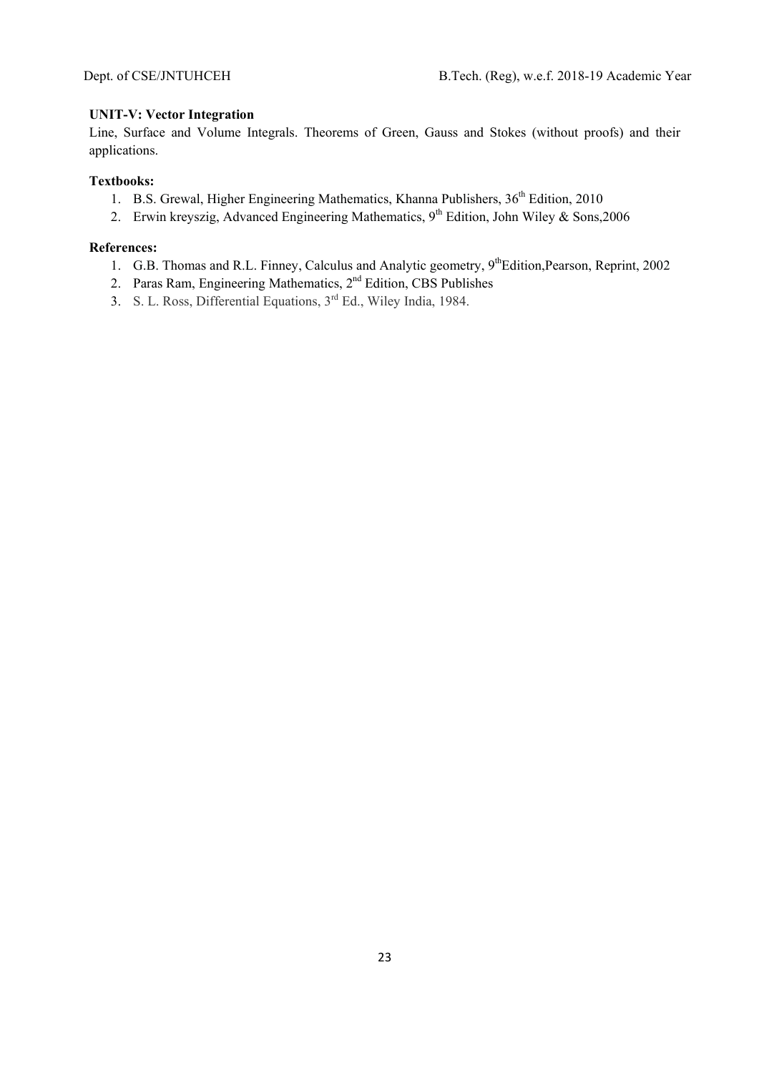# **UNIT-V: Vector Integration**

Line, Surface and Volume Integrals. Theorems of Green, Gauss and Stokes (without proofs) and their applications.

# **Textbooks:**

- 1. B.S. Grewal, Higher Engineering Mathematics, Khanna Publishers, 36<sup>th</sup> Edition, 2010
- 2. Erwin kreyszig, Advanced Engineering Mathematics, 9<sup>th</sup> Edition, John Wiley & Sons,2006

- 1. G.B. Thomas and R.L. Finney, Calculus and Analytic geometry, 9<sup>th</sup>Edition, Pearson, Reprint, 2002
- 2. Paras Ram, Engineering Mathematics, 2<sup>nd</sup> Edition, CBS Publishes
- 3. S. L. Ross, Differential Equations,  $3<sup>rd</sup>$  Ed., Wiley India, 1984.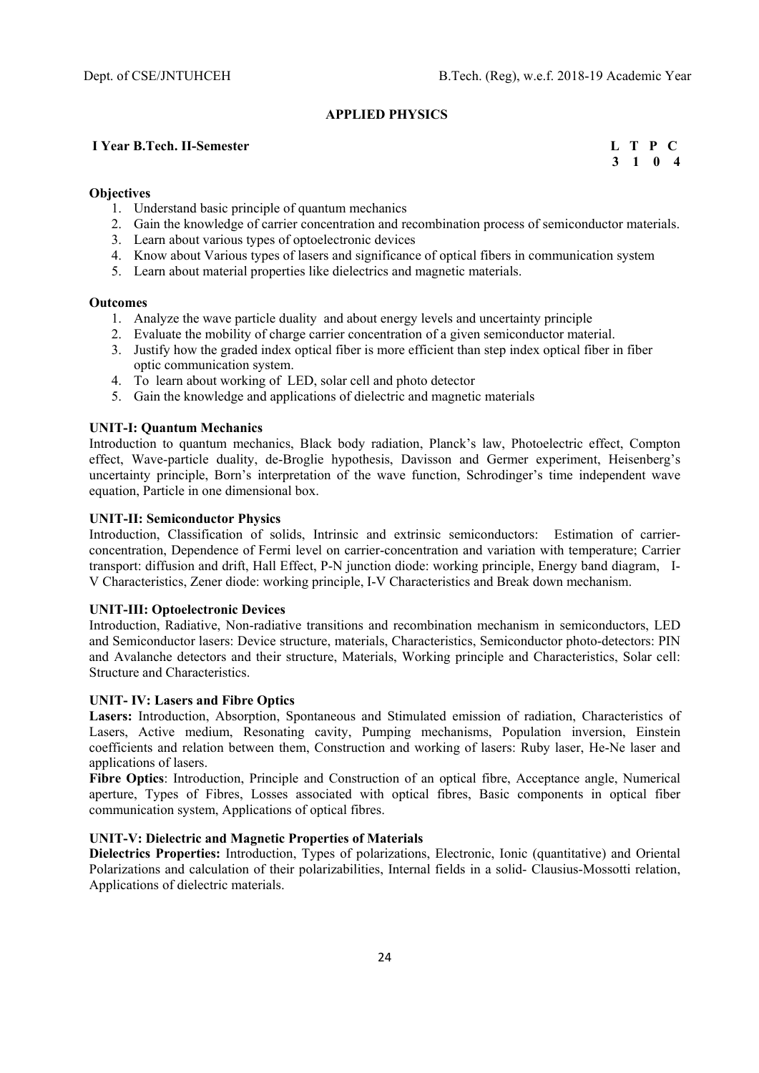# **APPLIED PHYSICS**

## **I** Year B.Tech. II-Semester **L** T P C

 **3 1 0 4** 

#### **Objectives**

- 1. Understand basic principle of quantum mechanics
- 2. Gain the knowledge of carrier concentration and recombination process of semiconductor materials.
- 3. Learn about various types of optoelectronic devices
- 4. Know about Various types of lasers and significance of optical fibers in communication system
- 5. Learn about material properties like dielectrics and magnetic materials.

#### **Outcomes**

- 1. Analyze the wave particle duality and about energy levels and uncertainty principle
- 2. Evaluate the mobility of charge carrier concentration of a given semiconductor material.
- 3. Justify how the graded index optical fiber is more efficient than step index optical fiber in fiber optic communication system.
- 4. To learn about working of LED, solar cell and photo detector
- 5. Gain the knowledge and applications of dielectric and magnetic materials

#### **UNIT-I: Quantum Mechanics**

Introduction to quantum mechanics, Black body radiation, Planck's law, Photoelectric effect, Compton effect, Wave-particle duality, de-Broglie hypothesis, Davisson and Germer experiment, Heisenberg's uncertainty principle, Born's interpretation of the wave function, Schrodinger's time independent wave equation, Particle in one dimensional box.

#### **UNIT-II: Semiconductor Physics**

Introduction, Classification of solids, Intrinsic and extrinsic semiconductors: Estimation of carrierconcentration, Dependence of Fermi level on carrier-concentration and variation with temperature; Carrier transport: diffusion and drift, Hall Effect, P-N junction diode: working principle, Energy band diagram, I-V Characteristics, Zener diode: working principle, I-V Characteristics and Break down mechanism.

# **UNIT-III: Optoelectronic Devices**

Introduction, Radiative, Non-radiative transitions and recombination mechanism in semiconductors, LED and Semiconductor lasers: Device structure, materials, Characteristics, Semiconductor photo-detectors: PIN and Avalanche detectors and their structure, Materials, Working principle and Characteristics, Solar cell: Structure and Characteristics.

#### **UNIT- IV: Lasers and Fibre Optics**

**Lasers:** Introduction, Absorption, Spontaneous and Stimulated emission of radiation, Characteristics of Lasers, Active medium, Resonating cavity, Pumping mechanisms, Population inversion, Einstein coefficients and relation between them, Construction and working of lasers: Ruby laser, He-Ne laser and applications of lasers.

Fibre Optics: Introduction, Principle and Construction of an optical fibre, Acceptance angle, Numerical aperture, Types of Fibres, Losses associated with optical fibres, Basic components in optical fiber communication system, Applications of optical fibres.

#### **UNIT-V: Dielectric and Magnetic Properties of Materials**

**Dielectrics Properties:** Introduction, Types of polarizations, Electronic, Ionic (quantitative) and Oriental Polarizations and calculation of their polarizabilities, Internal fields in a solid- Clausius-Mossotti relation, Applications of dielectric materials.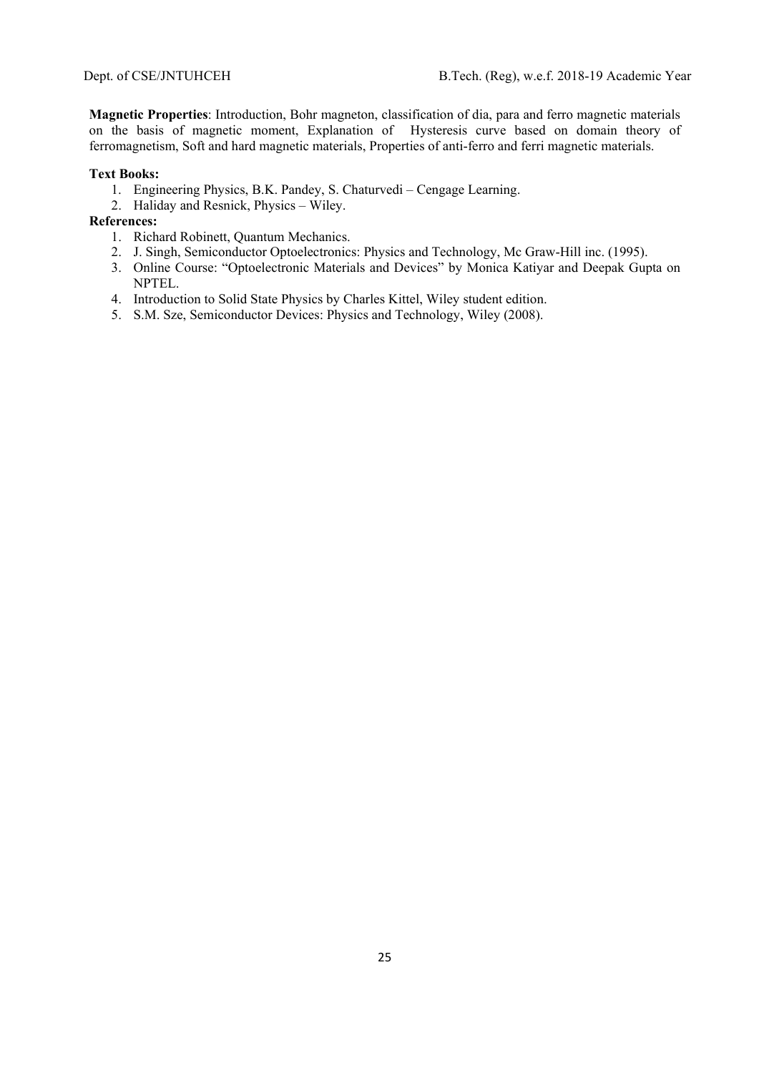**Magnetic Properties**: Introduction, Bohr magneton, classification of dia, para and ferro magnetic materials on the basis of magnetic moment, Explanation of Hysteresis curve based on domain theory of ferromagnetism, Soft and hard magnetic materials, Properties of anti-ferro and ferri magnetic materials.

### **Text Books:**

- 1. Engineering Physics, B.K. Pandey, S. Chaturvedi Cengage Learning.
- 2. Haliday and Resnick, Physics Wiley.

- 1. Richard Robinett, Quantum Mechanics.
- 2. J. Singh, Semiconductor Optoelectronics: Physics and Technology, Mc Graw-Hill inc. (1995).
- 3. Online Course: "Optoelectronic Materials and Devices" by Monica Katiyar and Deepak Gupta on NPTEL.
- 4. Introduction to Solid State Physics by Charles Kittel, Wiley student edition.
- 5. S.M. Sze, Semiconductor Devices: Physics and Technology, Wiley (2008).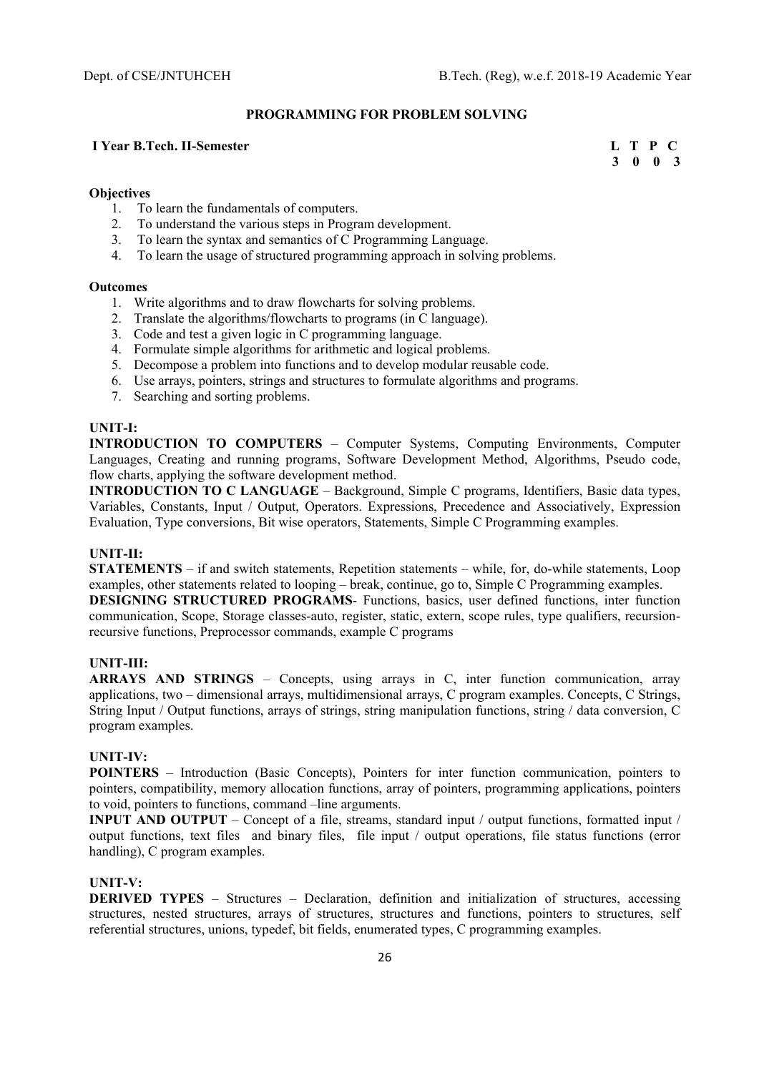#### **PROGRAMMING FOR PROBLEM SOLVING**

## **I** Year B.Tech. II-Semester L T P C

 **3 0 0 3** 

#### **Objectives**

- 1. To learn the fundamentals of computers.
- 2. To understand the various steps in Program development.
- 3. To learn the syntax and semantics of C Programming Language.
- 4. To learn the usage of structured programming approach in solving problems.

#### **Outcomes**

- 1. Write algorithms and to draw flowcharts for solving problems.
- 2. Translate the algorithms/flowcharts to programs (in C language).
- 3. Code and test a given logic in C programming language.
- 4. Formulate simple algorithms for arithmetic and logical problems.
- 5. Decompose a problem into functions and to develop modular reusable code.
- 6. Use arrays, pointers, strings and structures to formulate algorithms and programs.
- 7. Searching and sorting problems.

#### **UNIT-I:**

**INTRODUCTION TO COMPUTERS** – Computer Systems, Computing Environments, Computer Languages, Creating and running programs, Software Development Method, Algorithms, Pseudo code, flow charts, applying the software development method.

**INTRODUCTION TO C LANGUAGE** – Background, Simple C programs, Identifiers, Basic data types, Variables, Constants, Input / Output, Operators. Expressions, Precedence and Associatively, Expression Evaluation, Type conversions, Bit wise operators, Statements, Simple C Programming examples.

## **UNIT-II:**

**STATEMENTS** – if and switch statements, Repetition statements – while, for, do-while statements, Loop examples, other statements related to looping – break, continue, go to, Simple C Programming examples.

**DESIGNING STRUCTURED PROGRAMS**- Functions, basics, user defined functions, inter function communication, Scope, Storage classes-auto, register, static, extern, scope rules, type qualifiers, recursionrecursive functions, Preprocessor commands, example C programs

# **UNIT-III:**

**ARRAYS AND STRINGS** – Concepts, using arrays in C, inter function communication, array applications, two – dimensional arrays, multidimensional arrays, C program examples. Concepts, C Strings, String Input / Output functions, arrays of strings, string manipulation functions, string / data conversion, C program examples.

#### **UNIT-IV:**

**POINTERS** – Introduction (Basic Concepts), Pointers for inter function communication, pointers to pointers, compatibility, memory allocation functions, array of pointers, programming applications, pointers to void, pointers to functions, command –line arguments.

**INPUT AND OUTPUT** – Concept of a file, streams, standard input / output functions, formatted input / output functions, text files and binary files, file input / output operations, file status functions (error handling), C program examples.

#### **UNIT-V:**

**DERIVED TYPES** – Structures – Declaration, definition and initialization of structures, accessing structures, nested structures, arrays of structures, structures and functions, pointers to structures, self referential structures, unions, typedef, bit fields, enumerated types, C programming examples.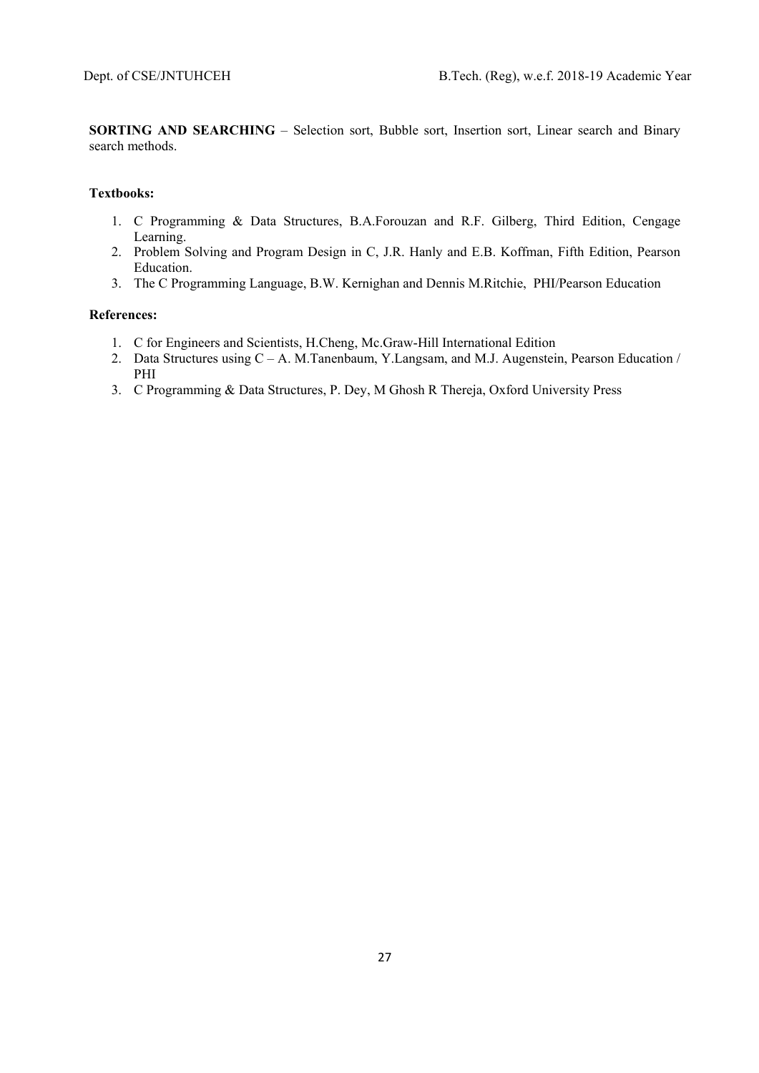**SORTING AND SEARCHING** – Selection sort, Bubble sort, Insertion sort, Linear search and Binary search methods.

# **Textbooks:**

- 1. C Programming & Data Structures, B.A.Forouzan and R.F. Gilberg, Third Edition, Cengage Learning.
- 2. Problem Solving and Program Design in C, J.R. Hanly and E.B. Koffman, Fifth Edition, Pearson Education.
- 3. The C Programming Language, B.W. Kernighan and Dennis M.Ritchie, PHI/Pearson Education

- 1. C for Engineers and Scientists, H.Cheng, Mc.Graw-Hill International Edition
- 2. Data Structures using C A. M.Tanenbaum, Y.Langsam, and M.J. Augenstein, Pearson Education / PHI
- 3. C Programming & Data Structures, P. Dey, M Ghosh R Thereja, Oxford University Press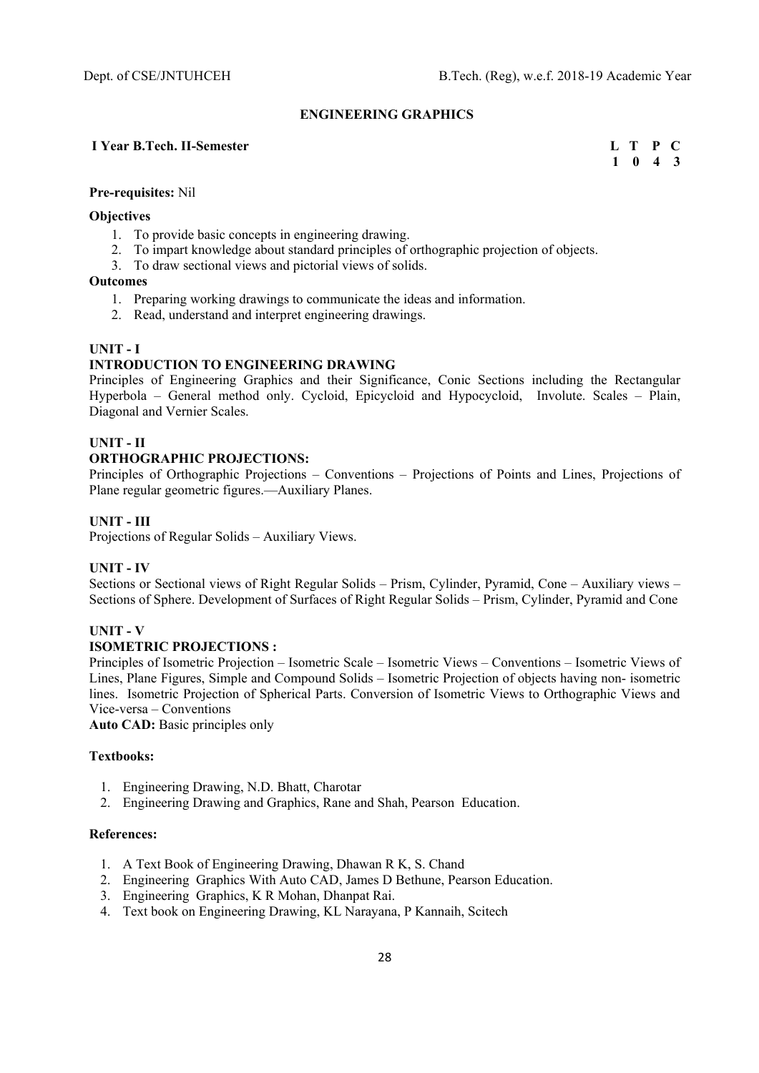# **ENGINEERING GRAPHICS**

# **I** Year B.Tech. II-Semester **L** T P C

 **1 0 4 3** 

# **Pre-requisites:** Nil

#### **Objectives**

- 1. To provide basic concepts in engineering drawing.
- 2. To impart knowledge about standard principles of orthographic projection of objects.
- 3. To draw sectional views and pictorial views of solids.

# **Outcomes**

- 1. Preparing working drawings to communicate the ideas and information.
- 2. Read, understand and interpret engineering drawings.

# **UNIT - I**

# **INTRODUCTION TO ENGINEERING DRAWING**

Principles of Engineering Graphics and their Significance, Conic Sections including the Rectangular Hyperbola – General method only. Cycloid, Epicycloid and Hypocycloid, Involute. Scales – Plain, Diagonal and Vernier Scales.

# **UNIT - II**

# **ORTHOGRAPHIC PROJECTIONS:**

Principles of Orthographic Projections – Conventions – Projections of Points and Lines, Projections of Plane regular geometric figures.—Auxiliary Planes.

# **UNIT - III**

Projections of Regular Solids – Auxiliary Views.

#### **UNIT - IV**

Sections or Sectional views of Right Regular Solids – Prism, Cylinder, Pyramid, Cone – Auxiliary views – Sections of Sphere. Development of Surfaces of Right Regular Solids – Prism, Cylinder, Pyramid and Cone

# **UNIT - V**

# **ISOMETRIC PROJECTIONS :**

Principles of Isometric Projection – Isometric Scale – Isometric Views – Conventions – Isometric Views of Lines, Plane Figures, Simple and Compound Solids – Isometric Projection of objects having non- isometric lines. Isometric Projection of Spherical Parts. Conversion of Isometric Views to Orthographic Views and Vice-versa – Conventions

**Auto CAD:** Basic principles only

#### **Textbooks:**

- 1. Engineering Drawing, N.D. Bhatt, Charotar
- 2. Engineering Drawing and Graphics, Rane and Shah, Pearson Education.

- 1. A Text Book of Engineering Drawing, Dhawan R K, S. Chand
- 2. Engineering Graphics With Auto CAD, James D Bethune, Pearson Education.
- 3. Engineering Graphics, K R Mohan, Dhanpat Rai.
- 4. Text book on Engineering Drawing, KL Narayana, P Kannaih, Scitech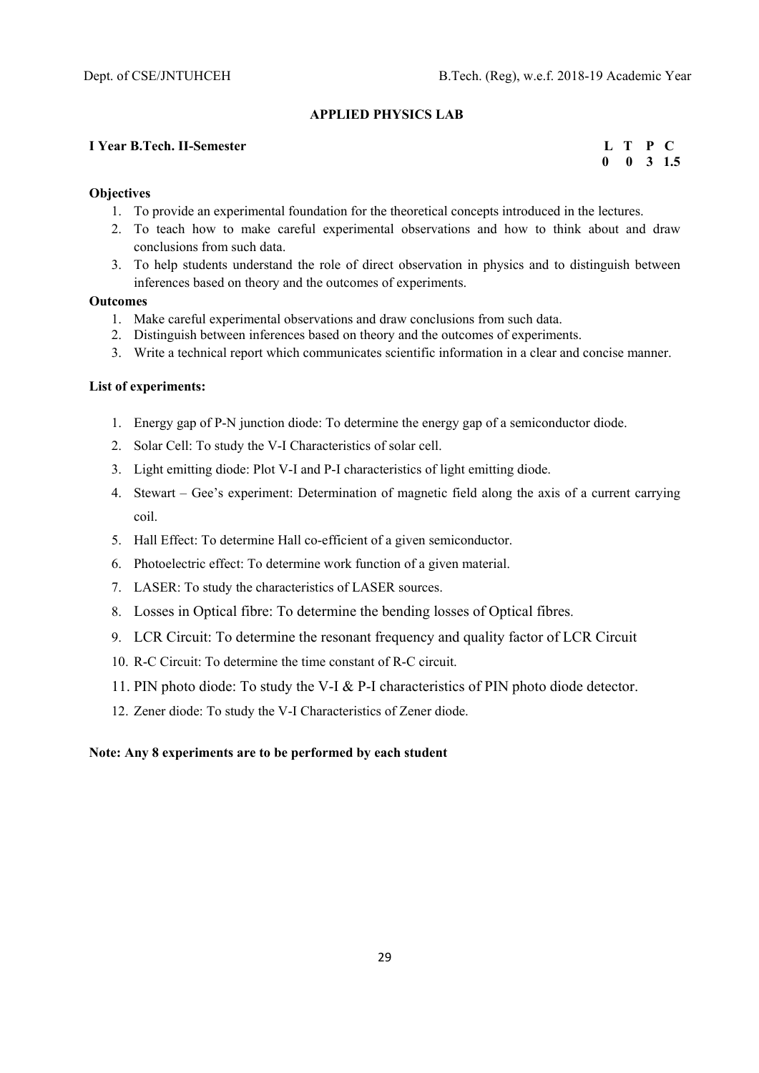#### **APPLIED PHYSICS LAB**

## **I** Year B.Tech. II-Semester **L** T P C

 **0 0 3 1.5** 

#### **Objectives**

- 1. To provide an experimental foundation for the theoretical concepts introduced in the lectures.
- 2. To teach how to make careful experimental observations and how to think about and draw conclusions from such data.
- 3. To help students understand the role of direct observation in physics and to distinguish between inferences based on theory and the outcomes of experiments.

# **Outcomes**

- 1. Make careful experimental observations and draw conclusions from such data.
- 2. Distinguish between inferences based on theory and the outcomes of experiments.
- 3. Write a technical report which communicates scientific information in a clear and concise manner.

#### **List of experiments:**

- 1. Energy gap of P-N junction diode: To determine the energy gap of a semiconductor diode.
- 2. Solar Cell: To study the V-I Characteristics of solar cell.
- 3. Light emitting diode: Plot V-I and P-I characteristics of light emitting diode.
- 4. Stewart Gee's experiment: Determination of magnetic field along the axis of a current carrying coil.
- 5. Hall Effect: To determine Hall co-efficient of a given semiconductor.
- 6. Photoelectric effect: To determine work function of a given material.
- 7. LASER: To study the characteristics of LASER sources.
- 8. Losses in Optical fibre: To determine the bending losses of Optical fibres.
- 9. LCR Circuit: To determine the resonant frequency and quality factor of LCR Circuit
- 10. R-C Circuit: To determine the time constant of R-C circuit.
- 11. PIN photo diode: To study the V-I & P-I characteristics of PIN photo diode detector.
- 12. Zener diode: To study the V-I Characteristics of Zener diode.

#### **Note: Any 8 experiments are to be performed by each student**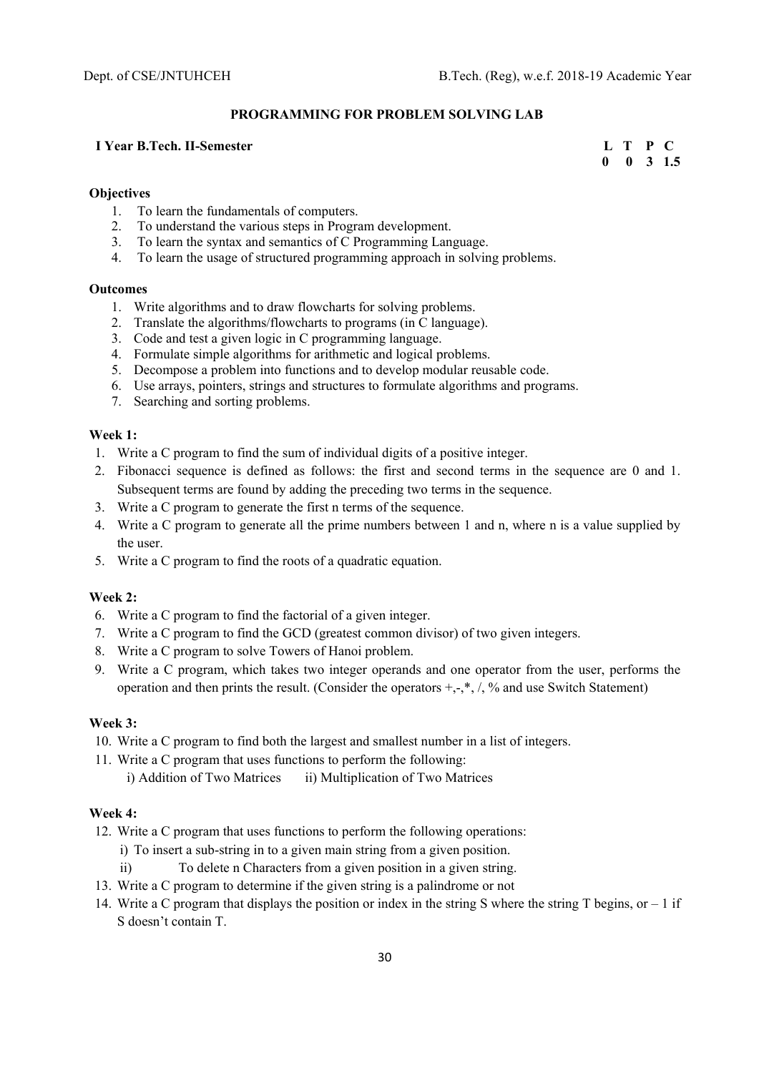#### **PROGRAMMING FOR PROBLEM SOLVING LAB**

### **I** Year B.Tech. II-Semester **L** T P C

 **0 0 3 1.5** 

#### **Objectives**

- 1. To learn the fundamentals of computers.
- 2. To understand the various steps in Program development.
- 3. To learn the syntax and semantics of C Programming Language.
- 4. To learn the usage of structured programming approach in solving problems.

#### **Outcomes**

- 1. Write algorithms and to draw flowcharts for solving problems.
- 2. Translate the algorithms/flowcharts to programs (in C language).
- 3. Code and test a given logic in C programming language.
- 4. Formulate simple algorithms for arithmetic and logical problems.
- 5. Decompose a problem into functions and to develop modular reusable code.
- 6. Use arrays, pointers, strings and structures to formulate algorithms and programs.
- 7. Searching and sorting problems.

#### **Week 1:**

- 1. Write a C program to find the sum of individual digits of a positive integer.
- 2. Fibonacci sequence is defined as follows: the first and second terms in the sequence are 0 and 1. Subsequent terms are found by adding the preceding two terms in the sequence.
- 3. Write a C program to generate the first n terms of the sequence.
- 4. Write a C program to generate all the prime numbers between 1 and n, where n is a value supplied by the user.
- 5. Write a C program to find the roots of a quadratic equation.

#### **Week 2:**

- 6. Write a C program to find the factorial of a given integer.
- 7. Write a C program to find the GCD (greatest common divisor) of two given integers.
- 8. Write a C program to solve Towers of Hanoi problem.
- 9. Write a C program, which takes two integer operands and one operator from the user, performs the operation and then prints the result. (Consider the operators  $+,$ ,  $\land$ ,  $\%$  and use Switch Statement)

# **Week 3:**

- 10. Write a C program to find both the largest and smallest number in a list of integers.
- 11. Write a C program that uses functions to perform the following: i) Addition of Two Matrices ii) Multiplication of Two Matrices

# **Week 4:**

- 12. Write a C program that uses functions to perform the following operations:
	- i) To insert a sub-string in to a given main string from a given position.
	- ii) To delete n Characters from a given position in a given string.
- 13. Write a C program to determine if the given string is a palindrome or not
- 14. Write a C program that displays the position or index in the string S where the string T begins, or 1 if S doesn't contain T.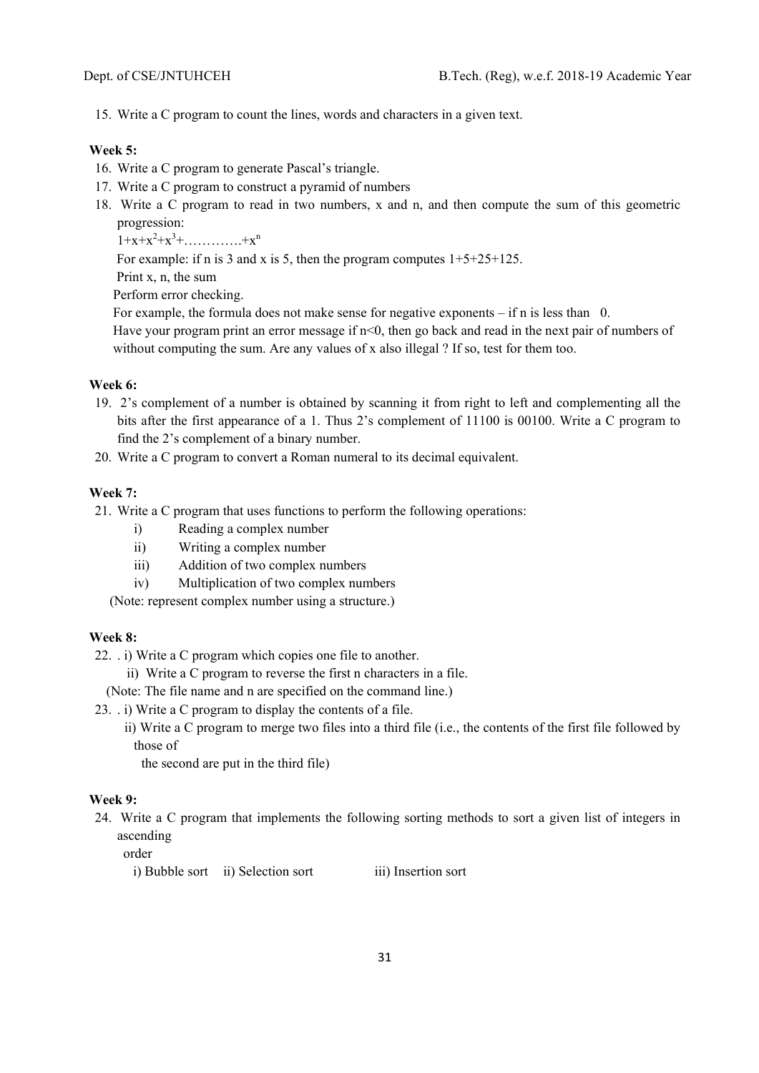15. Write a C program to count the lines, words and characters in a given text.

#### **Week 5:**

- 16. Write a C program to generate Pascal's triangle.
- 17. Write a C program to construct a pyramid of numbers
- 18. Write a C program to read in two numbers, x and n, and then compute the sum of this geometric progression:
	- $1+x+x^2+x^3+\ldots+x^n$

For example: if n is 3 and x is 5, then the program computes  $1+5+25+125$ .

Print x, n, the sum

Perform error checking.

For example, the formula does not make sense for negative exponents – if n is less than 0.

Have your program print an error message if n<0, then go back and read in the next pair of numbers of without computing the sum. Are any values of x also illegal ? If so, test for them too.

# **Week 6:**

- 19. 2's complement of a number is obtained by scanning it from right to left and complementing all the bits after the first appearance of a 1. Thus 2's complement of 11100 is 00100. Write a C program to find the 2's complement of a binary number.
- 20. Write a C program to convert a Roman numeral to its decimal equivalent.

# **Week 7:**

21. Write a C program that uses functions to perform the following operations:

- i) Reading a complex number
- ii) Writing a complex number
- iii) Addition of two complex numbers
- iv) Multiplication of two complex numbers

(Note: represent complex number using a structure.)

# **Week 8:**

22. . i) Write a C program which copies one file to another.

ii) Write a C program to reverse the first n characters in a file.

(Note: The file name and n are specified on the command line.)

- 23. . i) Write a C program to display the contents of a file.
	- ii) Write a C program to merge two files into a third file (i.e., the contents of the first file followed by those of

the second are put in the third file)

# **Week 9:**

24. Write a C program that implements the following sorting methods to sort a given list of integers in ascending

order

i) Bubble sort ii) Selection sort iii) Insertion sort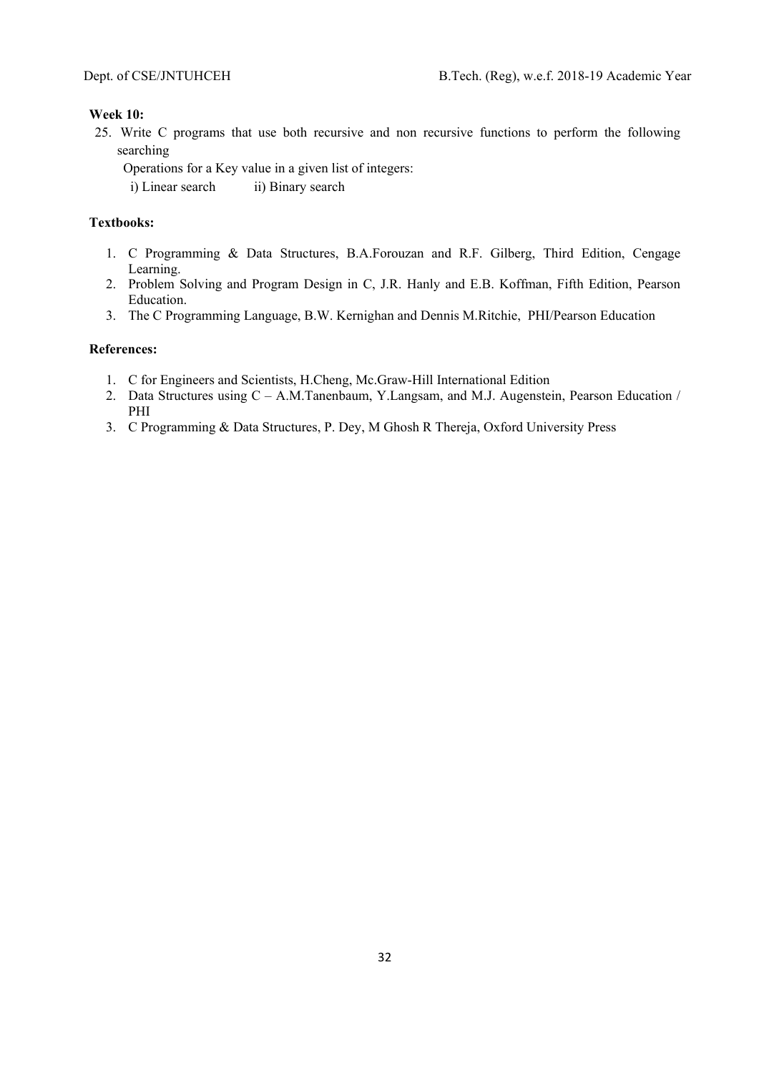#### **Week 10:**

25. Write C programs that use both recursive and non recursive functions to perform the following searching

Operations for a Key value in a given list of integers:

i) Linear search ii) Binary search

# **Textbooks:**

- 1. C Programming & Data Structures, B.A.Forouzan and R.F. Gilberg, Third Edition, Cengage Learning.
- 2. Problem Solving and Program Design in C, J.R. Hanly and E.B. Koffman, Fifth Edition, Pearson Education.
- 3. The C Programming Language, B.W. Kernighan and Dennis M.Ritchie, PHI/Pearson Education

- 1. C for Engineers and Scientists, H.Cheng, Mc.Graw-Hill International Edition
- 2. Data Structures using C A.M.Tanenbaum, Y.Langsam, and M.J. Augenstein, Pearson Education / PHI
- 3. C Programming & Data Structures, P. Dey, M Ghosh R Thereja, Oxford University Press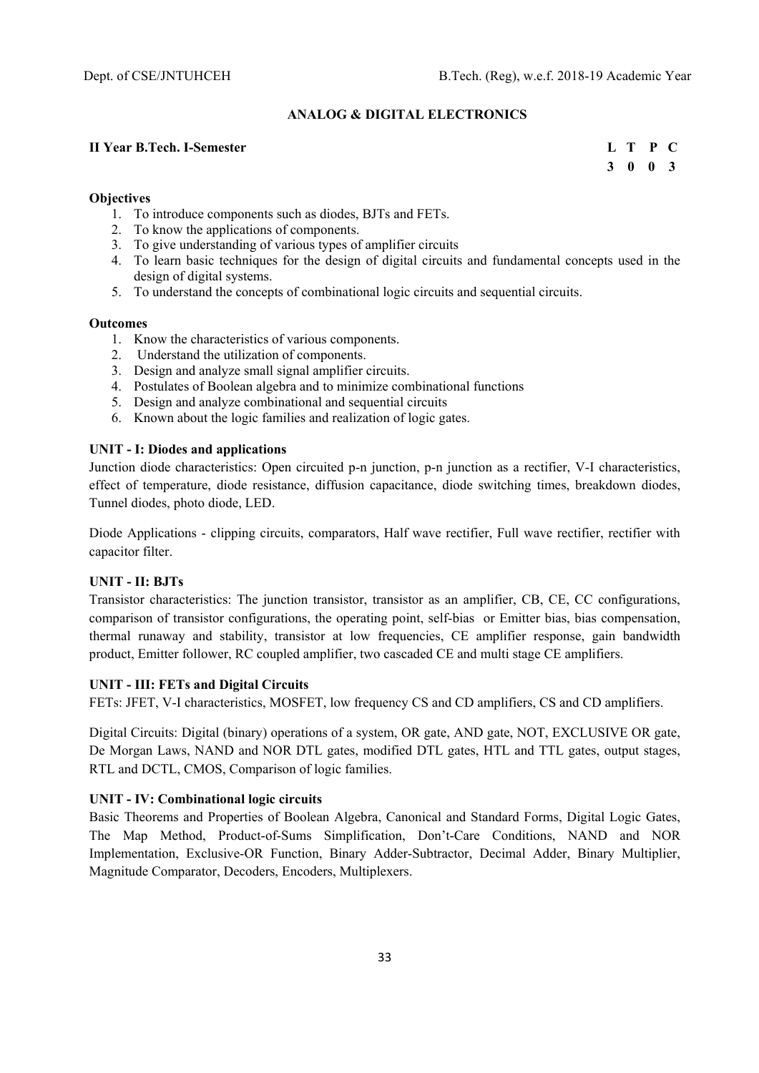# **ANALOG & DIGITAL ELECTRONICS**

# **II Year B.Tech. I-Semester L T P C**

 **3 0 0 3** 

## **Objectives**

- 1. To introduce components such as diodes, BJTs and FETs.
- 2. To know the applications of components.
- 3. To give understanding of various types of amplifier circuits
- 4. To learn basic techniques for the design of digital circuits and fundamental concepts used in the design of digital systems.
- 5. To understand the concepts of combinational logic circuits and sequential circuits.

#### **Outcomes**

- 1. Know the characteristics of various components.
- 2. Understand the utilization of components.
- 3. Design and analyze small signal amplifier circuits.
- 4. Postulates of Boolean algebra and to minimize combinational functions
- 5. Design and analyze combinational and sequential circuits
- 6. Known about the logic families and realization of logic gates.

# **UNIT - I: Diodes and applications**

Junction diode characteristics: Open circuited p-n junction, p-n junction as a rectifier, V-I characteristics, effect of temperature, diode resistance, diffusion capacitance, diode switching times, breakdown diodes, Tunnel diodes, photo diode, LED.

Diode Applications - clipping circuits, comparators, Half wave rectifier, Full wave rectifier, rectifier with capacitor filter.

# **UNIT - II: BJTs**

Transistor characteristics: The junction transistor, transistor as an amplifier, CB, CE, CC configurations, comparison of transistor configurations, the operating point, self-bias or Emitter bias, bias compensation, thermal runaway and stability, transistor at low frequencies, CE amplifier response, gain bandwidth product, Emitter follower, RC coupled amplifier, two cascaded CE and multi stage CE amplifiers.

#### **UNIT - III: FETs and Digital Circuits**

FETs: JFET, V-I characteristics, MOSFET, low frequency CS and CD amplifiers, CS and CD amplifiers.

Digital Circuits: Digital (binary) operations of a system, OR gate, AND gate, NOT, EXCLUSIVE OR gate, De Morgan Laws, NAND and NOR DTL gates, modified DTL gates, HTL and TTL gates, output stages, RTL and DCTL, CMOS, Comparison of logic families.

#### **UNIT - IV: Combinational logic circuits**

Basic Theorems and Properties of Boolean Algebra, Canonical and Standard Forms, Digital Logic Gates, The Map Method, Product-of-Sums Simplification, Don't-Care Conditions, NAND and NOR Implementation, Exclusive-OR Function, Binary Adder-Subtractor, Decimal Adder, Binary Multiplier, Magnitude Comparator, Decoders, Encoders, Multiplexers.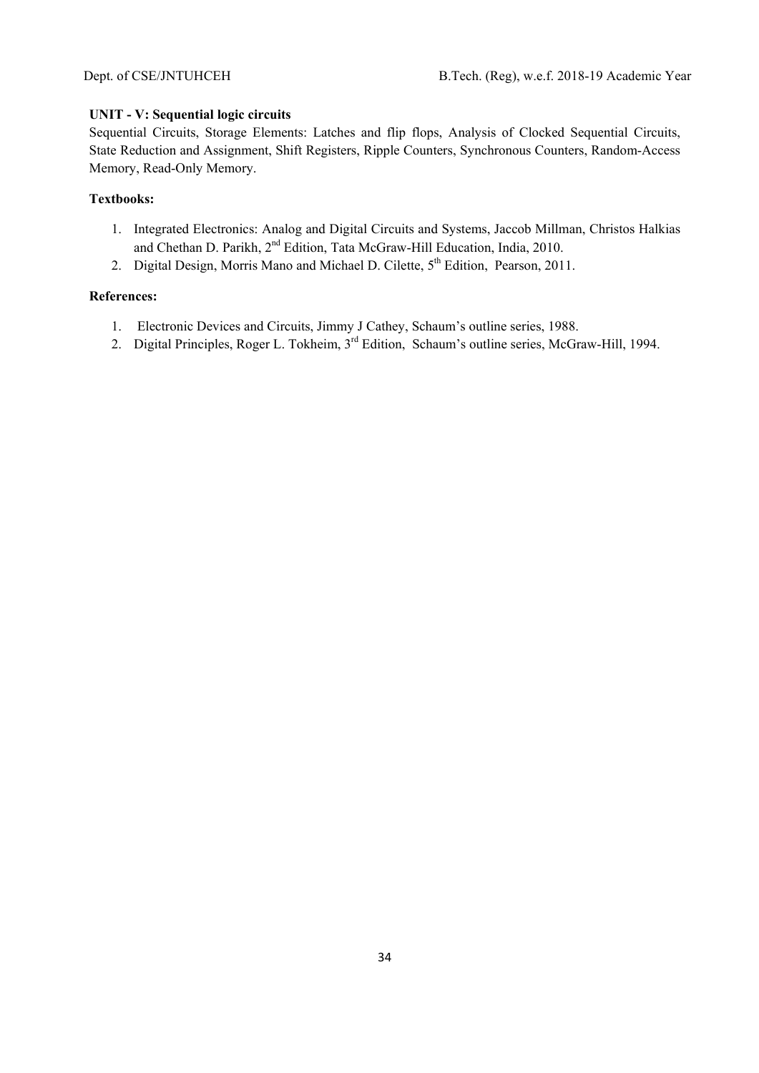# **UNIT - V: Sequential logic circuits**

Sequential Circuits, Storage Elements: Latches and flip flops, Analysis of Clocked Sequential Circuits, State Reduction and Assignment, Shift Registers, Ripple Counters, Synchronous Counters, Random-Access Memory, Read-Only Memory.

# **Textbooks:**

- 1. Integrated Electronics: Analog and Digital Circuits and Systems, Jaccob Millman, Christos Halkias and Chethan D. Parikh, 2<sup>nd</sup> Edition, Tata McGraw-Hill Education, India, 2010.
- 2. Digital Design, Morris Mano and Michael D. Cilette, 5<sup>th</sup> Edition, Pearson, 2011.

- 1. Electronic Devices and Circuits, Jimmy J Cathey, Schaum's outline series, 1988.
- 2. Digital Principles, Roger L. Tokheim, 3<sup>rd</sup> Edition, Schaum's outline series, McGraw-Hill, 1994.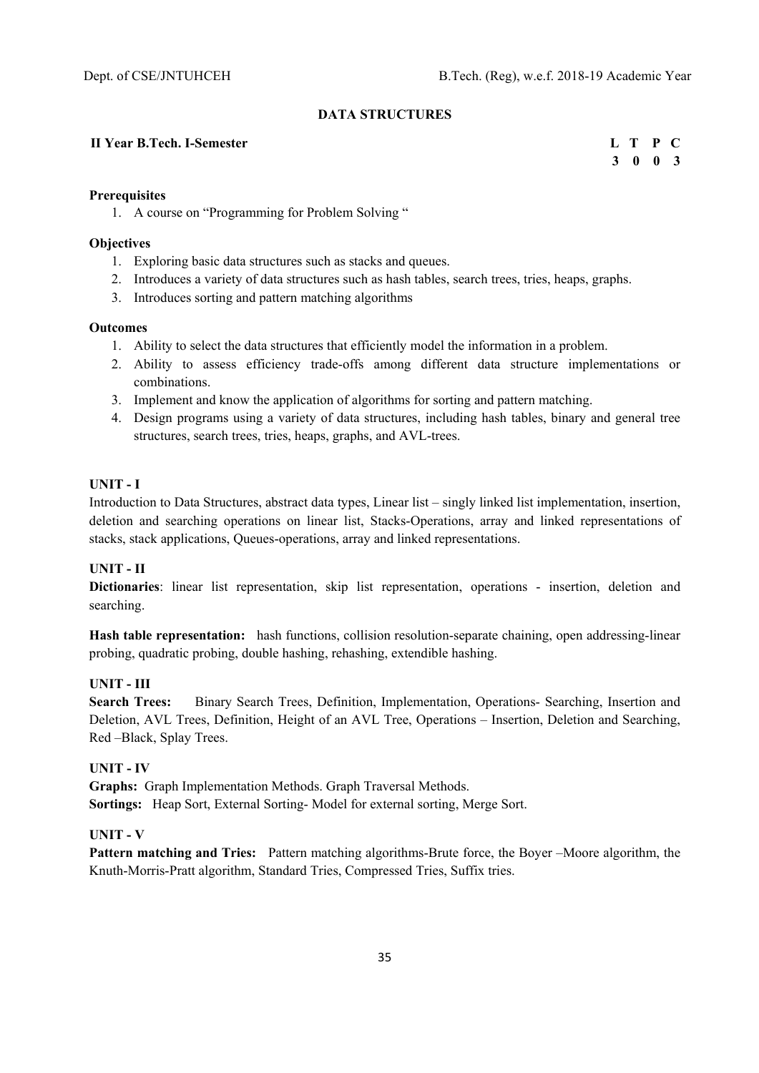# **DATA STRUCTURES**

#### **II Year B.Tech. I-Semester L T P C**

 **3 0 0 3** 

# **Prerequisites**

1. A course on "Programming for Problem Solving "

# **Objectives**

- 1. Exploring basic data structures such as stacks and queues.
- 2. Introduces a variety of data structures such as hash tables, search trees, tries, heaps, graphs.
- 3. Introduces sorting and pattern matching algorithms

# **Outcomes**

- 1. Ability to select the data structures that efficiently model the information in a problem.
- 2. Ability to assess efficiency trade-offs among different data structure implementations or combinations.
- 3. Implement and know the application of algorithms for sorting and pattern matching.
- 4. Design programs using a variety of data structures, including hash tables, binary and general tree structures, search trees, tries, heaps, graphs, and AVL-trees.

# **UNIT - I**

Introduction to Data Structures, abstract data types, Linear list – singly linked list implementation, insertion, deletion and searching operations on linear list, Stacks-Operations, array and linked representations of stacks, stack applications, Queues-operations, array and linked representations.

# **UNIT - II**

**Dictionaries**: linear list representation, skip list representation, operations - insertion, deletion and searching.

**Hash table representation:** hash functions, collision resolution-separate chaining, open addressing-linear probing, quadratic probing, double hashing, rehashing, extendible hashing.

# **UNIT - III**

**Search Trees:** Binary Search Trees, Definition, Implementation, Operations- Searching, Insertion and Deletion, AVL Trees, Definition, Height of an AVL Tree, Operations – Insertion, Deletion and Searching, Red –Black, Splay Trees.

# **UNIT - IV**

**Graphs:** Graph Implementation Methods. Graph Traversal Methods. **Sortings:** Heap Sort, External Sorting- Model for external sorting, Merge Sort.

# **UNIT - V**

**Pattern matching and Tries:** Pattern matching algorithms-Brute force, the Boyer –Moore algorithm, the Knuth-Morris-Pratt algorithm, Standard Tries, Compressed Tries, Suffix tries.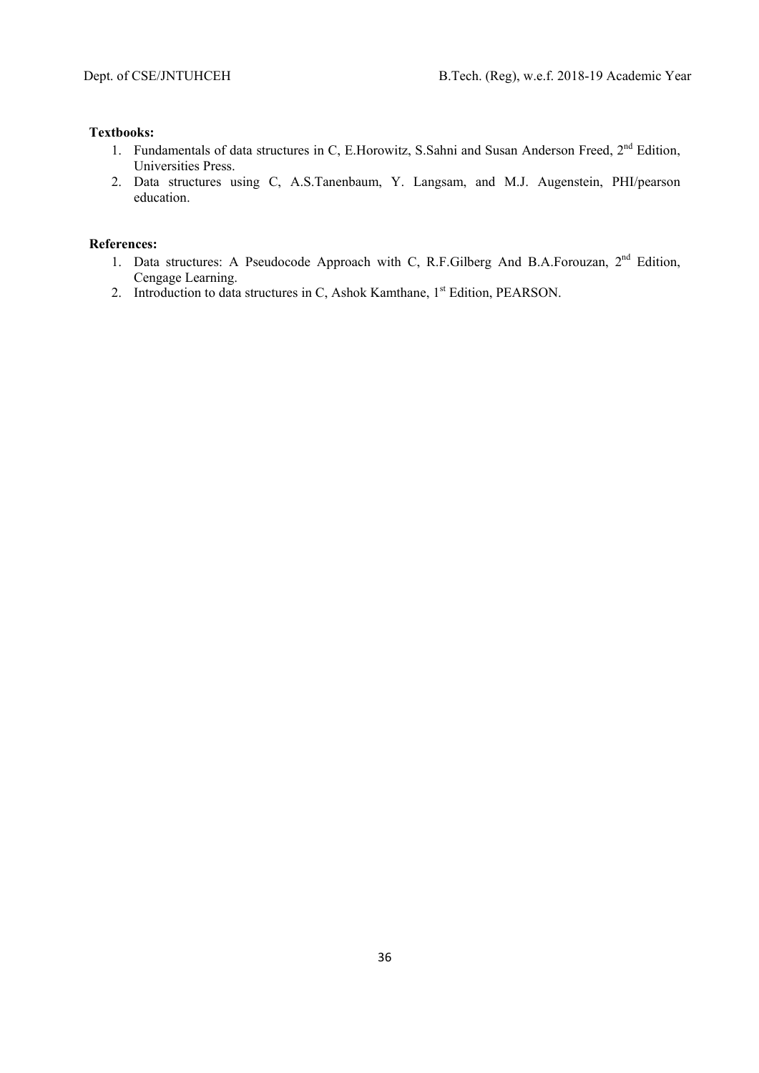# **Textbooks:**

- 1. Fundamentals of data structures in C, E.Horowitz, S.Sahni and Susan Anderson Freed, 2<sup>nd</sup> Edition, Universities Press.
- 2. Data structures using C, A.S.Tanenbaum, Y. Langsam, and M.J. Augenstein, PHI/pearson education.

- 1. Data structures: A Pseudocode Approach with C, R.F.Gilberg And B.A.Forouzan, 2<sup>nd</sup> Edition, Cengage Learning.
- 2. Introduction to data structures in C, Ashok Kamthane, 1<sup>st</sup> Edition, PEARSON.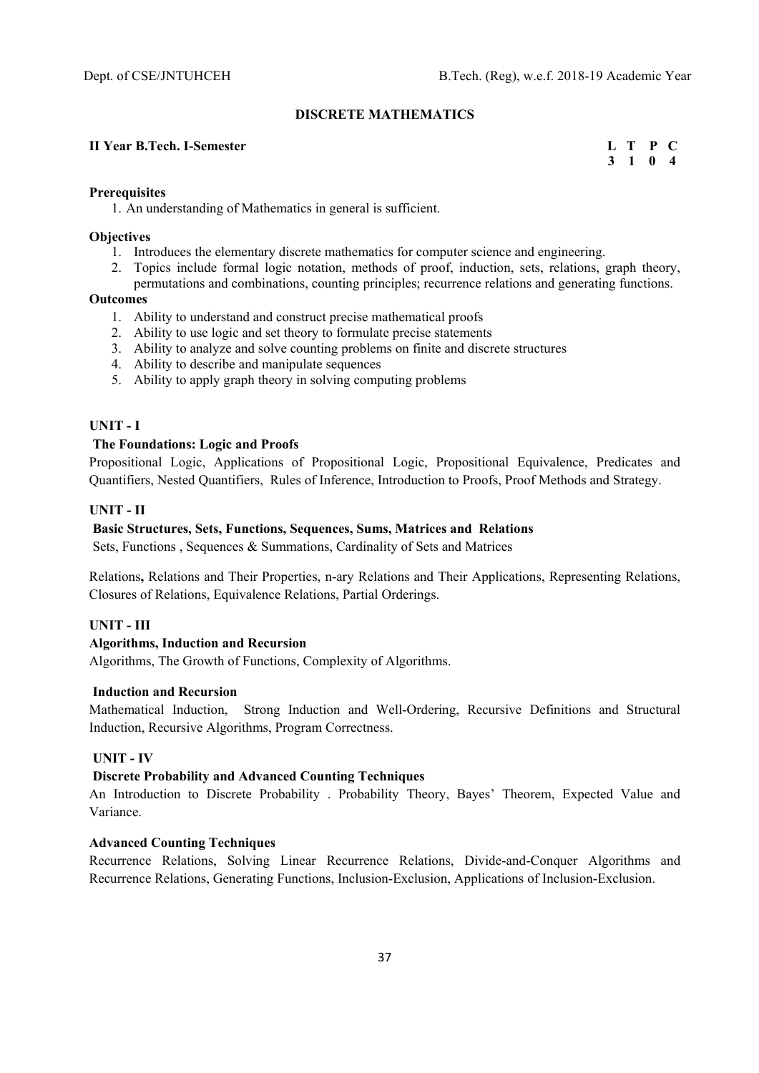### **DISCRETE MATHEMATICS**

### **II Year B.Tech. I-Semester L T P C**

 **3 1 0 4** 

### **Prerequisites**

1. An understanding of Mathematics in general is sufficient.

#### **Objectives**

- 1. Introduces the elementary discrete mathematics for computer science and engineering.
- 2. Topics include formal logic notation, methods of proof, induction, sets, relations, graph theory, permutations and combinations, counting principles; recurrence relations and generating functions.

#### **Outcomes**

- 1. Ability to understand and construct precise mathematical proofs
- 2. Ability to use logic and set theory to formulate precise statements
- 3. Ability to analyze and solve counting problems on finite and discrete structures
- 4. Ability to describe and manipulate sequences
- 5. Ability to apply graph theory in solving computing problems

### **UNIT - I**

### **The Foundations: Logic and Proofs**

Propositional Logic, Applications of Propositional Logic, Propositional Equivalence, Predicates and Quantifiers, Nested Quantifiers, Rules of Inference, Introduction to Proofs, Proof Methods and Strategy.

### **UNIT - II**

#### **Basic Structures, Sets, Functions, Sequences, Sums, Matrices and Relations**

Sets, Functions , Sequences & Summations, Cardinality of Sets and Matrices

Relations**,** Relations and Their Properties, n-ary Relations and Their Applications, Representing Relations, Closures of Relations, Equivalence Relations, Partial Orderings.

## **UNIT - III**

### **Algorithms, Induction and Recursion**

Algorithms, The Growth of Functions, Complexity of Algorithms.

# **Induction and Recursion**

Mathematical Induction, Strong Induction and Well-Ordering, Recursive Definitions and Structural Induction, Recursive Algorithms, Program Correctness.

# **UNIT - IV**

## **Discrete Probability and Advanced Counting Techniques**

An Introduction to Discrete Probability . Probability Theory, Bayes' Theorem, Expected Value and Variance.

#### **Advanced Counting Techniques**

Recurrence Relations, Solving Linear Recurrence Relations, Divide-and-Conquer Algorithms and Recurrence Relations, Generating Functions, Inclusion-Exclusion, Applications of Inclusion-Exclusion.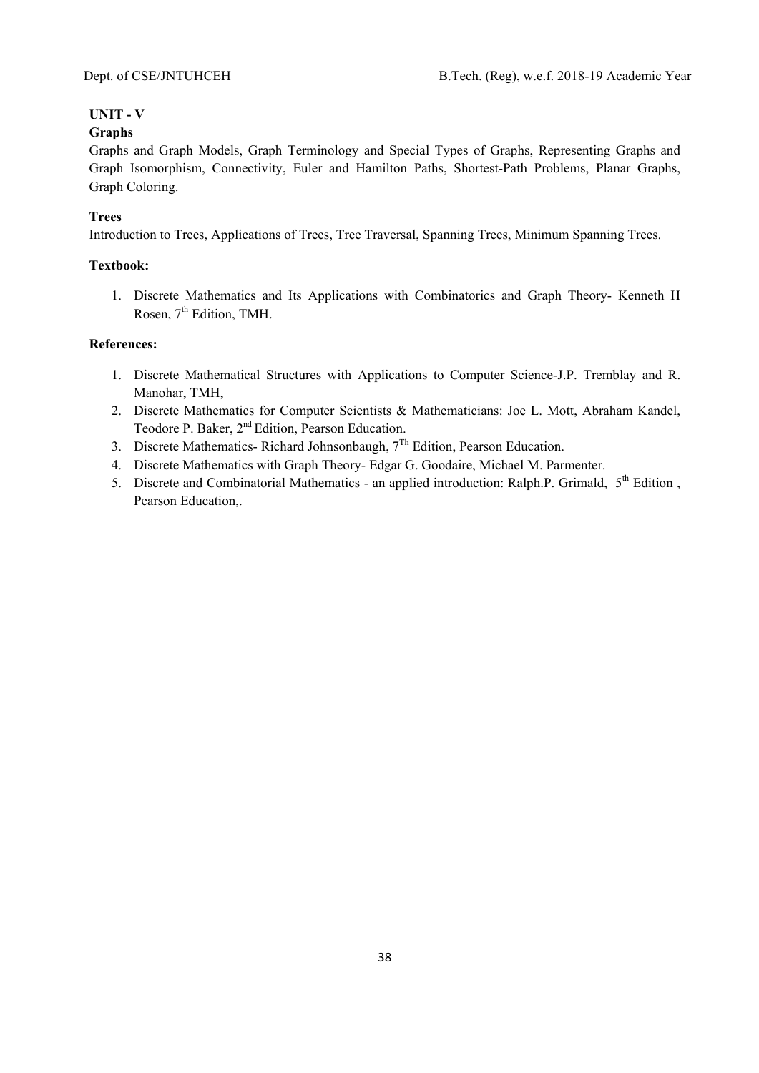# **UNIT - V**

# **Graphs**

Graphs and Graph Models, Graph Terminology and Special Types of Graphs, Representing Graphs and Graph Isomorphism, Connectivity, Euler and Hamilton Paths, Shortest-Path Problems, Planar Graphs, Graph Coloring.

# **Trees**

Introduction to Trees, Applications of Trees, Tree Traversal, Spanning Trees, Minimum Spanning Trees.

# **Textbook:**

1. Discrete Mathematics and Its Applications with Combinatorics and Graph Theory- Kenneth H Rosen, 7<sup>th</sup> Edition, TMH.

- 1. Discrete Mathematical Structures with Applications to Computer Science-J.P. Tremblay and R. Manohar, TMH,
- 2. Discrete Mathematics for Computer Scientists & Mathematicians: Joe L. Mott, Abraham Kandel, Teodore P. Baker, 2<sup>nd</sup> Edition, Pearson Education.
- 3. Discrete Mathematics- Richard Johnsonbaugh,  $7<sup>Th</sup>$  Edition, Pearson Education.
- 4. Discrete Mathematics with Graph Theory- Edgar G. Goodaire, Michael M. Parmenter.
- 5. Discrete and Combinatorial Mathematics an applied introduction: Ralph.P. Grimald, 5<sup>th</sup> Edition, Pearson Education,.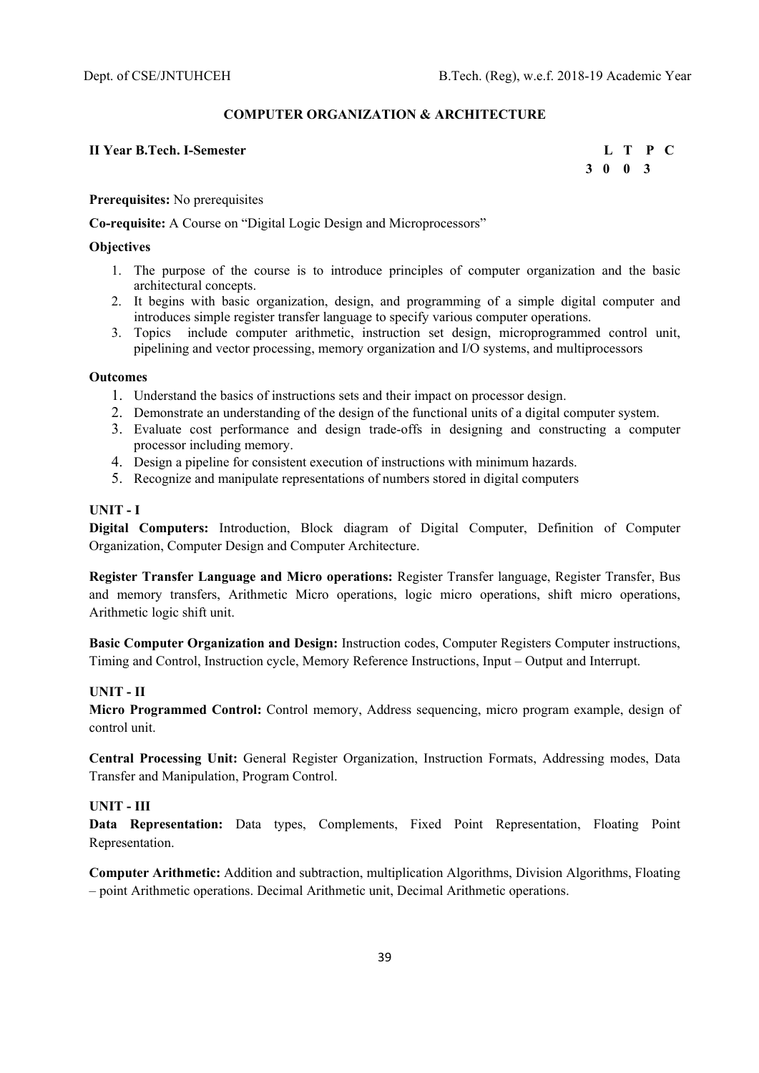### **COMPUTER ORGANIZATION & ARCHITECTURE**

### **II Year B.Tech. I-Semester L T P C**

 **3 0 0 3** 

**Prerequisites:** No prerequisites

**Co-requisite:** A Course on "Digital Logic Design and Microprocessors"

#### **Objectives**

- 1. The purpose of the course is to introduce principles of computer organization and the basic architectural concepts.
- 2. It begins with basic organization, design, and programming of a simple digital computer and introduces simple register transfer language to specify various computer operations.
- 3. Topics include computer arithmetic, instruction set design, microprogrammed control unit, pipelining and vector processing, memory organization and I/O systems, and multiprocessors

#### **Outcomes**

- 1. Understand the basics of instructions sets and their impact on processor design.
- 2. Demonstrate an understanding of the design of the functional units of a digital computer system.
- 3. Evaluate cost performance and design trade-offs in designing and constructing a computer processor including memory.
- 4. Design a pipeline for consistent execution of instructions with minimum hazards.
- 5. Recognize and manipulate representations of numbers stored in digital computers

### **UNIT - I**

**Digital Computers:** Introduction, Block diagram of Digital Computer, Definition of Computer Organization, Computer Design and Computer Architecture.

**Register Transfer Language and Micro operations:** Register Transfer language, Register Transfer, Bus and memory transfers, Arithmetic Micro operations, logic micro operations, shift micro operations, Arithmetic logic shift unit.

**Basic Computer Organization and Design:** Instruction codes, Computer Registers Computer instructions, Timing and Control, Instruction cycle, Memory Reference Instructions, Input – Output and Interrupt.

#### **UNIT - II**

**Micro Programmed Control:** Control memory, Address sequencing, micro program example, design of control unit.

**Central Processing Unit:** General Register Organization, Instruction Formats, Addressing modes, Data Transfer and Manipulation, Program Control.

## **UNIT - III**

**Data Representation:** Data types, Complements, Fixed Point Representation, Floating Point Representation.

**Computer Arithmetic:** Addition and subtraction, multiplication Algorithms, Division Algorithms, Floating – point Arithmetic operations. Decimal Arithmetic unit, Decimal Arithmetic operations.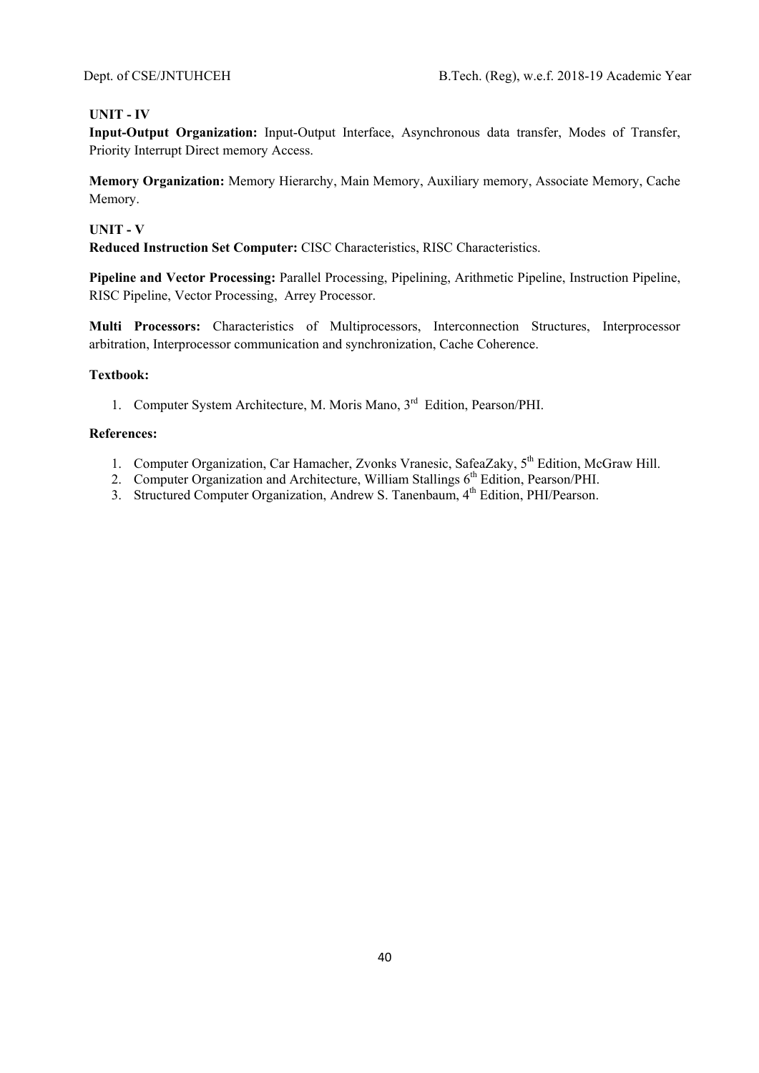# **UNIT - IV**

**Input-Output Organization:** Input-Output Interface, Asynchronous data transfer, Modes of Transfer, Priority Interrupt Direct memory Access.

**Memory Organization:** Memory Hierarchy, Main Memory, Auxiliary memory, Associate Memory, Cache Memory.

## **UNIT - V**

**Reduced Instruction Set Computer:** CISC Characteristics, RISC Characteristics.

**Pipeline and Vector Processing:** Parallel Processing, Pipelining, Arithmetic Pipeline, Instruction Pipeline, RISC Pipeline, Vector Processing, Arrey Processor.

**Multi Processors:** Characteristics of Multiprocessors, Interconnection Structures, Interprocessor arbitration, Interprocessor communication and synchronization, Cache Coherence.

### **Textbook:**

1. Computer System Architecture, M. Moris Mano, 3<sup>rd</sup> Edition, Pearson/PHI.

- 1. Computer Organization, Car Hamacher, Zvonks Vranesic, SafeaZaky, 5<sup>th</sup> Edition, McGraw Hill.
- 2. Computer Organization and Architecture, William Stallings  $6<sup>th</sup>$  Edition, Pearson/PHI.
- 3. Structured Computer Organization, Andrew S. Tanenbaum, 4<sup>th</sup> Edition, PHI/Pearson.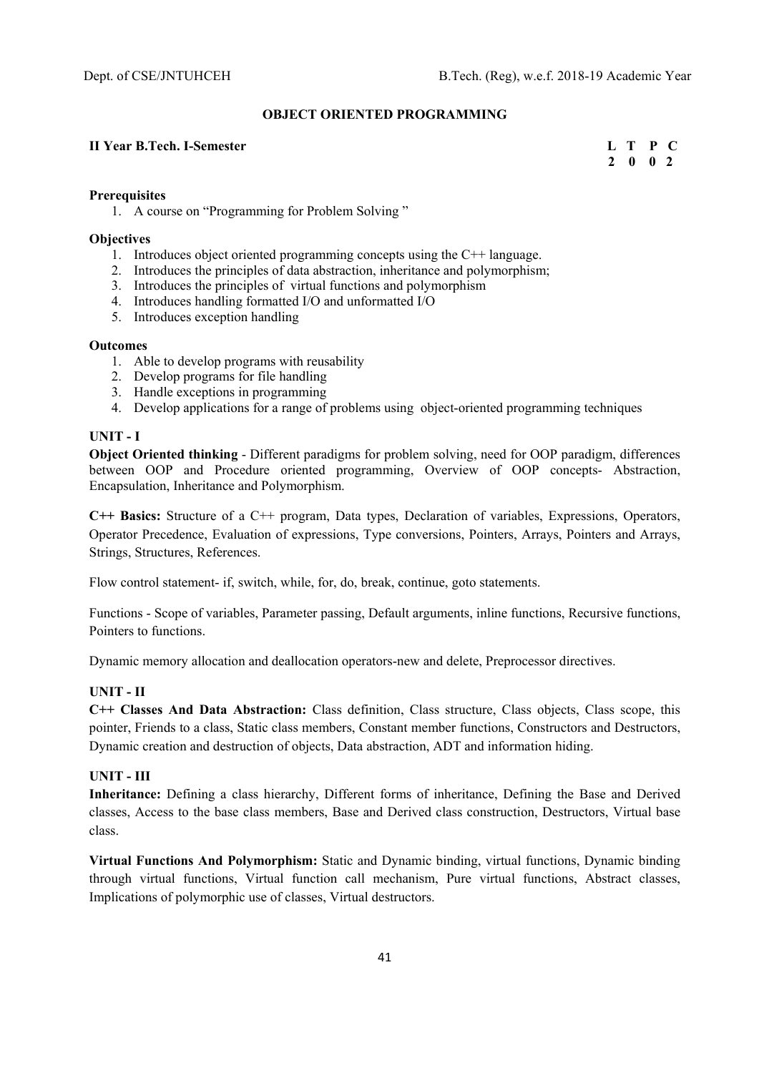### **OBJECT ORIENTED PROGRAMMING**

### **II Year B.Tech. I-Semester L T P C**

 **2 0 0 2** 

### **Prerequisites**

1. A course on "Programming for Problem Solving "

#### **Objectives**

- 1. Introduces object oriented programming concepts using the C++ language.
- 2. Introduces the principles of data abstraction, inheritance and polymorphism;
- 3. Introduces the principles of virtual functions and polymorphism
- 4. Introduces handling formatted I/O and unformatted I/O
- 5. Introduces exception handling

#### **Outcomes**

- 1. Able to develop programs with reusability
- 2. Develop programs for file handling
- 3. Handle exceptions in programming
- 4. Develop applications for a range of problems using object-oriented programming techniques

#### **UNIT - I**

**Object Oriented thinking** - Different paradigms for problem solving, need for OOP paradigm, differences between OOP and Procedure oriented programming, Overview of OOP concepts- Abstraction, Encapsulation, Inheritance and Polymorphism.

**C++ Basics:** Structure of a C++ program, Data types, Declaration of variables, Expressions, Operators, Operator Precedence, Evaluation of expressions, Type conversions, Pointers, Arrays, Pointers and Arrays, Strings, Structures, References.

Flow control statement- if, switch, while, for, do, break, continue, goto statements.

Functions - Scope of variables, Parameter passing, Default arguments, inline functions, Recursive functions, Pointers to functions.

Dynamic memory allocation and deallocation operators-new and delete, Preprocessor directives.

### **UNIT - II**

**C++ Classes And Data Abstraction:** Class definition, Class structure, Class objects, Class scope, this pointer, Friends to a class, Static class members, Constant member functions, Constructors and Destructors, Dynamic creation and destruction of objects, Data abstraction, ADT and information hiding.

#### **UNIT - III**

**Inheritance:** Defining a class hierarchy, Different forms of inheritance, Defining the Base and Derived classes, Access to the base class members, Base and Derived class construction, Destructors, Virtual base class.

**Virtual Functions And Polymorphism:** Static and Dynamic binding, virtual functions, Dynamic binding through virtual functions, Virtual function call mechanism, Pure virtual functions, Abstract classes, Implications of polymorphic use of classes, Virtual destructors.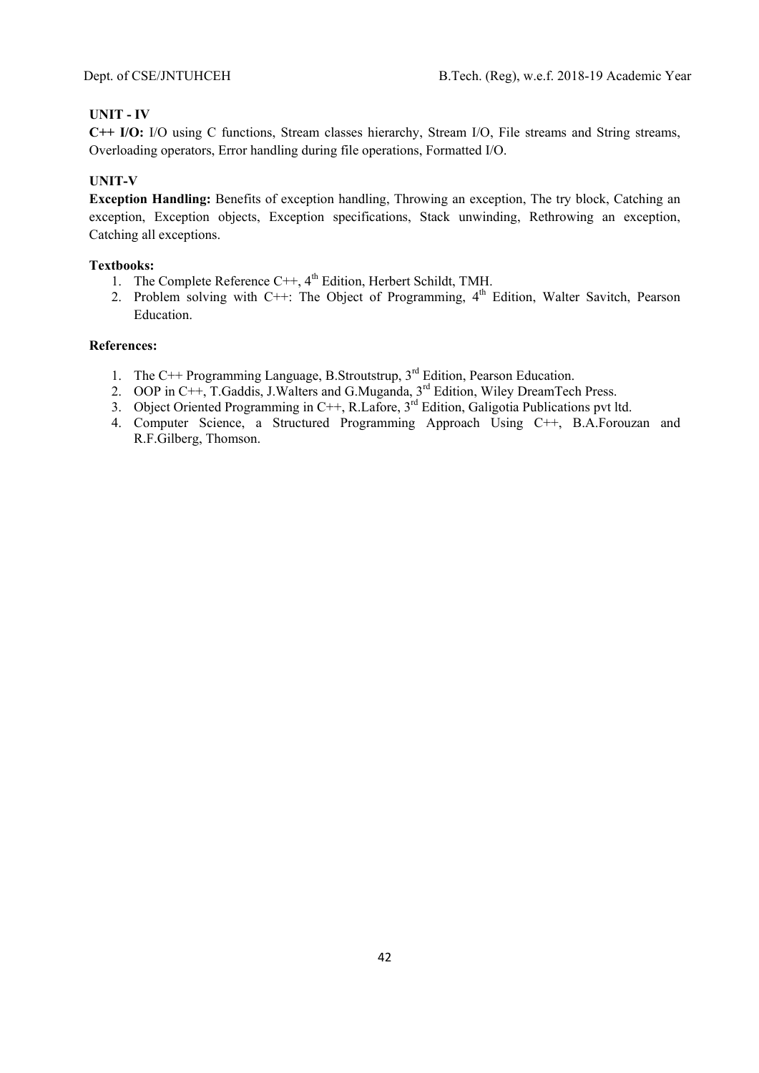## **UNIT - IV**

**C++ I/O:** I/O using C functions, Stream classes hierarchy, Stream I/O, File streams and String streams, Overloading operators, Error handling during file operations, Formatted I/O.

# **UNIT-V**

**Exception Handling:** Benefits of exception handling, Throwing an exception, The try block, Catching an exception, Exception objects, Exception specifications, Stack unwinding, Rethrowing an exception, Catching all exceptions.

### **Textbooks:**

- 1. The Complete Reference  $C++$ ,  $4<sup>th</sup>$  Edition, Herbert Schildt, TMH.
- 2. Problem solving with C++: The Object of Programming,  $4<sup>th</sup>$  Edition, Walter Savitch, Pearson Education.

- 1. The C++ Programming Language, B.Stroutstrup,  $3<sup>rd</sup>$  Edition, Pearson Education.
- 2. OOP in C++, T.Gaddis, J.Walters and G.Muganda, 3<sup>rd</sup> Edition, Wiley DreamTech Press.
- 3. Object Oriented Programming in C++, R.Lafore,  $3^{rd}$  Edition, Galigotia Publications pvt ltd.
- 4. Computer Science, a Structured Programming Approach Using C++, B.A.Forouzan and R.F.Gilberg, Thomson.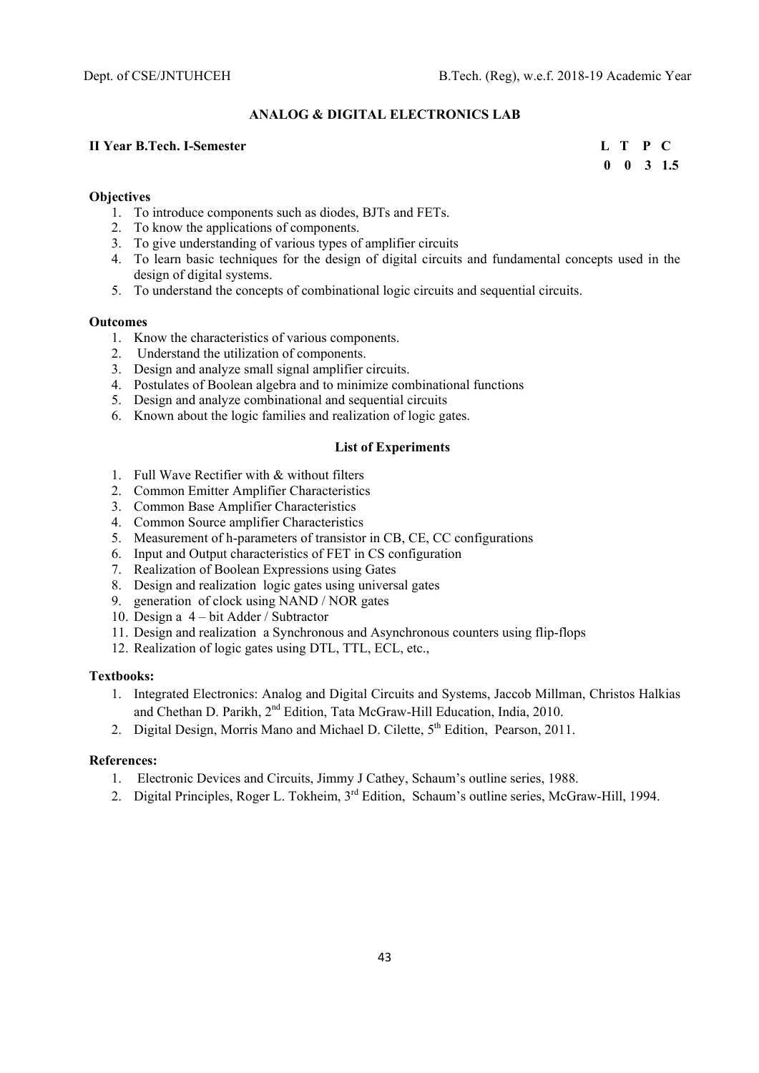### **ANALOG & DIGITAL ELECTRONICS LAB**

### **II Year B.Tech. I-Semester L T P C**

 **0 0 3 1.5** 

### **Objectives**

- 1. To introduce components such as diodes, BJTs and FETs.
- 2. To know the applications of components.
- 3. To give understanding of various types of amplifier circuits
- 4. To learn basic techniques for the design of digital circuits and fundamental concepts used in the design of digital systems.
- 5. To understand the concepts of combinational logic circuits and sequential circuits.

#### **Outcomes**

- 1. Know the characteristics of various components.
- 2. Understand the utilization of components.
- 3. Design and analyze small signal amplifier circuits.
- 4. Postulates of Boolean algebra and to minimize combinational functions
- 5. Design and analyze combinational and sequential circuits
- 6. Known about the logic families and realization of logic gates.

### **List of Experiments**

- 1. Full Wave Rectifier with & without filters
- 2. Common Emitter Amplifier Characteristics
- 3. Common Base Amplifier Characteristics
- 4. Common Source amplifier Characteristics
- 5. Measurement of h-parameters of transistor in CB, CE, CC configurations
- 6. Input and Output characteristics of FET in CS configuration
- 7. Realization of Boolean Expressions using Gates
- 8. Design and realization logic gates using universal gates
- 9. generation of clock using NAND / NOR gates
- 10. Design a 4 bit Adder / Subtractor
- 11. Design and realization a Synchronous and Asynchronous counters using flip-flops
- 12. Realization of logic gates using DTL, TTL, ECL, etc.,

### **Textbooks:**

- 1. Integrated Electronics: Analog and Digital Circuits and Systems, Jaccob Millman, Christos Halkias and Chethan D. Parikh, 2<sup>nd</sup> Edition, Tata McGraw-Hill Education, India, 2010.
- 2. Digital Design, Morris Mano and Michael D. Cilette, 5<sup>th</sup> Edition, Pearson, 2011.

- 1. Electronic Devices and Circuits, Jimmy J Cathey, Schaum's outline series, 1988.
- 2. Digital Principles, Roger L. Tokheim, 3<sup>rd</sup> Edition, Schaum's outline series, McGraw-Hill, 1994.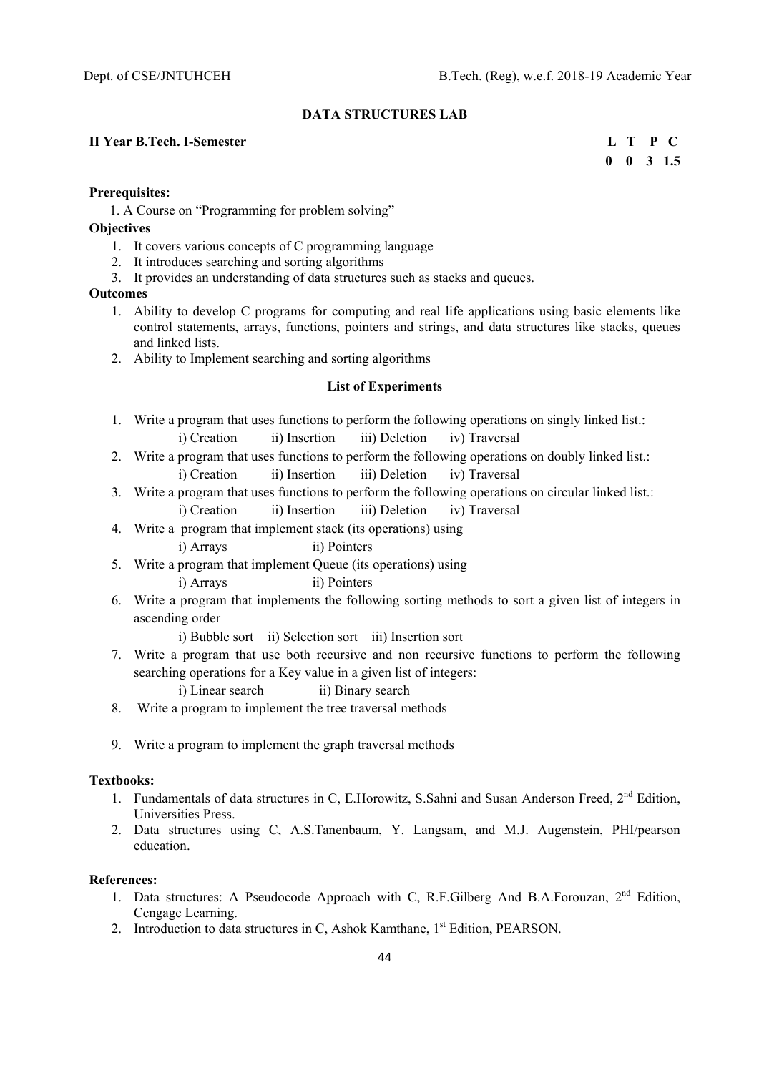#### **DATA STRUCTURES LAB**

#### **II Year B.Tech. I-Semester****L T P C**

 **0 0 3 1.5** 

#### **Prerequisites:**

1. A Course on "Programming for problem solving"

### **Objectives**

- 1. It covers various concepts of C programming language
- 2. It introduces searching and sorting algorithms
- 3. It provides an understanding of data structures such as stacks and queues.

#### **Outcomes**

- 1. Ability to develop C programs for computing and real life applications using basic elements like control statements, arrays, functions, pointers and strings, and data structures like stacks, queues and linked lists.
- 2. Ability to Implement searching and sorting algorithms

#### **List of Experiments**

- 1. Write a program that uses functions to perform the following operations on singly linked list.: i) Creation ii) Insertion iii) Deletion iv) Traversal
- 2. Write a program that uses functions to perform the following operations on doubly linked list.: i) Creation ii) Insertion iii) Deletion iv) Traversal
- 3. Write a program that uses functions to perform the following operations on circular linked list.: i) Creation ii) Insertion iii) Deletion iv) Traversal
- 4. Write a program that implement stack (its operations) using
	- i) Arrays ii) Pointers
- 5. Write a program that implement Queue (its operations) using
	- i) Arrays ii) Pointers
- 6. Write a program that implements the following sorting methods to sort a given list of integers in ascending order
	- i) Bubble sort ii) Selection sort iii) Insertion sort
- 7. Write a program that use both recursive and non recursive functions to perform the following searching operations for a Key value in a given list of integers:
	- i) Linear search ii) Binary search
- 8. Write a program to implement the tree traversal methods
- 9. Write a program to implement the graph traversal methods

#### **Textbooks:**

- 1. Fundamentals of data structures in C, E.Horowitz, S.Sahni and Susan Anderson Freed, 2<sup>nd</sup> Edition, Universities Press.
- 2. Data structures using C, A.S.Tanenbaum, Y. Langsam, and M.J. Augenstein, PHI/pearson education.

- 1. Data structures: A Pseudocode Approach with C, R.F.Gilberg And B.A.Forouzan, 2<sup>nd</sup> Edition, Cengage Learning.
- 2. Introduction to data structures in C, Ashok Kamthane, 1<sup>st</sup> Edition, PEARSON.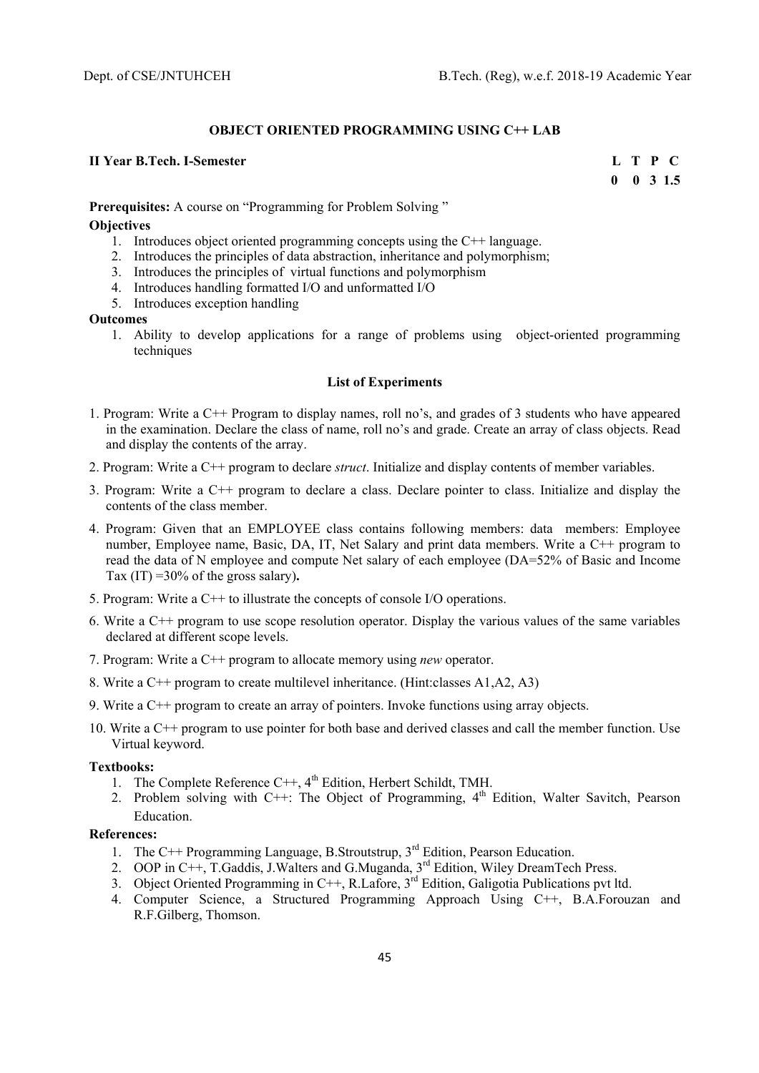#### **OBJECT ORIENTED PROGRAMMING USING C++ LAB**

## **II Year B.Tech. I-Semester** L T P C

**0 0 3 1.5** 

**Prerequisites:** A course on "Programming for Problem Solving"

### **Objectives**

- 1. Introduces object oriented programming concepts using the C++ language.
- 2. Introduces the principles of data abstraction, inheritance and polymorphism;
- 3. Introduces the principles of virtual functions and polymorphism
- 4. Introduces handling formatted I/O and unformatted I/O
- 5. Introduces exception handling

#### **Outcomes**

1. Ability to develop applications for a range of problems using object-oriented programming techniques

### **List of Experiments**

- 1. Program: Write a C++ Program to display names, roll no's, and grades of 3 students who have appeared in the examination. Declare the class of name, roll no's and grade. Create an array of class objects. Read and display the contents of the array.
- 2. Program: Write a C++ program to declare *struct*. Initialize and display contents of member variables.
- 3. Program: Write a C++ program to declare a class. Declare pointer to class. Initialize and display the contents of the class member.
- 4. Program: Given that an EMPLOYEE class contains following members: data members: Employee number, Employee name, Basic, DA, IT, Net Salary and print data members. Write a C++ program to read the data of N employee and compute Net salary of each employee (DA=52% of Basic and Income Tax (IT) =30% of the gross salary)**.**
- 5. Program: Write a C++ to illustrate the concepts of console I/O operations.
- 6. Write a C++ program to use scope resolution operator. Display the various values of the same variables declared at different scope levels.
- 7. Program: Write a C++ program to allocate memory using *new* operator.
- 8. Write a C++ program to create multilevel inheritance. (Hint:classes A1,A2, A3)
- 9. Write a C++ program to create an array of pointers. Invoke functions using array objects.
- 10. Write a C++ program to use pointer for both base and derived classes and call the member function. Use Virtual keyword.

#### **Textbooks:**

- 1. The Complete Reference  $C++$ ,  $4<sup>th</sup>$  Edition, Herbert Schildt, TMH.
- 2. Problem solving with C++: The Object of Programming,  $4<sup>th</sup>$  Edition, Walter Savitch, Pearson Education.

- 1. The C++ Programming Language, B.Stroutstrup,  $3<sup>rd</sup>$  Edition, Pearson Education.
- 2. OOP in C++, T.Gaddis, J.Walters and G.Muganda, 3<sup>rd</sup> Edition, Wiley DreamTech Press.
- 3. Object Oriented Programming in C++, R.Lafore,  $3<sup>rd</sup>$  Edition, Galigotia Publications pvt ltd.
- 4. Computer Science, a Structured Programming Approach Using C++, B.A.Forouzan and R.F.Gilberg, Thomson.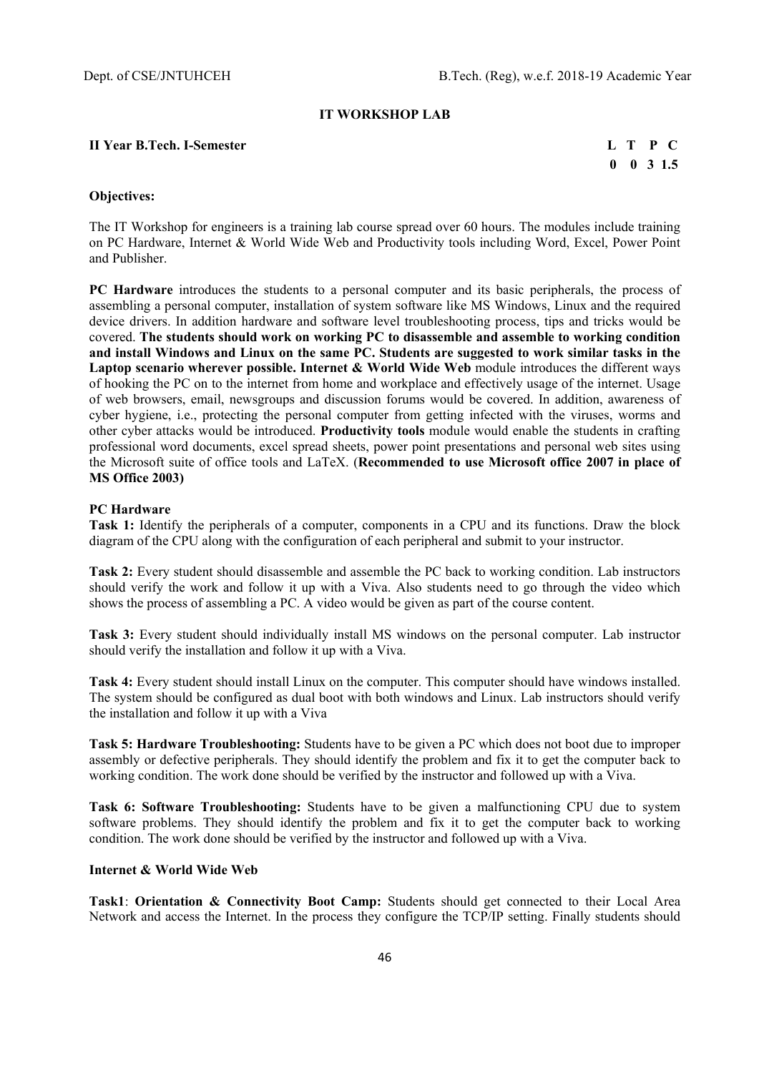#### **IT WORKSHOP LAB**

#### **II Year B.Tech. I-Semester L T P C**

 **0 0 3 1.5** 

#### **Objectives:**

The IT Workshop for engineers is a training lab course spread over 60 hours. The modules include training on PC Hardware, Internet & World Wide Web and Productivity tools including Word, Excel, Power Point and Publisher.

**PC Hardware** introduces the students to a personal computer and its basic peripherals, the process of assembling a personal computer, installation of system software like MS Windows, Linux and the required device drivers. In addition hardware and software level troubleshooting process, tips and tricks would be covered. **The students should work on working PC to disassemble and assemble to working condition and install Windows and Linux on the same PC. Students are suggested to work similar tasks in the Laptop scenario wherever possible. Internet & World Wide Web module introduces the different ways** of hooking the PC on to the internet from home and workplace and effectively usage of the internet. Usage of web browsers, email, newsgroups and discussion forums would be covered. In addition, awareness of cyber hygiene, i.e., protecting the personal computer from getting infected with the viruses, worms and other cyber attacks would be introduced. **Productivity tools** module would enable the students in crafting professional word documents, excel spread sheets, power point presentations and personal web sites using the Microsoft suite of office tools and LaTeX. (**Recommended to use Microsoft office 2007 in place of MS Office 2003)** 

### **PC Hardware**

**Task 1:** Identify the peripherals of a computer, components in a CPU and its functions. Draw the block diagram of the CPU along with the configuration of each peripheral and submit to your instructor.

**Task 2:** Every student should disassemble and assemble the PC back to working condition. Lab instructors should verify the work and follow it up with a Viva. Also students need to go through the video which shows the process of assembling a PC. A video would be given as part of the course content.

**Task 3:** Every student should individually install MS windows on the personal computer. Lab instructor should verify the installation and follow it up with a Viva.

**Task 4:** Every student should install Linux on the computer. This computer should have windows installed. The system should be configured as dual boot with both windows and Linux. Lab instructors should verify the installation and follow it up with a Viva

**Task 5: Hardware Troubleshooting:** Students have to be given a PC which does not boot due to improper assembly or defective peripherals. They should identify the problem and fix it to get the computer back to working condition. The work done should be verified by the instructor and followed up with a Viva.

**Task 6: Software Troubleshooting:** Students have to be given a malfunctioning CPU due to system software problems. They should identify the problem and fix it to get the computer back to working condition. The work done should be verified by the instructor and followed up with a Viva.

#### **Internet & World Wide Web**

**Task1**: **Orientation & Connectivity Boot Camp:** Students should get connected to their Local Area Network and access the Internet. In the process they configure the TCP/IP setting. Finally students should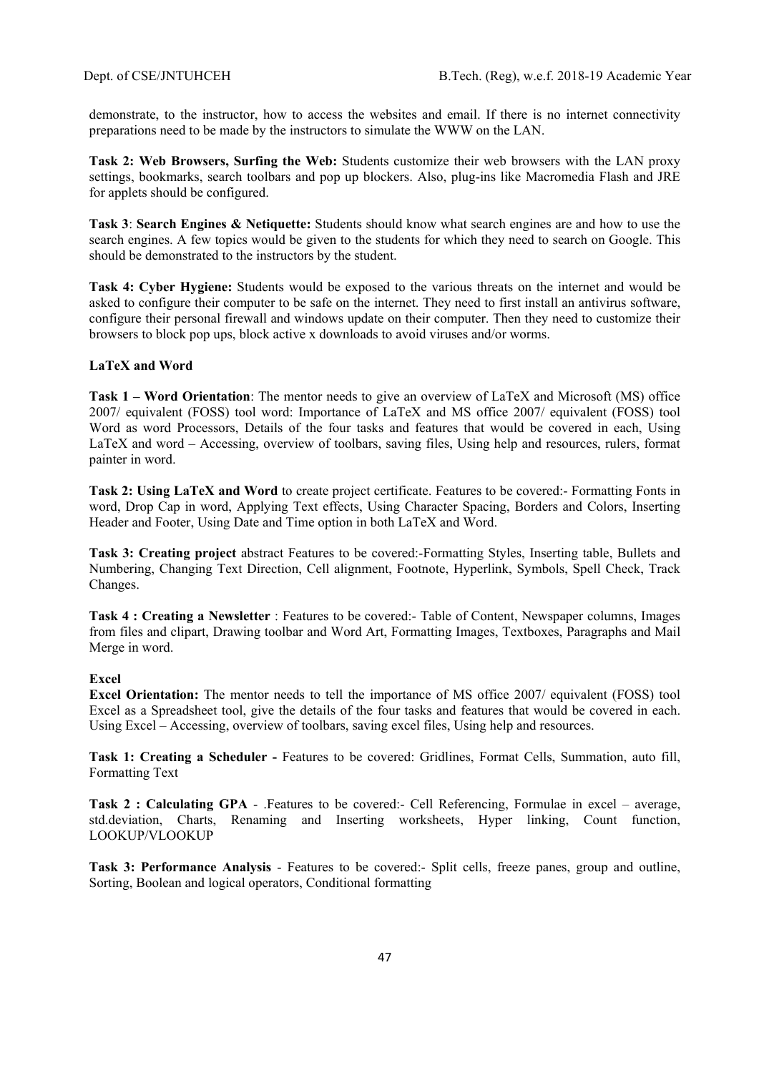demonstrate, to the instructor, how to access the websites and email. If there is no internet connectivity preparations need to be made by the instructors to simulate the WWW on the LAN.

**Task 2: Web Browsers, Surfing the Web:** Students customize their web browsers with the LAN proxy settings, bookmarks, search toolbars and pop up blockers. Also, plug-ins like Macromedia Flash and JRE for applets should be configured.

**Task 3**: **Search Engines & Netiquette:** Students should know what search engines are and how to use the search engines. A few topics would be given to the students for which they need to search on Google. This should be demonstrated to the instructors by the student.

**Task 4: Cyber Hygiene:** Students would be exposed to the various threats on the internet and would be asked to configure their computer to be safe on the internet. They need to first install an antivirus software, configure their personal firewall and windows update on their computer. Then they need to customize their browsers to block pop ups, block active x downloads to avoid viruses and/or worms.

### **LaTeX and Word**

**Task 1 – Word Orientation**: The mentor needs to give an overview of LaTeX and Microsoft (MS) office 2007/ equivalent (FOSS) tool word: Importance of LaTeX and MS office 2007/ equivalent (FOSS) tool Word as word Processors, Details of the four tasks and features that would be covered in each, Using LaTeX and word – Accessing, overview of toolbars, saving files, Using help and resources, rulers, format painter in word.

**Task 2: Using LaTeX and Word** to create project certificate. Features to be covered:- Formatting Fonts in word, Drop Cap in word, Applying Text effects, Using Character Spacing, Borders and Colors, Inserting Header and Footer, Using Date and Time option in both LaTeX and Word.

**Task 3: Creating project** abstract Features to be covered:-Formatting Styles, Inserting table, Bullets and Numbering, Changing Text Direction, Cell alignment, Footnote, Hyperlink, Symbols, Spell Check, Track Changes.

**Task 4 : Creating a Newsletter** : Features to be covered:- Table of Content, Newspaper columns, Images from files and clipart, Drawing toolbar and Word Art, Formatting Images, Textboxes, Paragraphs and Mail Merge in word.

## **Excel**

**Excel Orientation:** The mentor needs to tell the importance of MS office 2007/ equivalent (FOSS) tool Excel as a Spreadsheet tool, give the details of the four tasks and features that would be covered in each. Using Excel – Accessing, overview of toolbars, saving excel files, Using help and resources.

**Task 1: Creating a Scheduler -** Features to be covered: Gridlines, Format Cells, Summation, auto fill, Formatting Text

**Task 2 : Calculating GPA** - .Features to be covered:- Cell Referencing, Formulae in excel – average, std.deviation, Charts, Renaming and Inserting worksheets, Hyper linking, Count function, LOOKUP/VLOOKUP

**Task 3: Performance Analysis** - Features to be covered:- Split cells, freeze panes, group and outline, Sorting, Boolean and logical operators, Conditional formatting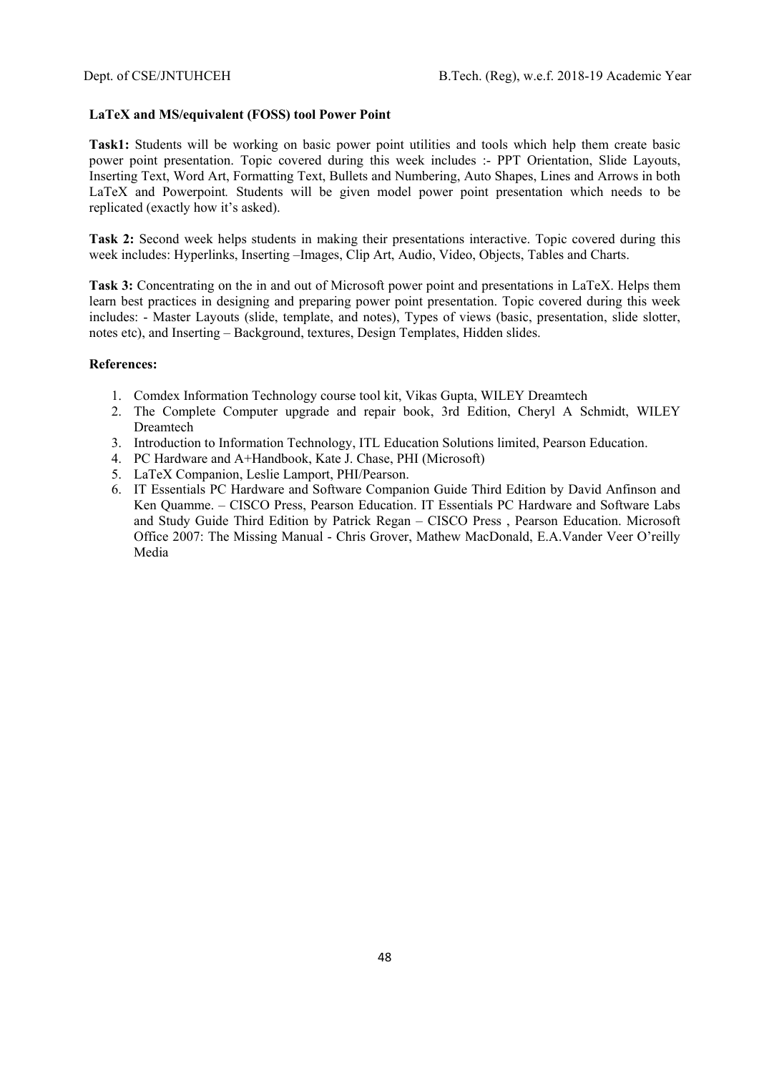#### **LaTeX and MS/equivalent (FOSS) tool Power Point**

**Task1:** Students will be working on basic power point utilities and tools which help them create basic power point presentation. Topic covered during this week includes :- PPT Orientation, Slide Layouts, Inserting Text, Word Art, Formatting Text, Bullets and Numbering, Auto Shapes, Lines and Arrows in both LaTeX and Powerpoint*.* Students will be given model power point presentation which needs to be replicated (exactly how it's asked).

**Task 2:** Second week helps students in making their presentations interactive. Topic covered during this week includes: Hyperlinks, Inserting –Images, Clip Art, Audio, Video, Objects, Tables and Charts.

**Task 3:** Concentrating on the in and out of Microsoft power point and presentations in LaTeX. Helps them learn best practices in designing and preparing power point presentation. Topic covered during this week includes: - Master Layouts (slide, template, and notes), Types of views (basic, presentation, slide slotter, notes etc), and Inserting – Background, textures, Design Templates, Hidden slides.

- 1. Comdex Information Technology course tool kit, Vikas Gupta, WILEY Dreamtech
- 2. The Complete Computer upgrade and repair book, 3rd Edition, Cheryl A Schmidt, WILEY Dreamtech
- 3. Introduction to Information Technology, ITL Education Solutions limited, Pearson Education.
- 4. PC Hardware and A+Handbook, Kate J. Chase, PHI (Microsoft)
- 5. LaTeX Companion, Leslie Lamport, PHI/Pearson.
- 6. IT Essentials PC Hardware and Software Companion Guide Third Edition by David Anfinson and Ken Quamme. – CISCO Press, Pearson Education. IT Essentials PC Hardware and Software Labs and Study Guide Third Edition by Patrick Regan – CISCO Press , Pearson Education. Microsoft Office 2007: The Missing Manual - Chris Grover, Mathew MacDonald, E.A.Vander Veer O'reilly Media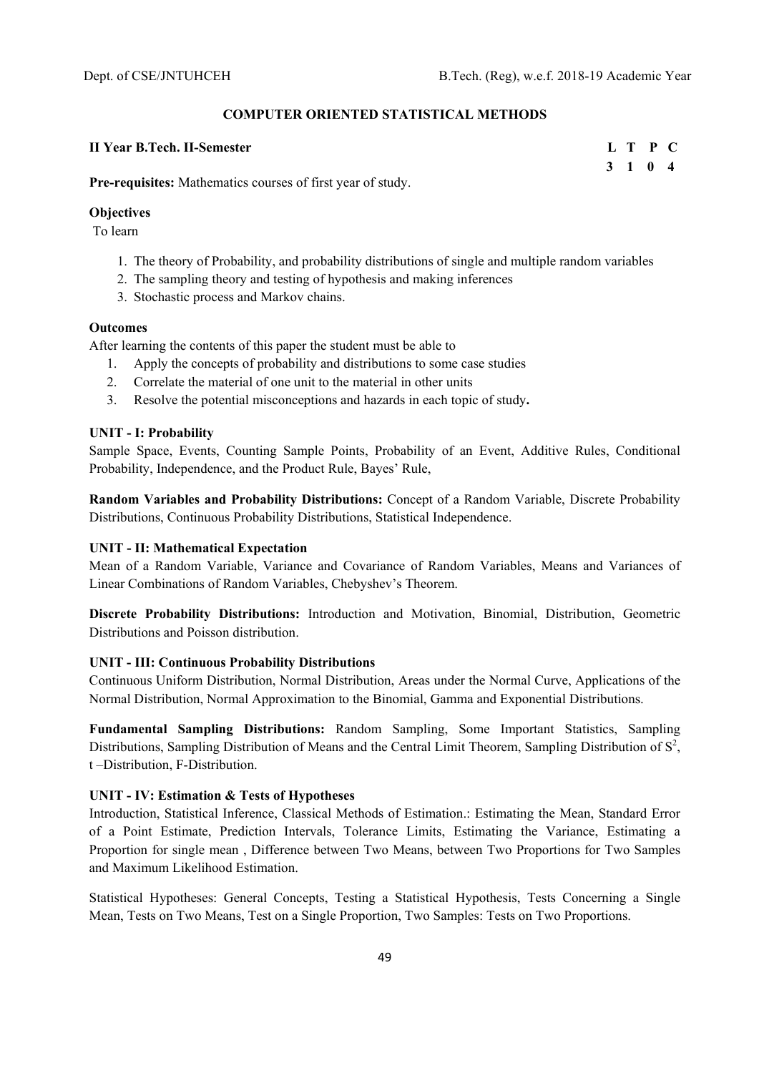#### **COMPUTER ORIENTED STATISTICAL METHODS**

### **II Year B.Tech. II-Semester**

|              | L T P C |  |
|--------------|---------|--|
| $\mathbf{3}$ | 1 0 4   |  |

**Pre-requisites:** Mathematics courses of first year of study.

#### **Objectives**

To learn

- 1. The theory of Probability, and probability distributions of single and multiple random variables
- 2. The sampling theory and testing of hypothesis and making inferences
- 3. Stochastic process and Markov chains.

#### **Outcomes**

After learning the contents of this paper the student must be able to

- 1. Apply the concepts of probability and distributions to some case studies
- 2. Correlate the material of one unit to the material in other units
- 3. Resolve the potential misconceptions and hazards in each topic of study**.**

#### **UNIT - I: Probability**

Sample Space, Events, Counting Sample Points, Probability of an Event, Additive Rules, Conditional Probability, Independence, and the Product Rule, Bayes' Rule,

**Random Variables and Probability Distributions:** Concept of a Random Variable, Discrete Probability Distributions, Continuous Probability Distributions, Statistical Independence.

#### **UNIT - II: Mathematical Expectation**

Mean of a Random Variable, Variance and Covariance of Random Variables, Means and Variances of Linear Combinations of Random Variables, Chebyshev's Theorem.

**Discrete Probability Distributions:** Introduction and Motivation, Binomial, Distribution, Geometric Distributions and Poisson distribution.

### **UNIT - III: Continuous Probability Distributions**

Continuous Uniform Distribution, Normal Distribution, Areas under the Normal Curve, Applications of the Normal Distribution, Normal Approximation to the Binomial, Gamma and Exponential Distributions.

**Fundamental Sampling Distributions:** Random Sampling, Some Important Statistics, Sampling Distributions, Sampling Distribution of Means and the Central Limit Theorem, Sampling Distribution of  $S^2$ , t –Distribution, F-Distribution.

#### **UNIT - IV: Estimation & Tests of Hypotheses**

Introduction, Statistical Inference, Classical Methods of Estimation.: Estimating the Mean, Standard Error of a Point Estimate, Prediction Intervals, Tolerance Limits, Estimating the Variance, Estimating a Proportion for single mean , Difference between Two Means, between Two Proportions for Two Samples and Maximum Likelihood Estimation.

Statistical Hypotheses: General Concepts, Testing a Statistical Hypothesis, Tests Concerning a Single Mean, Tests on Two Means, Test on a Single Proportion, Two Samples: Tests on Two Proportions.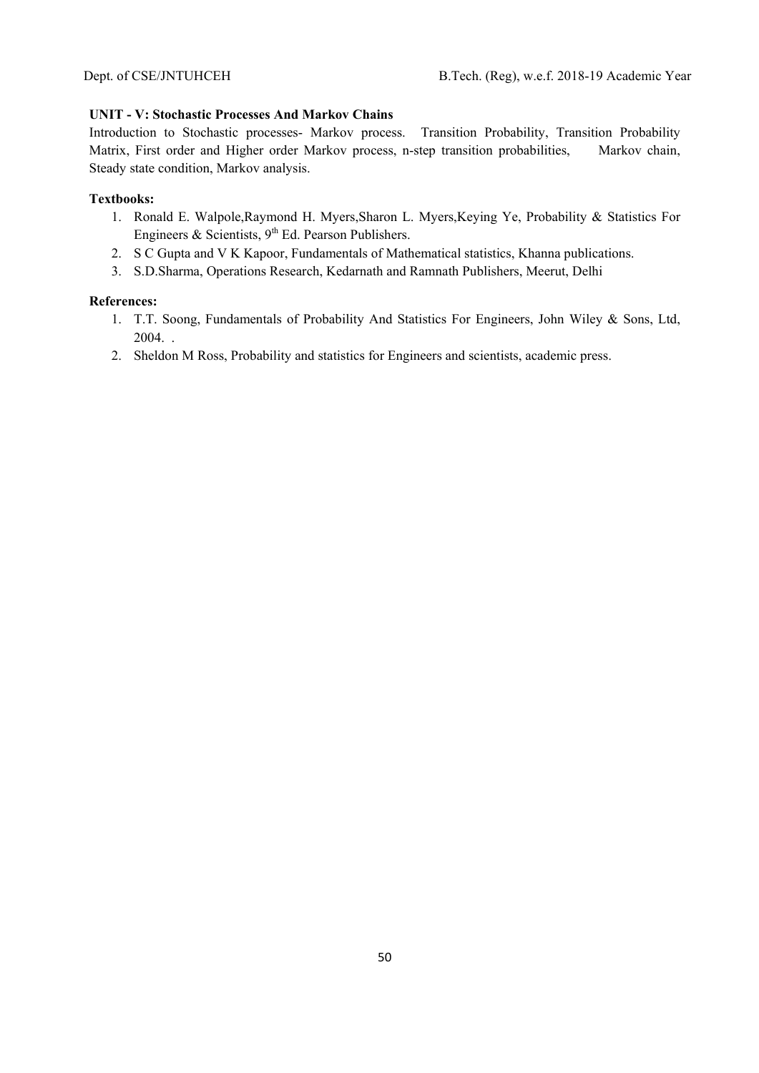# **UNIT - V: Stochastic Processes And Markov Chains**

Introduction to Stochastic processes- Markov process. Transition Probability, Transition Probability Matrix, First order and Higher order Markov process, n-step transition probabilities, Markov chain, Steady state condition, Markov analysis.

### **Textbooks:**

- 1. Ronald E. Walpole,Raymond H. Myers,Sharon L. Myers,Keying Ye, Probability & Statistics For Engineers & Scientists,  $9<sup>th</sup>$  Ed. Pearson Publishers.
- 2. S C Gupta and V K Kapoor, Fundamentals of Mathematical statistics, Khanna publications.
- 3. S.D.Sharma, Operations Research, Kedarnath and Ramnath Publishers, Meerut, Delhi

- 1. T.T. Soong, Fundamentals of Probability And Statistics For Engineers, John Wiley & Sons, Ltd, 2004. .
- 2. Sheldon M Ross, Probability and statistics for Engineers and scientists, academic press.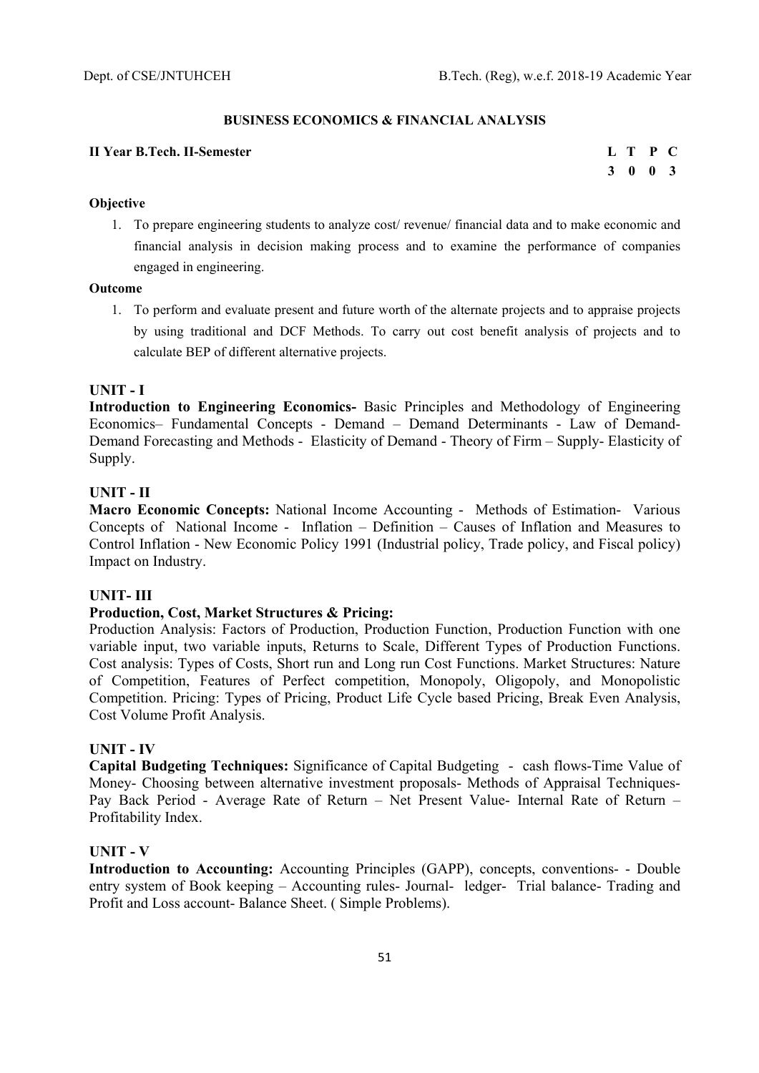### **BUSINESS ECONOMICS & FINANCIAL ANALYSIS**

#### **II Year R Tech. II-Semester**

|  | L T P C |  |
|--|---------|--|
|  | 3 0 0 3 |  |

### **Objective**

1. To prepare engineering students to analyze cost/ revenue/ financial data and to make economic and financial analysis in decision making process and to examine the performance of companies engaged in engineering.

### **Outcome**

1. To perform and evaluate present and future worth of the alternate projects and to appraise projects by using traditional and DCF Methods. To carry out cost benefit analysis of projects and to calculate BEP of different alternative projects.

### **UNIT - I**

**Introduction to Engineering Economics-** Basic Principles and Methodology of Engineering Economics– Fundamental Concepts - Demand – Demand Determinants - Law of Demand-Demand Forecasting and Methods - Elasticity of Demand - Theory of Firm – Supply- Elasticity of Supply.

## **UNIT - II**

**Macro Economic Concepts:** National Income Accounting - Methods of Estimation- Various Concepts of National Income - Inflation – Definition – Causes of Inflation and Measures to Control Inflation - New Economic Policy 1991 (Industrial policy, Trade policy, and Fiscal policy) Impact on Industry.

# **UNIT- III**

### **Production, Cost, Market Structures & Pricing:**

Production Analysis: Factors of Production, Production Function, Production Function with one variable input, two variable inputs, Returns to Scale, Different Types of Production Functions. Cost analysis: Types of Costs, Short run and Long run Cost Functions. Market Structures: Nature of Competition, Features of Perfect competition, Monopoly, Oligopoly, and Monopolistic Competition. Pricing: Types of Pricing, Product Life Cycle based Pricing, Break Even Analysis, Cost Volume Profit Analysis.

#### **UNIT - IV**

**Capital Budgeting Techniques:** Significance of Capital Budgeting - cash flows-Time Value of Money- Choosing between alternative investment proposals- Methods of Appraisal Techniques-Pay Back Period - Average Rate of Return – Net Present Value- Internal Rate of Return – Profitability Index.

## **UNIT - V**

**Introduction to Accounting:** Accounting Principles (GAPP), concepts, conventions- - Double entry system of Book keeping – Accounting rules- Journal- ledger- Trial balance- Trading and Profit and Loss account- Balance Sheet. ( Simple Problems).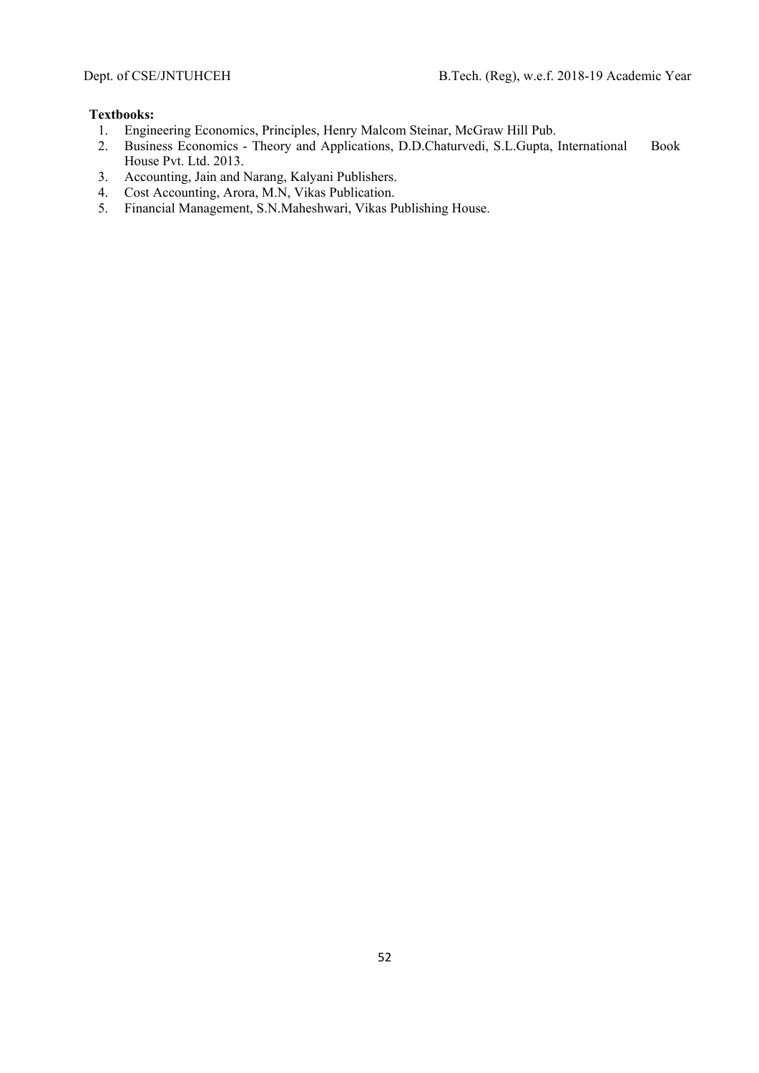### **Textbooks:**

- 1. Engineering Economics, Principles, Henry Malcom Steinar, McGraw Hill Pub.
- 2. Business Economics Theory and Applications, D.D.Chaturvedi, S.L.Gupta, International Book House Pvt. Ltd. 2013.
- 3. Accounting, Jain and Narang, Kalyani Publishers.
- 4. Cost Accounting, Arora, M.N, Vikas Publication.
- 5. Financial Management, S.N.Maheshwari, Vikas Publishing House.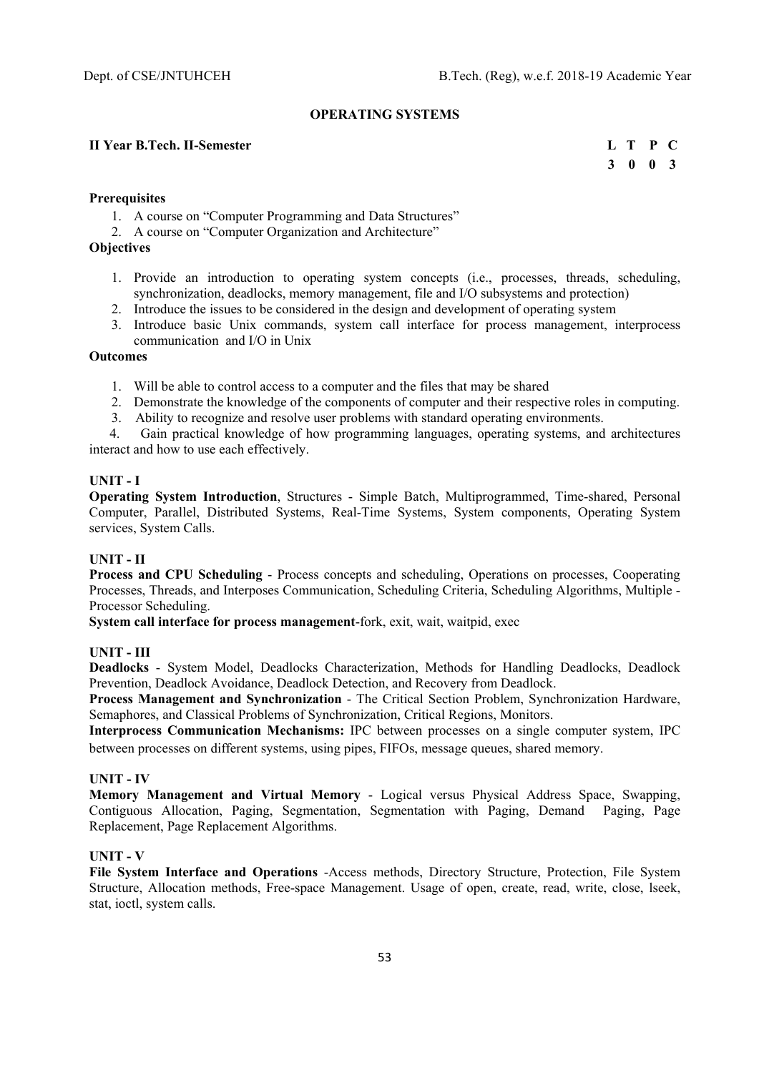#### **OPERATING SYSTEMS**

### **II Year B.Tech. II-Semester L** T P C

 **3 0 0 3** 

#### **Prerequisites**

- 1. A course on "Computer Programming and Data Structures"
- 2. A course on "Computer Organization and Architecture"

## **Objectives**

- 1. Provide an introduction to operating system concepts (i.e., processes, threads, scheduling, synchronization, deadlocks, memory management, file and I/O subsystems and protection)
- 2. Introduce the issues to be considered in the design and development of operating system
- 3. Introduce basic Unix commands, system call interface for process management, interprocess communication and I/O in Unix

### **Outcomes**

- 1. Will be able to control access to a computer and the files that may be shared
- 2. Demonstrate the knowledge of the components of computer and their respective roles in computing.
- 3. Ability to recognize and resolve user problems with standard operating environments.

 4. Gain practical knowledge of how programming languages, operating systems, and architectures interact and how to use each effectively.

### **UNIT - I**

**Operating System Introduction**, Structures - Simple Batch, Multiprogrammed, Time-shared, Personal Computer, Parallel, Distributed Systems, Real-Time Systems, System components, Operating System services, System Calls.

#### **UNIT - II**

**Process and CPU Scheduling** - Process concepts and scheduling, Operations on processes, Cooperating Processes, Threads, and Interposes Communication, Scheduling Criteria, Scheduling Algorithms, Multiple - Processor Scheduling.

**System call interface for process management-fork, exit, wait, waitpid, exec** 

#### **UNIT - III**

**Deadlocks** - System Model, Deadlocks Characterization, Methods for Handling Deadlocks, Deadlock Prevention, Deadlock Avoidance, Deadlock Detection, and Recovery from Deadlock.

**Process Management and Synchronization** - The Critical Section Problem, Synchronization Hardware, Semaphores, and Classical Problems of Synchronization, Critical Regions, Monitors.

**Interprocess Communication Mechanisms:** IPC between processes on a single computer system, IPC between processes on different systems, using pipes, FIFOs, message queues, shared memory.

#### **UNIT - IV**

**Memory Management and Virtual Memory** - Logical versus Physical Address Space, Swapping, Contiguous Allocation, Paging, Segmentation, Segmentation with Paging, Demand Paging, Page Replacement, Page Replacement Algorithms.

#### **UNIT - V**

**File System Interface and Operations** -Access methods, Directory Structure, Protection, File System Structure, Allocation methods, Free-space Management. Usage of open, create, read, write, close, lseek, stat, ioctl, system calls.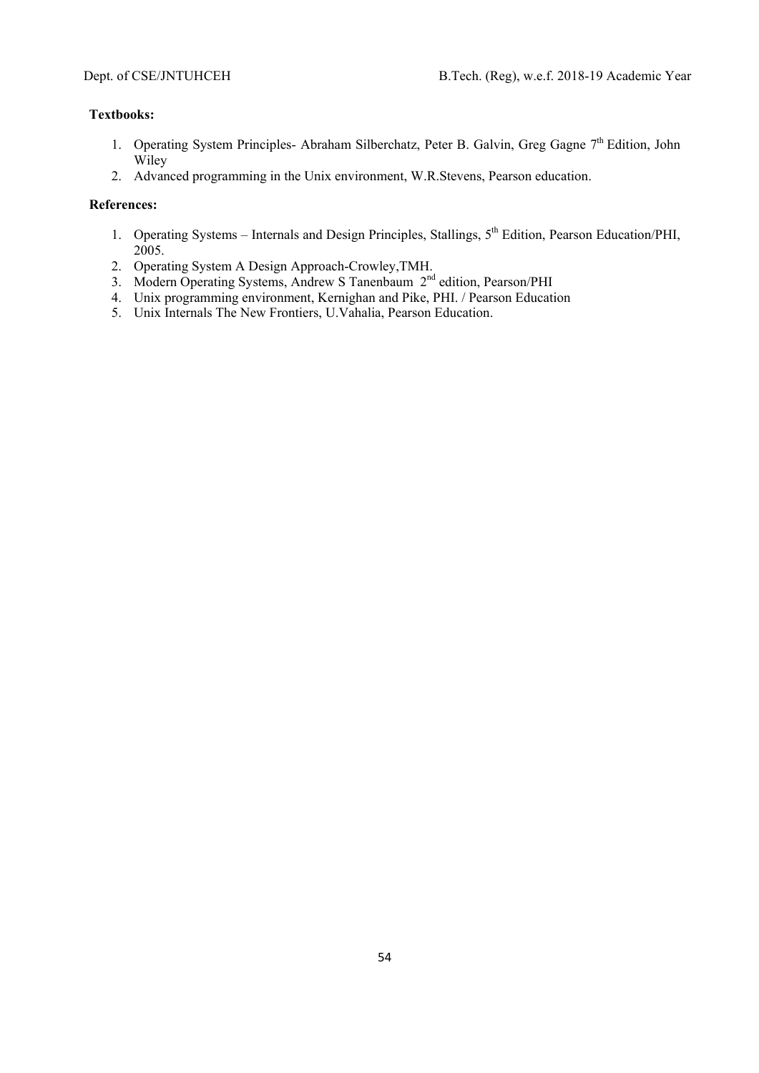# **Textbooks:**

- 1. Operating System Principles- Abraham Silberchatz, Peter B. Galvin, Greg Gagne 7<sup>th</sup> Edition, John Wiley
- 2. Advanced programming in the Unix environment, W.R.Stevens, Pearson education.

- 1. Operating Systems Internals and Design Principles, Stallings, 5<sup>th</sup> Edition, Pearson Education/PHI, 2005.
- 2. Operating System A Design Approach-Crowley,TMH.
- 3. Modern Operating Systems, Andrew S Tanenbaum 2<sup>nd</sup> edition, Pearson/PHI
- 4. Unix programming environment, Kernighan and Pike, PHI. / Pearson Education
- 5. Unix Internals The New Frontiers, U.Vahalia, Pearson Education.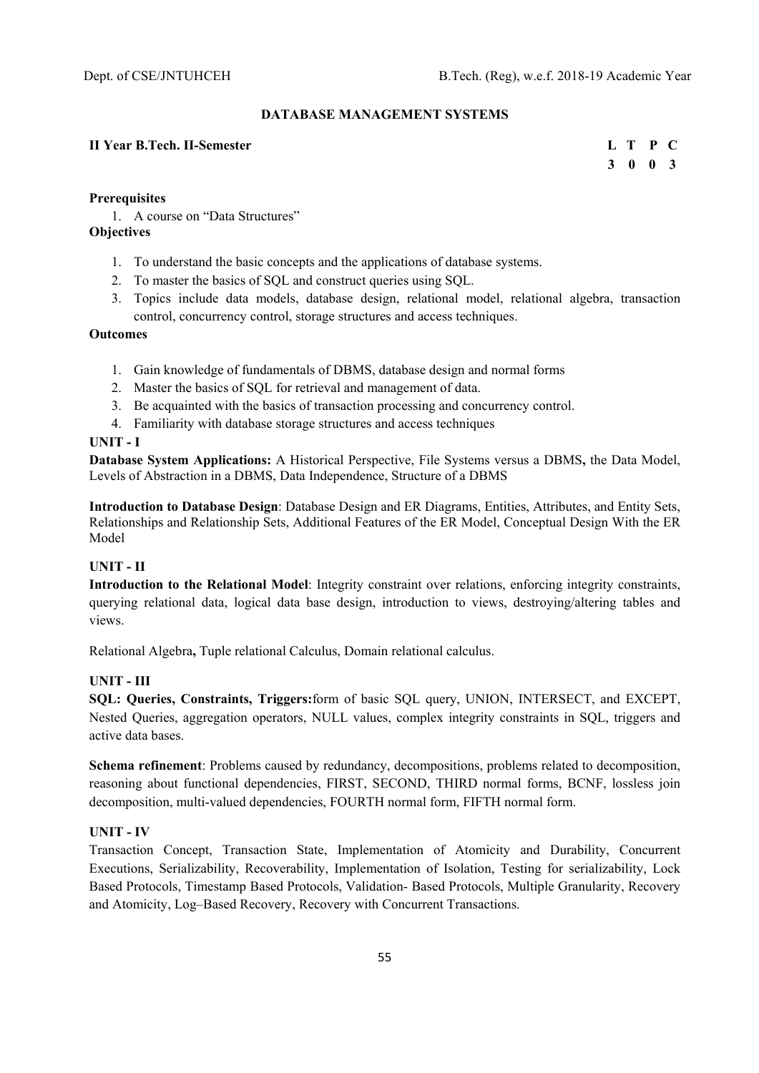### **DATABASE MANAGEMENT SYSTEMS**

### **II Year B.Tech. II-Semester L T P C**

 **3 0 0 3** 

### **Prerequisites**

1. A course on "Data Structures"

## **Objectives**

- 1. To understand the basic concepts and the applications of database systems.
- 2. To master the basics of SQL and construct queries using SQL.
- 3. Topics include data models, database design, relational model, relational algebra, transaction control, concurrency control, storage structures and access techniques.

#### **Outcomes**

- 1. Gain knowledge of fundamentals of DBMS, database design and normal forms
- 2. Master the basics of SQL for retrieval and management of data.
- 3. Be acquainted with the basics of transaction processing and concurrency control.
- 4. Familiarity with database storage structures and access techniques

### **UNIT - I**

**Database System Applications:** A Historical Perspective, File Systems versus a DBMS**,** the Data Model, Levels of Abstraction in a DBMS, Data Independence, Structure of a DBMS

**Introduction to Database Design**: Database Design and ER Diagrams, Entities, Attributes, and Entity Sets, Relationships and Relationship Sets, Additional Features of the ER Model, Conceptual Design With the ER Model

# **UNIT - II**

**Introduction to the Relational Model**: Integrity constraint over relations, enforcing integrity constraints, querying relational data, logical data base design, introduction to views, destroying/altering tables and views.

Relational Algebra**,** Tuple relational Calculus, Domain relational calculus.

## **UNIT - III**

**SQL: Queries, Constraints, Triggers:**form of basic SQL query, UNION, INTERSECT, and EXCEPT, Nested Queries, aggregation operators, NULL values, complex integrity constraints in SQL, triggers and active data bases.

**Schema refinement**: Problems caused by redundancy, decompositions, problems related to decomposition, reasoning about functional dependencies, FIRST, SECOND, THIRD normal forms, BCNF, lossless join decomposition, multi-valued dependencies, FOURTH normal form, FIFTH normal form.

### **UNIT - IV**

Transaction Concept, Transaction State, Implementation of Atomicity and Durability, Concurrent Executions, Serializability, Recoverability, Implementation of Isolation, Testing for serializability, Lock Based Protocols, Timestamp Based Protocols, Validation- Based Protocols, Multiple Granularity, Recovery and Atomicity, Log–Based Recovery, Recovery with Concurrent Transactions.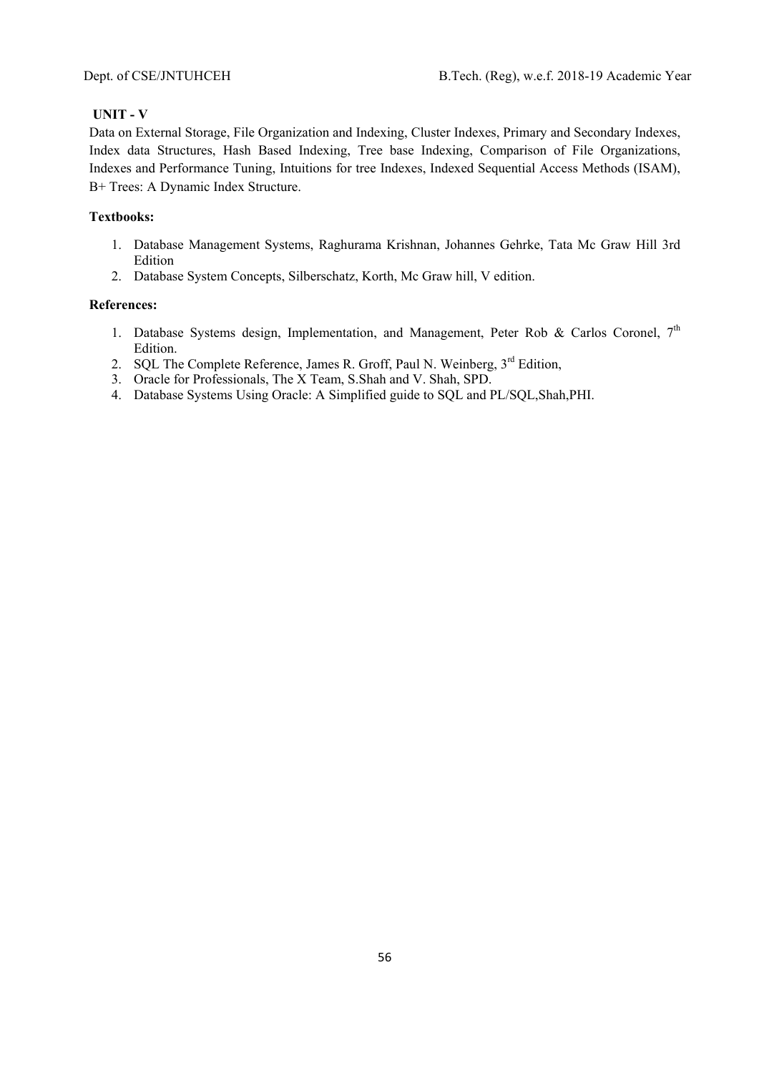## **UNIT - V**

Data on External Storage, File Organization and Indexing, Cluster Indexes, Primary and Secondary Indexes, Index data Structures, Hash Based Indexing, Tree base Indexing, Comparison of File Organizations, Indexes and Performance Tuning, Intuitions for tree Indexes, Indexed Sequential Access Methods (ISAM), B+ Trees: A Dynamic Index Structure.

# **Textbooks:**

- 1. Database Management Systems, Raghurama Krishnan, Johannes Gehrke, Tata Mc Graw Hill 3rd Edition
- 2. Database System Concepts, Silberschatz, Korth, Mc Graw hill, V edition.

- 1. Database Systems design, Implementation, and Management, Peter Rob & Carlos Coronel,  $7<sup>th</sup>$ Edition.
- 2. SQL The Complete Reference, James R. Groff, Paul N. Weinberg, 3<sup>rd</sup> Edition,
- 3. Oracle for Professionals, The X Team, S.Shah and V. Shah, SPD.
- 4. Database Systems Using Oracle: A Simplified guide to SQL and PL/SQL,Shah,PHI.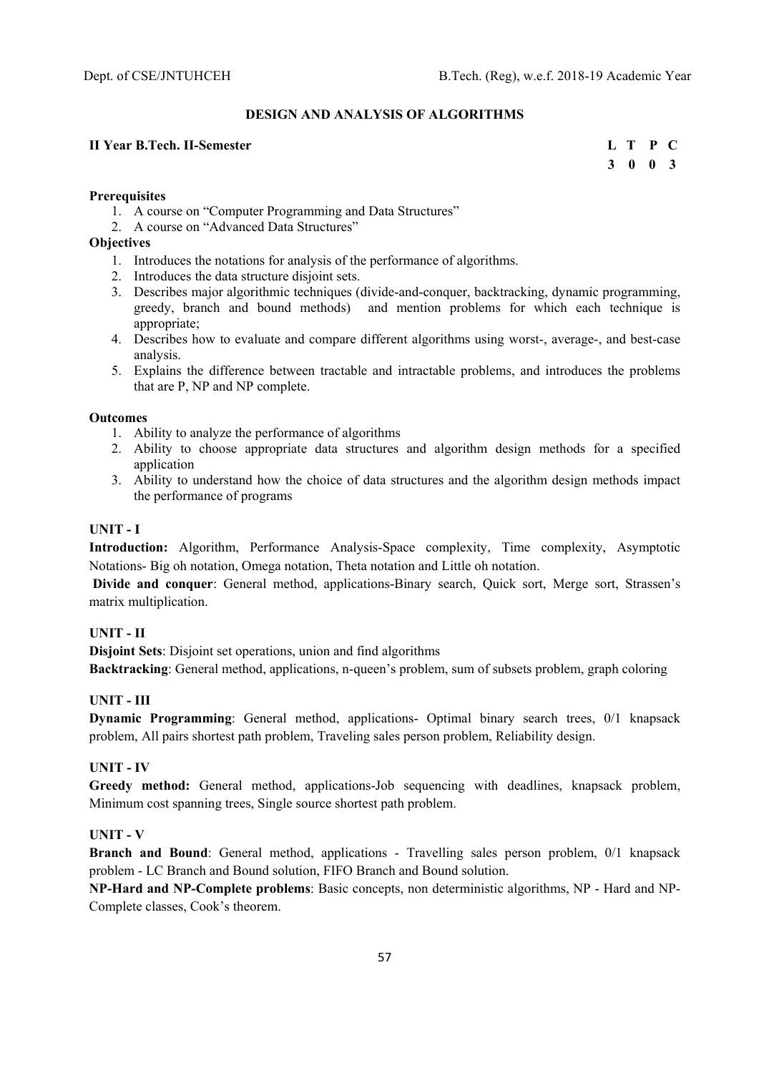# **DESIGN AND ANALYSIS OF ALGORITHMS**

# **II Year B.Tech. II-Semester** L T P C

 **3 0 0 3** 

### **Prerequisites**

- 1. A course on "Computer Programming and Data Structures"
- 2. A course on "Advanced Data Structures"

### **Objectives**

- 1. Introduces the notations for analysis of the performance of algorithms.
- 2. Introduces the data structure disjoint sets.
- 3. Describes major algorithmic techniques (divide-and-conquer, backtracking, dynamic programming, greedy, branch and bound methods) and mention problems for which each technique is appropriate;
- 4. Describes how to evaluate and compare different algorithms using worst-, average-, and best-case analysis.
- 5. Explains the difference between tractable and intractable problems, and introduces the problems that are P, NP and NP complete.

#### **Outcomes**

- 1. Ability to analyze the performance of algorithms
- 2. Ability to choose appropriate data structures and algorithm design methods for a specified application
- 3. Ability to understand how the choice of data structures and the algorithm design methods impact the performance of programs

### **UNIT - I**

**Introduction:** Algorithm, Performance Analysis-Space complexity, Time complexity, Asymptotic Notations- Big oh notation, Omega notation, Theta notation and Little oh notation.

**Divide and conquer**: General method, applications-Binary search, Quick sort, Merge sort, Strassen's matrix multiplication.

## **UNIT - II**

**Disjoint Sets**: Disjoint set operations, union and find algorithms **Backtracking**: General method, applications, n-queen's problem, sum of subsets problem, graph coloring

## **UNIT - III**

**Dynamic Programming**: General method, applications- Optimal binary search trees, 0/1 knapsack problem, All pairs shortest path problem, Traveling sales person problem, Reliability design.

# **UNIT - IV**

**Greedy method:** General method, applications-Job sequencing with deadlines, knapsack problem, Minimum cost spanning trees, Single source shortest path problem.

### **UNIT - V**

**Branch and Bound**: General method, applications - Travelling sales person problem, 0/1 knapsack problem - LC Branch and Bound solution, FIFO Branch and Bound solution.

**NP-Hard and NP-Complete problems**: Basic concepts, non deterministic algorithms, NP - Hard and NP-Complete classes, Cook's theorem.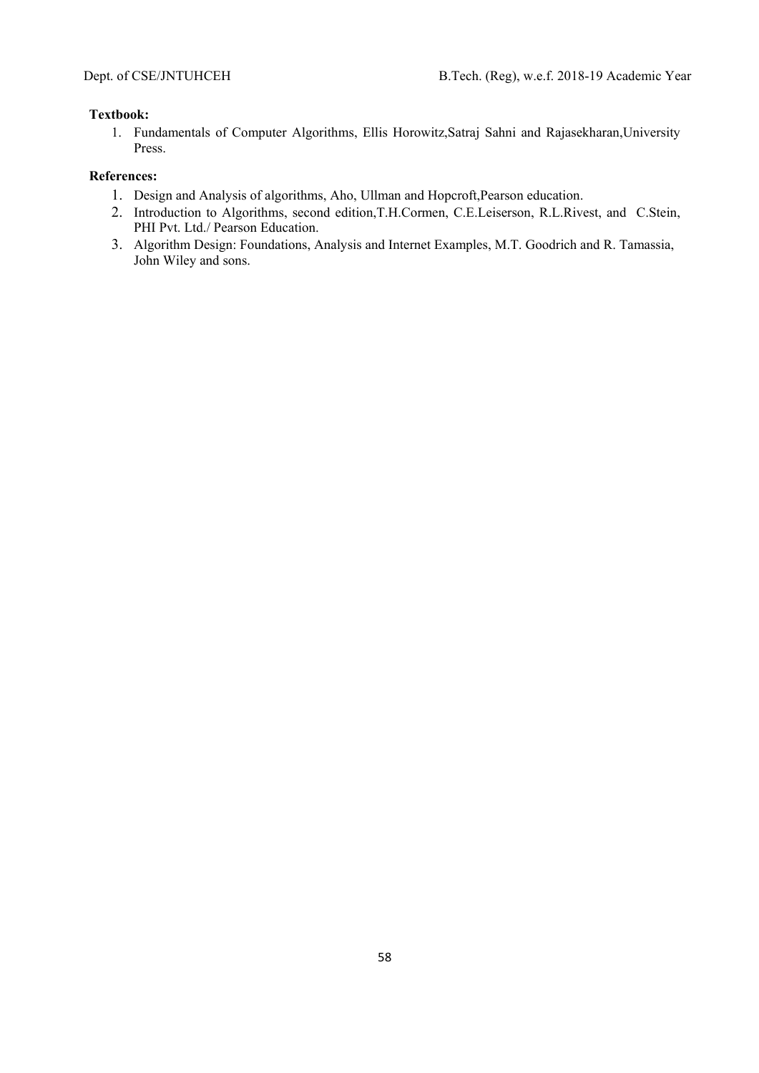### **Textbook:**

1. Fundamentals of Computer Algorithms, Ellis Horowitz,Satraj Sahni and Rajasekharan,University Press.

- 1. Design and Analysis of algorithms, Aho, Ullman and Hopcroft,Pearson education.
- 2. Introduction to Algorithms, second edition,T.H.Cormen, C.E.Leiserson, R.L.Rivest, and C.Stein, PHI Pvt. Ltd./ Pearson Education.
- 3. Algorithm Design: Foundations, Analysis and Internet Examples, M.T. Goodrich and R. Tamassia, John Wiley and sons.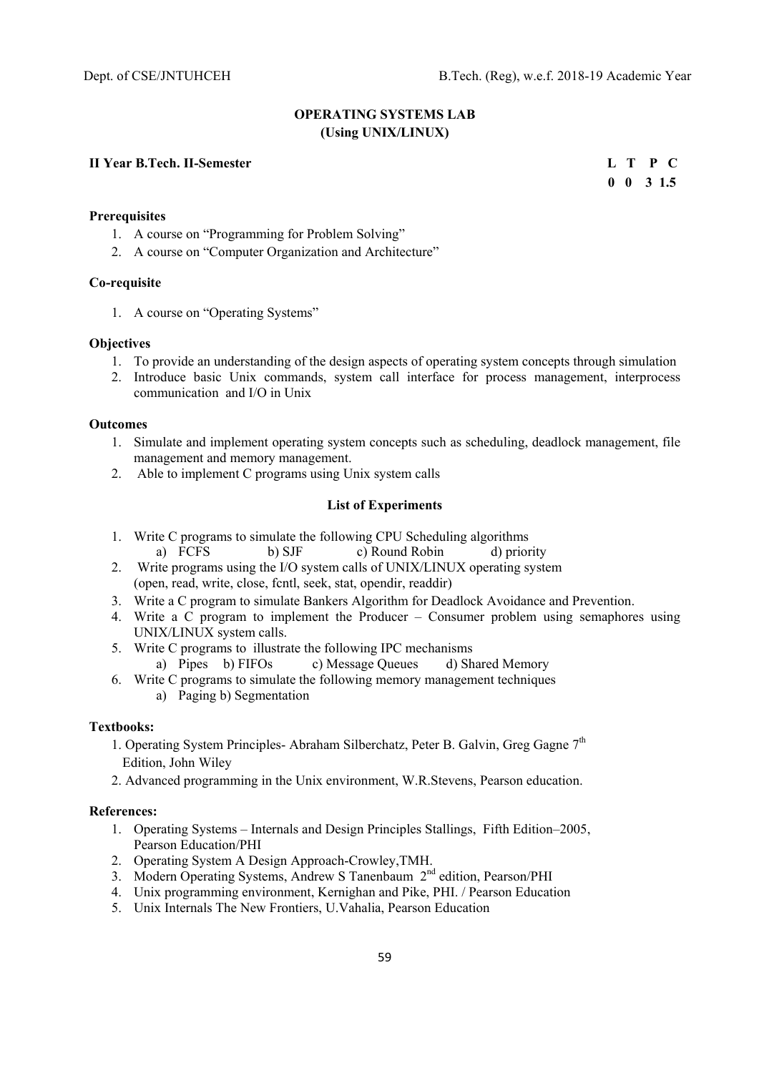## **OPERATING SYSTEMS LAB (Using UNIX/LINUX)**

### **II Year B.Tech. II-Semester L T P C**

 **0 0 3 1.5** 

# **Prerequisites**

- 1. A course on "Programming for Problem Solving"
- 2. A course on "Computer Organization and Architecture"

### **Co-requisite**

1. A course on "Operating Systems"

#### **Objectives**

- 1. To provide an understanding of the design aspects of operating system concepts through simulation
- 2. Introduce basic Unix commands, system call interface for process management, interprocess communication and I/O in Unix

### **Outcomes**

- 1. Simulate and implement operating system concepts such as scheduling, deadlock management, file management and memory management.
- 2. Able to implement C programs using Unix system calls

### **List of Experiments**

- 1. Write C programs to simulate the following CPU Scheduling algorithms a) FCFS b) SJF c) Round Robin d) priority
- 2. Write programs using the I/O system calls of UNIX/LINUX operating system (open, read, write, close, fcntl, seek, stat, opendir, readdir)
- 3. Write a C program to simulate Bankers Algorithm for Deadlock Avoidance and Prevention.
- 4. Write a C program to implement the Producer Consumer problem using semaphores using UNIX/LINUX system calls.
- 5. Write C programs to illustrate the following IPC mechanisms<br>a) Pipes b) FIFOs c) Message Oueues d) Sh
	- c) Message Queues d) Shared Memory
- 6. Write C programs to simulate the following memory management techniques
	- a) Paging b) Segmentation

## **Textbooks:**

- 1. Operating System Principles- Abraham Silberchatz, Peter B. Galvin, Greg Gagne 7<sup>th</sup> Edition, John Wiley
- 2. Advanced programming in the Unix environment, W.R.Stevens, Pearson education.

- 1. Operating Systems Internals and Design Principles Stallings, Fifth Edition–2005, Pearson Education/PHI
- 2. Operating System A Design Approach-Crowley,TMH.
- 3. Modern Operating Systems, Andrew S Tanenbaum 2<sup>nd</sup> edition, Pearson/PHI
- 4. Unix programming environment, Kernighan and Pike, PHI. / Pearson Education
- 5. Unix Internals The New Frontiers, U.Vahalia, Pearson Education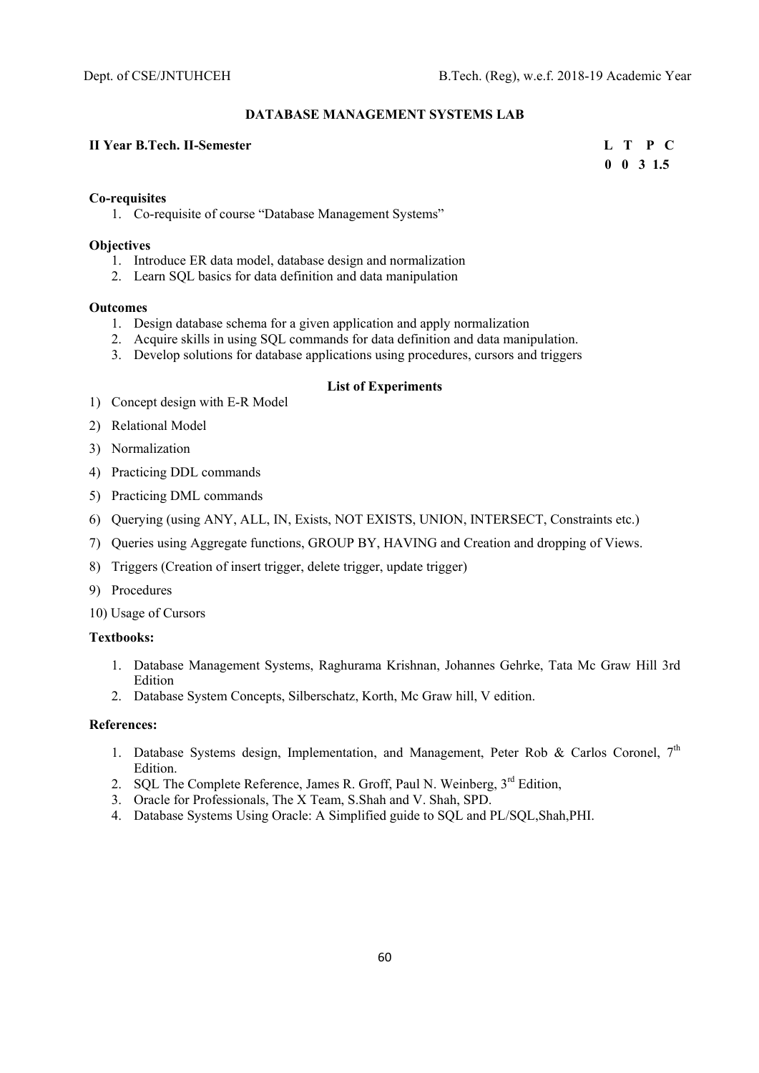#### **DATABASE MANAGEMENT SYSTEMS LAB**

### **II Year B.Tech. II-Semester L T P C**

 **0 0 3 1.5** 

#### **Co-requisites**

1. Co-requisite of course "Database Management Systems"

### **Objectives**

- 1. Introduce ER data model, database design and normalization
- 2. Learn SQL basics for data definition and data manipulation

#### **Outcomes**

- 1. Design database schema for a given application and apply normalization
- 2. Acquire skills in using SQL commands for data definition and data manipulation.
- 3. Develop solutions for database applications using procedures, cursors and triggers

#### **List of Experiments**

- 1) Concept design with E-R Model
- 2) Relational Model
- 3) Normalization
- 4) Practicing DDL commands
- 5) Practicing DML commands
- 6) Querying (using ANY, ALL, IN, Exists, NOT EXISTS, UNION, INTERSECT, Constraints etc.)
- 7) Queries using Aggregate functions, GROUP BY, HAVING and Creation and dropping of Views.
- 8) Triggers (Creation of insert trigger, delete trigger, update trigger)
- 9) Procedures
- 10) Usage of Cursors

### **Textbooks:**

- 1. Database Management Systems, Raghurama Krishnan, Johannes Gehrke, Tata Mc Graw Hill 3rd Edition
- 2. Database System Concepts, Silberschatz, Korth, Mc Graw hill, V edition.

- 1. Database Systems design, Implementation, and Management, Peter Rob & Carlos Coronel,  $7<sup>th</sup>$ Edition.
- 2. SQL The Complete Reference, James R. Groff, Paul N. Weinberg,  $3<sup>rd</sup>$  Edition,
- 3. Oracle for Professionals, The X Team, S.Shah and V. Shah, SPD.
- 4. Database Systems Using Oracle: A Simplified guide to SQL and PL/SQL,Shah,PHI.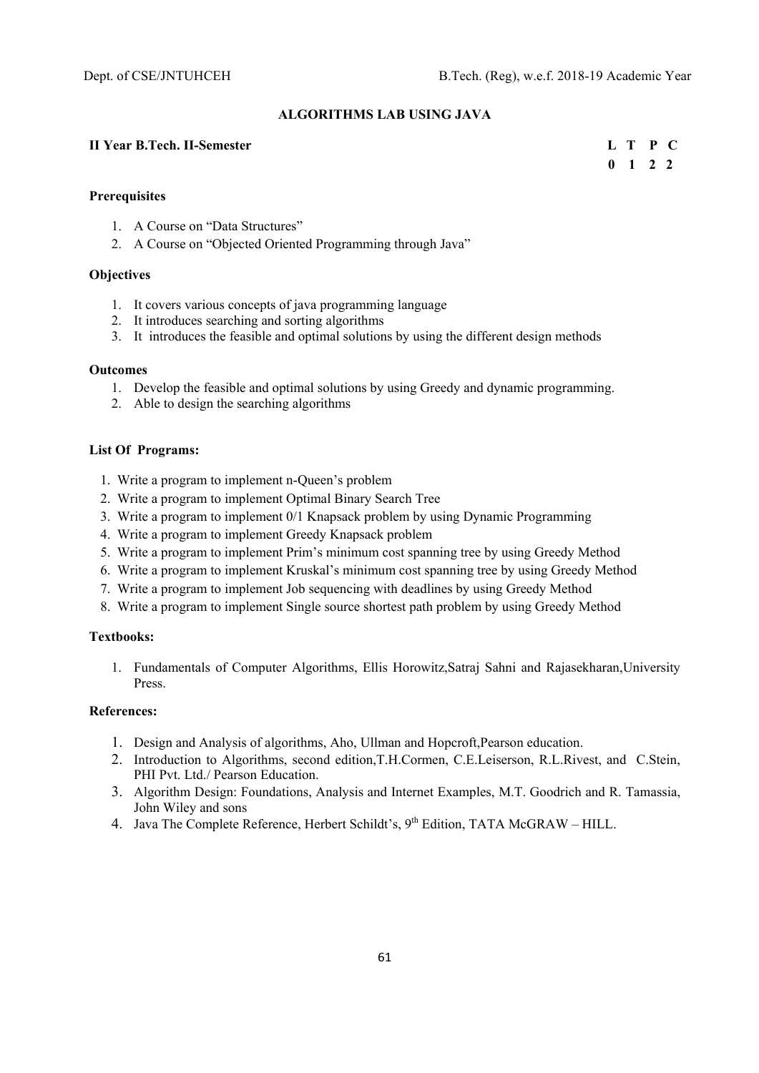#### **ALGORITHMS LAB USING JAVA**

### **II Year B.Tech. II-Semester L T P C**

 **0 1 2 2** 

#### **Prerequisites**

- 1. A Course on "Data Structures"
- 2. A Course on "Objected Oriented Programming through Java"

### **Objectives**

- 1. It covers various concepts of java programming language
- 2. It introduces searching and sorting algorithms
- 3. It introduces the feasible and optimal solutions by using the different design methods

#### **Outcomes**

- 1. Develop the feasible and optimal solutions by using Greedy and dynamic programming.
- 2. Able to design the searching algorithms

#### **List Of Programs:**

- 1. Write a program to implement n-Queen's problem
- 2. Write a program to implement Optimal Binary Search Tree
- 3. Write a program to implement 0/1 Knapsack problem by using Dynamic Programming
- 4. Write a program to implement Greedy Knapsack problem
- 5. Write a program to implement Prim's minimum cost spanning tree by using Greedy Method
- 6. Write a program to implement Kruskal's minimum cost spanning tree by using Greedy Method
- 7. Write a program to implement Job sequencing with deadlines by using Greedy Method
- 8. Write a program to implement Single source shortest path problem by using Greedy Method

### **Textbooks:**

1. Fundamentals of Computer Algorithms, Ellis Horowitz,Satraj Sahni and Rajasekharan,University Press.

- 1. Design and Analysis of algorithms, Aho, Ullman and Hopcroft,Pearson education.
- 2. Introduction to Algorithms, second edition,T.H.Cormen, C.E.Leiserson, R.L.Rivest, and C.Stein, PHI Pvt. Ltd./ Pearson Education.
- 3. Algorithm Design: Foundations, Analysis and Internet Examples, M.T. Goodrich and R. Tamassia, John Wiley and sons
- 4. Java The Complete Reference, Herbert Schildt's, 9<sup>th</sup> Edition, TATA McGRAW HILL.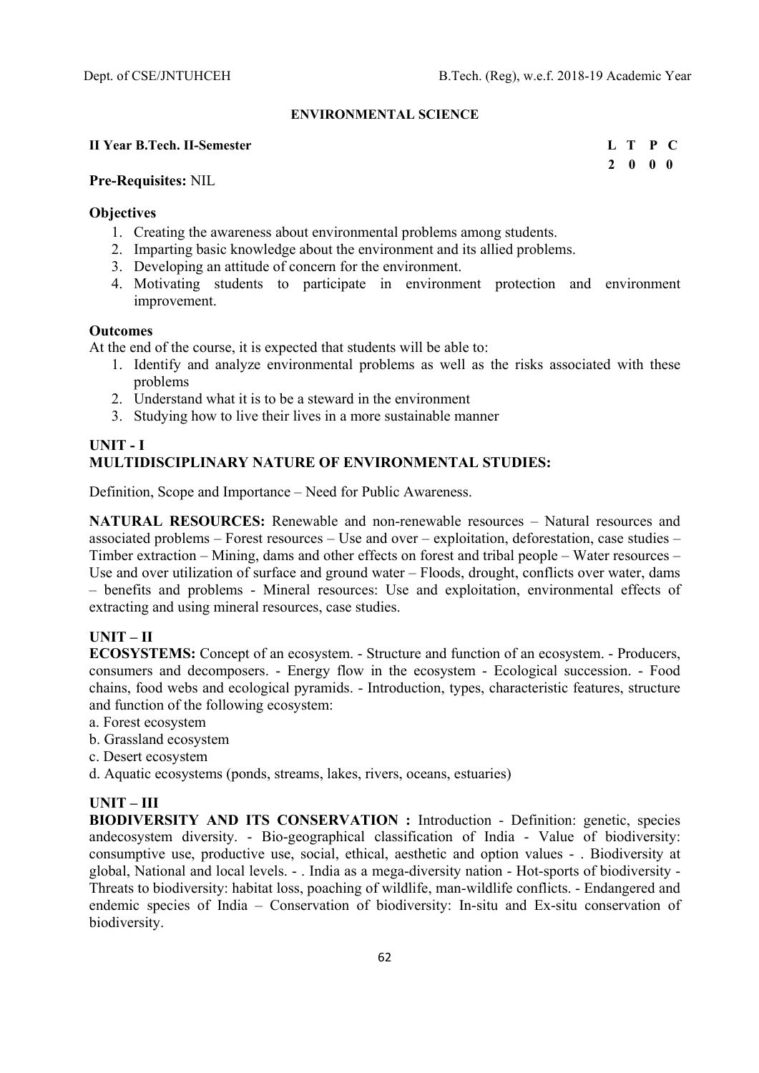### **ENVIRONMENTAL SCIENCE**

### **II Year B.Tech. II-Semester L T P C**

 **2 0 0 0** 

### **Pre-Requisites:** NIL

### **Objectives**

- 1. Creating the awareness about environmental problems among students.
- 2. Imparting basic knowledge about the environment and its allied problems.
- 3. Developing an attitude of concern for the environment.
- 4. Motivating students to participate in environment protection and environment improvement.

#### **Outcomes**

At the end of the course, it is expected that students will be able to:

- 1. Identify and analyze environmental problems as well as the risks associated with these problems
- 2. Understand what it is to be a steward in the environment
- 3. Studying how to live their lives in a more sustainable manner

# **UNIT - I MULTIDISCIPLINARY NATURE OF ENVIRONMENTAL STUDIES:**

Definition, Scope and Importance – Need for Public Awareness.

**NATURAL RESOURCES:** Renewable and non-renewable resources – Natural resources and associated problems – Forest resources – Use and over – exploitation, deforestation, case studies – Timber extraction – Mining, dams and other effects on forest and tribal people – Water resources – Use and over utilization of surface and ground water – Floods, drought, conflicts over water, dams – benefits and problems - Mineral resources: Use and exploitation, environmental effects of extracting and using mineral resources, case studies.

## **UNIT – II**

**ECOSYSTEMS:** Concept of an ecosystem. - Structure and function of an ecosystem. - Producers, consumers and decomposers. - Energy flow in the ecosystem - Ecological succession. - Food chains, food webs and ecological pyramids. - Introduction, types, characteristic features, structure and function of the following ecosystem:

- a. Forest ecosystem
- b. Grassland ecosystem
- c. Desert ecosystem
- d. Aquatic ecosystems (ponds, streams, lakes, rivers, oceans, estuaries)

# **UNIT – III**

**BIODIVERSITY AND ITS CONSERVATION :** Introduction - Definition: genetic, species andecosystem diversity. - Bio-geographical classification of India - Value of biodiversity: consumptive use, productive use, social, ethical, aesthetic and option values - . Biodiversity at global, National and local levels. - . India as a mega-diversity nation - Hot-sports of biodiversity - Threats to biodiversity: habitat loss, poaching of wildlife, man-wildlife conflicts. - Endangered and endemic species of India – Conservation of biodiversity: In-situ and Ex-situ conservation of biodiversity.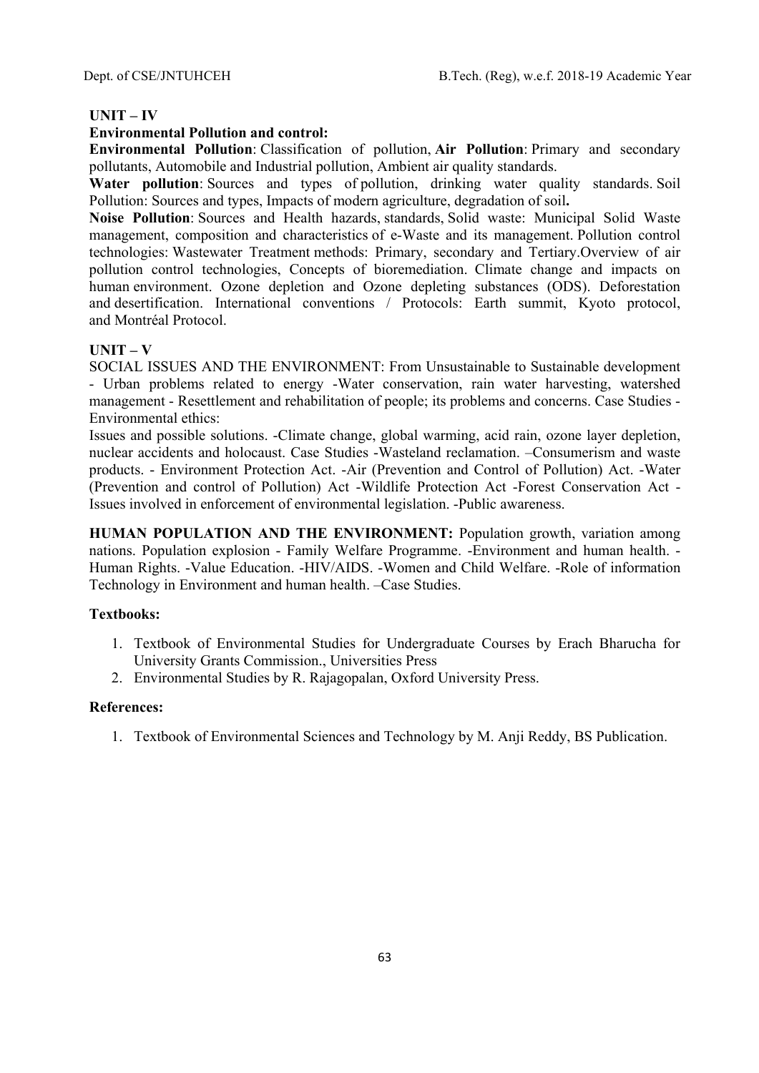# **UNIT – IV**

# **Environmental Pollution and control:**

**Environmental Pollution**: Classification of pollution, **Air Pollution**: Primary and secondary pollutants, Automobile and Industrial pollution, Ambient air quality standards.

Water pollution: Sources and types of pollution, drinking water quality standards. Soil Pollution: Sources and types, Impacts of modern agriculture, degradation of soil**.** 

**Noise Pollution**: Sources and Health hazards, standards, Solid waste: Municipal Solid Waste management, composition and characteristics of e-Waste and its management. Pollution control technologies: Wastewater Treatment methods: Primary, secondary and Tertiary.Overview of air pollution control technologies, Concepts of bioremediation. Climate change and impacts on human environment. Ozone depletion and Ozone depleting substances (ODS). Deforestation and desertification. International conventions / Protocols: Earth summit, Kyoto protocol, and Montréal Protocol.

# **UNIT – V**

SOCIAL ISSUES AND THE ENVIRONMENT: From Unsustainable to Sustainable development - Urban problems related to energy -Water conservation, rain water harvesting, watershed management - Resettlement and rehabilitation of people; its problems and concerns. Case Studies - Environmental ethics:

Issues and possible solutions. -Climate change, global warming, acid rain, ozone layer depletion, nuclear accidents and holocaust. Case Studies -Wasteland reclamation. –Consumerism and waste products. - Environment Protection Act. -Air (Prevention and Control of Pollution) Act. -Water (Prevention and control of Pollution) Act -Wildlife Protection Act -Forest Conservation Act - Issues involved in enforcement of environmental legislation. -Public awareness.

**HUMAN POPULATION AND THE ENVIRONMENT:** Population growth, variation among nations. Population explosion - Family Welfare Programme. -Environment and human health. - Human Rights. -Value Education. -HIV/AIDS. -Women and Child Welfare. -Role of information Technology in Environment and human health. –Case Studies.

# **Textbooks:**

- 1. Textbook of Environmental Studies for Undergraduate Courses by Erach Bharucha for University Grants Commission., Universities Press
- 2. Environmental Studies by R. Rajagopalan, Oxford University Press.

# **References:**

1. Textbook of Environmental Sciences and Technology by M. Anji Reddy, BS Publication.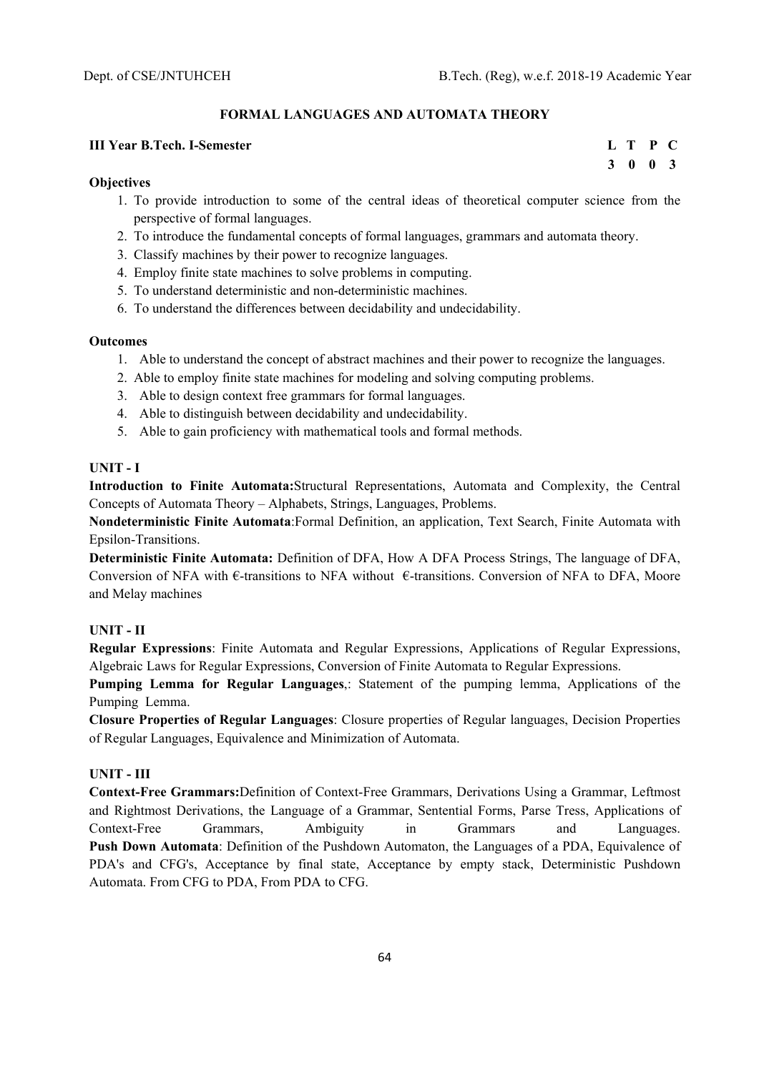### **FORMAL LANGUAGES AND AUTOMATA THEORY**

#### **III Year B.Tech. I-Semester L T P C**

#### **Objectives**

- 1. To provide introduction to some of the central ideas of theoretical computer science from the perspective of formal languages.
- 2. To introduce the fundamental concepts of formal languages, grammars and automata theory.
- 3. Classify machines by their power to recognize languages.
- 4. Employ finite state machines to solve problems in computing.
- 5. To understand deterministic and non-deterministic machines.
- 6. To understand the differences between decidability and undecidability.

### **Outcomes**

- 1. Able to understand the concept of abstract machines and their power to recognize the languages.
- 2. Able to employ finite state machines for modeling and solving computing problems.
- 3. Able to design context free grammars for formal languages.
- 4. Able to distinguish between decidability and undecidability.
- 5. Able to gain proficiency with mathematical tools and formal methods.

# **UNIT - I**

**Introduction to Finite Automata:**Structural Representations, Automata and Complexity, the Central Concepts of Automata Theory – Alphabets, Strings, Languages, Problems.

**Nondeterministic Finite Automata**:Formal Definition, an application, Text Search, Finite Automata with Epsilon-Transitions.

**Deterministic Finite Automata:** Definition of DFA, How A DFA Process Strings, The language of DFA, Conversion of NFA with  $\epsilon$ -transitions to NFA without  $\epsilon$ -transitions. Conversion of NFA to DFA, Moore and Melay machines

#### **UNIT - II**

**Regular Expressions**: Finite Automata and Regular Expressions, Applications of Regular Expressions, Algebraic Laws for Regular Expressions, Conversion of Finite Automata to Regular Expressions.

**Pumping Lemma for Regular Languages**,: Statement of the pumping lemma, Applications of the Pumping Lemma.

**Closure Properties of Regular Languages**: Closure properties of Regular languages, Decision Properties of Regular Languages, Equivalence and Minimization of Automata.

### **UNIT - III**

**Context-Free Grammars:**Definition of Context-Free Grammars, Derivations Using a Grammar, Leftmost and Rightmost Derivations, the Language of a Grammar, Sentential Forms, Parse Tress, Applications of Context-Free Grammars, Ambiguity in Grammars and Languages. **Push Down Automata**: Definition of the Pushdown Automaton, the Languages of a PDA, Equivalence of PDA's and CFG's, Acceptance by final state, Acceptance by empty stack, Deterministic Pushdown Automata. From CFG to PDA, From PDA to CFG.

 **3 0 0 3**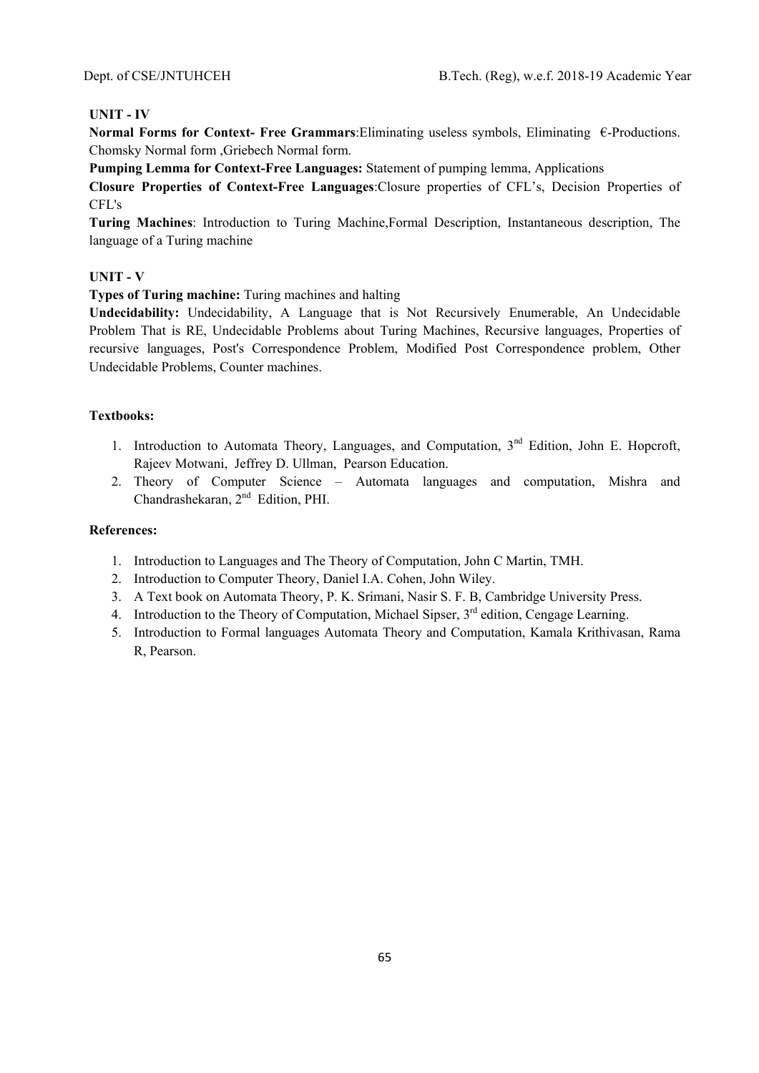### **UNIT - IV**

**Normal Forms for Context- Free Grammars**:Eliminating useless symbols, Eliminating €-Productions. Chomsky Normal form ,Griebech Normal form.

**Pumping Lemma for Context-Free Languages:** Statement of pumping lemma, Applications

**Closure Properties of Context-Free Languages**:Closure properties of CFL's, Decision Properties of CFL's

**Turing Machines**: Introduction to Turing Machine,Formal Description, Instantaneous description, The language of a Turing machine

### **UNIT - V**

**Types of Turing machine:** Turing machines and halting

**Undecidability:** Undecidability, A Language that is Not Recursively Enumerable, An Undecidable Problem That is RE, Undecidable Problems about Turing Machines, Recursive languages, Properties of recursive languages, Post's Correspondence Problem, Modified Post Correspondence problem, Other Undecidable Problems, Counter machines.

## **Textbooks:**

- 1. Introduction to Automata Theory, Languages, and Computation, 3<sup>nd</sup> Edition, John E. Hopcroft, Rajeev Motwani, Jeffrey D. Ullman, Pearson Education.
- 2. Theory of Computer Science Automata languages and computation, Mishra and Chandrashekaran, 2<sup>nd</sup> Edition, PHI.

- 1. Introduction to Languages and The Theory of Computation, John C Martin, TMH.
- 2. Introduction to Computer Theory, Daniel I.A. Cohen, John Wiley.
- 3. A Text book on Automata Theory, P. K. Srimani, Nasir S. F. B, Cambridge University Press.
- 4. Introduction to the Theory of Computation, Michael Sipser,  $3<sup>rd</sup>$  edition, Cengage Learning.
- 5. Introduction to Formal languages Automata Theory and Computation, Kamala Krithivasan, Rama R, Pearson.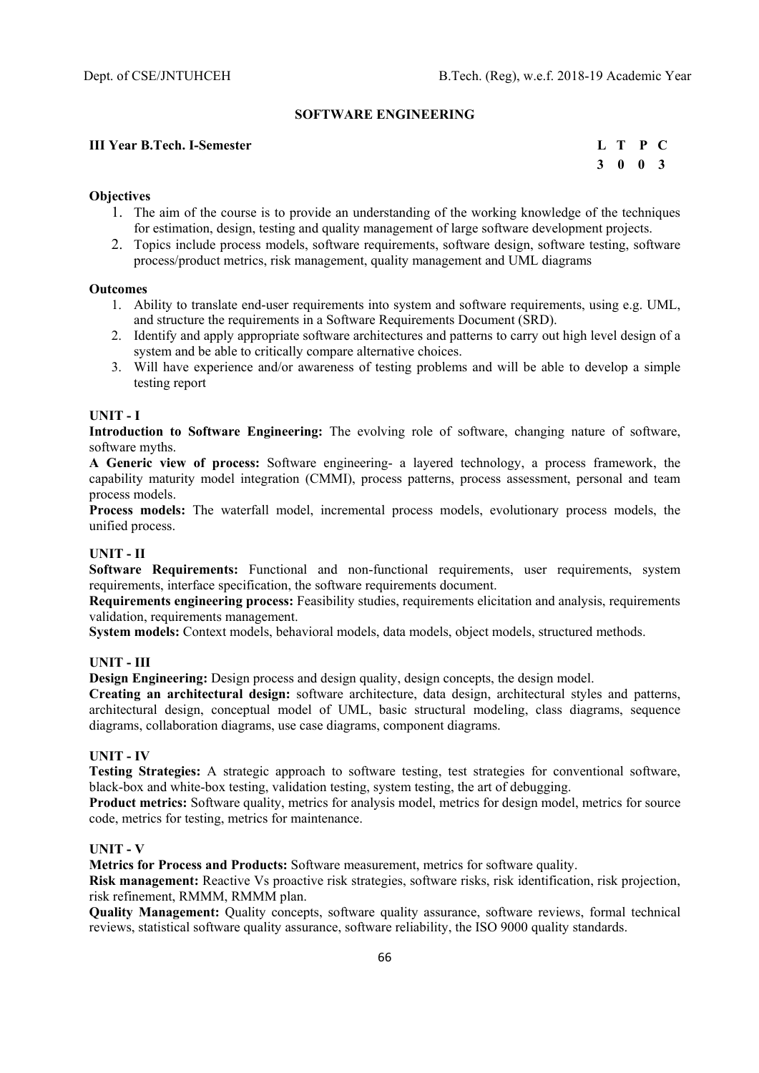#### **SOFTWARE ENGINEERING**

### **III Year B.Tech. I-Semester**

| L T P C                     |  |
|-----------------------------|--|
| $3 \quad 0 \quad 0 \quad 3$ |  |

#### **Objectives**

- 1. The aim of the course is to provide an understanding of the working knowledge of the techniques for estimation, design, testing and quality management of large software development projects.
- 2. Topics include process models, software requirements, software design, software testing, software process/product metrics, risk management, quality management and UML diagrams

#### **Outcomes**

- 1. Ability to translate end-user requirements into system and software requirements, using e.g. UML, and structure the requirements in a Software Requirements Document (SRD).
- 2. Identify and apply appropriate software architectures and patterns to carry out high level design of a system and be able to critically compare alternative choices.
- 3. Will have experience and/or awareness of testing problems and will be able to develop a simple testing report

### **UNIT - I**

**Introduction to Software Engineering:** The evolving role of software, changing nature of software, software myths.

**A Generic view of process:** Software engineering- a layered technology, a process framework, the capability maturity model integration (CMMI), process patterns, process assessment, personal and team process models.

**Process models:** The waterfall model, incremental process models, evolutionary process models, the unified process.

### **UNIT - II**

**Software Requirements:** Functional and non-functional requirements, user requirements, system requirements, interface specification, the software requirements document.

**Requirements engineering process:** Feasibility studies, requirements elicitation and analysis, requirements validation, requirements management.

**System models:** Context models, behavioral models, data models, object models, structured methods.

### **UNIT - III**

**Design Engineering:** Design process and design quality, design concepts, the design model.

**Creating an architectural design:** software architecture, data design, architectural styles and patterns, architectural design, conceptual model of UML, basic structural modeling, class diagrams, sequence diagrams, collaboration diagrams, use case diagrams, component diagrams.

#### **UNIT - IV**

**Testing Strategies:** A strategic approach to software testing, test strategies for conventional software, black-box and white-box testing, validation testing, system testing, the art of debugging.

**Product metrics:** Software quality, metrics for analysis model, metrics for design model, metrics for source code, metrics for testing, metrics for maintenance.

#### **UNIT - V**

**Metrics for Process and Products:** Software measurement, metrics for software quality.

**Risk management:** Reactive Vs proactive risk strategies, software risks, risk identification, risk projection, risk refinement, RMMM, RMMM plan.

**Quality Management:** Quality concepts, software quality assurance, software reviews, formal technical reviews, statistical software quality assurance, software reliability, the ISO 9000 quality standards.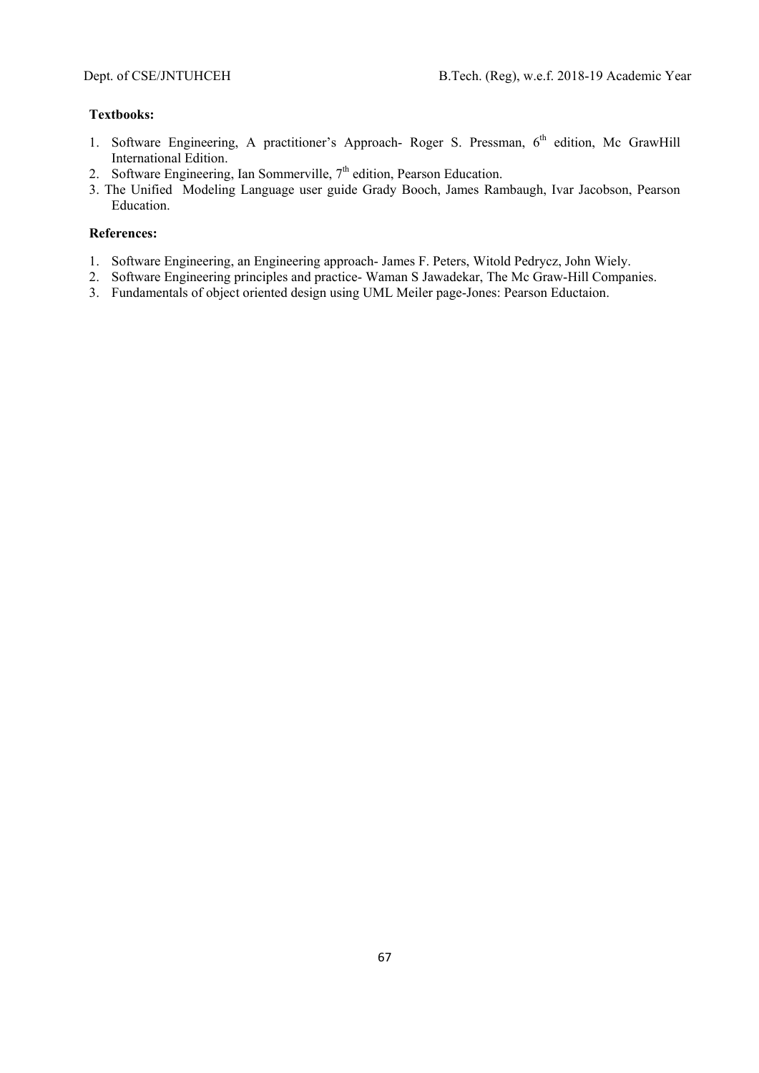### **Textbooks:**

- 1. Software Engineering, A practitioner's Approach- Roger S. Pressman, 6<sup>th</sup> edition, Mc GrawHill International Edition.
- 2. Software Engineering, Ian Sommerville,  $7<sup>th</sup>$  edition, Pearson Education.
- 3. The Unified Modeling Language user guide Grady Booch, James Rambaugh, Ivar Jacobson, Pearson Education.

- 1. Software Engineering, an Engineering approach- James F. Peters, Witold Pedrycz, John Wiely.
- 2. Software Engineering principles and practice- Waman S Jawadekar, The Mc Graw-Hill Companies.
- 3. Fundamentals of object oriented design using UML Meiler page-Jones: Pearson Eductaion.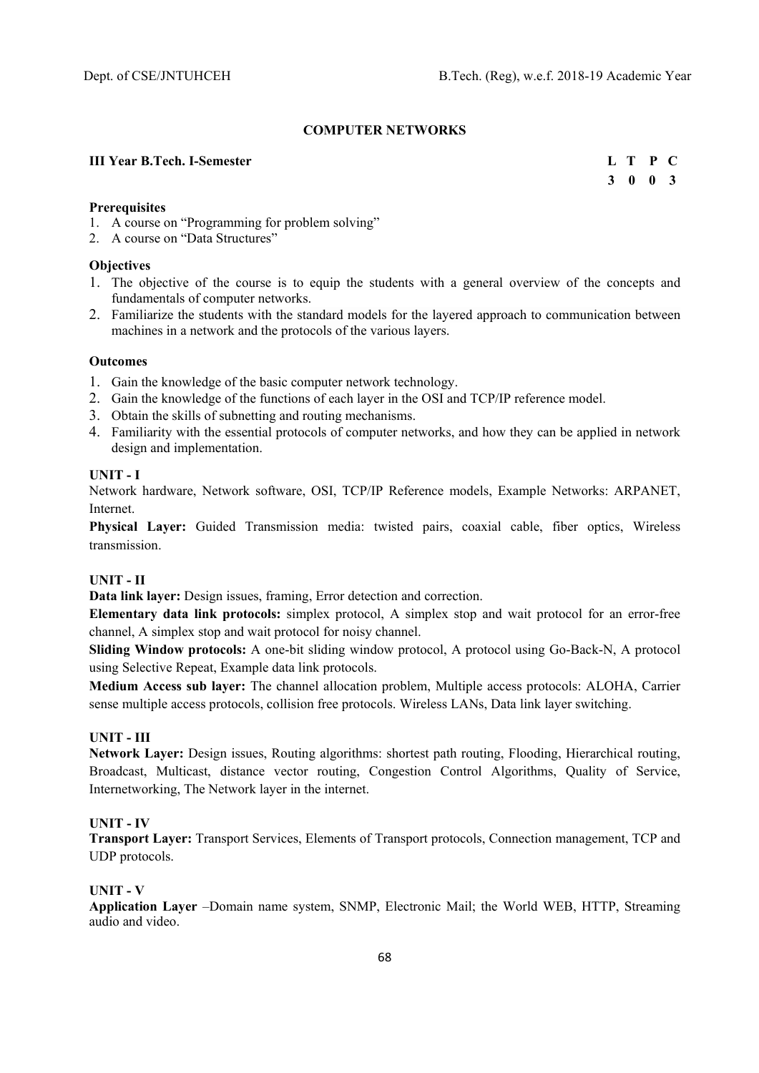## **COMPUTER NETWORKS**

### **III Year B.Tech. I-Semester** L T P C

 **3 0 0 3** 

### **Prerequisites**

- 1. A course on "Programming for problem solving"
- 2. A course on "Data Structures"

## **Objectives**

- 1. The objective of the course is to equip the students with a general overview of the concepts and fundamentals of computer networks.
- 2. Familiarize the students with the standard models for the layered approach to communication between machines in a network and the protocols of the various layers.

### **Outcomes**

- 1. Gain the knowledge of the basic computer network technology.
- 2. Gain the knowledge of the functions of each layer in the OSI and TCP/IP reference model.
- 3. Obtain the skills of subnetting and routing mechanisms.
- 4. Familiarity with the essential protocols of computer networks, and how they can be applied in network design and implementation.

### **UNIT - I**

Network hardware, Network software, OSI, TCP/IP Reference models, Example Networks: ARPANET, Internet.

**Physical Layer:** Guided Transmission media: twisted pairs, coaxial cable, fiber optics, Wireless transmission.

## **UNIT - II**

**Data link layer:** Design issues, framing, Error detection and correction.

**Elementary data link protocols:** simplex protocol, A simplex stop and wait protocol for an error-free channel, A simplex stop and wait protocol for noisy channel.

**Sliding Window protocols:** A one-bit sliding window protocol, A protocol using Go-Back-N, A protocol using Selective Repeat, Example data link protocols.

**Medium Access sub layer:** The channel allocation problem, Multiple access protocols: ALOHA, Carrier sense multiple access protocols, collision free protocols. Wireless LANs, Data link layer switching.

## **UNIT - III**

**Network Layer:** Design issues, Routing algorithms: shortest path routing, Flooding, Hierarchical routing, Broadcast, Multicast, distance vector routing, Congestion Control Algorithms, Quality of Service, Internetworking, The Network layer in the internet.

## **UNIT - IV**

**Transport Layer:** Transport Services, Elements of Transport protocols, Connection management, TCP and UDP protocols.

#### **UNIT - V**

**Application Layer** –Domain name system, SNMP, Electronic Mail; the World WEB, HTTP, Streaming audio and video.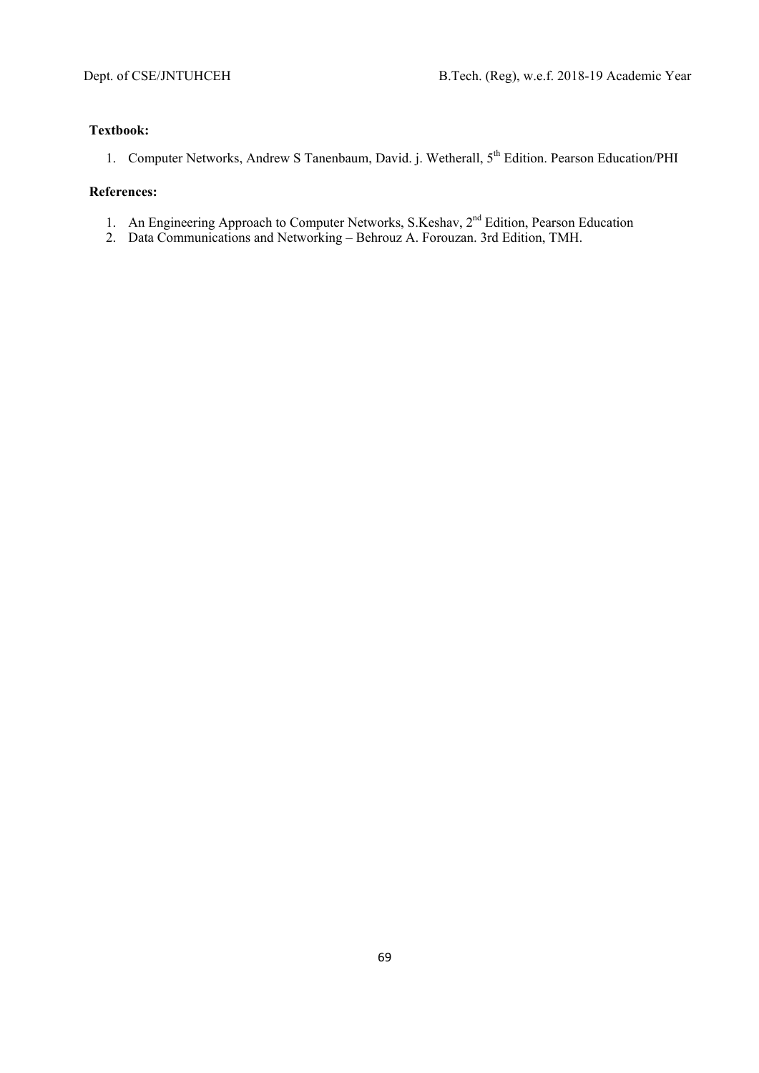### **Textbook:**

1. Computer Networks, Andrew S Tanenbaum, David. j. Wetherall, 5<sup>th</sup> Edition. Pearson Education/PHI

- 1. An Engineering Approach to Computer Networks, S.Keshav, 2<sup>nd</sup> Edition, Pearson Education
- 2. Data Communications and Networking Behrouz A. Forouzan. 3rd Edition, TMH.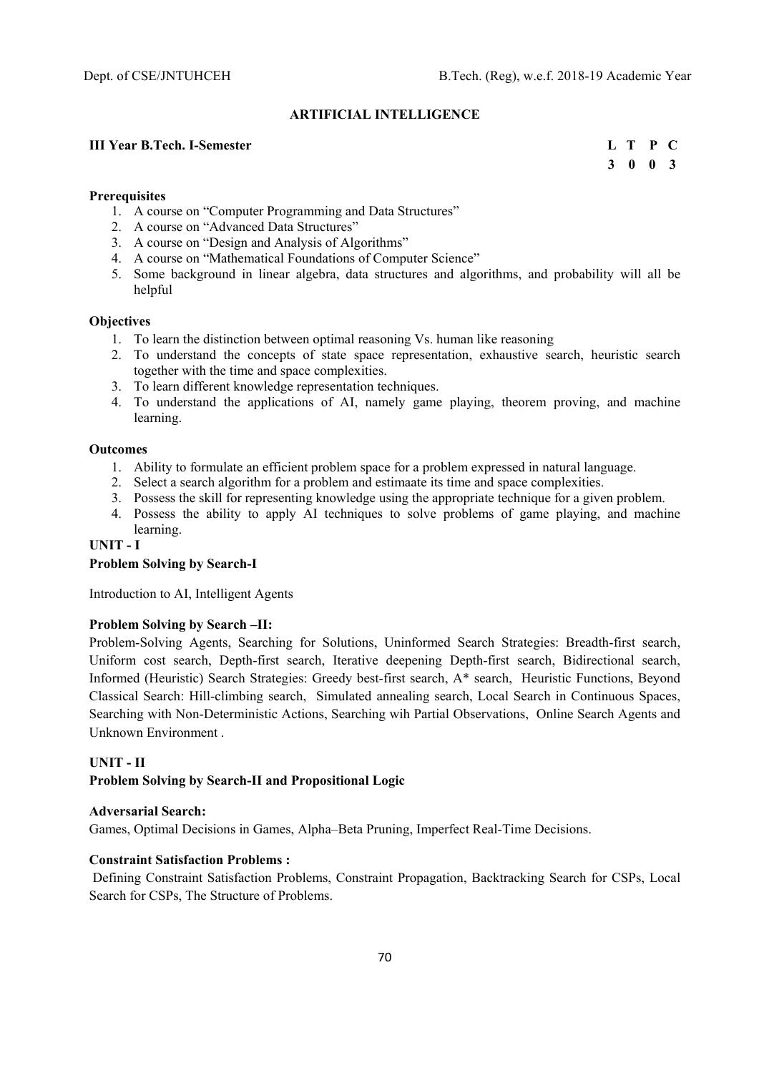### **ARTIFICIAL INTELLIGENCE**

### **III Year B.Tech. I-Semester L T P C**

 **3 0 0 3** 

#### **Prerequisites**

- 1. A course on "Computer Programming and Data Structures"
- 2. A course on "Advanced Data Structures"
- 3. A course on "Design and Analysis of Algorithms"
- 4. A course on "Mathematical Foundations of Computer Science"
- 5. Some background in linear algebra, data structures and algorithms, and probability will all be helpful

#### **Objectives**

- 1. To learn the distinction between optimal reasoning Vs. human like reasoning
- 2. To understand the concepts of state space representation, exhaustive search, heuristic search together with the time and space complexities.
- 3. To learn different knowledge representation techniques.
- 4. To understand the applications of AI, namely game playing, theorem proving, and machine learning.

#### **Outcomes**

- 1. Ability to formulate an efficient problem space for a problem expressed in natural language.
- 2. Select a search algorithm for a problem and estimaate its time and space complexities.
- 3. Possess the skill for representing knowledge using the appropriate technique for a given problem.
- 4. Possess the ability to apply AI techniques to solve problems of game playing, and machine learning.

# **UNIT - I**

#### **Problem Solving by Search-I**

Introduction to AI, Intelligent Agents

#### **Problem Solving by Search –II:**

Problem-Solving Agents, Searching for Solutions, Uninformed Search Strategies: Breadth-first search, Uniform cost search, Depth-first search, Iterative deepening Depth-first search, Bidirectional search, Informed (Heuristic) Search Strategies: Greedy best-first search, A\* search, Heuristic Functions, Beyond Classical Search: Hill-climbing search, Simulated annealing search, Local Search in Continuous Spaces, Searching with Non-Deterministic Actions, Searching wih Partial Observations, Online Search Agents and Unknown Environment .

### **UNIT - II**

# **Problem Solving by Search-II and Propositional Logic**

# **Adversarial Search:**

Games, Optimal Decisions in Games, Alpha–Beta Pruning, Imperfect Real-Time Decisions.

# **Constraint Satisfaction Problems :**

 Defining Constraint Satisfaction Problems, Constraint Propagation, Backtracking Search for CSPs, Local Search for CSPs, The Structure of Problems.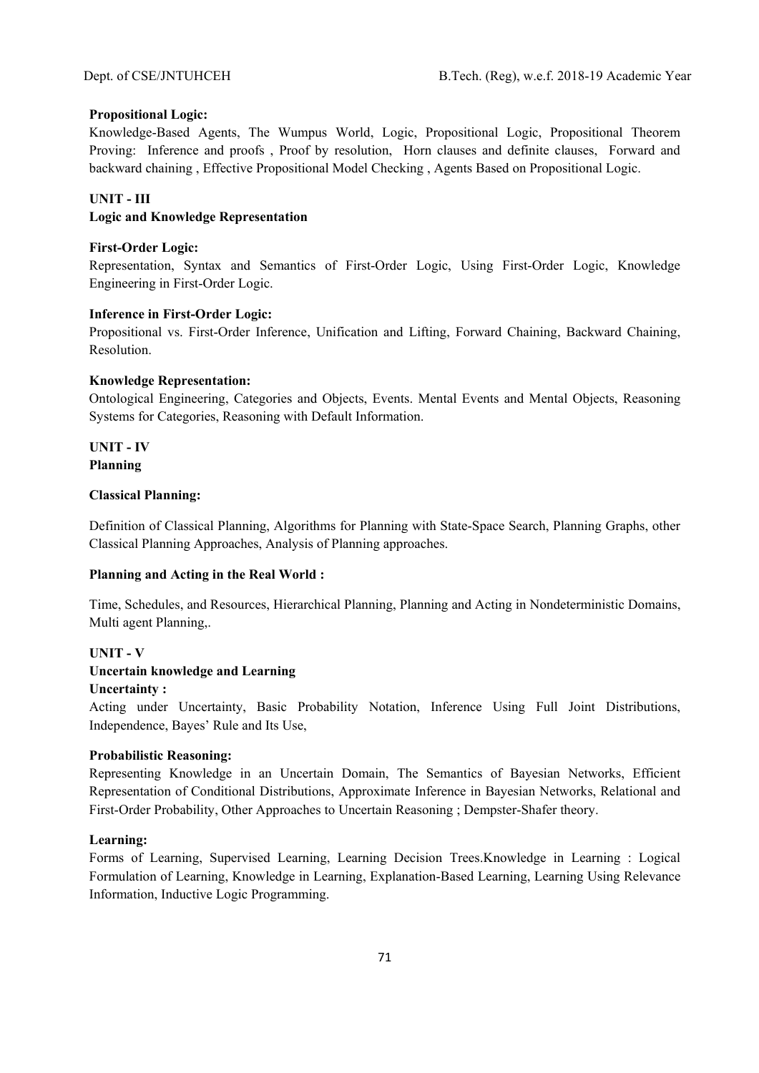### **Propositional Logic:**

Knowledge-Based Agents, The Wumpus World, Logic, Propositional Logic, Propositional Theorem Proving: Inference and proofs , Proof by resolution, Horn clauses and definite clauses, Forward and backward chaining , Effective Propositional Model Checking , Agents Based on Propositional Logic.

### **UNIT - III**

#### **Logic and Knowledge Representation**

## **First-Order Logic:**

Representation, Syntax and Semantics of First-Order Logic, Using First-Order Logic, Knowledge Engineering in First-Order Logic.

#### **Inference in First-Order Logic:**

Propositional vs. First-Order Inference, Unification and Lifting, Forward Chaining, Backward Chaining, Resolution.

### **Knowledge Representation:**

Ontological Engineering, Categories and Objects, Events. Mental Events and Mental Objects, Reasoning Systems for Categories, Reasoning with Default Information.

## **UNIT - IV Planning**

## **Classical Planning:**

Definition of Classical Planning, Algorithms for Planning with State-Space Search, Planning Graphs, other Classical Planning Approaches, Analysis of Planning approaches.

#### **Planning and Acting in the Real World :**

Time, Schedules, and Resources, Hierarchical Planning, Planning and Acting in Nondeterministic Domains, Multi agent Planning,.

## **UNIT - V**

### **Uncertain knowledge and Learning**

#### **Uncertainty :**

Acting under Uncertainty, Basic Probability Notation, Inference Using Full Joint Distributions, Independence, Bayes' Rule and Its Use,

#### **Probabilistic Reasoning:**

Representing Knowledge in an Uncertain Domain, The Semantics of Bayesian Networks, Efficient Representation of Conditional Distributions, Approximate Inference in Bayesian Networks, Relational and First-Order Probability, Other Approaches to Uncertain Reasoning ; Dempster-Shafer theory.

#### **Learning:**

Forms of Learning, Supervised Learning, Learning Decision Trees.Knowledge in Learning : Logical Formulation of Learning, Knowledge in Learning, Explanation-Based Learning, Learning Using Relevance Information, Inductive Logic Programming.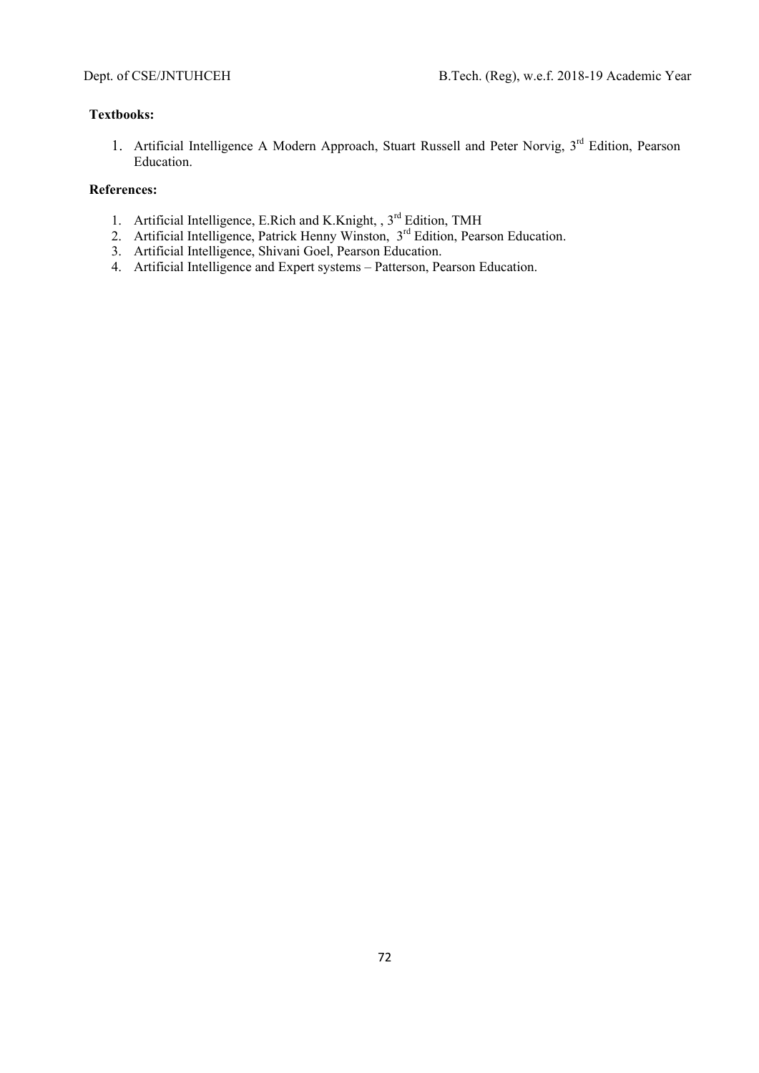## **Textbooks:**

1. Artificial Intelligence A Modern Approach, Stuart Russell and Peter Norvig, 3<sup>rd</sup> Edition, Pearson Education.

- 1. Artificial Intelligence, E.Rich and K.Knight, , 3<sup>rd</sup> Edition, TMH
- 2. Artificial Intelligence, Patrick Henny Winston, 3<sup>rd</sup> Edition, Pearson Education.
- 3. Artificial Intelligence, Shivani Goel, Pearson Education.
- 4. Artificial Intelligence and Expert systems Patterson, Pearson Education.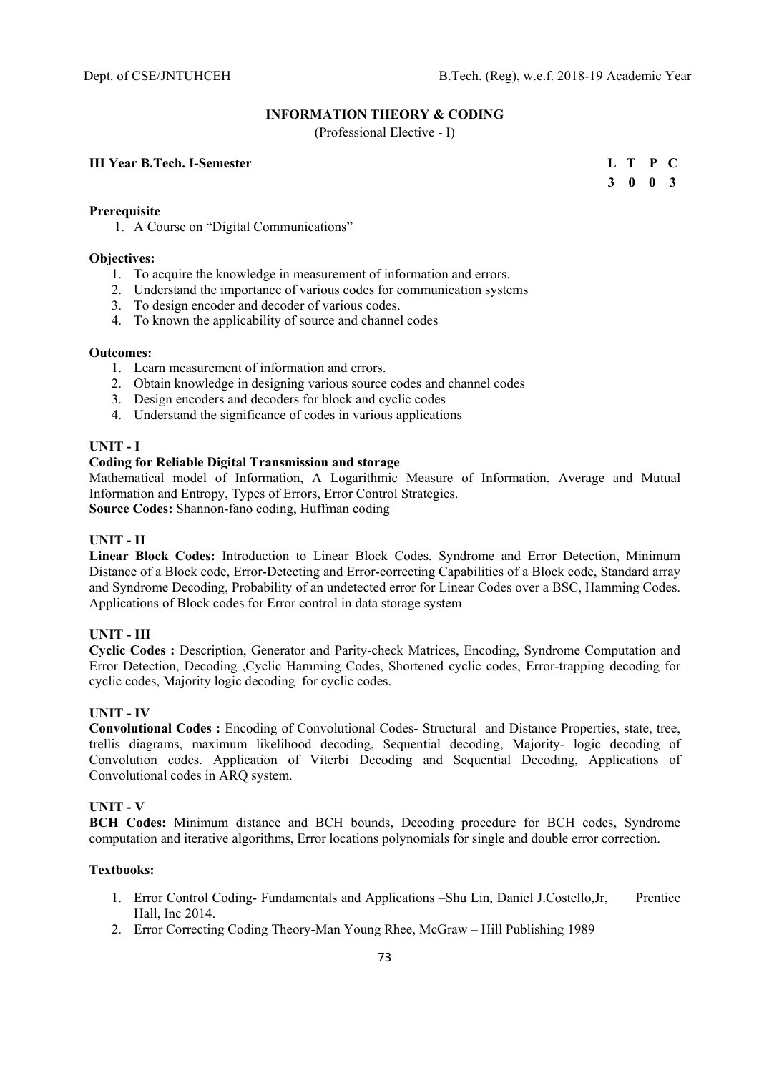# **INFORMATION THEORY & CODING**

(Professional Elective - I)

# **III Year B.Tech. I-Semester**

|  | L T P C         |  |
|--|-----------------|--|
|  | $3 \t0 \t0 \t3$ |  |

## **Prerequisite**

1. A Course on "Digital Communications"

## **Objectives:**

- 1. To acquire the knowledge in measurement of information and errors.
- 2. Understand the importance of various codes for communication systems
- 3. To design encoder and decoder of various codes.
- 4. To known the applicability of source and channel codes

### **Outcomes:**

- 1. Learn measurement of information and errors.
- 2. Obtain knowledge in designing various source codes and channel codes
- 3. Design encoders and decoders for block and cyclic codes
- 4. Understand the significance of codes in various applications

# **UNIT - I**

## **Coding for Reliable Digital Transmission and storage**

Mathematical model of Information, A Logarithmic Measure of Information, Average and Mutual Information and Entropy, Types of Errors, Error Control Strategies.

**Source Codes:** Shannon-fano coding, Huffman coding

# **UNIT - II**

**Linear Block Codes:** Introduction to Linear Block Codes, Syndrome and Error Detection, Minimum Distance of a Block code, Error-Detecting and Error-correcting Capabilities of a Block code, Standard array and Syndrome Decoding, Probability of an undetected error for Linear Codes over a BSC, Hamming Codes. Applications of Block codes for Error control in data storage system

# **UNIT - III**

**Cyclic Codes :** Description, Generator and Parity-check Matrices, Encoding, Syndrome Computation and Error Detection, Decoding ,Cyclic Hamming Codes, Shortened cyclic codes, Error-trapping decoding for cyclic codes, Majority logic decoding for cyclic codes.

# **UNIT - IV**

**Convolutional Codes :** Encoding of Convolutional Codes- Structural and Distance Properties, state, tree, trellis diagrams, maximum likelihood decoding, Sequential decoding, Majority- logic decoding of Convolution codes. Application of Viterbi Decoding and Sequential Decoding, Applications of Convolutional codes in ARQ system.

# **UNIT - V**

**BCH Codes:** Minimum distance and BCH bounds, Decoding procedure for BCH codes, Syndrome computation and iterative algorithms, Error locations polynomials for single and double error correction.

### **Textbooks:**

- 1. Error Control Coding- Fundamentals and Applications –Shu Lin, Daniel J.Costello,Jr, Prentice Hall, Inc 2014.
- 2. Error Correcting Coding Theory-Man Young Rhee, McGraw Hill Publishing 1989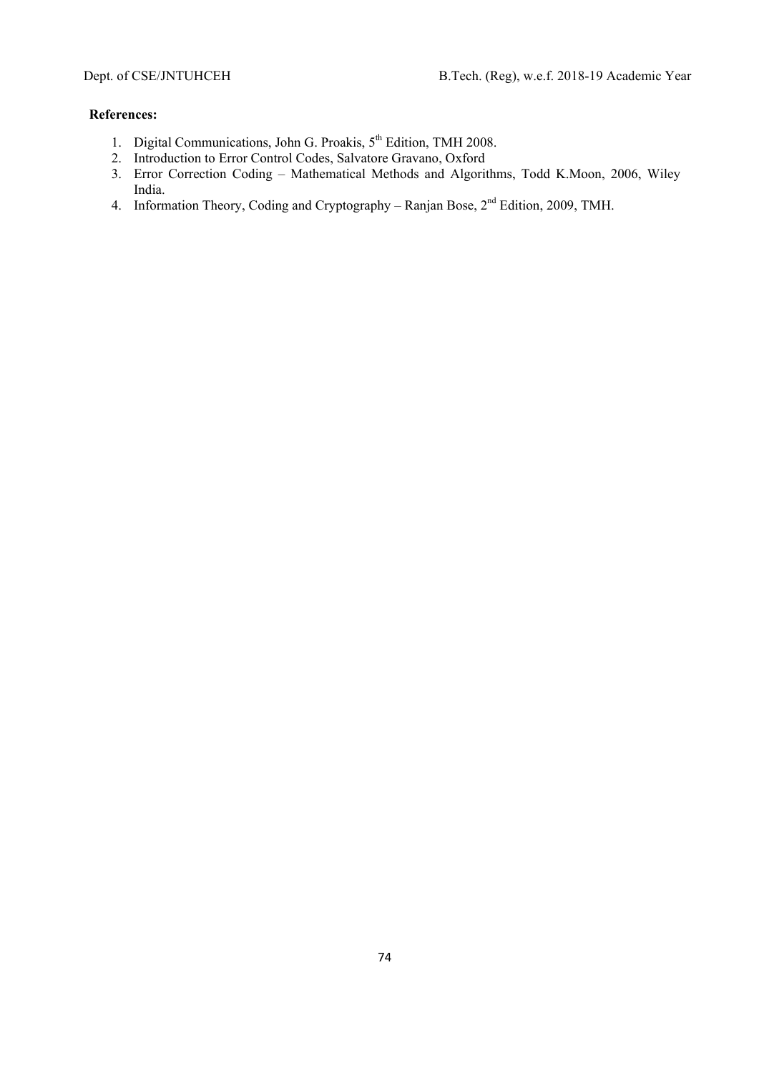- 1. Digital Communications, John G. Proakis, 5<sup>th</sup> Edition, TMH 2008.
- 2. Introduction to Error Control Codes, Salvatore Gravano, Oxford
- 3. Error Correction Coding Mathematical Methods and Algorithms, Todd K.Moon, 2006, Wiley India.
- 4. Information Theory, Coding and Cryptography Ranjan Bose, 2<sup>nd</sup> Edition, 2009, TMH.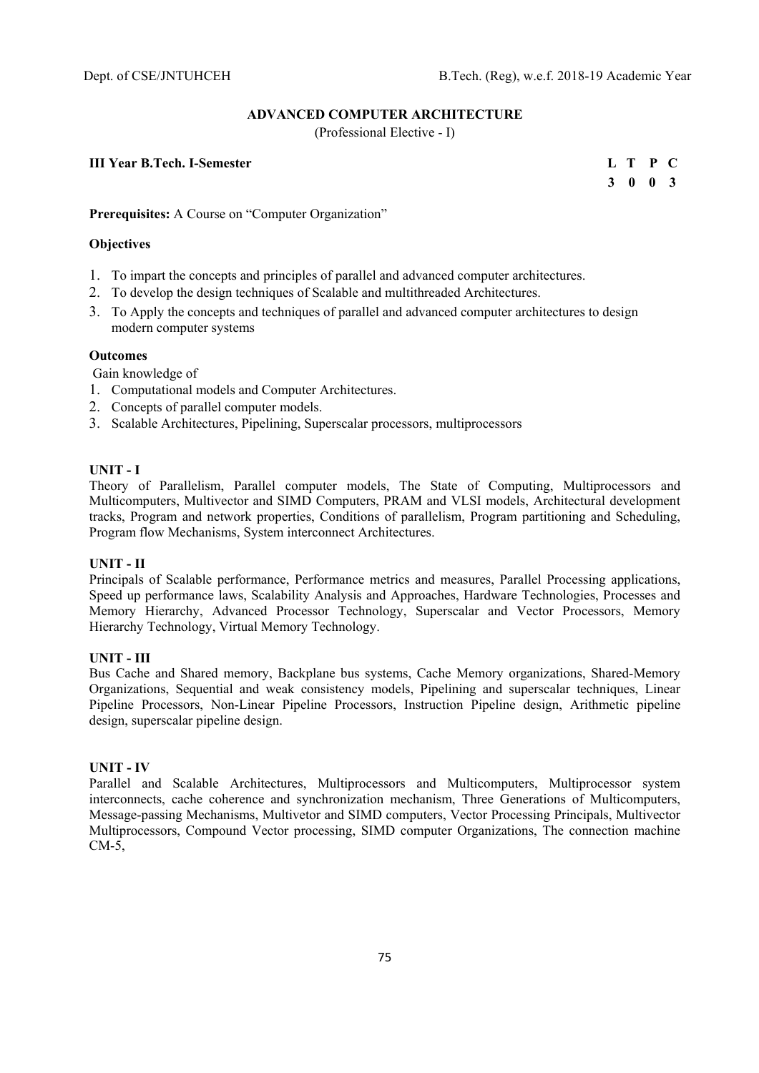## **ADVANCED COMPUTER ARCHITECTURE**

(Professional Elective - I)

# **III Year B.Tech. I-Semester**

|  | L T P C         |  |
|--|-----------------|--|
|  | $3 \t0 \t0 \t3$ |  |

**Prerequisites:** A Course on "Computer Organization"

# **Objectives**

- 1. To impart the concepts and principles of parallel and advanced computer architectures.
- 2. To develop the design techniques of Scalable and multithreaded Architectures.
- 3. To Apply the concepts and techniques of parallel and advanced computer architectures to design modern computer systems

# **Outcomes**

Gain knowledge of

- 1. Computational models and Computer Architectures.
- 2. Concepts of parallel computer models.
- 3. Scalable Architectures, Pipelining, Superscalar processors, multiprocessors

## **UNIT - I**

Theory of Parallelism, Parallel computer models, The State of Computing, Multiprocessors and Multicomputers, Multivector and SIMD Computers, PRAM and VLSI models, Architectural development tracks, Program and network properties, Conditions of parallelism, Program partitioning and Scheduling, Program flow Mechanisms, System interconnect Architectures.

## **UNIT - II**

Principals of Scalable performance, Performance metrics and measures, Parallel Processing applications, Speed up performance laws, Scalability Analysis and Approaches, Hardware Technologies, Processes and Memory Hierarchy, Advanced Processor Technology, Superscalar and Vector Processors, Memory Hierarchy Technology, Virtual Memory Technology.

### **UNIT - III**

Bus Cache and Shared memory, Backplane bus systems, Cache Memory organizations, Shared-Memory Organizations, Sequential and weak consistency models, Pipelining and superscalar techniques, Linear Pipeline Processors, Non-Linear Pipeline Processors, Instruction Pipeline design, Arithmetic pipeline design, superscalar pipeline design.

# **UNIT - IV**

Parallel and Scalable Architectures, Multiprocessors and Multicomputers, Multiprocessor system interconnects, cache coherence and synchronization mechanism, Three Generations of Multicomputers, Message-passing Mechanisms, Multivetor and SIMD computers, Vector Processing Principals, Multivector Multiprocessors, Compound Vector processing, SIMD computer Organizations, The connection machine  $CM-5$ ,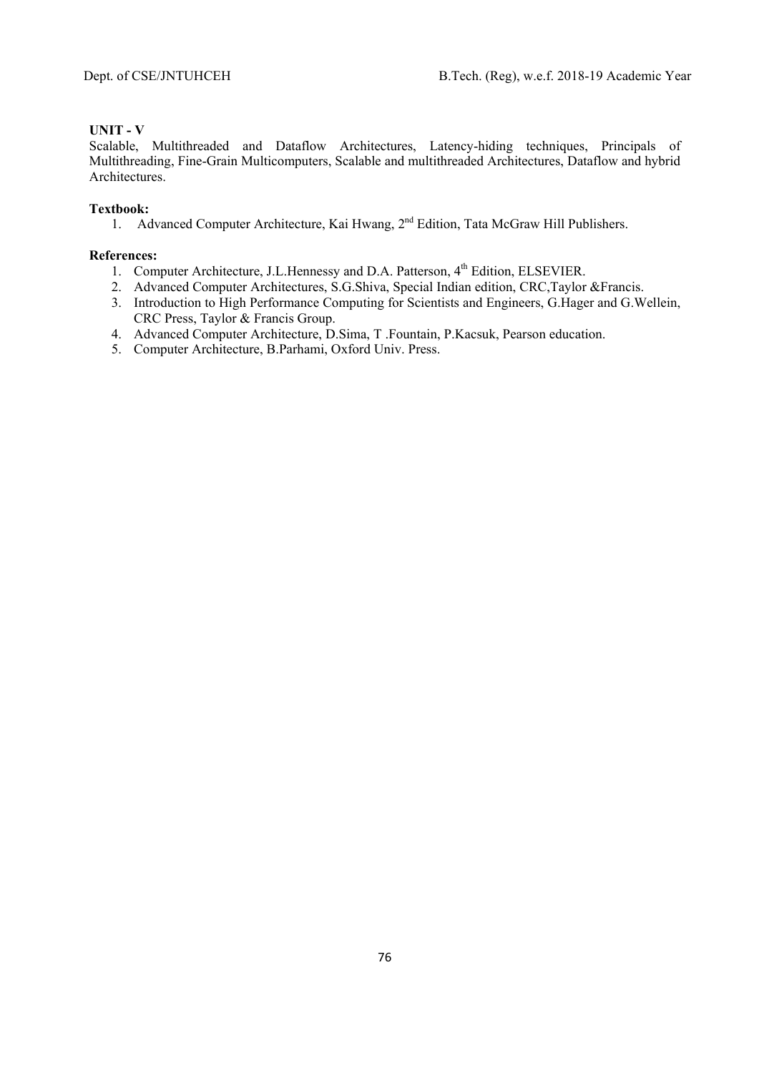# **UNIT - V**

Scalable, Multithreaded and Dataflow Architectures, Latency-hiding techniques, Principals of Multithreading, Fine-Grain Multicomputers, Scalable and multithreaded Architectures, Dataflow and hybrid Architectures.

# **Textbook:**

1. Advanced Computer Architecture, Kai Hwang, 2<sup>nd</sup> Edition, Tata McGraw Hill Publishers.

- 1. Computer Architecture, J.L.Hennessy and D.A. Patterson, 4<sup>th</sup> Edition, ELSEVIER.
- 2. Advanced Computer Architectures, S.G.Shiva, Special Indian edition, CRC,Taylor &Francis.
- 3. Introduction to High Performance Computing for Scientists and Engineers, G.Hager and G.Wellein, CRC Press, Taylor & Francis Group.
- 4. Advanced Computer Architecture, D.Sima, T .Fountain, P.Kacsuk, Pearson education.
- 5. Computer Architecture, B.Parhami, Oxford Univ. Press.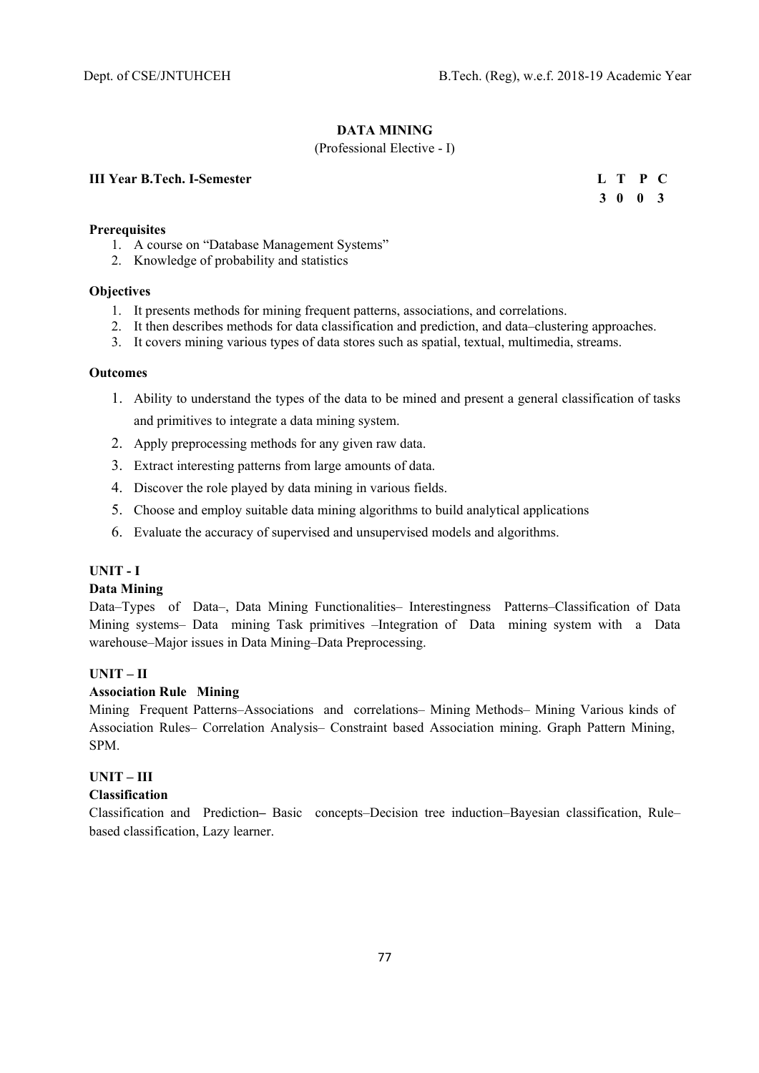**3 0 0 3** 

## **DATA MINING**

## (Professional Elective - I)

# **III Year B.Tech. I-Semester L T P C**

#### **Prerequisites**

- 1. A course on "Database Management Systems"
- 2. Knowledge of probability and statistics

#### **Objectives**

- 1. It presents methods for mining frequent patterns, associations, and correlations.
- 2. It then describes methods for data classification and prediction, and data–clustering approaches.
- 3. It covers mining various types of data stores such as spatial, textual, multimedia, streams.

#### **Outcomes**

- 1. Ability to understand the types of the data to be mined and present a general classification of tasks and primitives to integrate a data mining system.
- 2. Apply preprocessing methods for any given raw data.
- 3. Extract interesting patterns from large amounts of data.
- 4. Discover the role played by data mining in various fields.
- 5. Choose and employ suitable data mining algorithms to build analytical applications
- 6. Evaluate the accuracy of supervised and unsupervised models and algorithms.

#### **UNIT - I**

#### **Data Mining**

Data–Types of Data–, Data Mining Functionalities– Interestingness Patterns–Classification of Data Mining systems– Data mining Task primitives –Integration of Data mining system with a Data warehouse–Major issues in Data Mining–Data Preprocessing.

#### **UNIT – II**

## **Association Rule Mining**

Mining Frequent Patterns–Associations and correlations– Mining Methods– Mining Various kinds of Association Rules– Correlation Analysis– Constraint based Association mining. Graph Pattern Mining, SPM.

# **UNIT – III**

#### **Classification**

Classification and Prediction**–** Basic concepts–Decision tree induction–Bayesian classification, Rule– based classification, Lazy learner.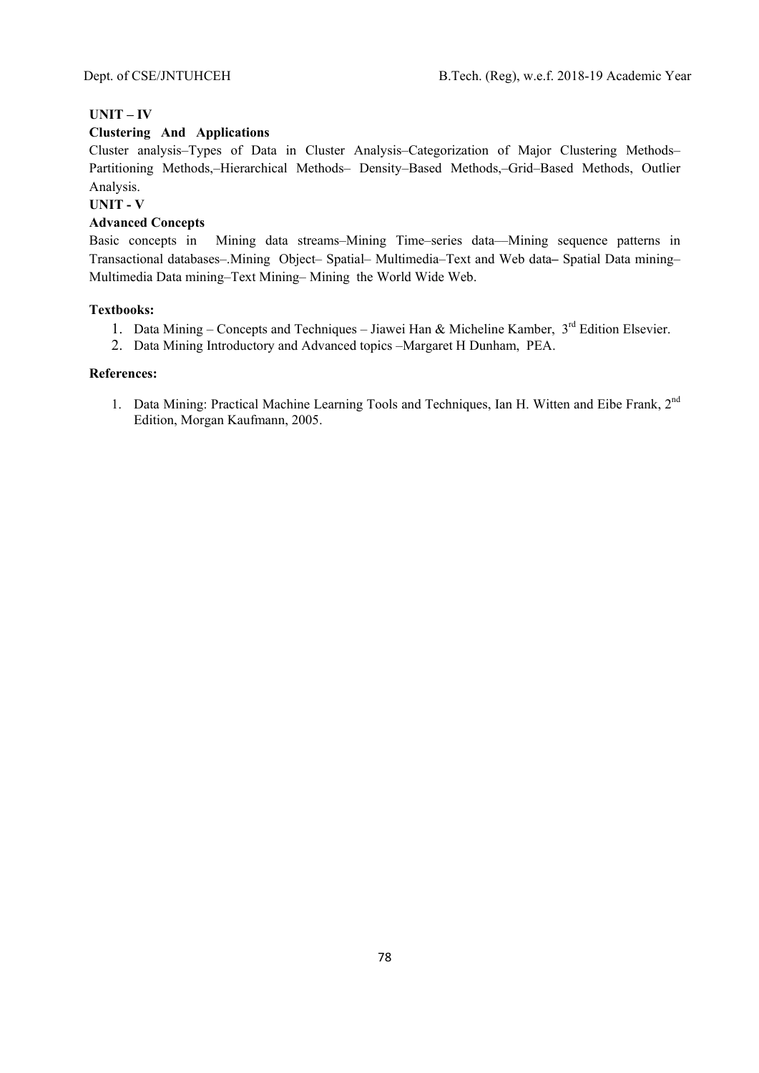# **UNIT – IV**

## **Clustering And Applications**

Cluster analysis–Types of Data in Cluster Analysis–Categorization of Major Clustering Methods– Partitioning Methods,–Hierarchical Methods– Density–Based Methods,–Grid–Based Methods, Outlier Analysis.

## **UNIT - V**

## **Advanced Concepts**

Basic concepts in Mining data streams–Mining Time–series data––Mining sequence patterns in Transactional databases–.Mining Object– Spatial– Multimedia–Text and Web data**–** Spatial Data mining– Multimedia Data mining–Text Mining– Mining the World Wide Web.

### **Textbooks:**

- 1. Data Mining Concepts and Techniques Jiawei Han & Micheline Kamber, 3<sup>rd</sup> Edition Elsevier.
- 2. Data Mining Introductory and Advanced topics –Margaret H Dunham, PEA.

# **References:**

1. Data Mining: Practical Machine Learning Tools and Techniques, Ian H. Witten and Eibe Frank, 2<sup>nd</sup> Edition, Morgan Kaufmann, 2005.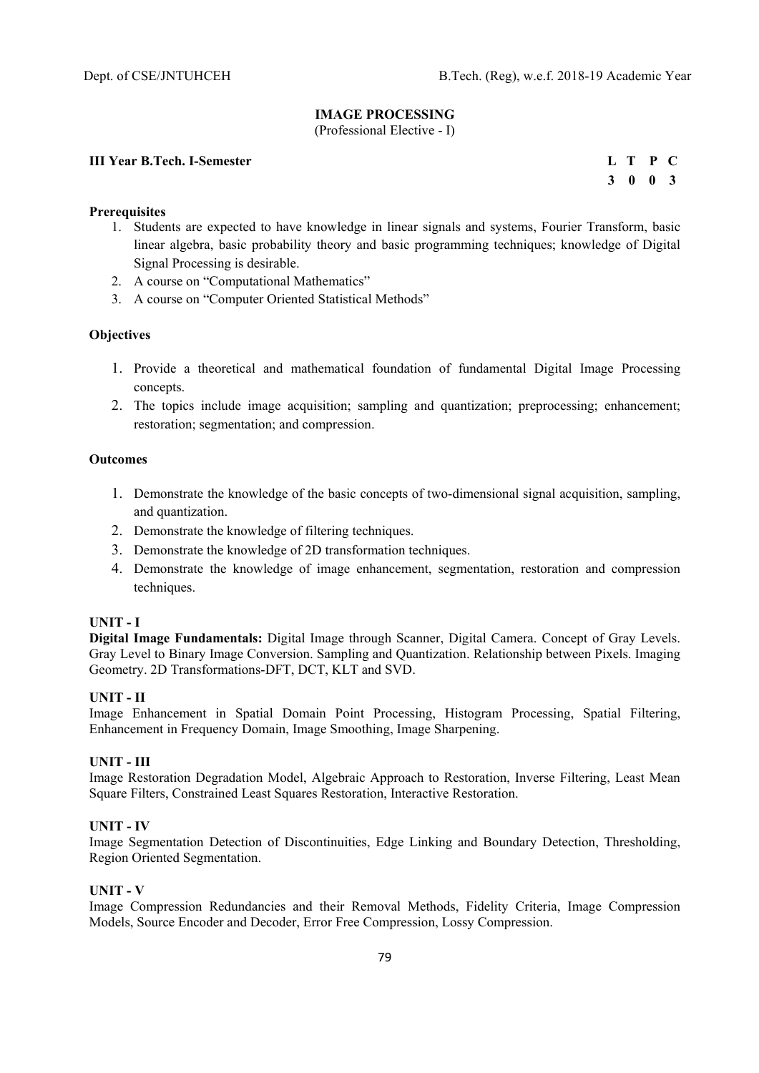# **IMAGE PROCESSING**

(Professional Elective - I)

# **III Year B.Tech. I-Semester** L T P C

 **3 0 0 3** 

## **Prerequisites**

- 1. Students are expected to have knowledge in linear signals and systems, Fourier Transform, basic linear algebra, basic probability theory and basic programming techniques; knowledge of Digital Signal Processing is desirable.
- 2. A course on "Computational Mathematics"
- 3. A course on "Computer Oriented Statistical Methods"

## **Objectives**

- 1. Provide a theoretical and mathematical foundation of fundamental Digital Image Processing concepts.
- 2. The topics include image acquisition; sampling and quantization; preprocessing; enhancement; restoration; segmentation; and compression.

### **Outcomes**

- 1. Demonstrate the knowledge of the basic concepts of two-dimensional signal acquisition, sampling, and quantization.
- 2. Demonstrate the knowledge of filtering techniques.
- 3. Demonstrate the knowledge of 2D transformation techniques.
- 4. Demonstrate the knowledge of image enhancement, segmentation, restoration and compression techniques.

# **UNIT - I**

**Digital Image Fundamentals:** Digital Image through Scanner, Digital Camera. Concept of Gray Levels. Gray Level to Binary Image Conversion. Sampling and Quantization. Relationship between Pixels. Imaging Geometry. 2D Transformations-DFT, DCT, KLT and SVD.

### **UNIT - II**

Image Enhancement in Spatial Domain Point Processing, Histogram Processing, Spatial Filtering, Enhancement in Frequency Domain, Image Smoothing, Image Sharpening.

### **UNIT - III**

Image Restoration Degradation Model, Algebraic Approach to Restoration, Inverse Filtering, Least Mean Square Filters, Constrained Least Squares Restoration, Interactive Restoration.

# **UNIT - IV**

Image Segmentation Detection of Discontinuities, Edge Linking and Boundary Detection, Thresholding, Region Oriented Segmentation.

### **UNIT - V**

Image Compression Redundancies and their Removal Methods, Fidelity Criteria, Image Compression Models, Source Encoder and Decoder, Error Free Compression, Lossy Compression.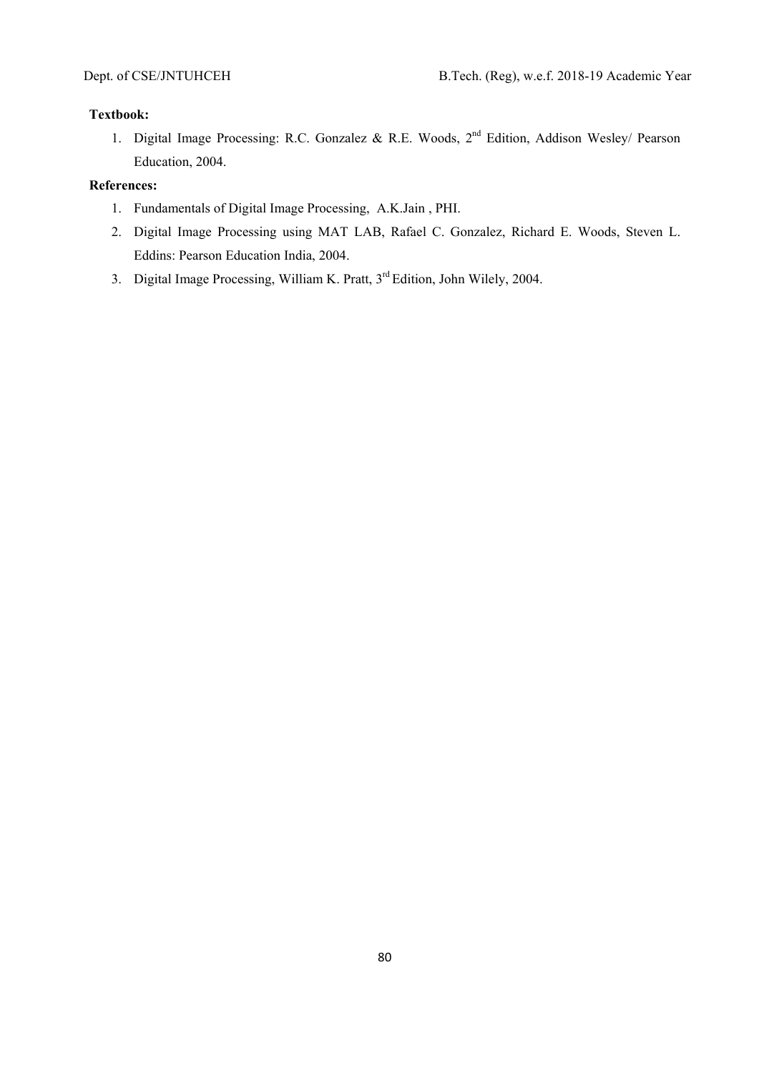# **Textbook:**

1. Digital Image Processing: R.C. Gonzalez & R.E. Woods, 2<sup>nd</sup> Edition, Addison Wesley/ Pearson Education, 2004.

- 1. Fundamentals of Digital Image Processing, A.K.Jain , PHI.
- 2. Digital Image Processing using MAT LAB, Rafael C. Gonzalez, Richard E. Woods, Steven L. Eddins: Pearson Education India, 2004.
- 3. Digital Image Processing, William K. Pratt, 3<sup>rd</sup> Edition, John Wilely, 2004.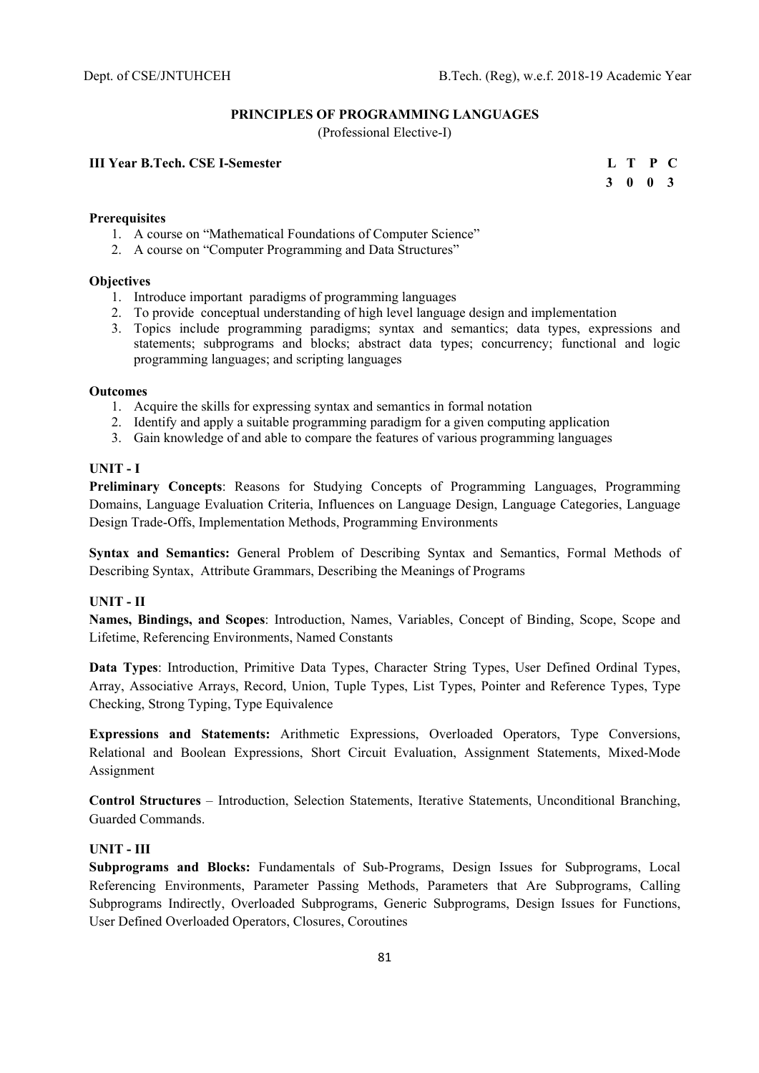## **PRINCIPLES OF PROGRAMMING LANGUAGES**

(Professional Elective-I)

# **III Year B.Tech. CSE I-Semester**

| II Year B.Tech. CSE I-Semester | L T P C |  |
|--------------------------------|---------|--|
|                                | 3 0 0 3 |  |

# **Prerequisites**

- 1. A course on "Mathematical Foundations of Computer Science"
- 2. A course on "Computer Programming and Data Structures"

## **Objectives**

- 1. Introduce important paradigms of programming languages
- 2. To provide conceptual understanding of high level language design and implementation
- 3. Topics include programming paradigms; syntax and semantics; data types, expressions and statements; subprograms and blocks; abstract data types; concurrency; functional and logic programming languages; and scripting languages

### **Outcomes**

- 1. Acquire the skills for expressing syntax and semantics in formal notation
- 2. Identify and apply a suitable programming paradigm for a given computing application
- 3. Gain knowledge of and able to compare the features of various programming languages

# **UNIT - I**

**Preliminary Concepts**: Reasons for Studying Concepts of Programming Languages, Programming Domains, Language Evaluation Criteria, Influences on Language Design, Language Categories, Language Design Trade-Offs, Implementation Methods, Programming Environments

**Syntax and Semantics:** General Problem of Describing Syntax and Semantics, Formal Methods of Describing Syntax, Attribute Grammars, Describing the Meanings of Programs

# **UNIT - II**

**Names, Bindings, and Scopes**: Introduction, Names, Variables, Concept of Binding, Scope, Scope and Lifetime, Referencing Environments, Named Constants

**Data Types**: Introduction, Primitive Data Types, Character String Types, User Defined Ordinal Types, Array, Associative Arrays, Record, Union, Tuple Types, List Types, Pointer and Reference Types, Type Checking, Strong Typing, Type Equivalence

**Expressions and Statements:** Arithmetic Expressions, Overloaded Operators, Type Conversions, Relational and Boolean Expressions, Short Circuit Evaluation, Assignment Statements, Mixed-Mode Assignment

**Control Structures** – Introduction, Selection Statements, Iterative Statements, Unconditional Branching, Guarded Commands.

# **UNIT - III**

**Subprograms and Blocks:** Fundamentals of Sub-Programs, Design Issues for Subprograms, Local Referencing Environments, Parameter Passing Methods, Parameters that Are Subprograms, Calling Subprograms Indirectly, Overloaded Subprograms, Generic Subprograms, Design Issues for Functions, User Defined Overloaded Operators, Closures, Coroutines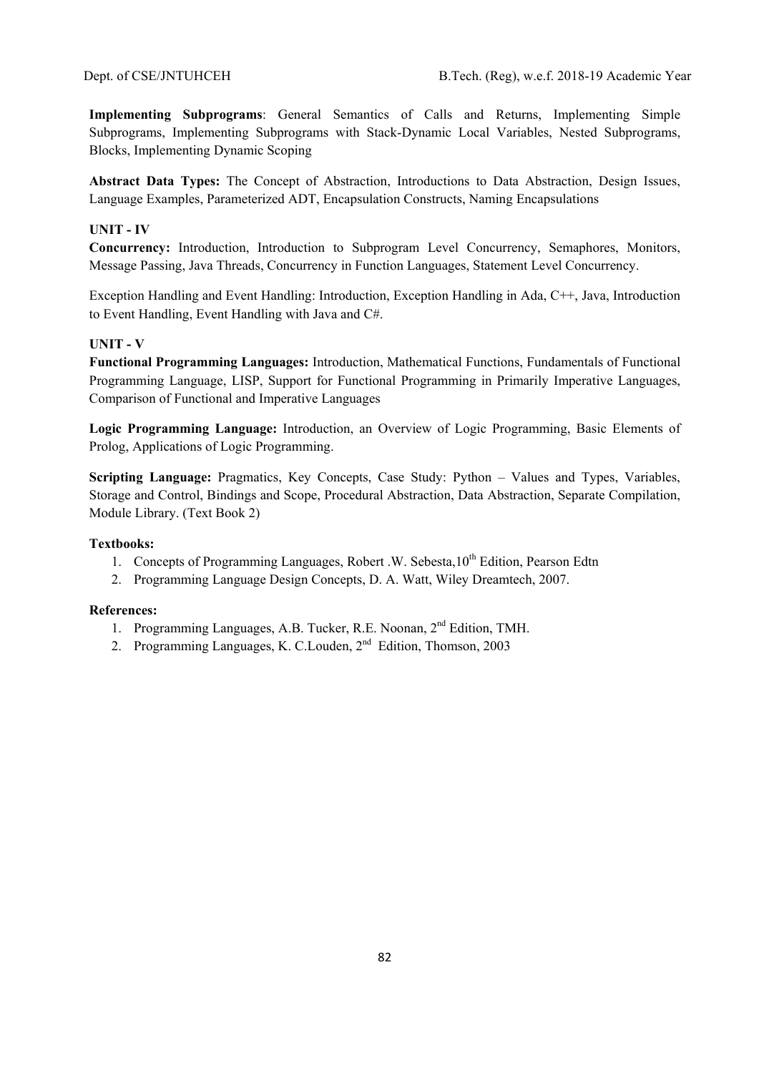**Implementing Subprograms**: General Semantics of Calls and Returns, Implementing Simple Subprograms, Implementing Subprograms with Stack-Dynamic Local Variables, Nested Subprograms, Blocks, Implementing Dynamic Scoping

**Abstract Data Types:** The Concept of Abstraction, Introductions to Data Abstraction, Design Issues, Language Examples, Parameterized ADT, Encapsulation Constructs, Naming Encapsulations

# **UNIT - IV**

**Concurrency:** Introduction, Introduction to Subprogram Level Concurrency, Semaphores, Monitors, Message Passing, Java Threads, Concurrency in Function Languages, Statement Level Concurrency.

Exception Handling and Event Handling: Introduction, Exception Handling in Ada, C++, Java, Introduction to Event Handling, Event Handling with Java and C#.

# **UNIT - V**

**Functional Programming Languages:** Introduction, Mathematical Functions, Fundamentals of Functional Programming Language, LISP, Support for Functional Programming in Primarily Imperative Languages, Comparison of Functional and Imperative Languages

**Logic Programming Language:** Introduction, an Overview of Logic Programming, Basic Elements of Prolog, Applications of Logic Programming.

**Scripting Language:** Pragmatics, Key Concepts, Case Study: Python – Values and Types, Variables, Storage and Control, Bindings and Scope, Procedural Abstraction, Data Abstraction, Separate Compilation, Module Library. (Text Book 2)

## **Textbooks:**

- 1. Concepts of Programming Languages, Robert .W. Sebesta,  $10^{th}$  Edition, Pearson Edtn
- 2. Programming Language Design Concepts, D. A. Watt, Wiley Dreamtech, 2007.

- 1. Programming Languages, A.B. Tucker, R.E. Noonan, 2nd Edition, TMH.
- 2. Programming Languages, K. C.Louden, 2nd Edition, Thomson, 2003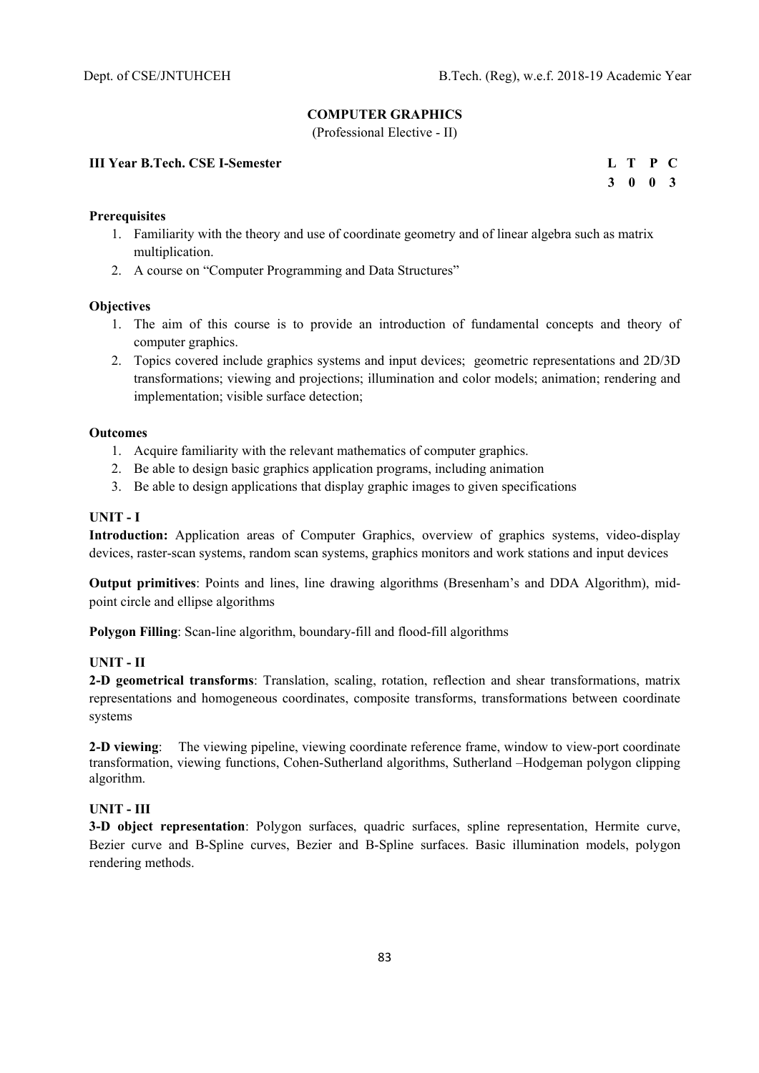# **COMPUTER GRAPHICS**

(Professional Elective - II)

# **III Year B.Tech. CSE I-Semester**

|  | L T P C |  |
|--|---------|--|
|  | 3 0 0 3 |  |

# **Prerequisites**

- 1. Familiarity with the theory and use of coordinate geometry and of linear algebra such as matrix multiplication.
- 2. A course on "Computer Programming and Data Structures"

### **Objectives**

- 1. The aim of this course is to provide an introduction of fundamental concepts and theory of computer graphics.
- 2. Topics covered include graphics systems and input devices; geometric representations and 2D/3D transformations; viewing and projections; illumination and color models; animation; rendering and implementation; visible surface detection;

#### **Outcomes**

- 1. Acquire familiarity with the relevant mathematics of computer graphics.
- 2. Be able to design basic graphics application programs, including animation
- 3. Be able to design applications that display graphic images to given specifications

## **UNIT - I**

**Introduction:** Application areas of Computer Graphics, overview of graphics systems, video-display devices, raster-scan systems, random scan systems, graphics monitors and work stations and input devices

**Output primitives**: Points and lines, line drawing algorithms (Bresenham's and DDA Algorithm), midpoint circle and ellipse algorithms

**Polygon Filling**: Scan-line algorithm, boundary-fill and flood-fill algorithms

## **UNIT - II**

**2-D geometrical transforms**: Translation, scaling, rotation, reflection and shear transformations, matrix representations and homogeneous coordinates, composite transforms, transformations between coordinate systems

**2-D viewing**: The viewing pipeline, viewing coordinate reference frame, window to view-port coordinate transformation, viewing functions, Cohen-Sutherland algorithms, Sutherland –Hodgeman polygon clipping algorithm.

# **UNIT - III**

**3-D object representation**: Polygon surfaces, quadric surfaces, spline representation, Hermite curve, Bezier curve and B-Spline curves, Bezier and B-Spline surfaces. Basic illumination models, polygon rendering methods.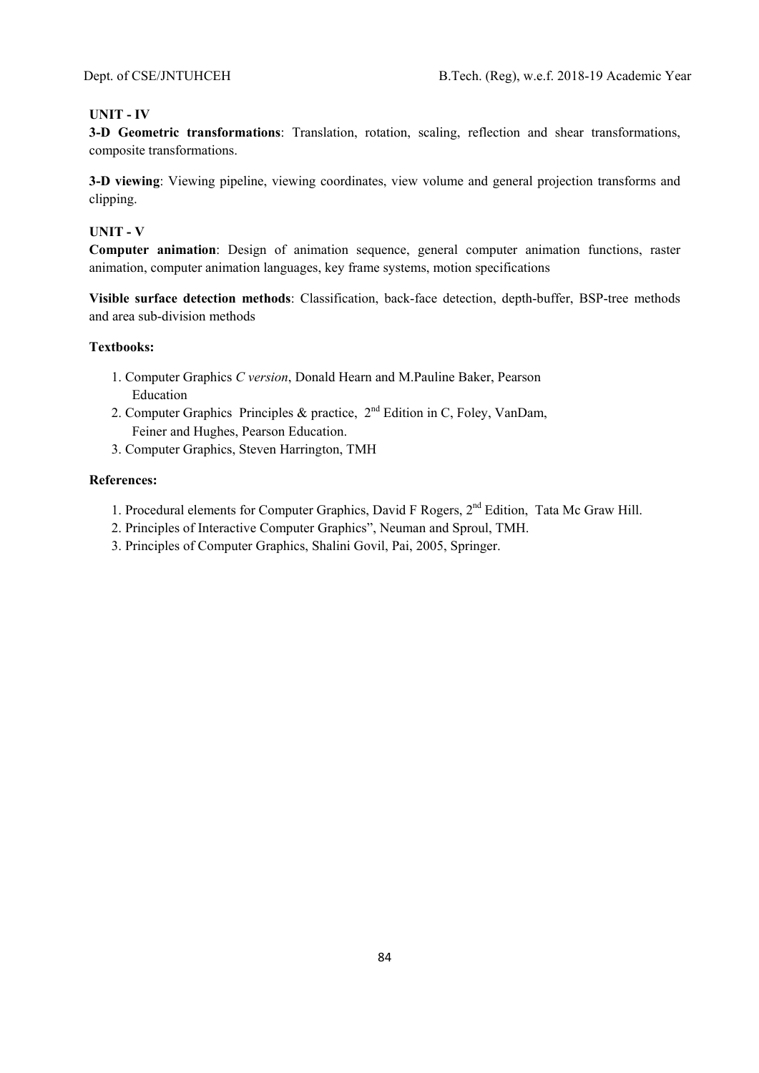# **UNIT - IV**

**3-D Geometric transformations**: Translation, rotation, scaling, reflection and shear transformations, composite transformations.

**3-D viewing**: Viewing pipeline, viewing coordinates, view volume and general projection transforms and clipping.

# **UNIT - V**

**Computer animation**: Design of animation sequence, general computer animation functions, raster animation, computer animation languages, key frame systems, motion specifications

**Visible surface detection methods**: Classification, back-face detection, depth-buffer, BSP-tree methods and area sub-division methods

### **Textbooks:**

- 1. Computer Graphics *C version*, Donald Hearn and M.Pauline Baker, Pearson Education
- 2. Computer Graphics Principles & practice, 2nd Edition in C, Foley, VanDam, Feiner and Hughes, Pearson Education.
- 3. Computer Graphics, Steven Harrington, TMH

- 1. Procedural elements for Computer Graphics, David F Rogers, 2<sup>nd</sup> Edition, Tata Mc Graw Hill.
- 2. Principles of Interactive Computer Graphics", Neuman and Sproul, TMH.
- 3. Principles of Computer Graphics, Shalini Govil, Pai, 2005, Springer.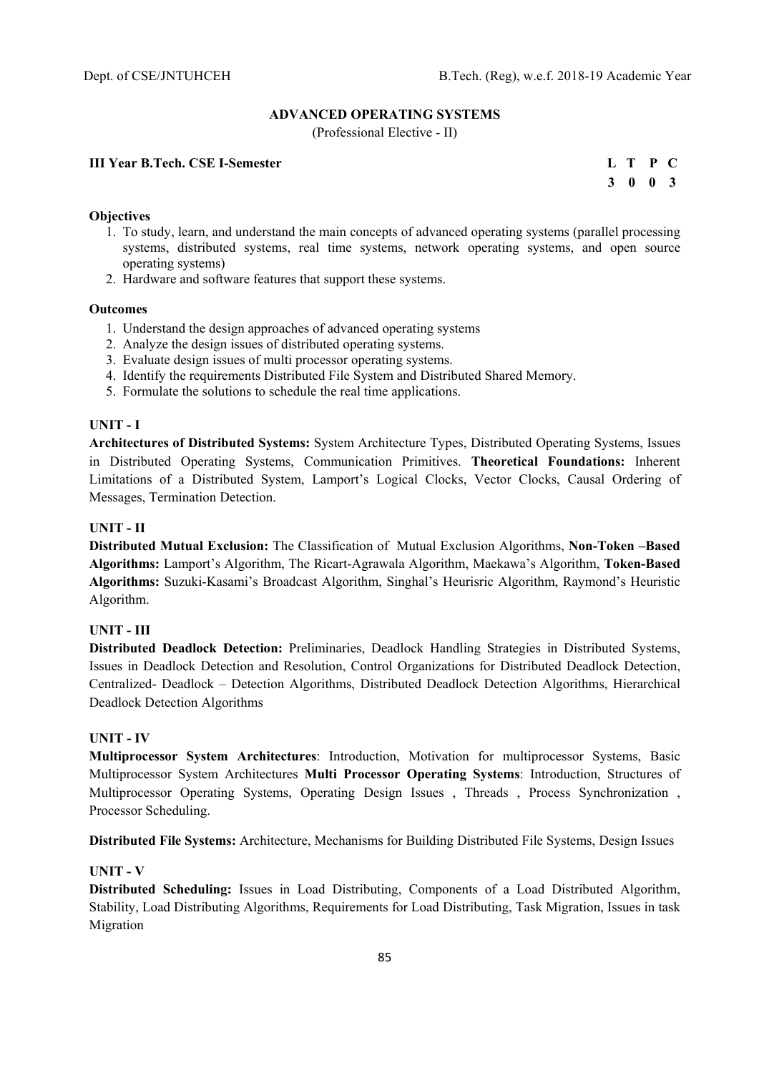## **ADVANCED OPERATING SYSTEMS**

(Professional Elective - II)

# **III Year B.Tech. CSE I-Semester**

|  | L T P C                     |  |
|--|-----------------------------|--|
|  | $3 \quad 0 \quad 0 \quad 3$ |  |

## **Objectives**

- 1. To study, learn, and understand the main concepts of advanced operating systems (parallel processing systems, distributed systems, real time systems, network operating systems, and open source operating systems)
- 2. Hardware and software features that support these systems.

### **Outcomes**

- 1. Understand the design approaches of advanced operating systems
- 2. Analyze the design issues of distributed operating systems.
- 3. Evaluate design issues of multi processor operating systems.
- 4. Identify the requirements Distributed File System and Distributed Shared Memory.
- 5. Formulate the solutions to schedule the real time applications.

## **UNIT - I**

**Architectures of Distributed Systems:** System Architecture Types, Distributed Operating Systems, Issues in Distributed Operating Systems, Communication Primitives. **Theoretical Foundations:** Inherent Limitations of a Distributed System, Lamport's Logical Clocks, Vector Clocks, Causal Ordering of Messages, Termination Detection.

## **UNIT - II**

**Distributed Mutual Exclusion:** The Classification of Mutual Exclusion Algorithms, **Non-Token –Based Algorithms:** Lamport's Algorithm, The Ricart-Agrawala Algorithm, Maekawa's Algorithm, **Token-Based Algorithms:** Suzuki-Kasami's Broadcast Algorithm, Singhal's Heurisric Algorithm, Raymond's Heuristic Algorithm.

# **UNIT - III**

**Distributed Deadlock Detection:** Preliminaries, Deadlock Handling Strategies in Distributed Systems, Issues in Deadlock Detection and Resolution, Control Organizations for Distributed Deadlock Detection, Centralized- Deadlock – Detection Algorithms, Distributed Deadlock Detection Algorithms, Hierarchical Deadlock Detection Algorithms

# **UNIT - IV**

**Multiprocessor System Architectures**: Introduction, Motivation for multiprocessor Systems, Basic Multiprocessor System Architectures **Multi Processor Operating Systems**: Introduction, Structures of Multiprocessor Operating Systems, Operating Design Issues , Threads , Process Synchronization , Processor Scheduling.

**Distributed File Systems:** Architecture, Mechanisms for Building Distributed File Systems, Design Issues

## **UNIT - V**

**Distributed Scheduling:** Issues in Load Distributing, Components of a Load Distributed Algorithm, Stability, Load Distributing Algorithms, Requirements for Load Distributing, Task Migration, Issues in task Migration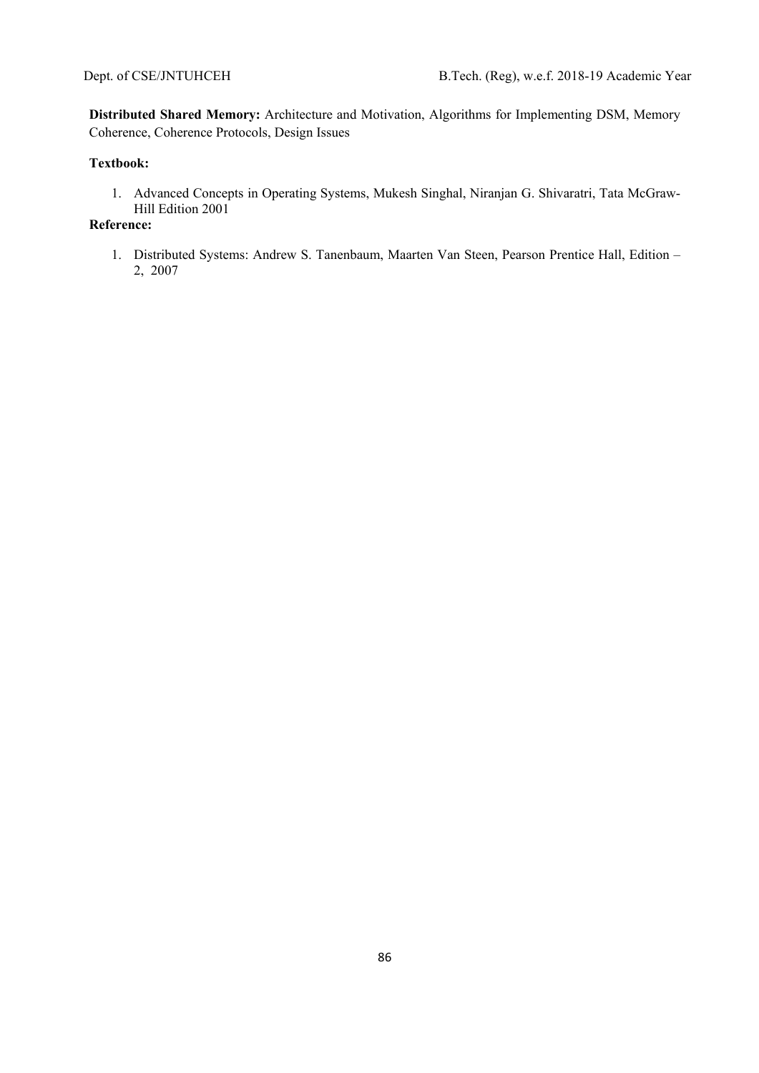**Distributed Shared Memory:** Architecture and Motivation, Algorithms for Implementing DSM, Memory Coherence, Coherence Protocols, Design Issues

# **Textbook:**

1. Advanced Concepts in Operating Systems, Mukesh Singhal, Niranjan G. Shivaratri, Tata McGraw-Hill Edition 2001

# **Reference:**

1. Distributed Systems: Andrew S. Tanenbaum, Maarten Van Steen, Pearson Prentice Hall, Edition – 2, 2007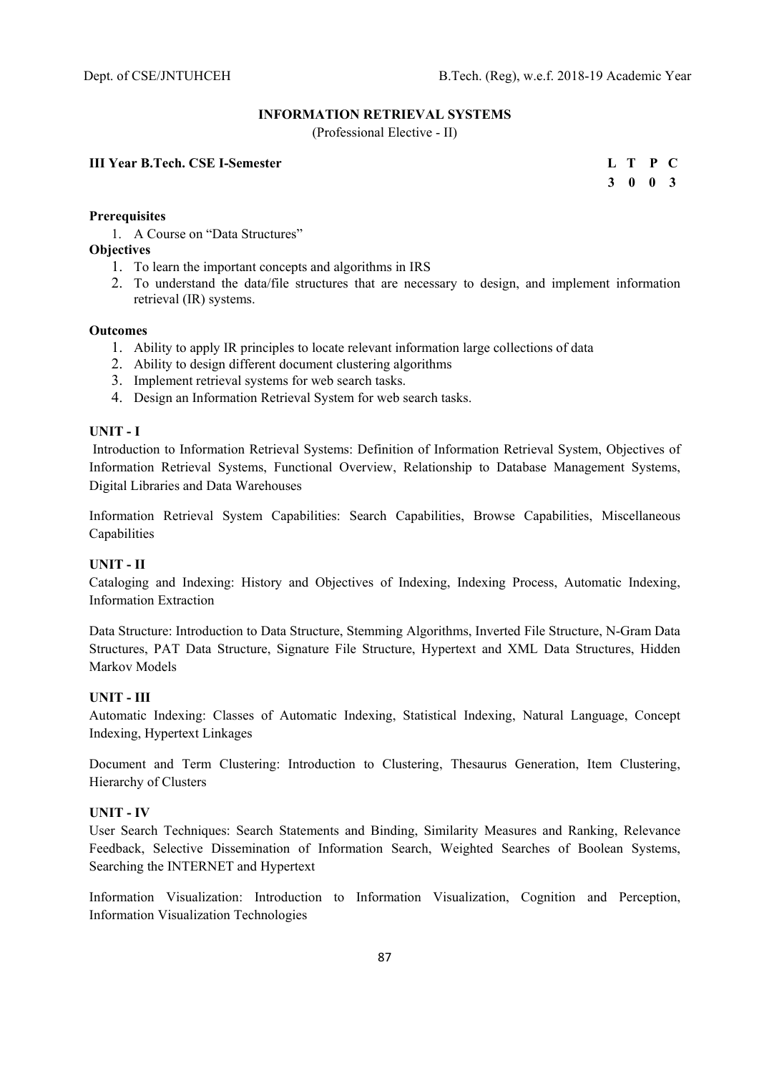## **INFORMATION RETRIEVAL SYSTEMS**

(Professional Elective - II)

## **III Year B.Tech. CSE I-Semester**

|  | L T P C         |  |
|--|-----------------|--|
|  | $3 \t0 \t0 \t3$ |  |

## **Prerequisites**

1. A Course on "Data Structures"

# **Objectives**

- 1. To learn the important concepts and algorithms in IRS
- 2. To understand the data/file structures that are necessary to design, and implement information retrieval (IR) systems.

## **Outcomes**

- 1. Ability to apply IR principles to locate relevant information large collections of data
- 2. Ability to design different document clustering algorithms
- 3. Implement retrieval systems for web search tasks.
- 4. Design an Information Retrieval System for web search tasks.

## **UNIT - I**

Introduction to Information Retrieval Systems: Definition of Information Retrieval System, Objectives of Information Retrieval Systems, Functional Overview, Relationship to Database Management Systems, Digital Libraries and Data Warehouses

Information Retrieval System Capabilities: Search Capabilities, Browse Capabilities, Miscellaneous Capabilities

# **UNIT - II**

Cataloging and Indexing: History and Objectives of Indexing, Indexing Process, Automatic Indexing, Information Extraction

Data Structure: Introduction to Data Structure, Stemming Algorithms, Inverted File Structure, N-Gram Data Structures, PAT Data Structure, Signature File Structure, Hypertext and XML Data Structures, Hidden Markov Models

# **UNIT - III**

Automatic Indexing: Classes of Automatic Indexing, Statistical Indexing, Natural Language, Concept Indexing, Hypertext Linkages

Document and Term Clustering: Introduction to Clustering, Thesaurus Generation, Item Clustering, Hierarchy of Clusters

# **UNIT - IV**

User Search Techniques: Search Statements and Binding, Similarity Measures and Ranking, Relevance Feedback, Selective Dissemination of Information Search, Weighted Searches of Boolean Systems, Searching the INTERNET and Hypertext

Information Visualization: Introduction to Information Visualization, Cognition and Perception, Information Visualization Technologies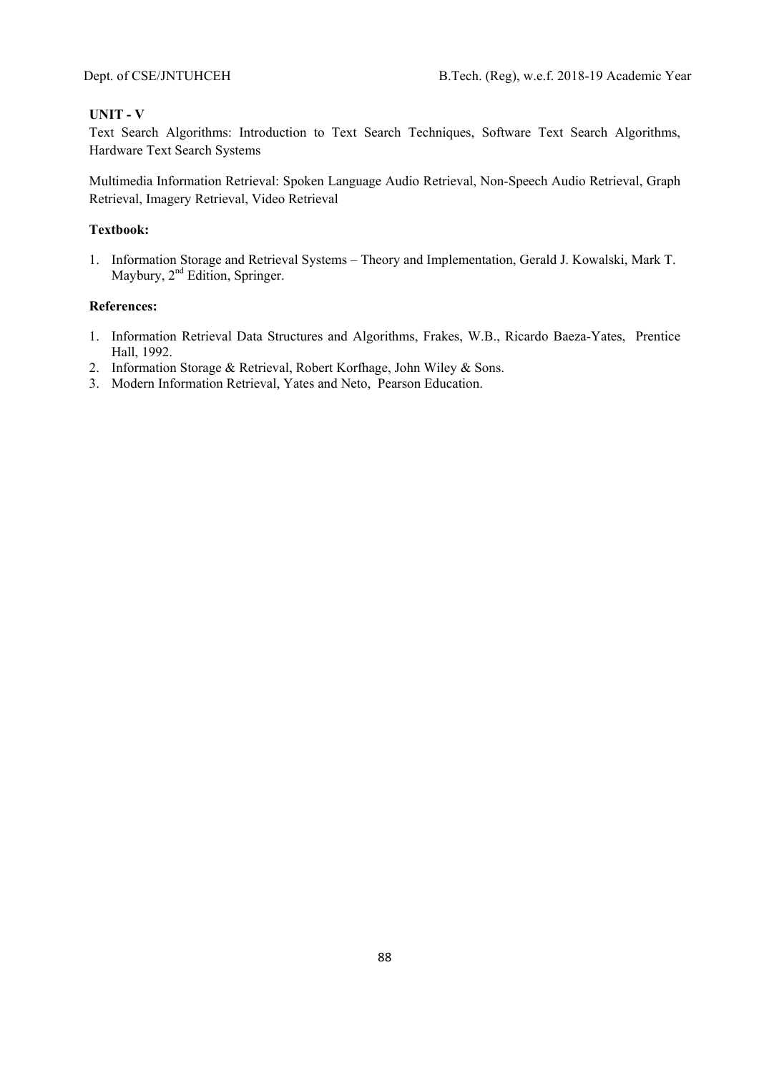# **UNIT - V**

Text Search Algorithms: Introduction to Text Search Techniques, Software Text Search Algorithms, Hardware Text Search Systems

Multimedia Information Retrieval: Spoken Language Audio Retrieval, Non-Speech Audio Retrieval, Graph Retrieval, Imagery Retrieval, Video Retrieval

# **Textbook:**

1. Information Storage and Retrieval Systems – Theory and Implementation, Gerald J. Kowalski, Mark T. Maybury, 2<sup>nd</sup> Edition, Springer.

- 1. Information Retrieval Data Structures and Algorithms, Frakes, W.B., Ricardo Baeza-Yates, Prentice Hall, 1992.
- 2. Information Storage & Retrieval, Robert Korfhage, John Wiley & Sons.
- 3. Modern Information Retrieval, Yates and Neto, Pearson Education.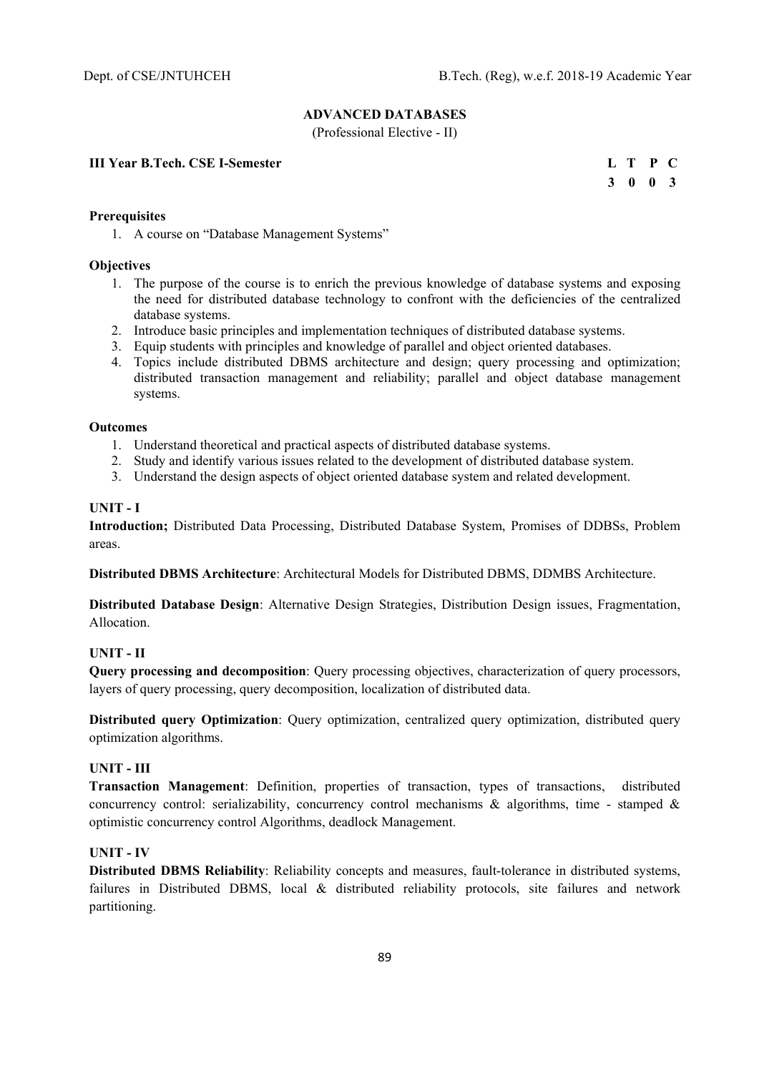# **ADVANCED DATABASES**

(Professional Elective - II)

**III Year B.Tech. CSE I-Semester** 

|  | L T P C         |  |
|--|-----------------|--|
|  | $3 \t0 \t0 \t3$ |  |

# **Prerequisites**

1. A course on "Database Management Systems"

## **Objectives**

- 1. The purpose of the course is to enrich the previous knowledge of database systems and exposing the need for distributed database technology to confront with the deficiencies of the centralized database systems.
- 2. Introduce basic principles and implementation techniques of distributed database systems.
- 3. Equip students with principles and knowledge of parallel and object oriented databases.
- 4. Topics include distributed DBMS architecture and design; query processing and optimization; distributed transaction management and reliability; parallel and object database management systems.

### **Outcomes**

- 1. Understand theoretical and practical aspects of distributed database systems.
- 2. Study and identify various issues related to the development of distributed database system.
- 3. Understand the design aspects of object oriented database system and related development.

## **UNIT - I**

**Introduction;** Distributed Data Processing, Distributed Database System, Promises of DDBSs, Problem areas.

**Distributed DBMS Architecture**: Architectural Models for Distributed DBMS, DDMBS Architecture.

**Distributed Database Design**: Alternative Design Strategies, Distribution Design issues, Fragmentation, Allocation.

# **UNIT - II**

**Query processing and decomposition**: Query processing objectives, characterization of query processors, layers of query processing, query decomposition, localization of distributed data.

**Distributed query Optimization**: Query optimization, centralized query optimization, distributed query optimization algorithms.

### **UNIT - III**

**Transaction Management**: Definition, properties of transaction, types of transactions, distributed concurrency control: serializability, concurrency control mechanisms & algorithms, time - stamped & optimistic concurrency control Algorithms, deadlock Management.

## **UNIT - IV**

**Distributed DBMS Reliability**: Reliability concepts and measures, fault-tolerance in distributed systems, failures in Distributed DBMS, local & distributed reliability protocols, site failures and network partitioning.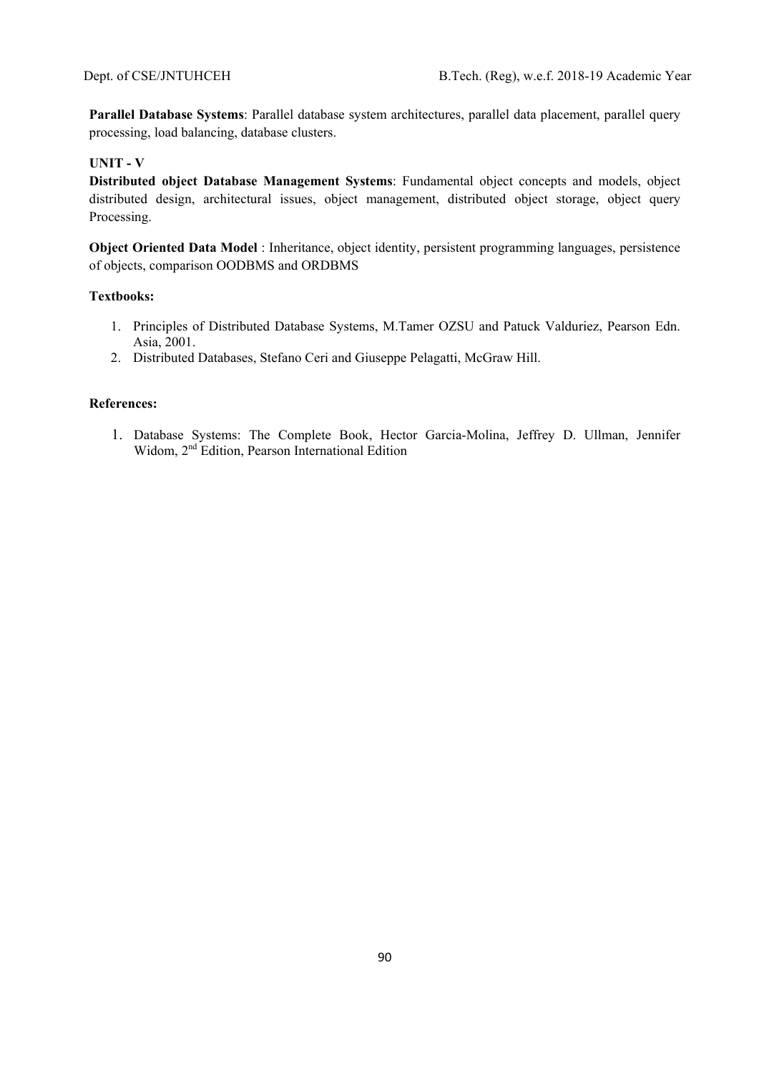**Parallel Database Systems**: Parallel database system architectures, parallel data placement, parallel query processing, load balancing, database clusters.

# **UNIT - V**

**Distributed object Database Management Systems**: Fundamental object concepts and models, object distributed design, architectural issues, object management, distributed object storage, object query Processing.

**Object Oriented Data Model** : Inheritance, object identity, persistent programming languages, persistence of objects, comparison OODBMS and ORDBMS

### **Textbooks:**

- 1. Principles of Distributed Database Systems, M.Tamer OZSU and Patuck Valduriez, Pearson Edn. Asia, 2001.
- 2. Distributed Databases, Stefano Ceri and Giuseppe Pelagatti, McGraw Hill.

## **References:**

1. Database Systems: The Complete Book, Hector Garcia-Molina, Jeffrey D. Ullman, Jennifer Widom, 2<sup>nd</sup> Edition, Pearson International Edition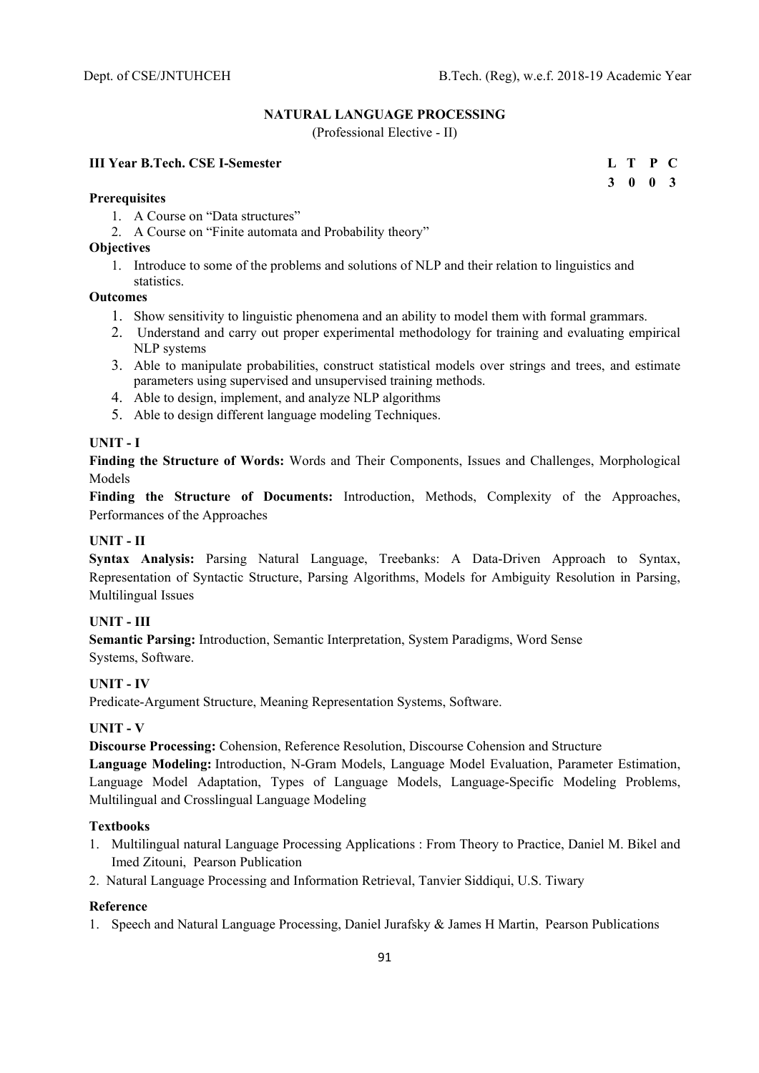**3 0 0 3** 

# **NATURAL LANGUAGE PROCESSING**

(Professional Elective - II)

# **III Year B.Tech. CSE I-Semester L T P C**

#### **Prerequisites**

- 1. A Course on "Data structures"
- 2. A Course on "Finite automata and Probability theory"

## **Objectives**

1. Introduce to some of the problems and solutions of NLP and their relation to linguistics and statistics.

## **Outcomes**

- 1. Show sensitivity to linguistic phenomena and an ability to model them with formal grammars.
- 2. Understand and carry out proper experimental methodology for training and evaluating empirical NLP systems
- 3. Able to manipulate probabilities, construct statistical models over strings and trees, and estimate parameters using supervised and unsupervised training methods.
- 4. Able to design, implement, and analyze NLP algorithms
- 5. Able to design different language modeling Techniques.

# **UNIT - I**

**Finding the Structure of Words:** Words and Their Components, Issues and Challenges, Morphological Models

**Finding the Structure of Documents:** Introduction, Methods, Complexity of the Approaches, Performances of the Approaches

# **UNIT - II**

**Syntax Analysis:** Parsing Natural Language, Treebanks: A Data-Driven Approach to Syntax, Representation of Syntactic Structure, Parsing Algorithms, Models for Ambiguity Resolution in Parsing, Multilingual Issues

# **UNIT - III**

**Semantic Parsing:** Introduction, Semantic Interpretation, System Paradigms, Word Sense Systems, Software.

### **UNIT - IV**

Predicate-Argument Structure, Meaning Representation Systems, Software.

# **UNIT - V**

**Discourse Processing:** Cohension, Reference Resolution, Discourse Cohension and Structure

**Language Modeling:** Introduction, N-Gram Models, Language Model Evaluation, Parameter Estimation, Language Model Adaptation, Types of Language Models, Language-Specific Modeling Problems, Multilingual and Crosslingual Language Modeling

### **Textbooks**

- 1. Multilingual natural Language Processing Applications : From Theory to Practice, Daniel M. Bikel and Imed Zitouni, Pearson Publication
- 2. Natural Language Processing and Information Retrieval, Tanvier Siddiqui, U.S. Tiwary

### **Reference**

1. Speech and Natural Language Processing, Daniel Jurafsky & James H Martin, Pearson Publications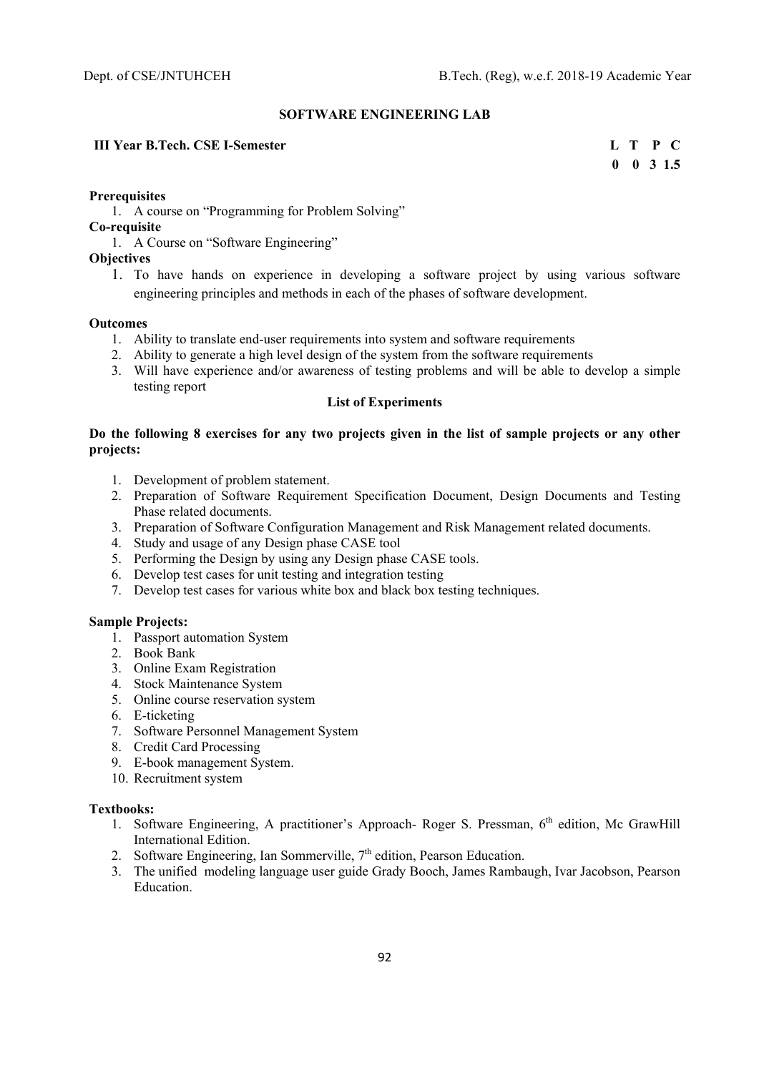#### **SOFTWARE ENGINEERING LAB**

# **III Year B.Tech. CSE I-Semester L T P C**

 **0 0 3 1.5** 

#### **Prerequisites**

1. A course on "Programming for Problem Solving"

#### **Co-requisite**

1. A Course on "Software Engineering"

# **Objectives**

1. To have hands on experience in developing a software project by using various software engineering principles and methods in each of the phases of software development.

#### **Outcomes**

- 1. Ability to translate end-user requirements into system and software requirements
- 2. Ability to generate a high level design of the system from the software requirements
- 3. Will have experience and/or awareness of testing problems and will be able to develop a simple testing report

# **List of Experiments**

## **Do the following 8 exercises for any two projects given in the list of sample projects or any other projects:**

- 1. Development of problem statement.
- 2. Preparation of Software Requirement Specification Document, Design Documents and Testing Phase related documents.
- 3. Preparation of Software Configuration Management and Risk Management related documents.
- 4. Study and usage of any Design phase CASE tool
- 5. Performing the Design by using any Design phase CASE tools.
- 6. Develop test cases for unit testing and integration testing
- 7. Develop test cases for various white box and black box testing techniques.

#### **Sample Projects:**

- 1. Passport automation System
- 2. Book Bank
- 3. Online Exam Registration
- 4. Stock Maintenance System
- 5. Online course reservation system
- 6. E-ticketing
- 7. Software Personnel Management System
- 8. Credit Card Processing
- 9. E-book management System.
- 10. Recruitment system

#### **Textbooks:**

- 1. Software Engineering, A practitioner's Approach- Roger S. Pressman, 6<sup>th</sup> edition, Mc GrawHill International Edition.
- 2. Software Engineering, Ian Sommerville,  $7<sup>th</sup>$  edition, Pearson Education.
- 3. The unified modeling language user guide Grady Booch, James Rambaugh, Ivar Jacobson, Pearson Education.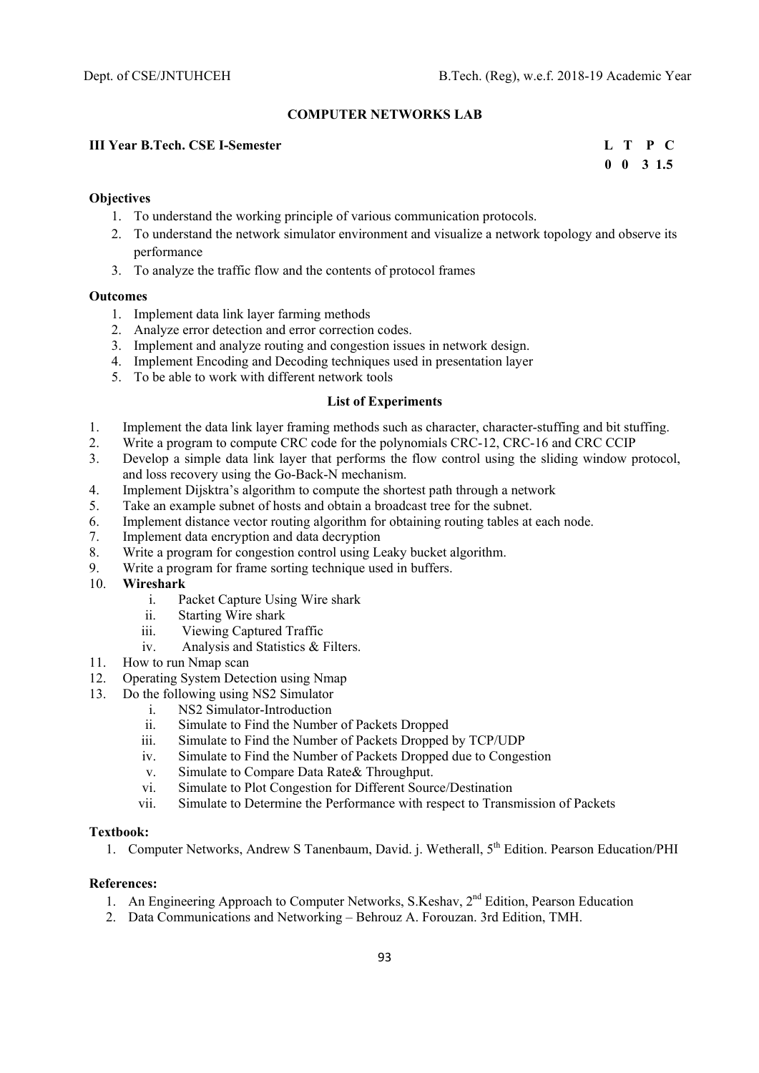# **COMPUTER NETWORKS LAB**

# **III Year B.Tech. CSE I-Semester L T P C**

 **0 0 3 1.5** 

## **Objectives**

- 1. To understand the working principle of various communication protocols.
- 2. To understand the network simulator environment and visualize a network topology and observe its performance
- 3. To analyze the traffic flow and the contents of protocol frames

#### **Outcomes**

- 1. Implement data link layer farming methods
- 2. Analyze error detection and error correction codes.
- 3. Implement and analyze routing and congestion issues in network design.
- 4. Implement Encoding and Decoding techniques used in presentation layer
- 5. To be able to work with different network tools

## **List of Experiments**

- 1. Implement the data link layer framing methods such as character, character-stuffing and bit stuffing.
- 2. Write a program to compute CRC code for the polynomials CRC-12, CRC-16 and CRC CCIP
- 3. Develop a simple data link layer that performs the flow control using the sliding window protocol, and loss recovery using the Go-Back-N mechanism.
- 4. Implement Dijsktra's algorithm to compute the shortest path through a network
- 5. Take an example subnet of hosts and obtain a broadcast tree for the subnet.
- 6. Implement distance vector routing algorithm for obtaining routing tables at each node.
- 7. Implement data encryption and data decryption
- 8. Write a program for congestion control using Leaky bucket algorithm.
- 9. Write a program for frame sorting technique used in buffers.

### 10. **Wireshark**

- i. Packet Capture Using Wire shark
- ii. Starting Wire shark
- iii. Viewing Captured Traffic
- iv. Analysis and Statistics & Filters.
- 11. How to run Nmap scan
- 12. Operating System Detection using Nmap
- 13. Do the following using NS2 Simulator
	- i. NS2 Simulator-Introduction
	- ii. Simulate to Find the Number of Packets Dropped
	- iii. Simulate to Find the Number of Packets Dropped by TCP/UDP
	- iv. Simulate to Find the Number of Packets Dropped due to Congestion
	- v. Simulate to Compare Data Rate& Throughput.
	- vi. Simulate to Plot Congestion for Different Source/Destination
	- vii. Simulate to Determine the Performance with respect to Transmission of Packets

### **Textbook:**

1. Computer Networks, Andrew S Tanenbaum, David. j. Wetherall, 5<sup>th</sup> Edition. Pearson Education/PHI

- 1. An Engineering Approach to Computer Networks, S.Keshav,  $2<sup>nd</sup>$  Edition, Pearson Education
- 2. Data Communications and Networking Behrouz A. Forouzan. 3rd Edition, TMH.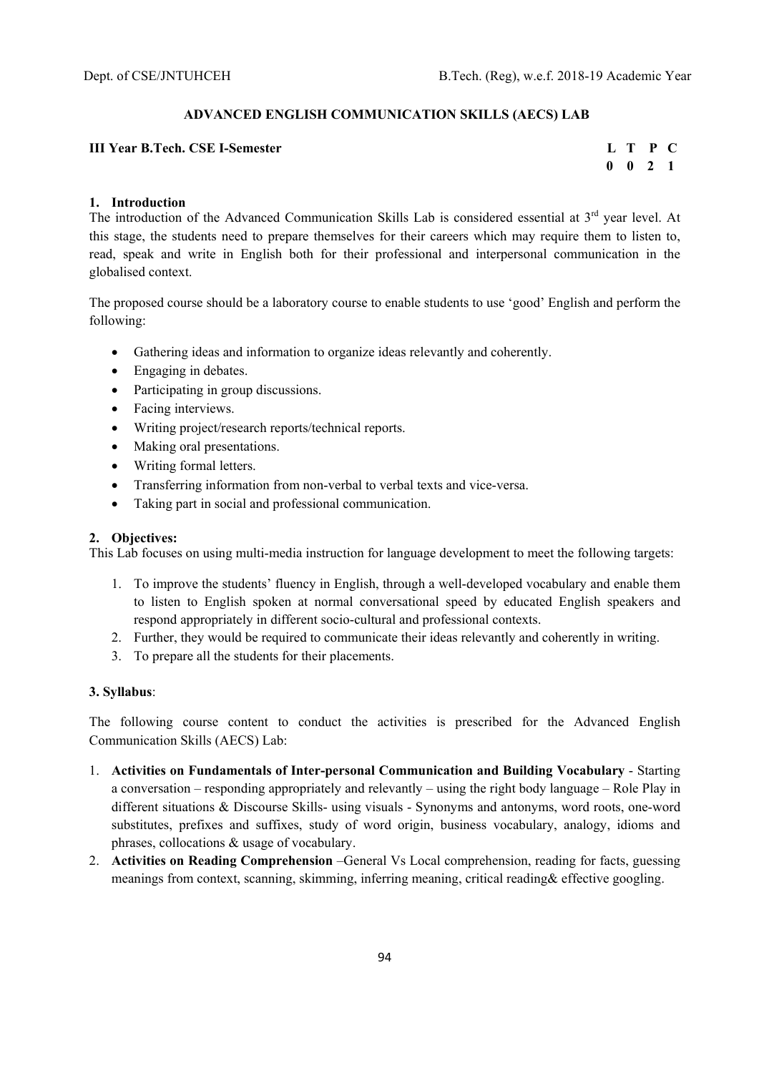## **ADVANCED ENGLISH COMMUNICATION SKILLS (AECS) LAB**

## **III Year B.Tech. CSE I-Semester L T P C**

 **0 0 2 1** 

## **1. Introduction**

The introduction of the Advanced Communication Skills Lab is considered essential at 3<sup>rd</sup> vear level. At this stage, the students need to prepare themselves for their careers which may require them to listen to, read, speak and write in English both for their professional and interpersonal communication in the globalised context.

The proposed course should be a laboratory course to enable students to use 'good' English and perform the following:

- Gathering ideas and information to organize ideas relevantly and coherently.
- Engaging in debates.
- Participating in group discussions.
- Facing interviews.
- Writing project/research reports/technical reports.
- Making oral presentations.
- Writing formal letters.
- Transferring information from non-verbal to verbal texts and vice-versa.
- Taking part in social and professional communication.

### **2. Objectives:**

This Lab focuses on using multi-media instruction for language development to meet the following targets:

- 1. To improve the students' fluency in English, through a well-developed vocabulary and enable them to listen to English spoken at normal conversational speed by educated English speakers and respond appropriately in different socio-cultural and professional contexts.
- 2. Further, they would be required to communicate their ideas relevantly and coherently in writing.
- 3. To prepare all the students for their placements.

### **3. Syllabus**:

The following course content to conduct the activities is prescribed for the Advanced English Communication Skills (AECS) Lab:

- 1. **Activities on Fundamentals of Inter-personal Communication and Building Vocabulary**  Starting a conversation – responding appropriately and relevantly – using the right body language – Role Play in different situations & Discourse Skills- using visuals - Synonyms and antonyms, word roots, one-word substitutes, prefixes and suffixes, study of word origin, business vocabulary, analogy, idioms and phrases, collocations & usage of vocabulary.
- 2. **Activities on Reading Comprehension** –General Vs Local comprehension, reading for facts, guessing meanings from context, scanning, skimming, inferring meaning, critical reading& effective googling.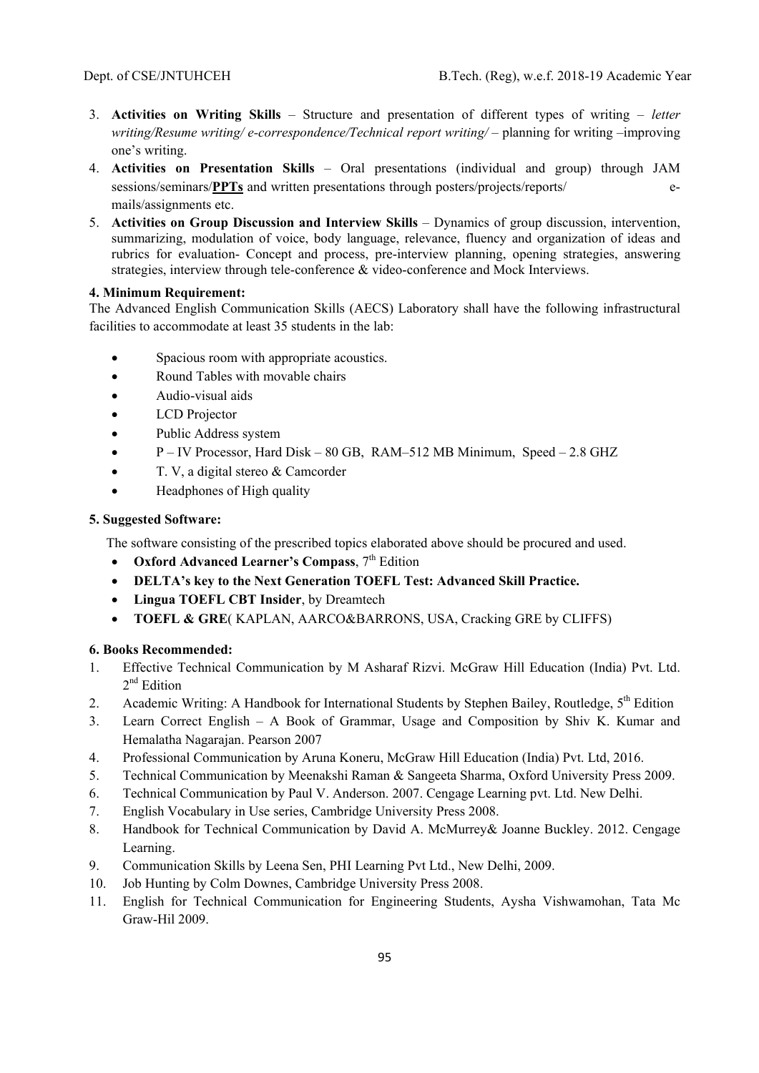- 3. **Activities on Writing Skills** Structure and presentation of different types of writing *letter writing/Resume writing/ e-correspondence/Technical report writing/* – planning for writing –improving one's writing.
- 4. **Activities on Presentation Skills** Oral presentations (individual and group) through JAM sessions/seminars/**PPTs** and written presentations through posters/projects/reports/ emails/assignments etc.
- 5. **Activities on Group Discussion and Interview Skills** Dynamics of group discussion, intervention, summarizing, modulation of voice, body language, relevance, fluency and organization of ideas and rubrics for evaluation- Concept and process, pre-interview planning, opening strategies, answering strategies, interview through tele-conference & video-conference and Mock Interviews.

### **4. Minimum Requirement:**

The Advanced English Communication Skills (AECS) Laboratory shall have the following infrastructural facilities to accommodate at least 35 students in the lab:

- Spacious room with appropriate acoustics.
- Round Tables with movable chairs
- Audio-visual aids
- LCD Projector
- Public Address system
- $\bullet$  P IV Processor, Hard Disk 80 GB, RAM–512 MB Minimum, Speed 2.8 GHZ
- T. V, a digital stereo & Camcorder
- Headphones of High quality

## **5. Suggested Software:**

The software consisting of the prescribed topics elaborated above should be procured and used.

- **•** Oxford Advanced Learner's Compass,  $7<sup>th</sup>$  Edition
- **DELTA's key to the Next Generation TOEFL Test: Advanced Skill Practice.**
- **Lingua TOEFL CBT Insider**, by Dreamtech
- **TOEFL & GRE**( KAPLAN, AARCO&BARRONS, USA, Cracking GRE by CLIFFS)

# **6. Books Recommended:**

- 1. Effective Technical Communication by M Asharaf Rizvi. McGraw Hill Education (India) Pvt. Ltd. 2<sup>nd</sup> Edition
- 2. Academic Writing: A Handbook for International Students by Stephen Bailey, Routledge, 5<sup>th</sup> Edition
- 3. Learn Correct English A Book of Grammar, Usage and Composition by Shiv K. Kumar and Hemalatha Nagarajan. Pearson 2007
- 4. Professional Communication by Aruna Koneru, McGraw Hill Education (India) Pvt. Ltd, 2016.
- 5. Technical Communication by Meenakshi Raman & Sangeeta Sharma, Oxford University Press 2009.
- 6. Technical Communication by Paul V. Anderson. 2007. Cengage Learning pvt. Ltd. New Delhi.
- 7. English Vocabulary in Use series, Cambridge University Press 2008.
- 8. Handbook for Technical Communication by David A. McMurrey& Joanne Buckley. 2012. Cengage Learning.
- 9. Communication Skills by Leena Sen, PHI Learning Pvt Ltd., New Delhi, 2009.
- 10. Job Hunting by Colm Downes, Cambridge University Press 2008.
- 11. English for Technical Communication for Engineering Students, Aysha Vishwamohan, Tata Mc Graw-Hil 2009.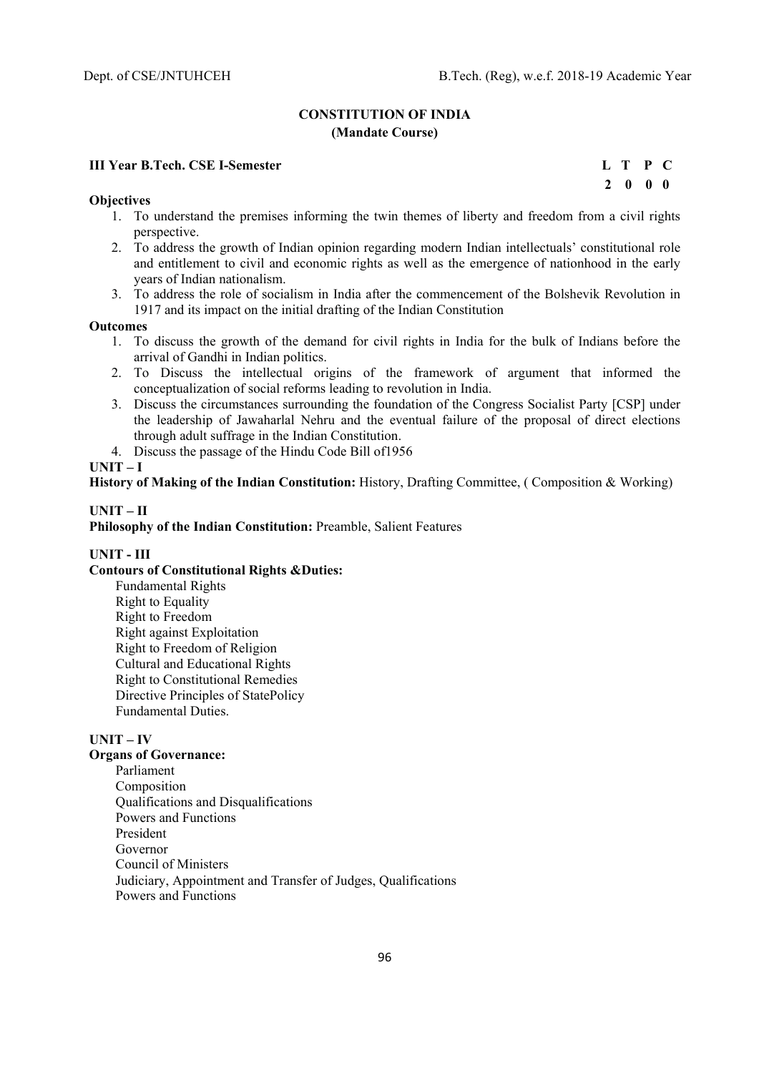## **CONSTITUTION OF INDIA (Mandate Course)**

## **III Year B.Tech. CSE I-Semester****L T P C**

#### **Objectives**

- 1. To understand the premises informing the twin themes of liberty and freedom from a civil rights perspective.
- 2. To address the growth of Indian opinion regarding modern Indian intellectuals' constitutional role and entitlement to civil and economic rights as well as the emergence of nationhood in the early years of Indian nationalism.
- 3. To address the role of socialism in India after the commencement of the Bolshevik Revolution in 1917 and its impact on the initial drafting of the Indian Constitution

#### **Outcomes**

- 1. To discuss the growth of the demand for civil rights in India for the bulk of Indians before the arrival of Gandhi in Indian politics.
- 2. To Discuss the intellectual origins of the framework of argument that informed the conceptualization of social reforms leading to revolution in India.
- 3. Discuss the circumstances surrounding the foundation of the Congress Socialist Party [CSP] under the leadership of Jawaharlal Nehru and the eventual failure of the proposal of direct elections through adult suffrage in the Indian Constitution.
- 4. Discuss the passage of the Hindu Code Bill of1956

#### **UNIT – I**

**History of Making of the Indian Constitution:** History, Drafting Committee, ( Composition & Working)

## **UNIT – II**

**Philosophy of the Indian Constitution:** Preamble, Salient Features

#### **UNIT - III**

# **Contours of Constitutional Rights &Duties:**

Fundamental Rights Right to Equality Right to Freedom Right against Exploitation Right to Freedom of Religion Cultural and Educational Rights Right to Constitutional Remedies Directive Principles of StatePolicy Fundamental Duties.

#### **UNIT – IV**

## **Organs of Governance:**

Parliament Composition Qualifications and Disqualifications Powers and Functions President Governor Council of Ministers Judiciary, Appointment and Transfer of Judges, Qualifications Powers and Functions

 **2 0 0 0**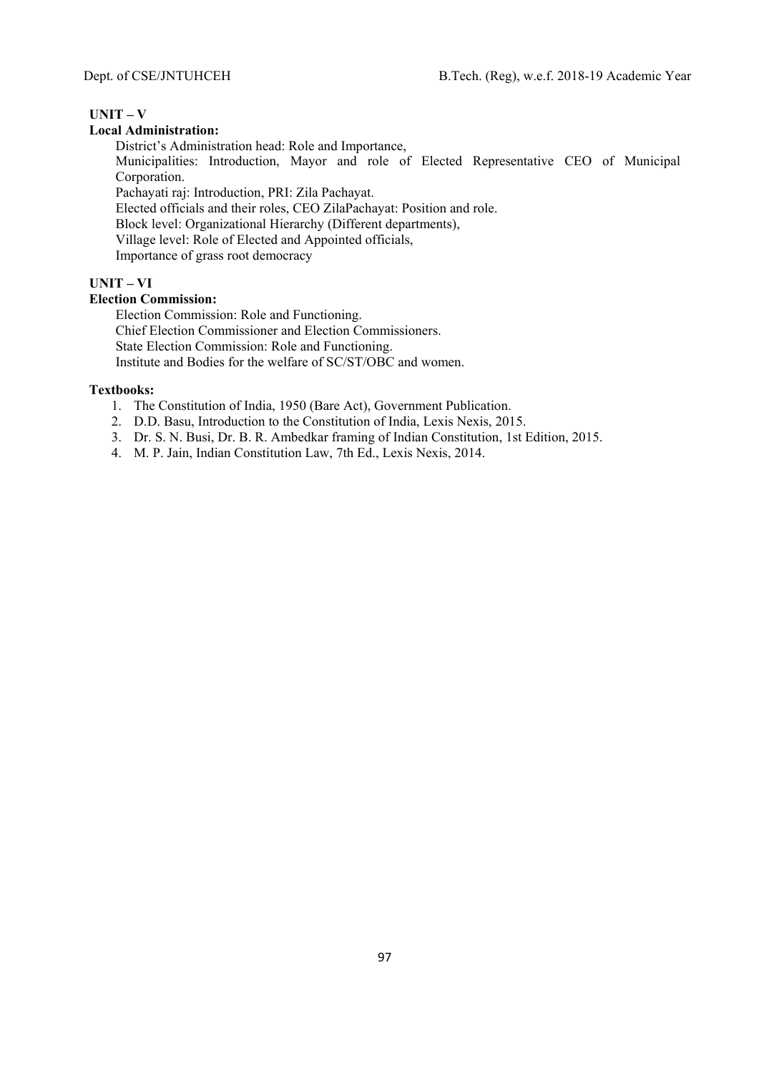# **UNIT – V**

## **Local Administration:**

District's Administration head: Role and Importance, Municipalities: Introduction, Mayor and role of Elected Representative CEO of Municipal Corporation. Pachayati raj: Introduction, PRI: Zila Pachayat. Elected officials and their roles, CEO ZilaPachayat: Position and role.

Block level: Organizational Hierarchy (Different departments),

Village level: Role of Elected and Appointed officials,

Importance of grass root democracy

# **UNIT – VI**

# **Election Commission:**

Election Commission: Role and Functioning. Chief Election Commissioner and Election Commissioners. State Election Commission: Role and Functioning. Institute and Bodies for the welfare of SC/ST/OBC and women.

#### **Textbooks:**

- 1. The Constitution of India, 1950 (Bare Act), Government Publication.
- 2. D.D. Basu, Introduction to the Constitution of India, Lexis Nexis, 2015.
- 3. Dr. S. N. Busi, Dr. B. R. Ambedkar framing of Indian Constitution, 1st Edition, 2015.
- 4. M. P. Jain, Indian Constitution Law, 7th Ed., Lexis Nexis, 2014.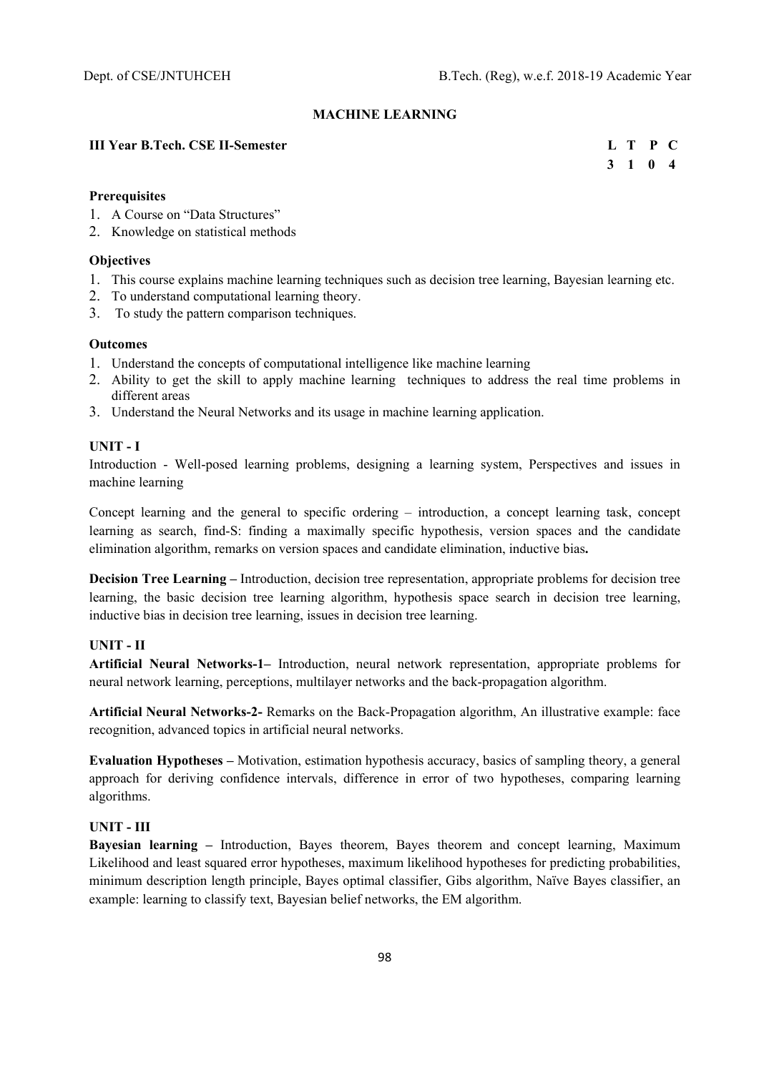### **MACHINE LEARNING**

## **III Year B.Tech. CSE II-Semester**

|  | L T P C                     |  |
|--|-----------------------------|--|
|  | $3 \quad 1 \quad 0 \quad 4$ |  |

#### **Prerequisites**

- 1. A Course on "Data Structures"
- 2. Knowledge on statistical methods

#### **Objectives**

- 1. This course explains machine learning techniques such as decision tree learning, Bayesian learning etc.
- 2. To understand computational learning theory.
- 3. To study the pattern comparison techniques.

#### **Outcomes**

- 1. Understand the concepts of computational intelligence like machine learning
- 2. Ability to get the skill to apply machine learning techniques to address the real time problems in different areas
- 3. Understand the Neural Networks and its usage in machine learning application.

### **UNIT - I**

Introduction - Well-posed learning problems, designing a learning system, Perspectives and issues in machine learning

Concept learning and the general to specific ordering – introduction, a concept learning task, concept learning as search, find-S: finding a maximally specific hypothesis, version spaces and the candidate elimination algorithm, remarks on version spaces and candidate elimination, inductive bias**.**

**Decision Tree Learning –** Introduction, decision tree representation, appropriate problems for decision tree learning, the basic decision tree learning algorithm, hypothesis space search in decision tree learning, inductive bias in decision tree learning, issues in decision tree learning.

### **UNIT - II**

**Artificial Neural Networks-1–** Introduction, neural network representation, appropriate problems for neural network learning, perceptions, multilayer networks and the back-propagation algorithm.

**Artificial Neural Networks-2-** Remarks on the Back-Propagation algorithm, An illustrative example: face recognition, advanced topics in artificial neural networks.

**Evaluation Hypotheses –** Motivation, estimation hypothesis accuracy, basics of sampling theory, a general approach for deriving confidence intervals, difference in error of two hypotheses, comparing learning algorithms.

## **UNIT - III**

**Bayesian learning –** Introduction, Bayes theorem, Bayes theorem and concept learning, Maximum Likelihood and least squared error hypotheses, maximum likelihood hypotheses for predicting probabilities, minimum description length principle, Bayes optimal classifier, Gibs algorithm, Naïve Bayes classifier, an example: learning to classify text, Bayesian belief networks, the EM algorithm.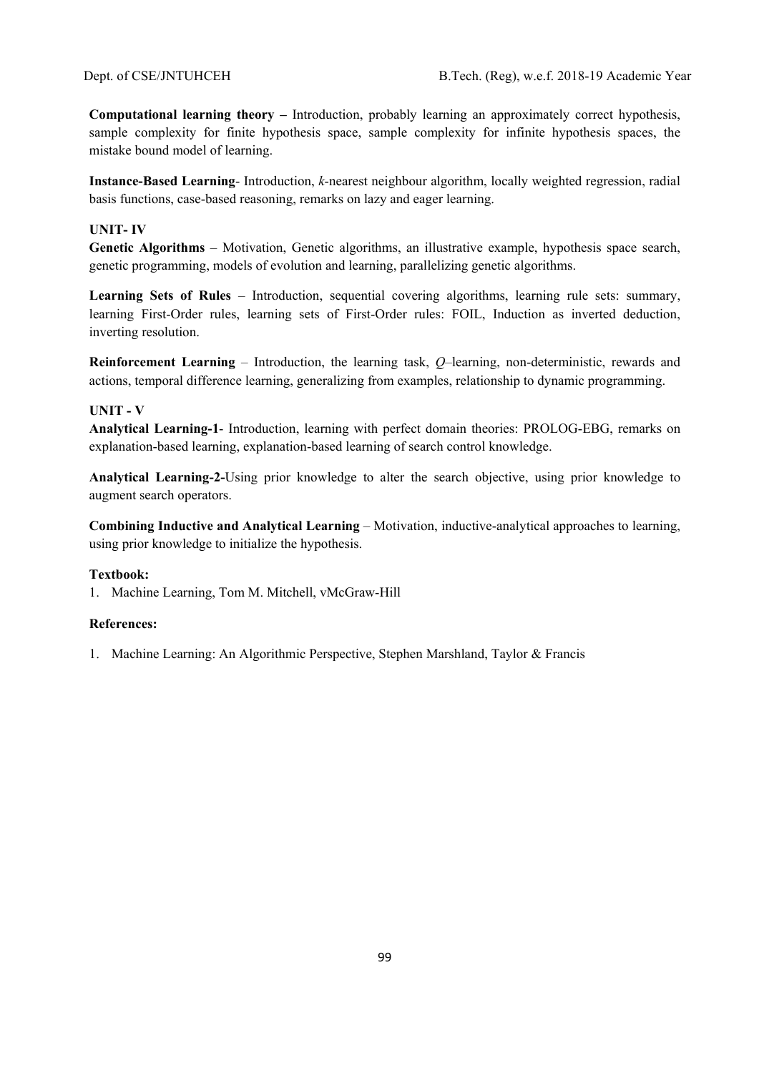**Computational learning theory –** Introduction, probably learning an approximately correct hypothesis, sample complexity for finite hypothesis space, sample complexity for infinite hypothesis spaces, the mistake bound model of learning.

**Instance-Based Learning**- Introduction, *k*-nearest neighbour algorithm, locally weighted regression, radial basis functions, case-based reasoning, remarks on lazy and eager learning.

# **UNIT- IV**

**Genetic Algorithms** – Motivation, Genetic algorithms, an illustrative example, hypothesis space search, genetic programming, models of evolution and learning, parallelizing genetic algorithms.

**Learning Sets of Rules** – Introduction, sequential covering algorithms, learning rule sets: summary, learning First-Order rules, learning sets of First-Order rules: FOIL, Induction as inverted deduction, inverting resolution.

**Reinforcement Learning** – Introduction, the learning task, *Q*–learning, non-deterministic, rewards and actions, temporal difference learning, generalizing from examples, relationship to dynamic programming.

## **UNIT - V**

**Analytical Learning-1**- Introduction, learning with perfect domain theories: PROLOG-EBG, remarks on explanation-based learning, explanation-based learning of search control knowledge.

**Analytical Learning-2-**Using prior knowledge to alter the search objective, using prior knowledge to augment search operators.

**Combining Inductive and Analytical Learning** – Motivation, inductive-analytical approaches to learning, using prior knowledge to initialize the hypothesis.

#### **Textbook:**

1. Machine Learning, Tom M. Mitchell, vMcGraw-Hill

#### **References:**

1. Machine Learning: An Algorithmic Perspective, Stephen Marshland, Taylor & Francis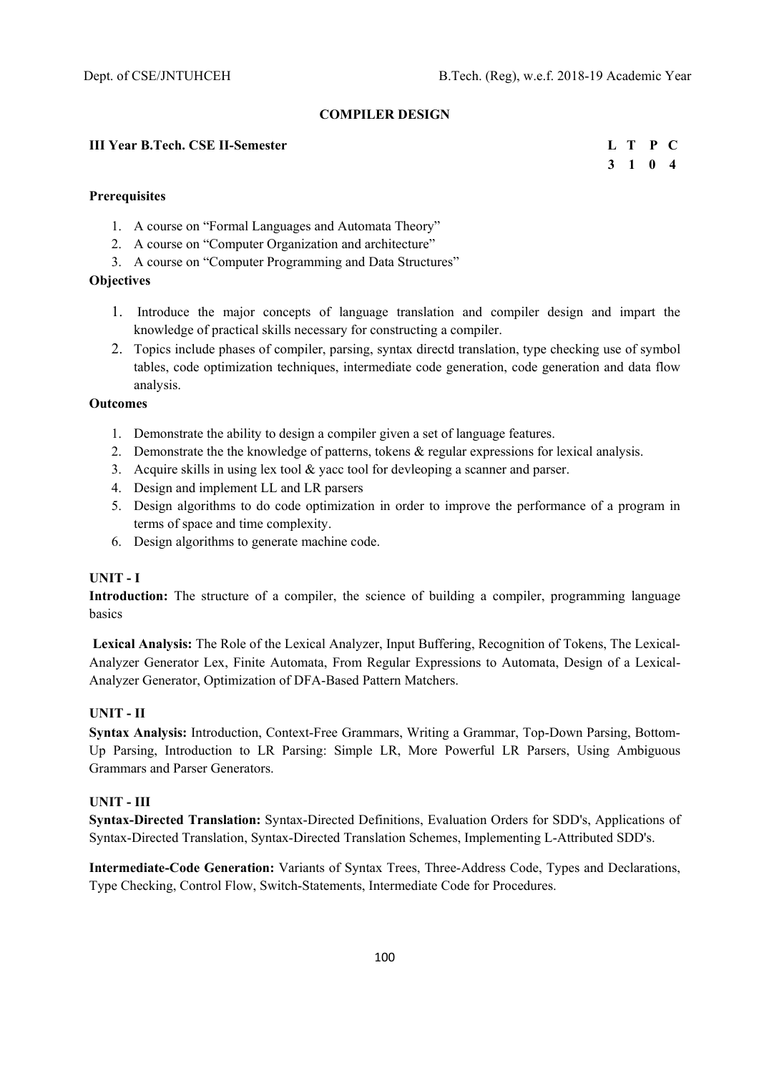### **COMPILER DESIGN**

## **III Year B.Tech. CSE II-Semester L T P C**

 **3 1 0 4** 

## **Prerequisites**

- 1. A course on "Formal Languages and Automata Theory"
- 2. A course on "Computer Organization and architecture"
- 3. A course on "Computer Programming and Data Structures"

# **Objectives**

- 1. Introduce the major concepts of language translation and compiler design and impart the knowledge of practical skills necessary for constructing a compiler.
- 2. Topics include phases of compiler, parsing, syntax directd translation, type checking use of symbol tables, code optimization techniques, intermediate code generation, code generation and data flow analysis.

## **Outcomes**

- 1. Demonstrate the ability to design a compiler given a set of language features.
- 2. Demonstrate the the knowledge of patterns, tokens & regular expressions for lexical analysis.
- 3. Acquire skills in using lex tool & yacc tool for devleoping a scanner and parser.
- 4. Design and implement LL and LR parsers
- 5. Design algorithms to do code optimization in order to improve the performance of a program in terms of space and time complexity.
- 6. Design algorithms to generate machine code.

## **UNIT - I**

**Introduction:** The structure of a compiler, the science of building a compiler, programming language basics

 **Lexical Analysis:** The Role of the Lexical Analyzer, Input Buffering, Recognition of Tokens, The Lexical-Analyzer Generator Lex, Finite Automata, From Regular Expressions to Automata, Design of a Lexical-Analyzer Generator, Optimization of DFA-Based Pattern Matchers.

# **UNIT - II**

**Syntax Analysis:** Introduction, Context-Free Grammars, Writing a Grammar, Top-Down Parsing, Bottom-Up Parsing, Introduction to LR Parsing: Simple LR, More Powerful LR Parsers, Using Ambiguous Grammars and Parser Generators.

# **UNIT - III**

**Syntax-Directed Translation:** Syntax-Directed Definitions, Evaluation Orders for SDD's, Applications of Syntax-Directed Translation, Syntax-Directed Translation Schemes, Implementing L-Attributed SDD's.

**Intermediate-Code Generation:** Variants of Syntax Trees, Three-Address Code, Types and Declarations, Type Checking, Control Flow, Switch-Statements, Intermediate Code for Procedures.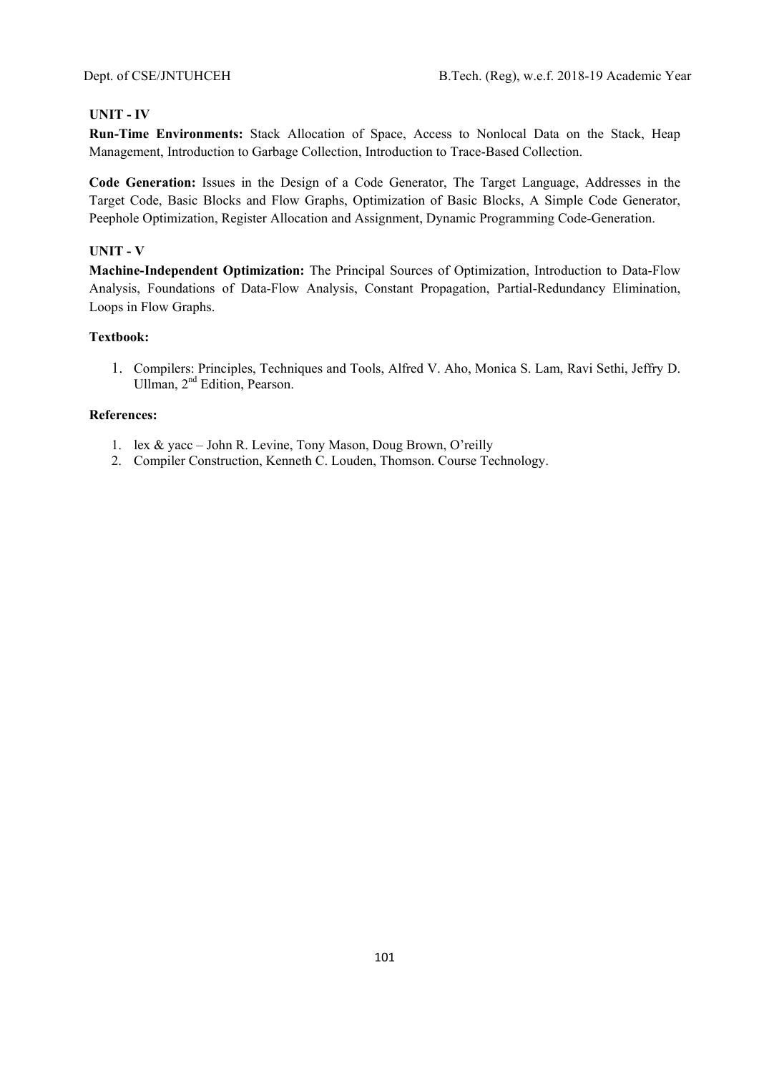# **UNIT - IV**

**Run-Time Environments:** Stack Allocation of Space, Access to Nonlocal Data on the Stack, Heap Management, Introduction to Garbage Collection, Introduction to Trace-Based Collection.

**Code Generation:** Issues in the Design of a Code Generator, The Target Language, Addresses in the Target Code, Basic Blocks and Flow Graphs, Optimization of Basic Blocks, A Simple Code Generator, Peephole Optimization, Register Allocation and Assignment, Dynamic Programming Code-Generation.

## **UNIT - V**

**Machine-Independent Optimization:** The Principal Sources of Optimization, Introduction to Data-Flow Analysis, Foundations of Data-Flow Analysis, Constant Propagation, Partial-Redundancy Elimination, Loops in Flow Graphs.

# **Textbook:**

1. Compilers: Principles, Techniques and Tools, Alfred V. Aho, Monica S. Lam, Ravi Sethi, Jeffry D. Ullman, 2nd Edition, Pearson.

- 1. lex & yacc John R. Levine, Tony Mason, Doug Brown, O'reilly
- 2. Compiler Construction, Kenneth C. Louden, Thomson. Course Technology.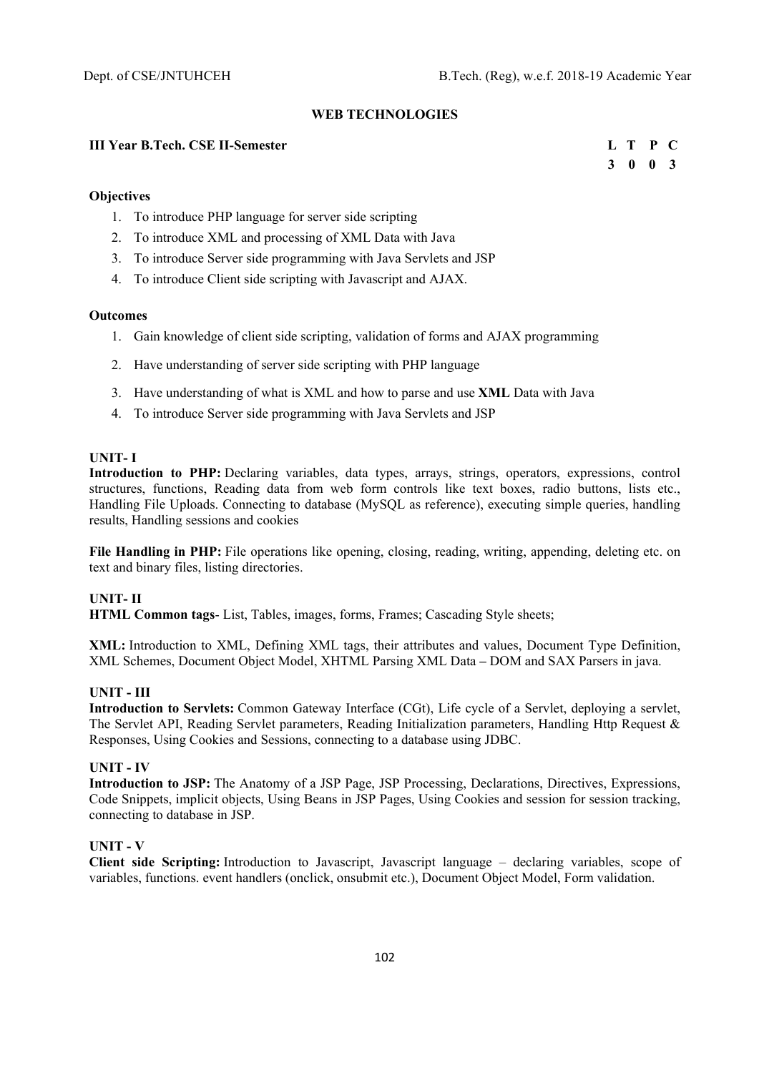**3 0 0 3** 

# **WEB TECHNOLOGIES**

## **III Year B.Tech. CSE II-Semester L T P C**

## **Objectives**

- 1. To introduce PHP language for server side scripting
- 2. To introduce XML and processing of XML Data with Java
- 3. To introduce Server side programming with Java Servlets and JSP
- 4. To introduce Client side scripting with Javascript and AJAX.

## **Outcomes**

- 1. Gain knowledge of client side scripting, validation of forms and AJAX programming
- 2. Have understanding of server side scripting with PHP language
- 3. Have understanding of what is XML and how to parse and use **XML** Data with Java
- 4. To introduce Server side programming with Java Servlets and JSP

### **UNIT- I**

**Introduction to PHP:** Declaring variables, data types, arrays, strings, operators, expressions, control structures, functions, Reading data from web form controls like text boxes, radio buttons, lists etc., Handling File Uploads. Connecting to database (MySQL as reference), executing simple queries, handling results, Handling sessions and cookies

**File Handling in PHP:** File operations like opening, closing, reading, writing, appending, deleting etc. on text and binary files, listing directories.

## **UNIT- II**

**HTML Common tags**- List, Tables, images, forms, Frames; Cascading Style sheets;

**XML:** Introduction to XML, Defining XML tags, their attributes and values, Document Type Definition, XML Schemes, Document Object Model, XHTML Parsing XML Data **–** DOM and SAX Parsers in java.

# **UNIT - III**

**Introduction to Servlets:** Common Gateway Interface (CGt), Life cycle of a Servlet, deploying a servlet, The Servlet API, Reading Servlet parameters, Reading Initialization parameters, Handling Http Request & Responses, Using Cookies and Sessions, connecting to a database using JDBC.

### **UNIT - IV**

**Introduction to JSP:** The Anatomy of a JSP Page, JSP Processing, Declarations, Directives, Expressions, Code Snippets, implicit objects, Using Beans in JSP Pages, Using Cookies and session for session tracking, connecting to database in JSP.

### **UNIT - V**

**Client side Scripting:** Introduction to Javascript, Javascript language – declaring variables, scope of variables, functions. event handlers (onclick, onsubmit etc.), Document Object Model, Form validation.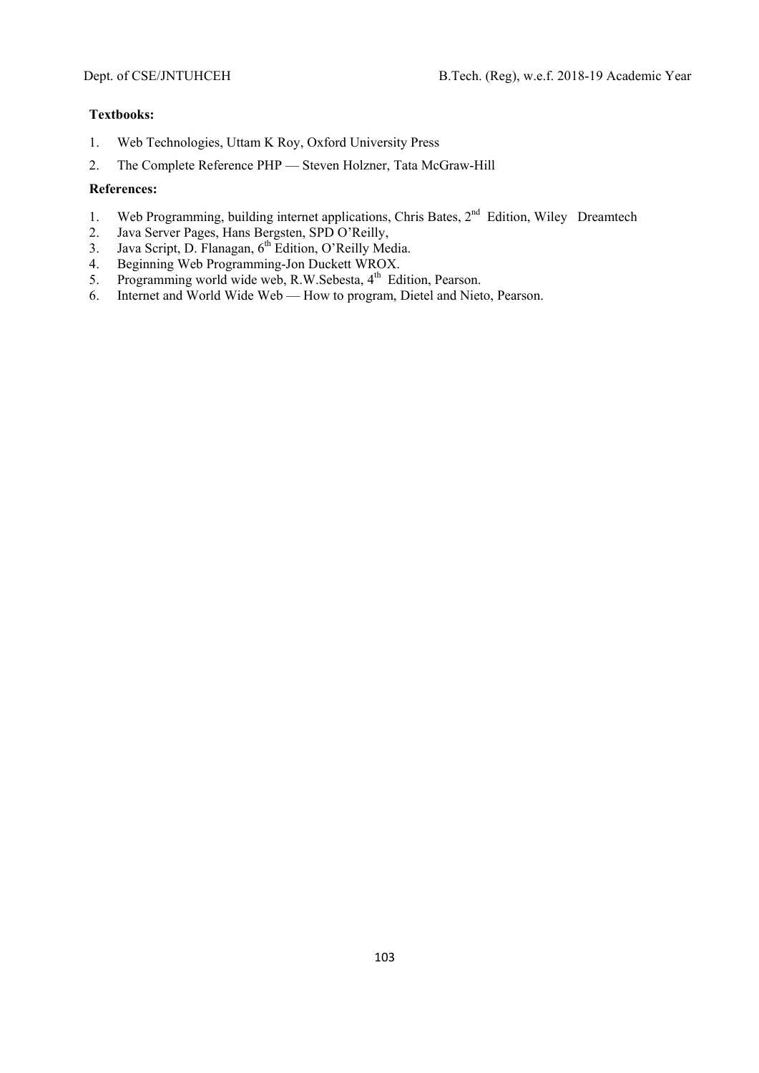# **Textbooks:**

- 1. Web Technologies, Uttam K Roy, Oxford University Press
- 2. The Complete Reference PHP Steven Holzner, Tata McGraw-Hill

- 1. Web Programming, building internet applications, Chris Bates, 2<sup>nd</sup> Edition, Wiley Dreamtech
- 2. Java Server Pages, Hans Bergsten, SPD O'Reilly,
- 3. Java Script, D. Flanagan,  $6<sup>th</sup>$  Edition, O'Reilly Media.
- 4. Beginning Web Programming-Jon Duckett WROX.
- 5. Beginning web Frogramming von Buckett Witch.<br>5. Programming world wide web, R.W.Sebesta, 4<sup>th</sup> Edition, Pearson.
- 6. Internet and World Wide Web How to program, Dietel and Nieto, Pearson.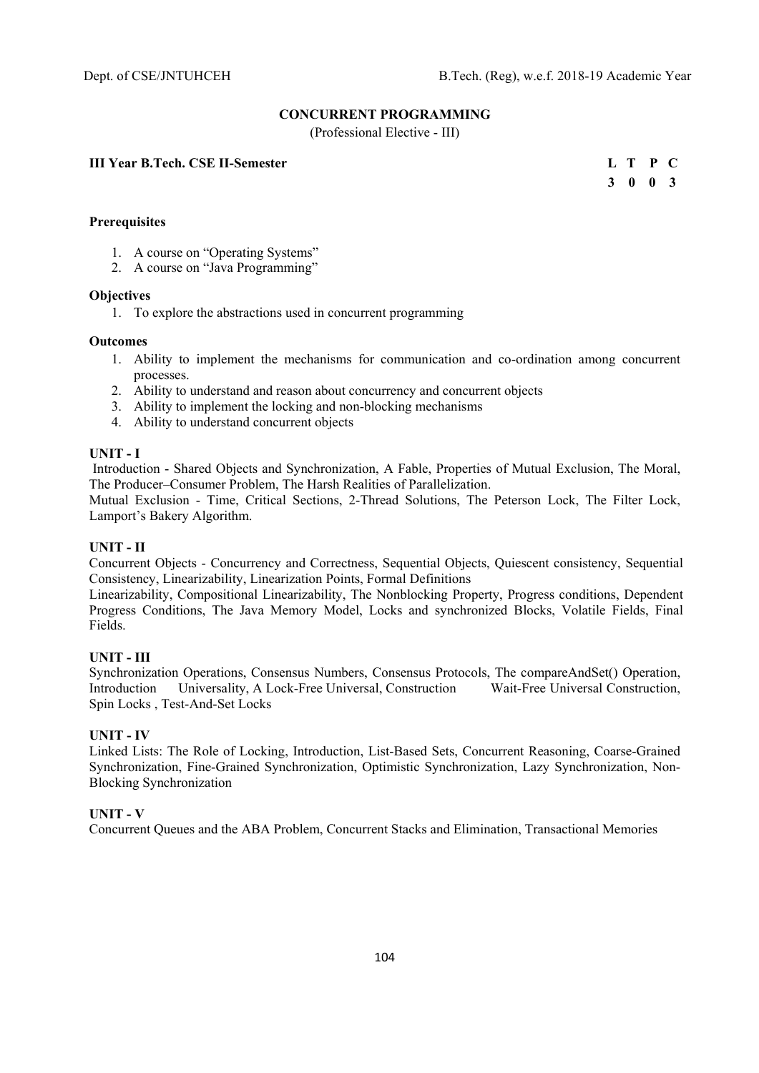# **CONCURRENT PROGRAMMING**

(Professional Elective - III)

## **III Year B.Tech. CSE II-Semester**

|  | L T P C         |  |
|--|-----------------|--|
|  | $3 \t0 \t0 \t3$ |  |

## **Prerequisites**

- 1. A course on "Operating Systems"
- 2. A course on "Java Programming"

#### **Objectives**

1. To explore the abstractions used in concurrent programming

#### **Outcomes**

- 1. Ability to implement the mechanisms for communication and co-ordination among concurrent processes.
- 2. Ability to understand and reason about concurrency and concurrent objects
- 3. Ability to implement the locking and non-blocking mechanisms
- 4. Ability to understand concurrent objects

# **UNIT - I**

 Introduction - Shared Objects and Synchronization, A Fable, Properties of Mutual Exclusion, The Moral, The Producer–Consumer Problem, The Harsh Realities of Parallelization.

Mutual Exclusion - Time, Critical Sections, 2-Thread Solutions, The Peterson Lock, The Filter Lock, Lamport's Bakery Algorithm.

### **UNIT - II**

Concurrent Objects - Concurrency and Correctness, Sequential Objects, Quiescent consistency, Sequential Consistency, Linearizability, Linearization Points, Formal Definitions

Linearizability, Compositional Linearizability, The Nonblocking Property, Progress conditions, Dependent Progress Conditions, The Java Memory Model, Locks and synchronized Blocks, Volatile Fields, Final Fields.

### **UNIT - III**

Synchronization Operations, Consensus Numbers, Consensus Protocols, The compareAndSet() Operation, Introduction Universality, A Lock-Free Universal, Construction Wait-Free Universal Construction, Spin Locks , Test-And-Set Locks

## **UNIT - IV**

Linked Lists: The Role of Locking, Introduction, List-Based Sets, Concurrent Reasoning, Coarse-Grained Synchronization, Fine-Grained Synchronization, Optimistic Synchronization, Lazy Synchronization, Non-Blocking Synchronization

### **UNIT - V**

Concurrent Queues and the ABA Problem, Concurrent Stacks and Elimination, Transactional Memories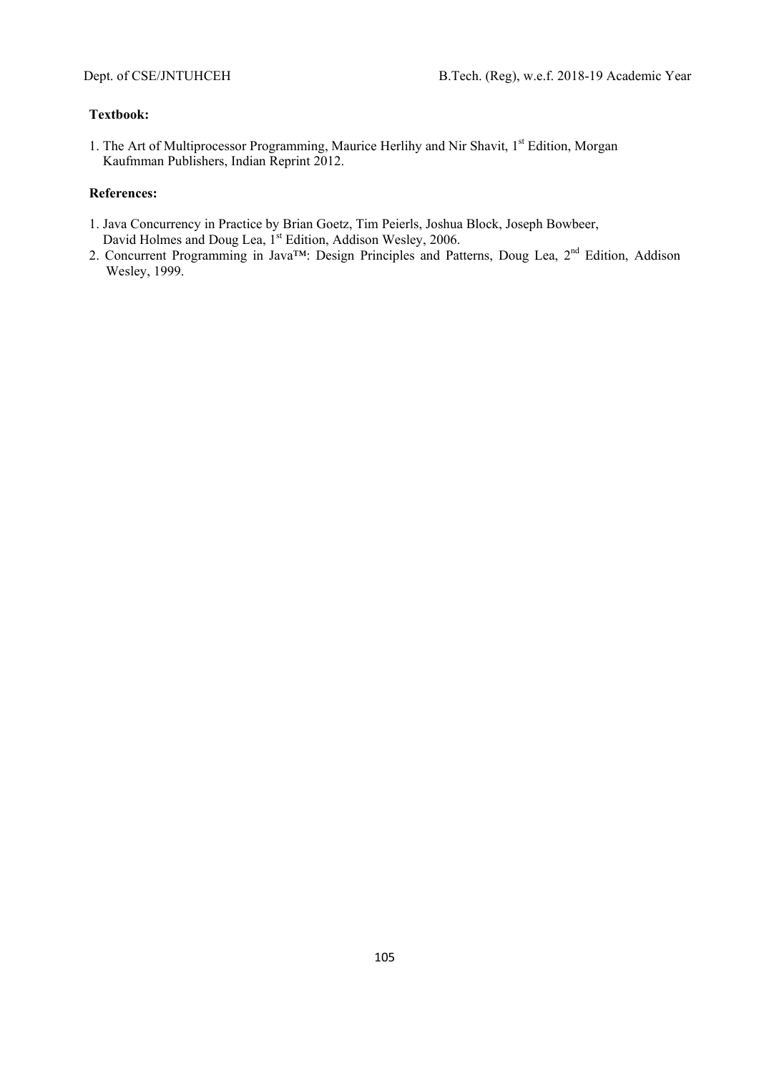# **Textbook:**

1. The Art of Multiprocessor Programming, Maurice Herlihy and Nir Shavit, 1<sup>st</sup> Edition, Morgan Kaufmman Publishers, Indian Reprint 2012.

- 1. Java Concurrency in Practice by Brian Goetz, Tim Peierls, Joshua Block, Joseph Bowbeer, David Holmes and Doug Lea, 1<sup>st</sup> Edition, Addison Wesley, 2006.
- 2. Concurrent Programming in Java<sup>TM</sup>: Design Principles and Patterns, Doug Lea, 2<sup>nd</sup> Edition, Addison Wesley, 1999.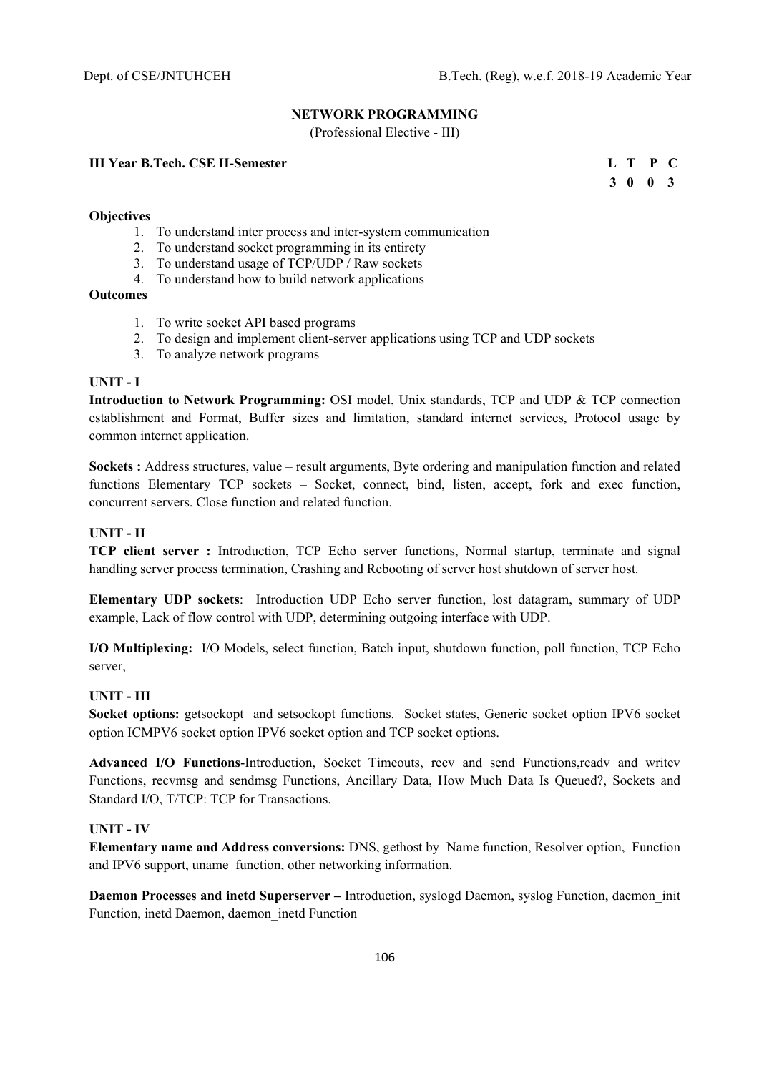# **NETWORK PROGRAMMING**

(Professional Elective - III)

# **III Year B.Tech. CSE II-Semester L T P C**

 **3 0 0 3** 

## **Objectives**

- 1. To understand inter process and inter-system communication
- 2. To understand socket programming in its entirety
- 3. To understand usage of TCP/UDP / Raw sockets
- 4. To understand how to build network applications

# **Outcomes**

- 1. To write socket API based programs
- 2. To design and implement client-server applications using TCP and UDP sockets
- 3. To analyze network programs

## **UNIT - I**

**Introduction to Network Programming:** OSI model, Unix standards, TCP and UDP & TCP connection establishment and Format, Buffer sizes and limitation, standard internet services, Protocol usage by common internet application.

**Sockets :** Address structures, value – result arguments, Byte ordering and manipulation function and related functions Elementary TCP sockets – Socket, connect, bind, listen, accept, fork and exec function, concurrent servers. Close function and related function.

# **UNIT - II**

**TCP client server :** Introduction, TCP Echo server functions, Normal startup, terminate and signal handling server process termination, Crashing and Rebooting of server host shutdown of server host.

**Elementary UDP sockets**: Introduction UDP Echo server function, lost datagram, summary of UDP example, Lack of flow control with UDP, determining outgoing interface with UDP.

**I/O Multiplexing:** I/O Models, select function, Batch input, shutdown function, poll function, TCP Echo server,

# **UNIT - III**

**Socket options:** getsockopt and setsockopt functions. Socket states, Generic socket option IPV6 socket option ICMPV6 socket option IPV6 socket option and TCP socket options.

**Advanced I/O Functions**-Introduction, Socket Timeouts, recv and send Functions,readv and writev Functions, recvmsg and sendmsg Functions, Ancillary Data, How Much Data Is Queued?, Sockets and Standard I/O, T/TCP: TCP for Transactions.

### **UNIT - IV**

**Elementary name and Address conversions:** DNS, gethost by Name function, Resolver option, Function and IPV6 support, uname function, other networking information.

**Daemon Processes and inetd Superserver – Introduction, syslogd Daemon, syslog Function, daemon** init Function, inetd Daemon, daemon\_inetd Function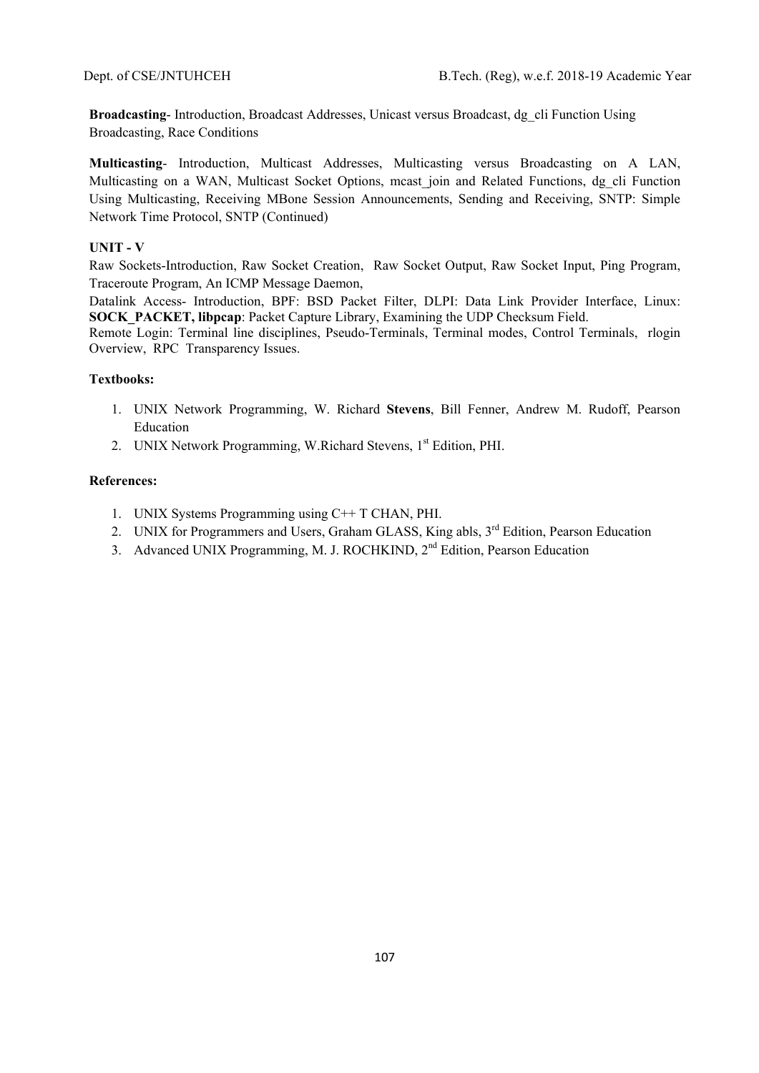**Broadcasting**- Introduction, Broadcast Addresses, Unicast versus Broadcast, dg\_cli Function Using Broadcasting, Race Conditions

**Multicasting**- Introduction, Multicast Addresses, Multicasting versus Broadcasting on A LAN, Multicasting on a WAN, Multicast Socket Options, meast join and Related Functions, dg\_cli Function Using Multicasting, Receiving MBone Session Announcements, Sending and Receiving, SNTP: Simple Network Time Protocol, SNTP (Continued)

## **UNIT - V**

Raw Sockets-Introduction, Raw Socket Creation, Raw Socket Output, Raw Socket Input, Ping Program, Traceroute Program, An ICMP Message Daemon,

Datalink Access- Introduction, BPF: BSD Packet Filter, DLPI: Data Link Provider Interface, Linux: **SOCK\_PACKET, libpcap**: Packet Capture Library, Examining the UDP Checksum Field.

Remote Login: Terminal line disciplines, Pseudo-Terminals, Terminal modes, Control Terminals, rlogin Overview, RPC Transparency Issues.

### **Textbooks:**

- 1. UNIX Network Programming, W. Richard **Stevens**, Bill Fenner, Andrew M. Rudoff, Pearson Education
- 2. UNIX Network Programming, W.Richard Stevens, 1<sup>st</sup> Edition, PHI.

- 1. UNIX Systems Programming using C++ T CHAN, PHI.
- 2. UNIX for Programmers and Users, Graham GLASS, King abls, 3<sup>rd</sup> Edition, Pearson Education
- 3. Advanced UNIX Programming, M. J. ROCHKIND, 2<sup>nd</sup> Edition, Pearson Education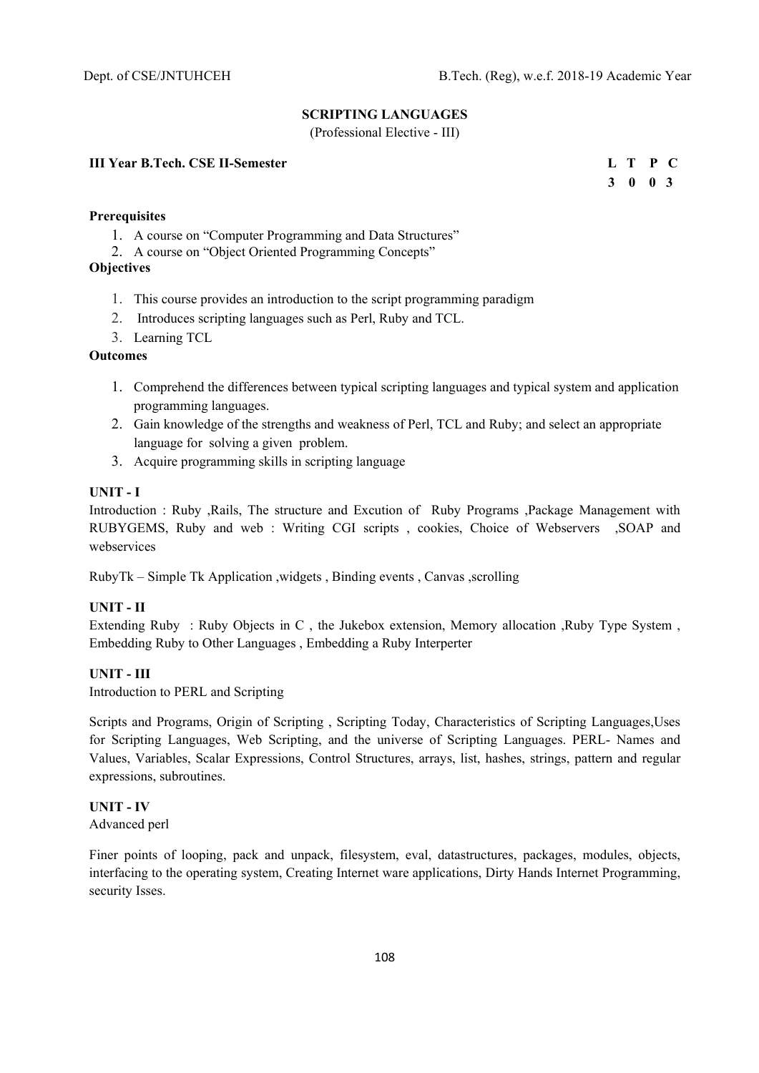# **SCRIPTING LANGUAGES**

(Professional Elective - III)

# **III Year B.Tech. CSE II-Semester L T P C**

 **3 0 0 3** 

# **Prerequisites**

- 1. A course on "Computer Programming and Data Structures"
- 2. A course on "Object Oriented Programming Concepts"

# **Objectives**

- 1. This course provides an introduction to the script programming paradigm
- 2. Introduces scripting languages such as Perl, Ruby and TCL.
- 3. Learning TCL

# **Outcomes**

- 1. Comprehend the differences between typical scripting languages and typical system and application programming languages.
- 2. Gain knowledge of the strengths and weakness of Perl, TCL and Ruby; and select an appropriate language for solving a given problem.
- 3. Acquire programming skills in scripting language

# **UNIT - I**

Introduction : Ruby ,Rails, The structure and Excution of Ruby Programs ,Package Management with RUBYGEMS, Ruby and web : Writing CGI scripts , cookies, Choice of Webservers ,SOAP and webservices

RubyTk – Simple Tk Application ,widgets , Binding events , Canvas ,scrolling

# **UNIT - II**

Extending Ruby : Ruby Objects in C , the Jukebox extension, Memory allocation ,Ruby Type System , Embedding Ruby to Other Languages , Embedding a Ruby Interperter

# **UNIT - III**

Introduction to PERL and Scripting

Scripts and Programs, Origin of Scripting , Scripting Today, Characteristics of Scripting Languages,Uses for Scripting Languages, Web Scripting, and the universe of Scripting Languages. PERL- Names and Values, Variables, Scalar Expressions, Control Structures, arrays, list, hashes, strings, pattern and regular expressions, subroutines.

# **UNIT - IV**

Advanced perl

Finer points of looping, pack and unpack, filesystem, eval, datastructures, packages, modules, objects, interfacing to the operating system, Creating Internet ware applications, Dirty Hands Internet Programming, security Isses.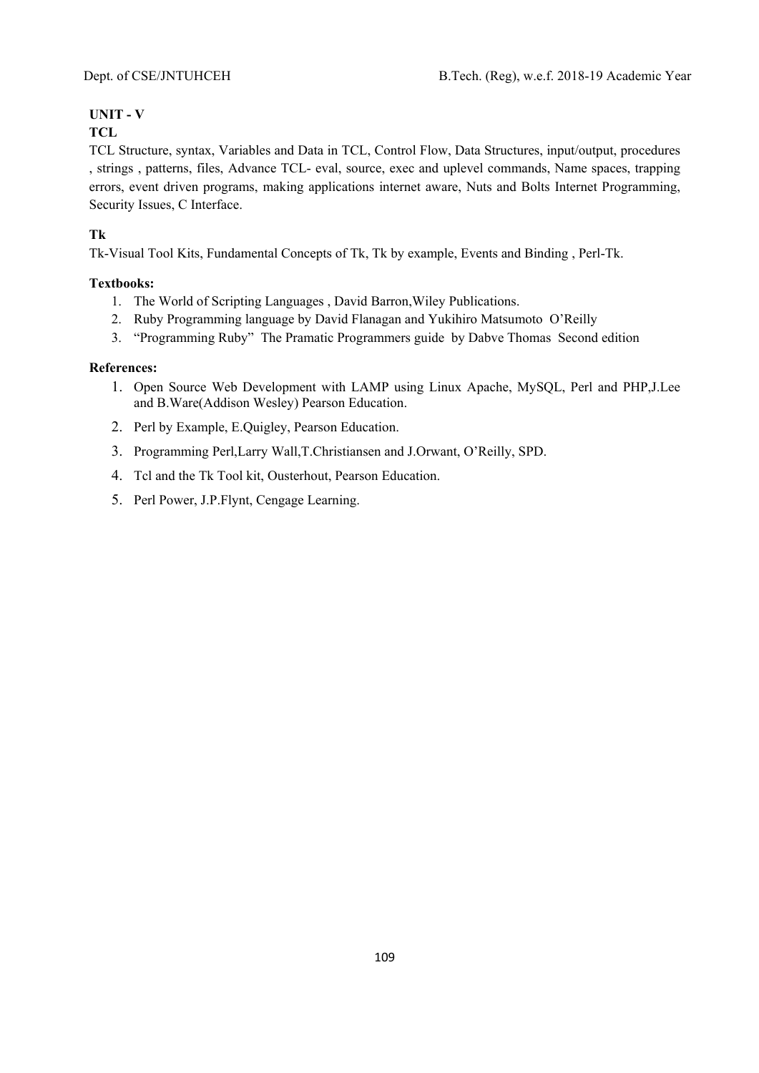# **UNIT - V**

# **TCL**

TCL Structure, syntax, Variables and Data in TCL, Control Flow, Data Structures, input/output, procedures , strings , patterns, files, Advance TCL- eval, source, exec and uplevel commands, Name spaces, trapping errors, event driven programs, making applications internet aware, Nuts and Bolts Internet Programming, Security Issues, C Interface.

# **Tk**

Tk-Visual Tool Kits, Fundamental Concepts of Tk, Tk by example, Events and Binding , Perl-Tk.

# **Textbooks:**

- 1. The World of Scripting Languages , David Barron,Wiley Publications.
- 2. Ruby Programming language by David Flanagan and Yukihiro Matsumoto O'Reilly
- 3. "Programming Ruby" The Pramatic Programmers guide by Dabve Thomas Second edition

- 1. Open Source Web Development with LAMP using Linux Apache, MySQL, Perl and PHP,J.Lee and B.Ware(Addison Wesley) Pearson Education.
- 2. Perl by Example, E.Quigley, Pearson Education.
- 3. Programming Perl,Larry Wall,T.Christiansen and J.Orwant, O'Reilly, SPD.
- 4. Tcl and the Tk Tool kit, Ousterhout, Pearson Education.
- 5. Perl Power, J.P.Flynt, Cengage Learning.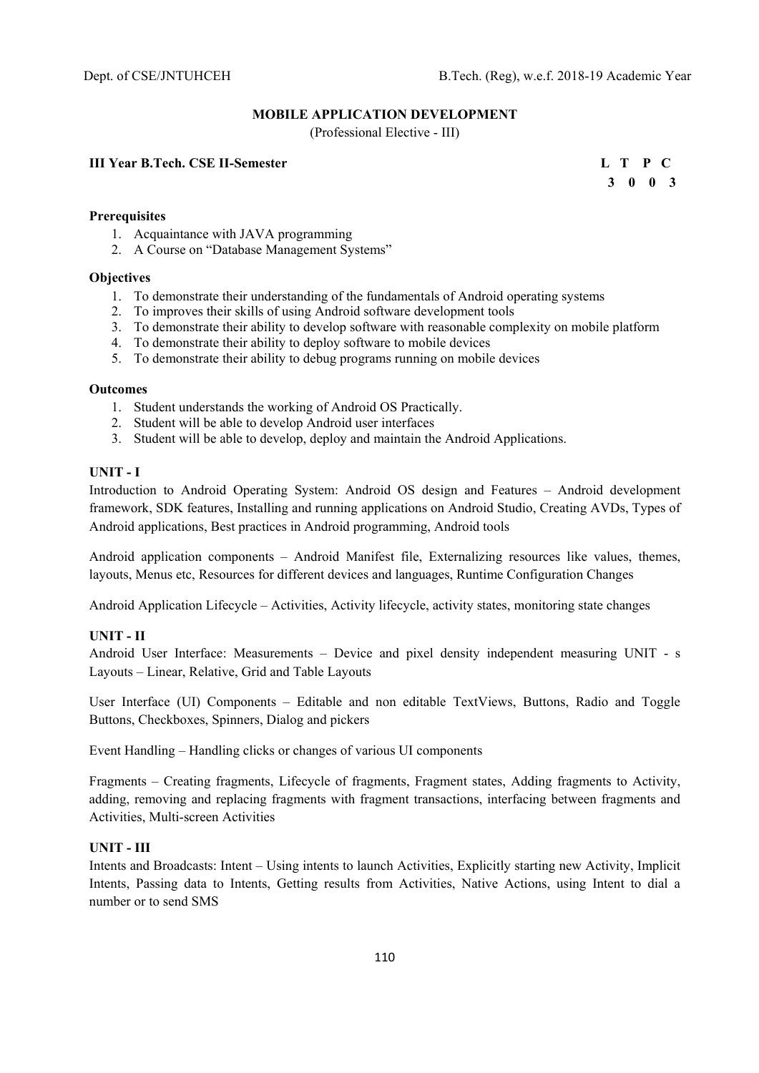# **MOBILE APPLICATION DEVELOPMENT**

(Professional Elective - III)

# **III Year B.Tech. CSE II-Semester L T P C**

 **3 0 0 3** 

# **Prerequisites**

- 1. Acquaintance with JAVA programming
- 2. A Course on "Database Management Systems"

# **Objectives**

- 1. To demonstrate their understanding of the fundamentals of Android operating systems
- 2. To improves their skills of using Android software development tools
- 3. To demonstrate their ability to develop software with reasonable complexity on mobile platform
- 4. To demonstrate their ability to deploy software to mobile devices
- 5. To demonstrate their ability to debug programs running on mobile devices

#### **Outcomes**

- 1. Student understands the working of Android OS Practically.
- 2. Student will be able to develop Android user interfaces
- 3. Student will be able to develop, deploy and maintain the Android Applications.

# **UNIT - I**

Introduction to Android Operating System: Android OS design and Features – Android development framework, SDK features, Installing and running applications on Android Studio, Creating AVDs, Types of Android applications, Best practices in Android programming, Android tools

Android application components – Android Manifest file, Externalizing resources like values, themes, layouts, Menus etc, Resources for different devices and languages, Runtime Configuration Changes

Android Application Lifecycle – Activities, Activity lifecycle, activity states, monitoring state changes

# **UNIT - II**

Android User Interface: Measurements – Device and pixel density independent measuring UNIT - s Layouts – Linear, Relative, Grid and Table Layouts

User Interface (UI) Components – Editable and non editable TextViews, Buttons, Radio and Toggle Buttons, Checkboxes, Spinners, Dialog and pickers

Event Handling – Handling clicks or changes of various UI components

Fragments – Creating fragments, Lifecycle of fragments, Fragment states, Adding fragments to Activity, adding, removing and replacing fragments with fragment transactions, interfacing between fragments and Activities, Multi-screen Activities

# **UNIT - III**

Intents and Broadcasts: Intent – Using intents to launch Activities, Explicitly starting new Activity, Implicit Intents, Passing data to Intents, Getting results from Activities, Native Actions, using Intent to dial a number or to send SMS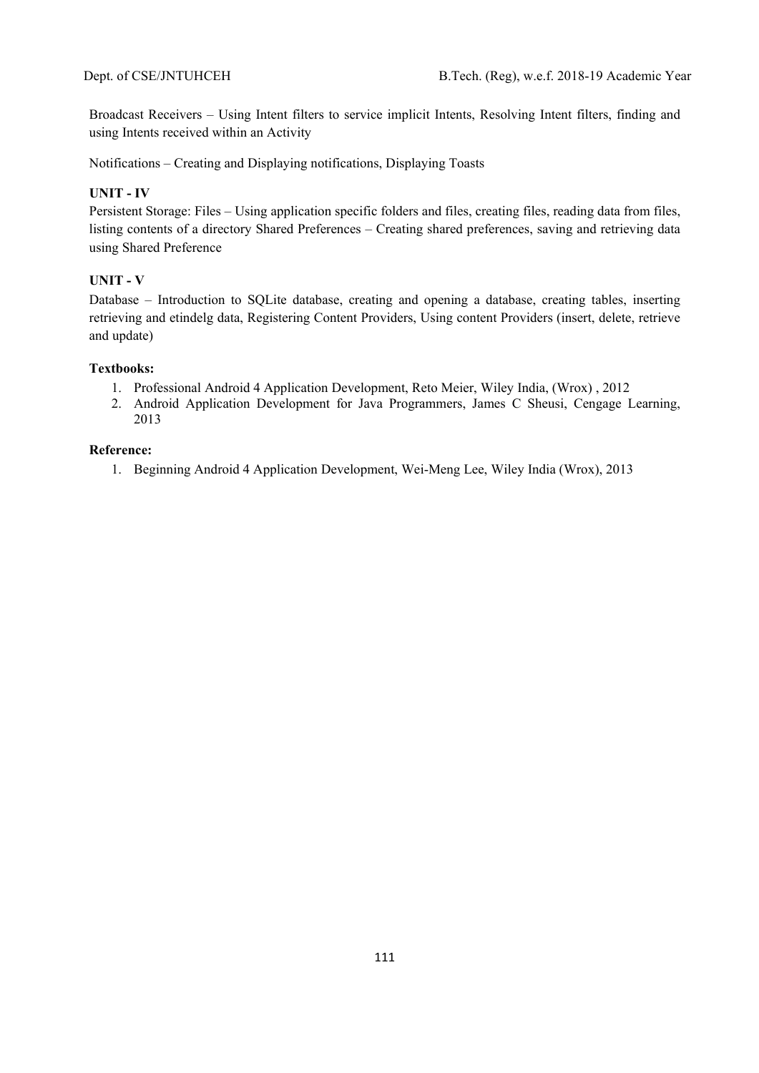Broadcast Receivers – Using Intent filters to service implicit Intents, Resolving Intent filters, finding and using Intents received within an Activity

Notifications – Creating and Displaying notifications, Displaying Toasts

# **UNIT - IV**

Persistent Storage: Files – Using application specific folders and files, creating files, reading data from files, listing contents of a directory Shared Preferences – Creating shared preferences, saving and retrieving data using Shared Preference

# **UNIT - V**

Database – Introduction to SQLite database, creating and opening a database, creating tables, inserting retrieving and etindelg data, Registering Content Providers, Using content Providers (insert, delete, retrieve and update)

# **Textbooks:**

- 1. Professional Android 4 Application Development, Reto Meier, Wiley India, (Wrox) , 2012
- 2. Android Application Development for Java Programmers, James C Sheusi, Cengage Learning, 2013

#### **Reference:**

1. Beginning Android 4 Application Development, Wei-Meng Lee, Wiley India (Wrox), 2013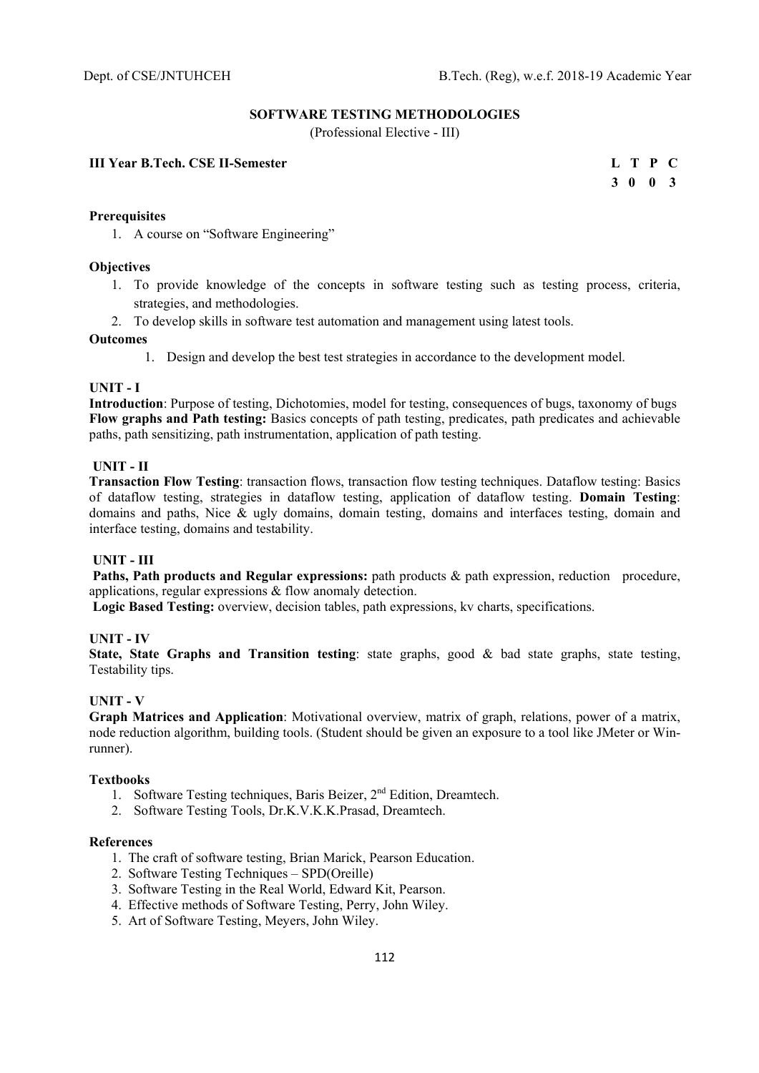# **SOFTWARE TESTING METHODOLOGIES**

(Professional Elective - III)

# **III Year B.Tech. CSE II-Semester**

|  | L T P C                  |  |
|--|--------------------------|--|
|  | $3\quad 0\quad 0\quad 3$ |  |

#### **Prerequisites**

1. A course on "Software Engineering"

#### **Objectives**

- 1. To provide knowledge of the concepts in software testing such as testing process, criteria, strategies, and methodologies.
- 2. To develop skills in software test automation and management using latest tools.

#### **Outcomes**

1. Design and develop the best test strategies in accordance to the development model.

#### **UNIT - I**

**Introduction**: Purpose of testing, Dichotomies, model for testing, consequences of bugs, taxonomy of bugs **Flow graphs and Path testing:** Basics concepts of path testing, predicates, path predicates and achievable paths, path sensitizing, path instrumentation, application of path testing.

# **UNIT - II**

**Transaction Flow Testing**: transaction flows, transaction flow testing techniques. Dataflow testing: Basics of dataflow testing, strategies in dataflow testing, application of dataflow testing. **Domain Testing**: domains and paths, Nice & ugly domains, domain testing, domains and interfaces testing, domain and interface testing, domains and testability.

# **UNIT - III**

 **Paths, Path products and Regular expressions:** path products & path expression, reduction procedure, applications, regular expressions & flow anomaly detection.

 **Logic Based Testing:** overview, decision tables, path expressions, kv charts, specifications.

# **UNIT - IV**

**State, State Graphs and Transition testing**: state graphs, good & bad state graphs, state testing, Testability tips.

# **UNIT - V**

**Graph Matrices and Application**: Motivational overview, matrix of graph, relations, power of a matrix, node reduction algorithm, building tools. (Student should be given an exposure to a tool like JMeter or Winrunner).

#### **Textbooks**

- 1. Software Testing techniques, Baris Beizer,  $2<sup>nd</sup>$  Edition, Dreamtech.
- 2. Software Testing Tools, Dr.K.V.K.K.Prasad, Dreamtech.

- 1. The craft of software testing, Brian Marick, Pearson Education.
- 2. Software Testing Techniques SPD(Oreille)
- 3. Software Testing in the Real World, Edward Kit, Pearson.
- 4. Effective methods of Software Testing, Perry, John Wiley.
- 5. Art of Software Testing, Meyers, John Wiley.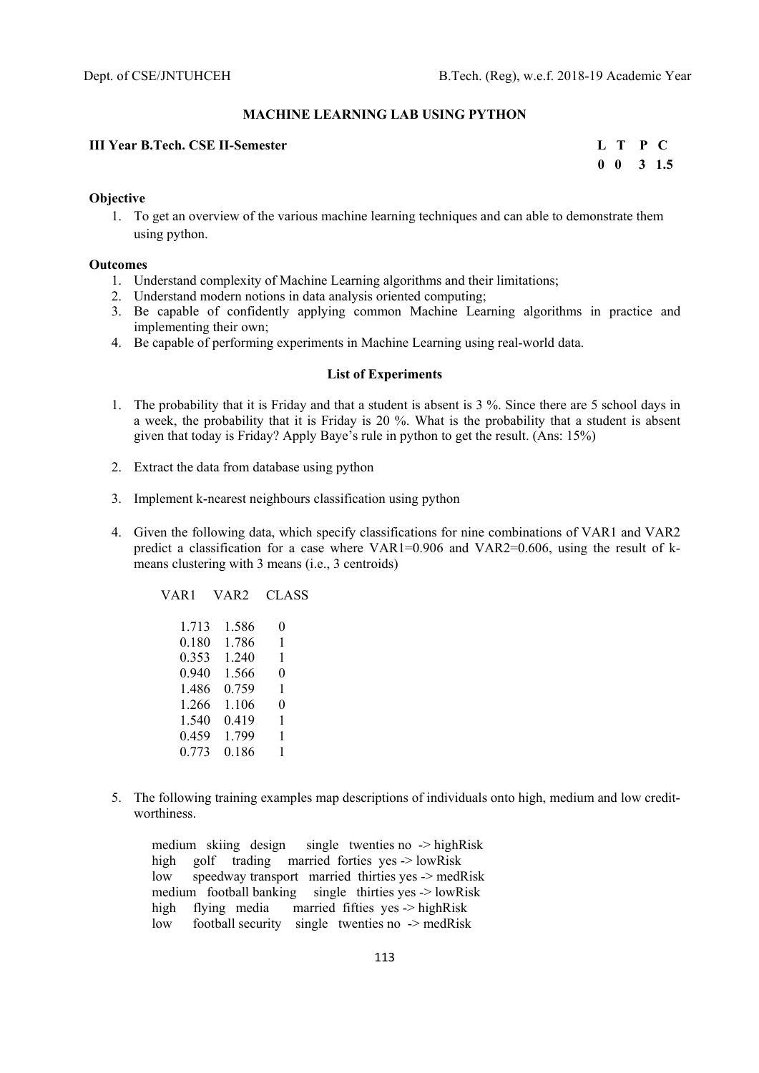#### **MACHINE LEARNING LAB USING PYTHON**

#### **III Year B.Tech. CSE II-Semester L T P C**

 **0 0 3 1.5** 

#### **Objective**

1. To get an overview of the various machine learning techniques and can able to demonstrate them using python.

#### **Outcomes**

- 1. Understand complexity of Machine Learning algorithms and their limitations;
- 2. Understand modern notions in data analysis oriented computing;
- 3. Be capable of confidently applying common Machine Learning algorithms in practice and implementing their own;
- 4. Be capable of performing experiments in Machine Learning using real-world data.

#### **List of Experiments**

- 1. The probability that it is Friday and that a student is absent is 3 %. Since there are 5 school days in a week, the probability that it is Friday is 20 %. What is the probability that a student is absent given that today is Friday? Apply Baye's rule in python to get the result. (Ans: 15%)
- 2. Extract the data from database using python
- 3. Implement k-nearest neighbours classification using python
- 4. Given the following data, which specify classifications for nine combinations of VAR1 and VAR2 predict a classification for a case where VAR1=0.906 and VAR2=0.606, using the result of kmeans clustering with 3 means (i.e., 3 centroids)

VAR1 VAR2 CLASS

 1.713 1.586 0 0.180 1.786 1 0.353 1.240 1 0.940 1.566 0 1.486 0.759 1 1.266 1.106 0 1.540 0.419 1 0.459 1.799 1 0.773 0.186 1

5. The following training examples map descriptions of individuals onto high, medium and low creditworthiness.

 medium skiing design single twenties no -> highRisk high golf trading married forties yes -> lowRisk low speedway transport married thirties yes -> medRisk medium football banking single thirties yes -> lowRisk high flying media married fifties yes -> highRisk low football security single twenties no -> medRisk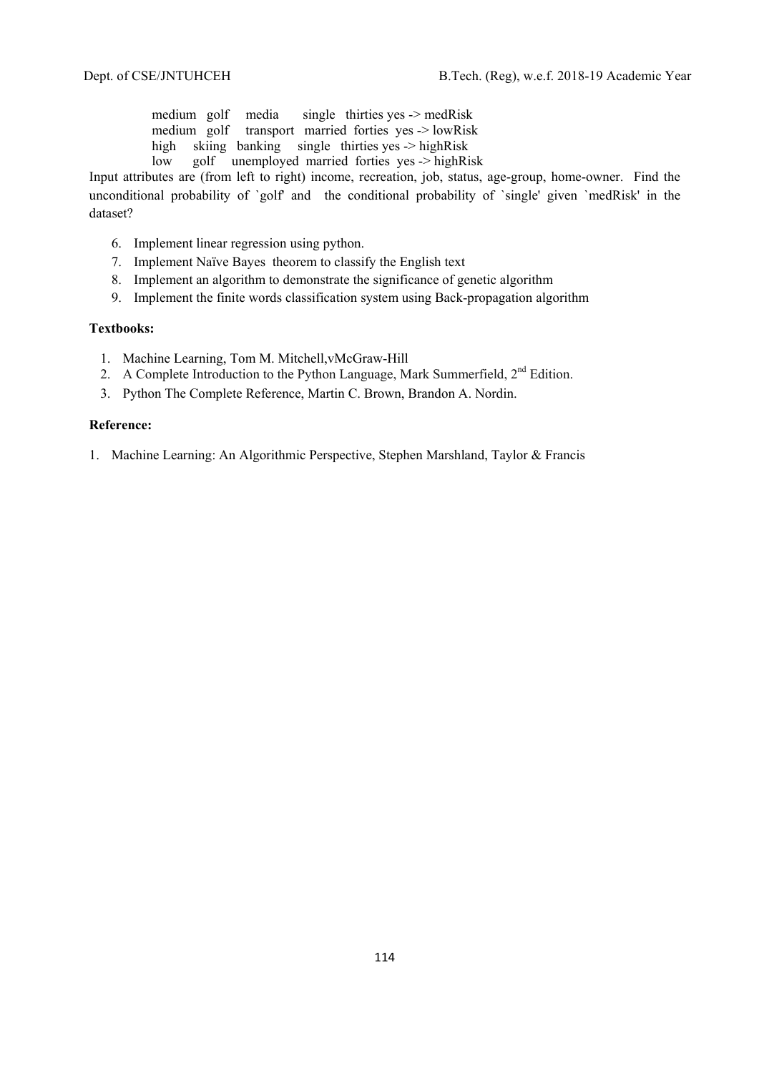medium golf media single thirties yes -> medRisk medium golf transport married forties yes -> lowRisk high skiing banking single thirties yes -> highRisk low golf unemployed married forties yes -> highRisk

Input attributes are (from left to right) income, recreation, job, status, age-group, home-owner. Find the unconditional probability of `golf' and the conditional probability of `single' given `medRisk' in the dataset?

- 6. Implement linear regression using python.
- 7. Implement Naïve Bayes theorem to classify the English text
- 8. Implement an algorithm to demonstrate the significance of genetic algorithm
- 9. Implement the finite words classification system using Back-propagation algorithm

# **Textbooks:**

- 1. Machine Learning, Tom M. Mitchell,vMcGraw-Hill
- 2. A Complete Introduction to the Python Language, Mark Summerfield,  $2<sup>nd</sup>$  Edition.
- 3. Python The Complete Reference, Martin C. Brown, Brandon A. Nordin.

#### **Reference:**

1. Machine Learning: An Algorithmic Perspective, Stephen Marshland, Taylor & Francis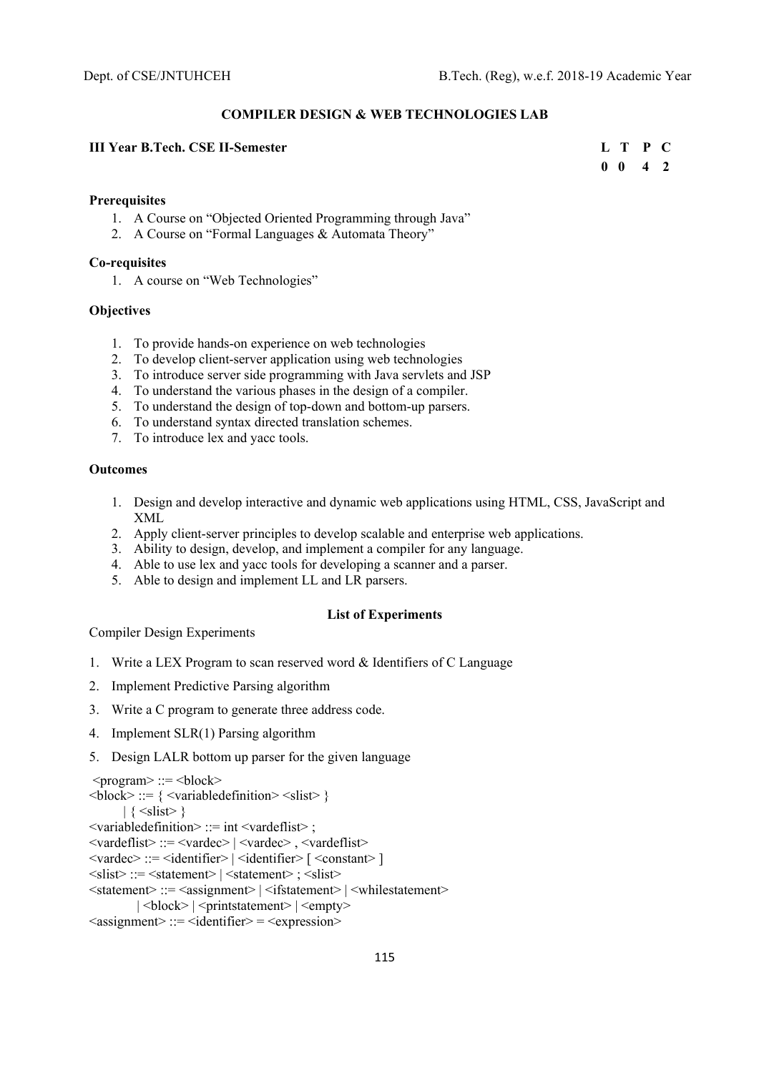#### **COMPILER DESIGN & WEB TECHNOLOGIES LAB**

# **III Year B.Tech. CSE II-Semester Letter Letter Letter Letter Letter Letter C** Letter **L** T P C

# **0 0 4 2**

#### **Prerequisites**

- 1. A Course on "Objected Oriented Programming through Java"
- 2. A Course on "Formal Languages & Automata Theory"

#### **Co-requisites**

1. A course on "Web Technologies"

# **Objectives**

- 1. To provide hands-on experience on web technologies
- 2. To develop client-server application using web technologies
- 3. To introduce server side programming with Java servlets and JSP
- 4. To understand the various phases in the design of a compiler.
- 5. To understand the design of top-down and bottom-up parsers.
- 6. To understand syntax directed translation schemes.
- 7. To introduce lex and yacc tools.

# **Outcomes**

- 1. Design and develop interactive and dynamic web applications using HTML, CSS, JavaScript and XML
- 2. Apply client-server principles to develop scalable and enterprise web applications.
- 3. Ability to design, develop, and implement a compiler for any language.
- 4. Able to use lex and yacc tools for developing a scanner and a parser.
- 5. Able to design and implement LL and LR parsers.

# **List of Experiments**

Compiler Design Experiments

- 1. Write a LEX Program to scan reserved word & Identifiers of C Language
- 2. Implement Predictive Parsing algorithm
- 3. Write a C program to generate three address code.
- 4. Implement SLR(1) Parsing algorithm
- 5. Design LALR bottom up parser for the given language

```
<program> ::= <block>\langle \text{block} \rangle ::= \{ \langle \text{variabledefinition} \rangle \langle \text{slist} \rangle \}\left| \right. { \leslist > }
<variabledefinition> ::= int <vardeflist> ; 
<vardeflist> ::= <vardec> | <vardec> , <vardeflist> 
\langle \text{vardec}\rangle ::= \langleidentifier> |\langleidentifier> |\langle \text{constant}\rangle ]
\langleslist\rangle ::= \langlestatement\rangle | \langlestatement\rangle ; \langleslist\rangle<statement> ::= <assignment> | <ifstatement> | <whilestatement> 
             | <br/>block> | <printstatement> | <empty>
\langleassignment\rangle ::= \langleidentifier\rangle = \langleexpression\rangle
```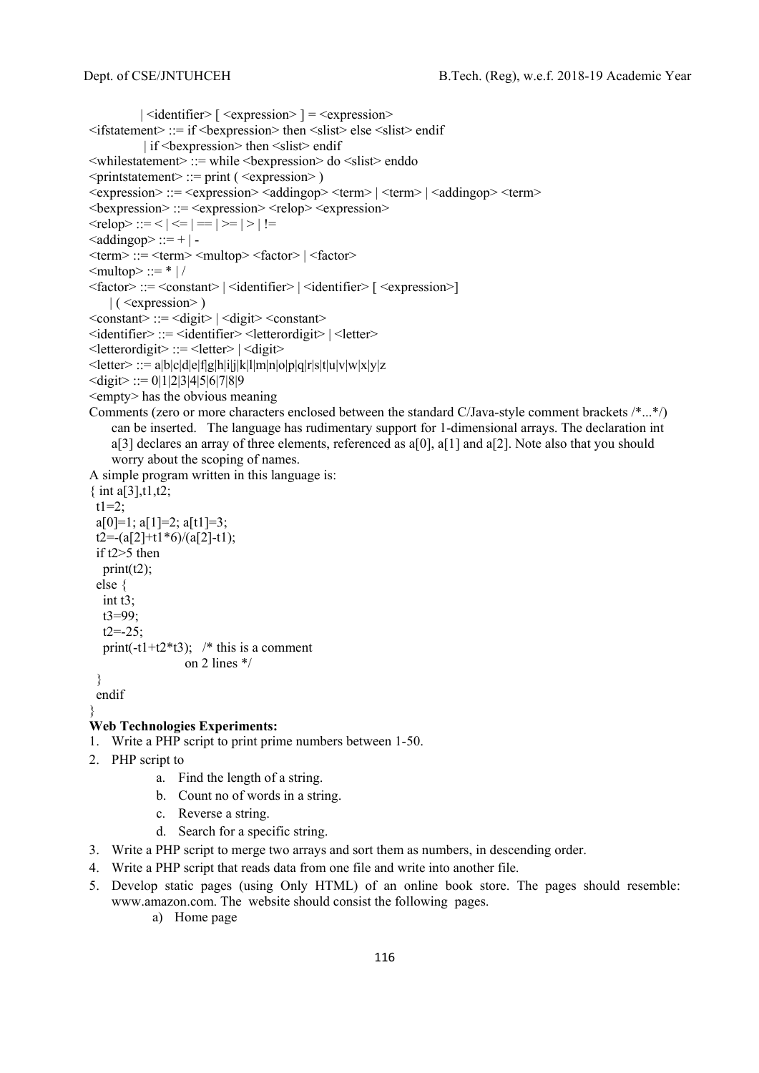```
|\triangleleft dentifier> \leq \leq \leq \leq \leq \leq \leq \leq \leq \leq \leq \leq \leq \leq \leq \leq \leq \leq \leq \leq \leq \leq \leq \leq \leq \leq \leq \leq \leq \leq \leq \leq \leq \leq 
<ifstatement> ::= if <bexpression> then <slist> else <slist> endif 
            | if <br/>bexpression> then <slist> endif
<whilestatement> ::= while <bexpression> do <slist> enddo 
\leqprintstatement\geq ::= print ( \leqexpression\geq )
\langle expression> ::= \langle expression>\langleaddingop>\langleterm>|\langleterm>|\langleaddingop>\langleterm>
\langlebexpression\rangle::=\langleexpression\rangle\langlerelop\rangle\langleexpression\rangle\lerelop> ::= \le | \le | = | > | | | | =\leqaddingop> ::= + | -
\langle \text{term} \rangle ::= \langle \text{term} \rangle \langle \text{number} \rangle = \langle \text{factor} \rangle\text{<} multop> ::= * |/
<factor> ::= <constant> | <identifier> | <identifier> [ <expression>] 
    | ( <expression>)\leqconstant\geq ::= \leqdigit\geq \leqdigit\geq \leqconstant\geq<identifier> ::= <identifier> <letterordigit> | <letter> 
\leq letterordigit\geq ::= \leq letter\geq | \leq digit\geq\leqletter\geq:= a|b|c|d|e|f|g|h|i|j|k|l|m|n|o|p|q|r|s|t|u|v|w|x|y|z
\ledigit> ::= 0|1|2|3|4|5|6|7|8|9<empty> has the obvious meaning 
Comments (zero or more characters enclosed between the standard C/Java-style comment brackets /*...*/) 
     can be inserted. The language has rudimentary support for 1-dimensional arrays. The declaration int 
     a[3] declares an array of three elements, referenced as a[0], a[1] and a[2]. Note also that you should
     worry about the scoping of names. 
A simple program written in this language is: 
{ int a[3], t1, t2;
 t1=2;
 a[0]=1; a[1]=2; a[t1]=3;t2 = -(a[2]+t1*6)/(a[2]-t1); if t2>5 then 
   print(t2);
  else { 
    int t3; 
    t3=99; 
   t2=-25;
   print(-t1+t2*t3); /* this is a comment
                       on 2 lines */ 
  } 
  endif 
} 
Web Technologies Experiments: 
1. Write a PHP script to print prime numbers between 1-50.
```
- 2. PHP script to
	- a. Find the length of a string.
	- b. Count no of words in a string.
	- c. Reverse a string.
	- d. Search for a specific string.
- 3. Write a PHP script to merge two arrays and sort them as numbers, in descending order.
- 4. Write a PHP script that reads data from one file and write into another file.
- 5. Develop static pages (using Only HTML) of an online book store. The pages should resemble: www.amazon.com. The website should consist the following pages.
	- a) Home page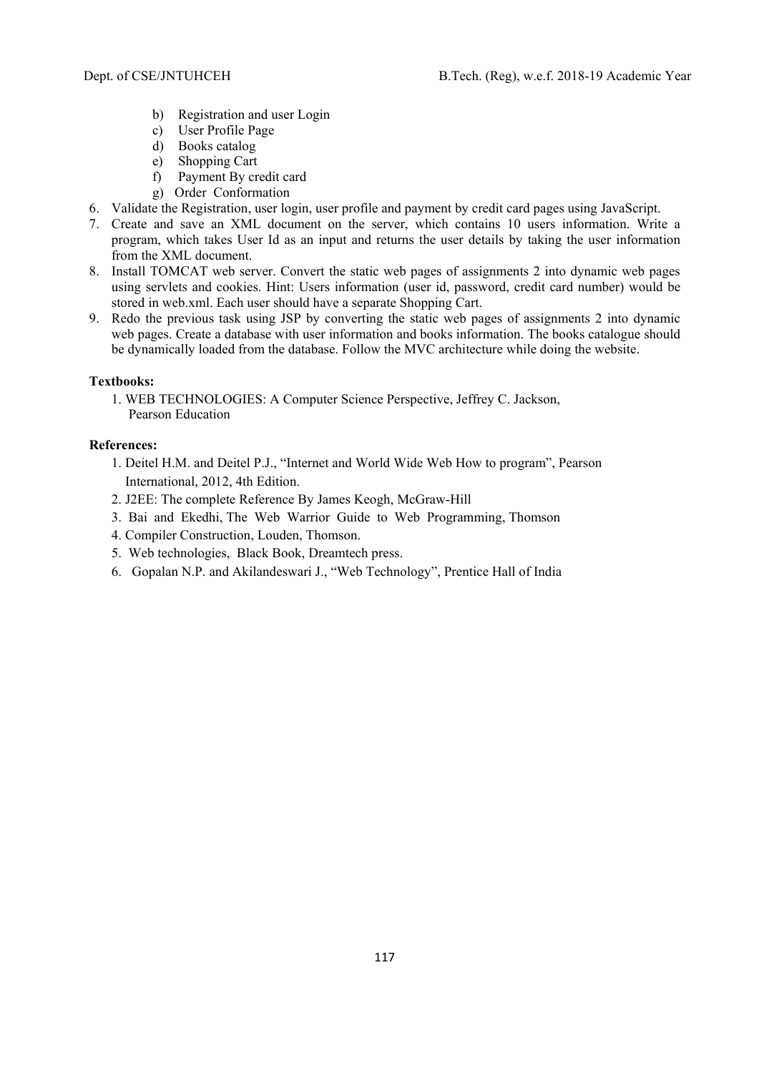- b) Registration and user Login
- c) User Profile Page
- d) Books catalog
- e) Shopping Cart
- f) Payment By credit card
- g) Order Conformation
- 6. Validate the Registration, user login, user profile and payment by credit card pages using JavaScript.
- 7. Create and save an XML document on the server, which contains 10 users information. Write a program, which takes User Id as an input and returns the user details by taking the user information from the XML document.
- 8. Install TOMCAT web server. Convert the static web pages of assignments 2 into dynamic web pages using servlets and cookies. Hint: Users information (user id, password, credit card number) would be stored in web.xml. Each user should have a separate Shopping Cart.
- 9. Redo the previous task using JSP by converting the static web pages of assignments 2 into dynamic web pages. Create a database with user information and books information. The books catalogue should be dynamically loaded from the database. Follow the MVC architecture while doing the website.

# **Textbooks:**

1. WEB TECHNOLOGIES: A Computer Science Perspective, Jeffrey C. Jackson, Pearson Education

- 1. Deitel H.M. and Deitel P.J., "Internet and World Wide Web How to program", Pearson International, 2012, 4th Edition.
- 2. J2EE: The complete Reference By James Keogh, McGraw-Hill
- 3. Bai and Ekedhi, The Web Warrior Guide to Web Programming, Thomson
- 4. Compiler Construction, Louden, Thomson.
- 5. Web technologies, Black Book, Dreamtech press.
- 6. Gopalan N.P. and Akilandeswari J., "Web Technology", Prentice Hall of India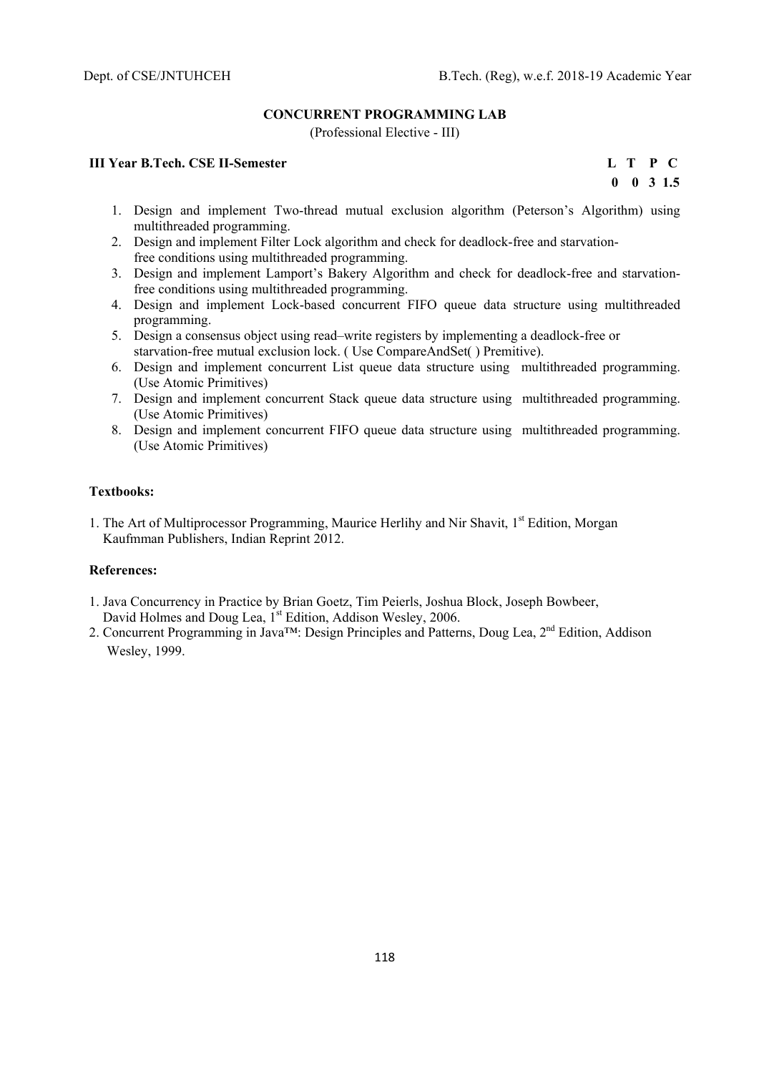# **CONCURRENT PROGRAMMING LAB**

(Professional Elective - III)

# **III Year B.Tech. CSE II-Semester****L T P C**

 **0 0 3 1.5** 

- 1. Design and implement Two-thread mutual exclusion algorithm (Peterson's Algorithm) using multithreaded programming.
- 2. Design and implement Filter Lock algorithm and check for deadlock-free and starvationfree conditions using multithreaded programming.
- 3. Design and implement Lamport's Bakery Algorithm and check for deadlock-free and starvationfree conditions using multithreaded programming.
- 4. Design and implement Lock-based concurrent FIFO queue data structure using multithreaded programming.
- 5. Design a consensus object using read–write registers by implementing a deadlock-free or starvation-free mutual exclusion lock. ( Use CompareAndSet( ) Premitive).
- 6. Design and implement concurrent List queue data structure using multithreaded programming. (Use Atomic Primitives)
- 7. Design and implement concurrent Stack queue data structure using multithreaded programming. (Use Atomic Primitives)
- 8. Design and implement concurrent FIFO queue data structure using multithreaded programming. (Use Atomic Primitives)

#### **Textbooks:**

1. The Art of Multiprocessor Programming, Maurice Herlihy and Nir Shavit, 1<sup>st</sup> Edition, Morgan Kaufmman Publishers, Indian Reprint 2012.

- 1. Java Concurrency in Practice by Brian Goetz, Tim Peierls, Joshua Block, Joseph Bowbeer, David Holmes and Doug Lea, 1<sup>st</sup> Edition, Addison Wesley, 2006.
- 2. Concurrent Programming in Java™: Design Principles and Patterns, Doug Lea, 2<sup>nd</sup> Edition, Addison Wesley, 1999.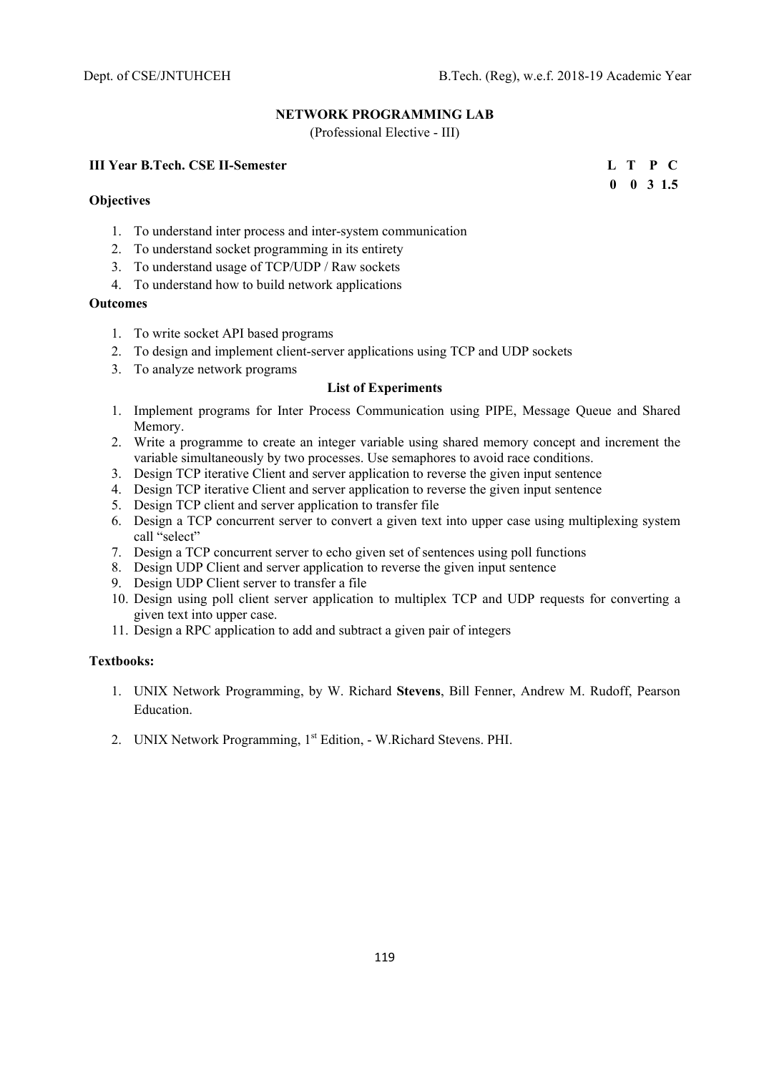# **NETWORK PROGRAMMING LAB**

(Professional Elective - III)

# **III Year B.Tech. CSE II-Semester****L T P C**

**Objectives** 

- 1. To understand inter process and inter-system communication
- 2. To understand socket programming in its entirety
- 3. To understand usage of TCP/UDP / Raw sockets
- 4. To understand how to build network applications

# **Outcomes**

- 1. To write socket API based programs
- 2. To design and implement client-server applications using TCP and UDP sockets
- 3. To analyze network programs

# **List of Experiments**

- 1. Implement programs for Inter Process Communication using PIPE, Message Queue and Shared Memory.
- 2. Write a programme to create an integer variable using shared memory concept and increment the variable simultaneously by two processes. Use semaphores to avoid race conditions.
- 3. Design TCP iterative Client and server application to reverse the given input sentence
- 4. Design TCP iterative Client and server application to reverse the given input sentence
- 5. Design TCP client and server application to transfer file
- 6. Design a TCP concurrent server to convert a given text into upper case using multiplexing system call "select"
- 7. Design a TCP concurrent server to echo given set of sentences using poll functions
- 8. Design UDP Client and server application to reverse the given input sentence
- 9. Design UDP Client server to transfer a file
- 10. Design using poll client server application to multiplex TCP and UDP requests for converting a given text into upper case.
- 11. Design a RPC application to add and subtract a given pair of integers

# **Textbooks:**

- 1. UNIX Network Programming, by W. Richard **Stevens**, Bill Fenner, Andrew M. Rudoff, Pearson Education.
- 2. UNIX Network Programming, 1<sup>st</sup> Edition, W.Richard Stevens. PHI.

 **0 0 3 1.5**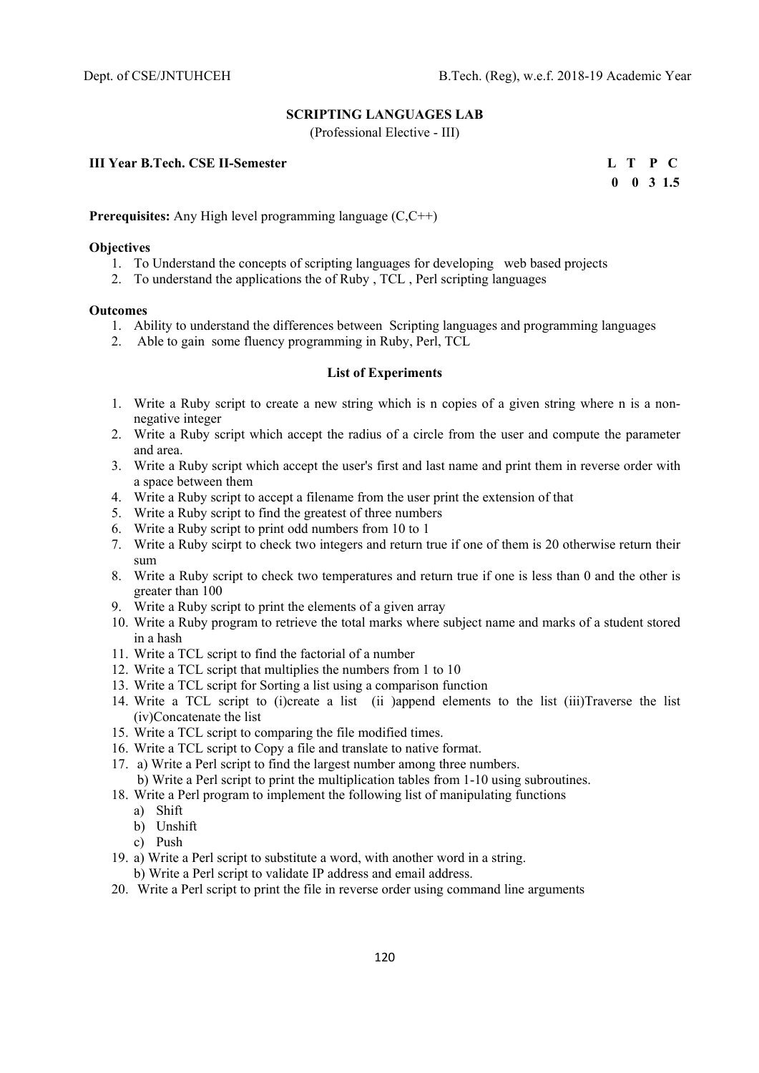# **SCRIPTING LANGUAGES LAB**

(Professional Elective - III)

# **III Year B.Tech. CSE II-Semester****L T P C**

 **0 0 3 1.5** 

#### **Prerequisites:** Any High level programming language (C,C++)

#### **Objectives**

- 1. To Understand the concepts of scripting languages for developing web based projects
- 2. To understand the applications the of Ruby , TCL , Perl scripting languages

#### **Outcomes**

- 1. Ability to understand the differences between Scripting languages and programming languages
- 2. Able to gain some fluency programming in Ruby, Perl, TCL

#### **List of Experiments**

- 1. Write a Ruby script to create a new string which is n copies of a given string where n is a nonnegative integer
- 2. Write a Ruby script which accept the radius of a circle from the user and compute the parameter and area.
- 3. Write a Ruby script which accept the user's first and last name and print them in reverse order with a space between them
- 4. Write a Ruby script to accept a filename from the user print the extension of that
- 5. Write a Ruby script to find the greatest of three numbers
- 6. Write a Ruby script to print odd numbers from 10 to 1
- 7. Write a Ruby scirpt to check two integers and return true if one of them is 20 otherwise return their sum
- 8. Write a Ruby script to check two temperatures and return true if one is less than 0 and the other is greater than 100
- 9. Write a Ruby script to print the elements of a given array
- 10. Write a Ruby program to retrieve the total marks where subject name and marks of a student stored in a hash
- 11. Write a TCL script to find the factorial of a number
- 12. Write a TCL script that multiplies the numbers from 1 to 10
- 13. Write a TCL script for Sorting a list using a comparison function
- 14. Write a TCL script to (i)create a list (ii )append elements to the list (iii)Traverse the list (iv)Concatenate the list
- 15. Write a TCL script to comparing the file modified times.
- 16. Write a TCL script to Copy a file and translate to native format.
- 17. a) Write a Perl script to find the largest number among three numbers. b) Write a Perl script to print the multiplication tables from 1-10 using subroutines.
- 18. Write a Perl program to implement the following list of manipulating functions
	- a) Shift
	- b) Unshift
	- c) Push
- 19. a) Write a Perl script to substitute a word, with another word in a string.
	- b) Write a Perl script to validate IP address and email address.
- 20. Write a Perl script to print the file in reverse order using command line arguments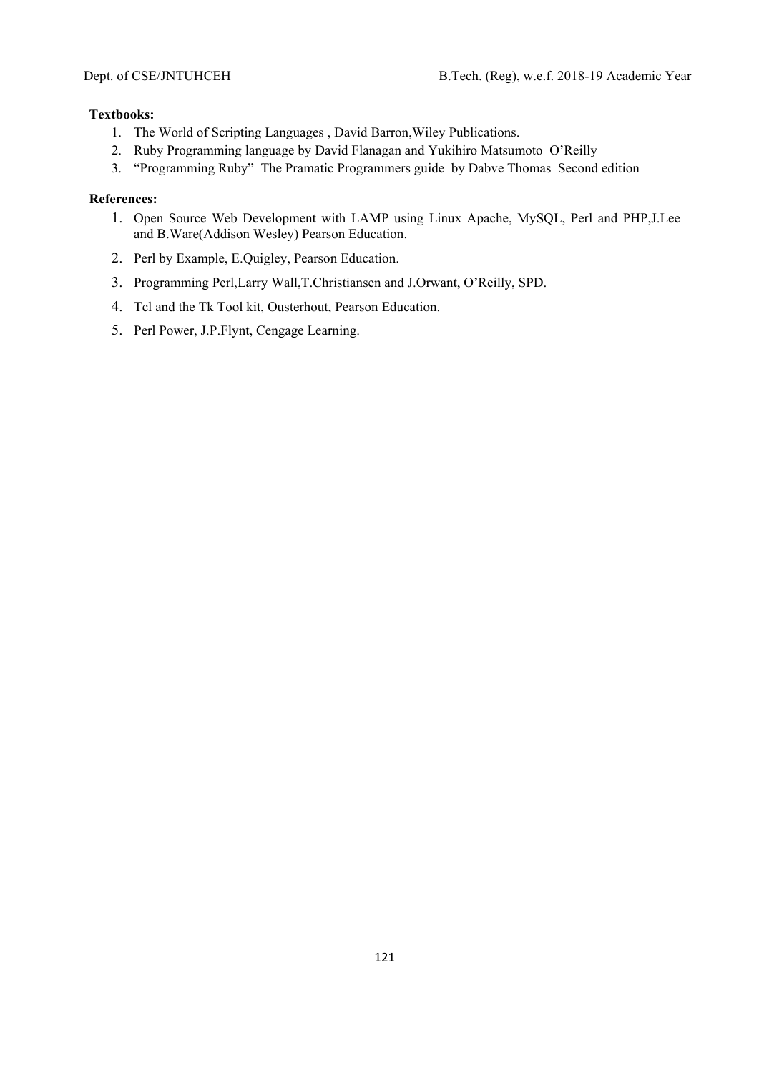# **Textbooks:**

- 1. The World of Scripting Languages , David Barron,Wiley Publications.
- 2. Ruby Programming language by David Flanagan and Yukihiro Matsumoto O'Reilly
- 3. "Programming Ruby" The Pramatic Programmers guide by Dabve Thomas Second edition

- 1. Open Source Web Development with LAMP using Linux Apache, MySQL, Perl and PHP,J.Lee and B.Ware(Addison Wesley) Pearson Education.
- 2. Perl by Example, E.Quigley, Pearson Education.
- 3. Programming Perl,Larry Wall,T.Christiansen and J.Orwant, O'Reilly, SPD.
- 4. Tcl and the Tk Tool kit, Ousterhout, Pearson Education.
- 5. Perl Power, J.P.Flynt, Cengage Learning.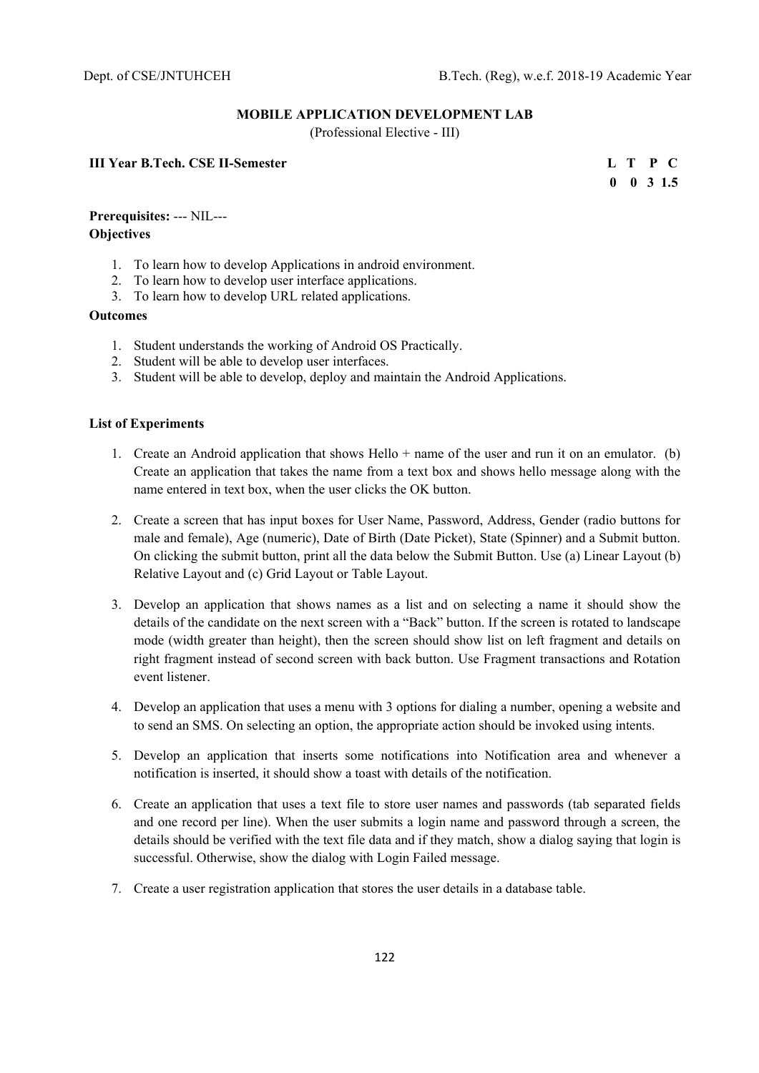#### **MOBILE APPLICATION DEVELOPMENT LAB**

(Professional Elective - III)

# **III Year B.Tech. CSE II-Semester****L T P C**

 **0 0 3 1.5** 

# **Prerequisites:** --- NIL--- **Objectives**

- 1. To learn how to develop Applications in android environment.
- 2. To learn how to develop user interface applications.
- 3. To learn how to develop URL related applications.

#### **Outcomes**

- 1. Student understands the working of Android OS Practically.
- 2. Student will be able to develop user interfaces.
- 3. Student will be able to develop, deploy and maintain the Android Applications.

#### **List of Experiments**

- 1. Create an Android application that shows Hello + name of the user and run it on an emulator. (b) Create an application that takes the name from a text box and shows hello message along with the name entered in text box, when the user clicks the OK button.
- 2. Create a screen that has input boxes for User Name, Password, Address, Gender (radio buttons for male and female), Age (numeric), Date of Birth (Date Picket), State (Spinner) and a Submit button. On clicking the submit button, print all the data below the Submit Button. Use (a) Linear Layout (b) Relative Layout and (c) Grid Layout or Table Layout.
- 3. Develop an application that shows names as a list and on selecting a name it should show the details of the candidate on the next screen with a "Back" button. If the screen is rotated to landscape mode (width greater than height), then the screen should show list on left fragment and details on right fragment instead of second screen with back button. Use Fragment transactions and Rotation event listener.
- 4. Develop an application that uses a menu with 3 options for dialing a number, opening a website and to send an SMS. On selecting an option, the appropriate action should be invoked using intents.
- 5. Develop an application that inserts some notifications into Notification area and whenever a notification is inserted, it should show a toast with details of the notification.
- 6. Create an application that uses a text file to store user names and passwords (tab separated fields and one record per line). When the user submits a login name and password through a screen, the details should be verified with the text file data and if they match, show a dialog saying that login is successful. Otherwise, show the dialog with Login Failed message.
- 7. Create a user registration application that stores the user details in a database table.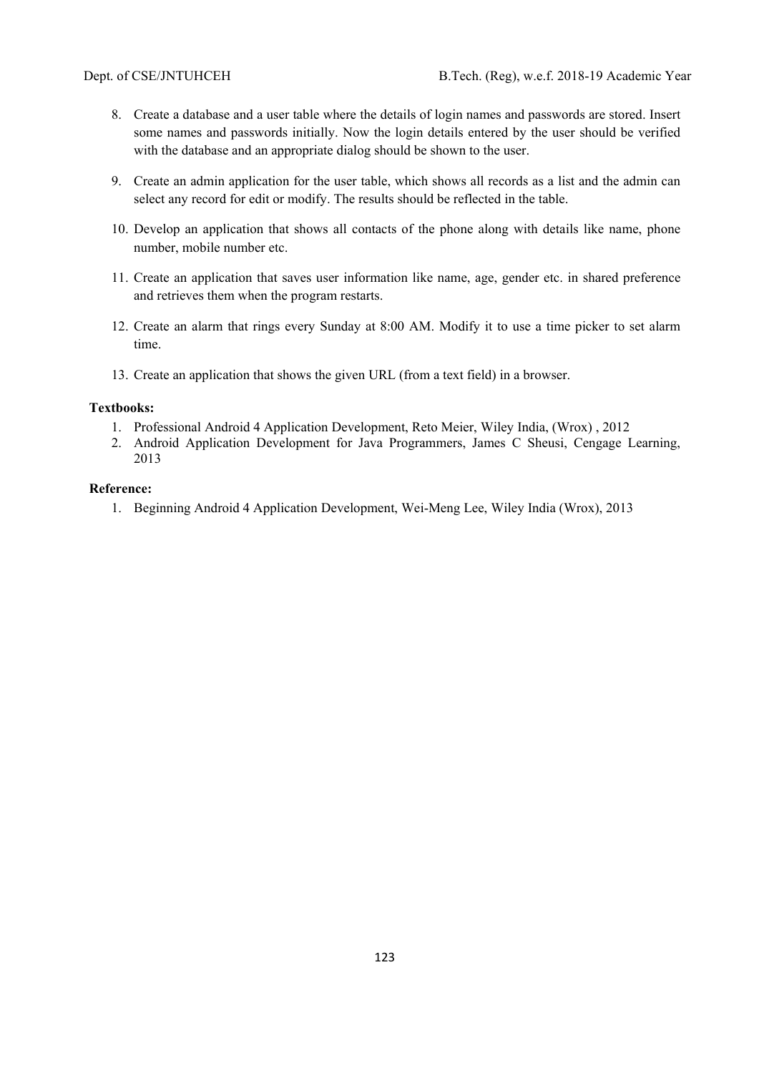- 8. Create a database and a user table where the details of login names and passwords are stored. Insert some names and passwords initially. Now the login details entered by the user should be verified with the database and an appropriate dialog should be shown to the user.
- 9. Create an admin application for the user table, which shows all records as a list and the admin can select any record for edit or modify. The results should be reflected in the table.
- 10. Develop an application that shows all contacts of the phone along with details like name, phone number, mobile number etc.
- 11. Create an application that saves user information like name, age, gender etc. in shared preference and retrieves them when the program restarts.
- 12. Create an alarm that rings every Sunday at 8:00 AM. Modify it to use a time picker to set alarm time.
- 13. Create an application that shows the given URL (from a text field) in a browser.

#### **Textbooks:**

- 1. Professional Android 4 Application Development, Reto Meier, Wiley India, (Wrox) , 2012
- 2. Android Application Development for Java Programmers, James C Sheusi, Cengage Learning, 2013

#### **Reference:**

1. Beginning Android 4 Application Development, Wei-Meng Lee, Wiley India (Wrox), 2013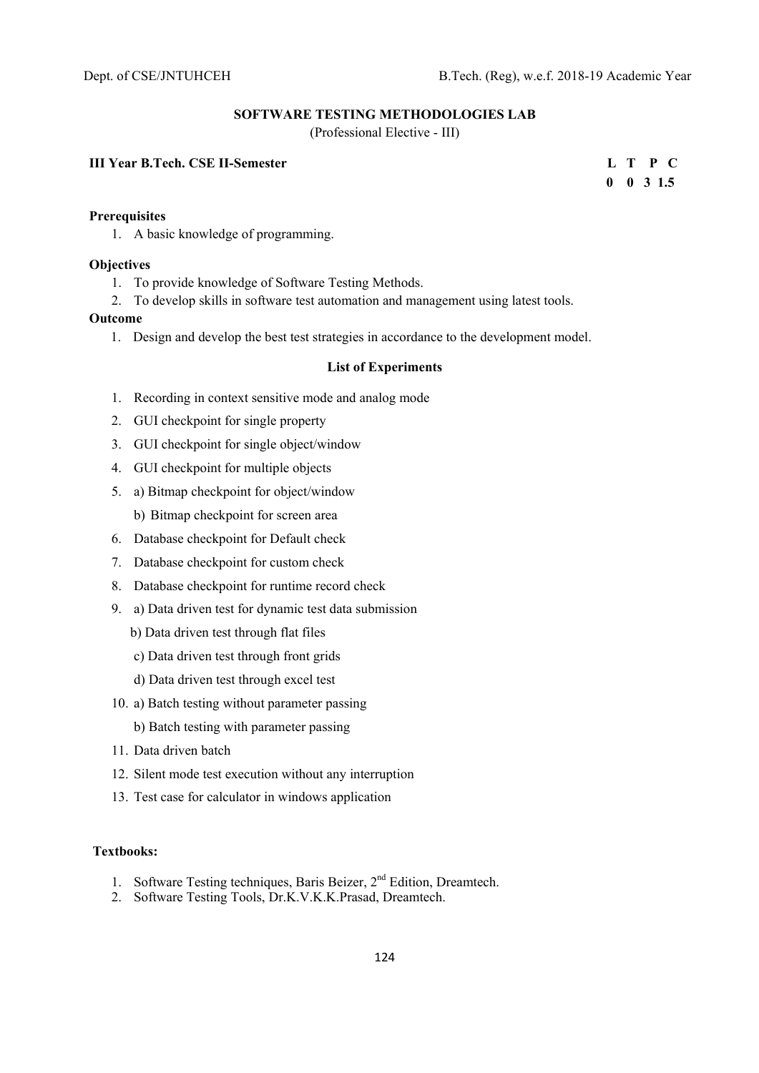#### **SOFTWARE TESTING METHODOLOGIES LAB**

(Professional Elective - III)

# **III Year B.Tech. CSE II-Semester****L T P C**

 **0 0 3 1.5** 

#### **Prerequisites**

1. A basic knowledge of programming.

#### **Objectives**

- 1. To provide knowledge of Software Testing Methods.
- 2. To develop skills in software test automation and management using latest tools.

#### **Outcome**

1. Design and develop the best test strategies in accordance to the development model.

#### **List of Experiments**

- 1. Recording in context sensitive mode and analog mode
- 2. GUI checkpoint for single property
- 3. GUI checkpoint for single object/window
- 4. GUI checkpoint for multiple objects
- 5. a) Bitmap checkpoint for object/window
	- b) Bitmap checkpoint for screen area
- 6. Database checkpoint for Default check
- 7. Database checkpoint for custom check
- 8. Database checkpoint for runtime record check
- 9. a) Data driven test for dynamic test data submission
	- b) Data driven test through flat files
	- c) Data driven test through front grids
	- d) Data driven test through excel test
- 10. a) Batch testing without parameter passing
	- b) Batch testing with parameter passing
- 11. Data driven batch
- 12. Silent mode test execution without any interruption
- 13. Test case for calculator in windows application

#### **Textbooks:**

- 1. Software Testing techniques, Baris Beizer, 2<sup>nd</sup> Edition, Dreamtech.
- 2. Software Testing Tools, Dr.K.V.K.K.Prasad, Dreamtech.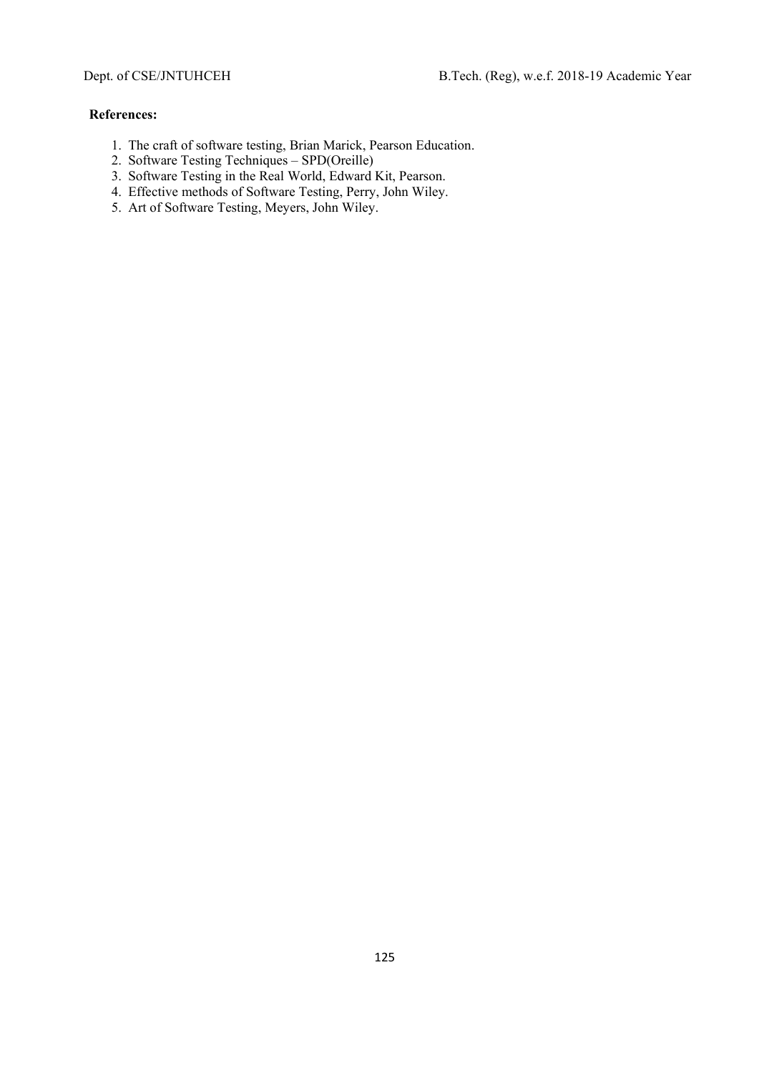- 1. The craft of software testing, Brian Marick, Pearson Education.
- 2. Software Testing Techniques SPD(Oreille)
- 3. Software Testing in the Real World, Edward Kit, Pearson.
- 4. Effective methods of Software Testing, Perry, John Wiley.
- 5. Art of Software Testing, Meyers, John Wiley.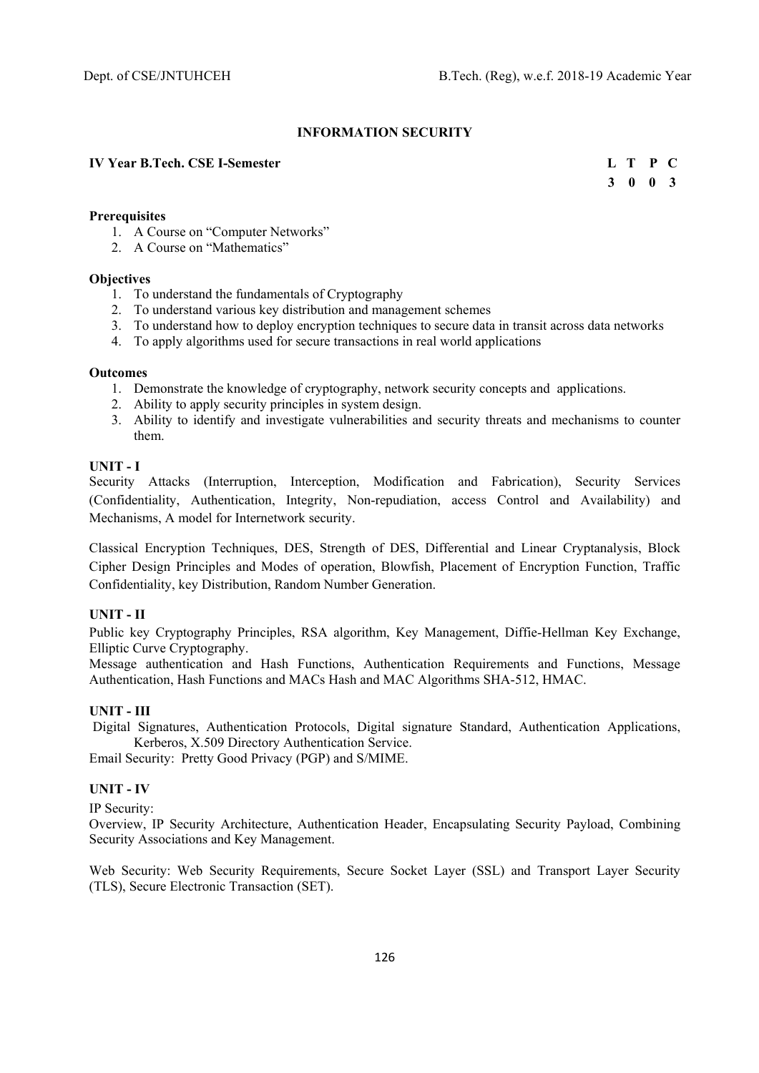# **INFORMATION SECURITY**

# **IV Year B.Tech. CSE I-Semester**

|  | L T P C         |  |
|--|-----------------|--|
|  | $3 \t0 \t0 \t3$ |  |

# **Prerequisites**

- 1. A Course on "Computer Networks"
- 2. A Course on "Mathematics"

# **Objectives**

- 1. To understand the fundamentals of Cryptography
- 2. To understand various key distribution and management schemes
- 3. To understand how to deploy encryption techniques to secure data in transit across data networks
- 4. To apply algorithms used for secure transactions in real world applications

#### **Outcomes**

- 1. Demonstrate the knowledge of cryptography, network security concepts and applications.
- 2. Ability to apply security principles in system design.
- 3. Ability to identify and investigate vulnerabilities and security threats and mechanisms to counter them.

# **UNIT - I**

Security Attacks (Interruption, Interception, Modification and Fabrication), Security Services (Confidentiality, Authentication, Integrity, Non-repudiation, access Control and Availability) and Mechanisms, A model for Internetwork security.

Classical Encryption Techniques, DES, Strength of DES, Differential and Linear Cryptanalysis, Block Cipher Design Principles and Modes of operation, Blowfish, Placement of Encryption Function, Traffic Confidentiality, key Distribution, Random Number Generation.

# **UNIT - II**

Public key Cryptography Principles, RSA algorithm, Key Management, Diffie-Hellman Key Exchange, Elliptic Curve Cryptography.

Message authentication and Hash Functions, Authentication Requirements and Functions, Message Authentication, Hash Functions and MACs Hash and MAC Algorithms SHA-512, HMAC.

# **UNIT - III**

 Digital Signatures, Authentication Protocols, Digital signature Standard, Authentication Applications, Kerberos, X.509 Directory Authentication Service.

Email Security: Pretty Good Privacy (PGP) and S/MIME.

# **UNIT - IV**

IP Security:

Overview, IP Security Architecture, Authentication Header, Encapsulating Security Payload, Combining Security Associations and Key Management.

Web Security: Web Security Requirements, Secure Socket Layer (SSL) and Transport Layer Security (TLS), Secure Electronic Transaction (SET).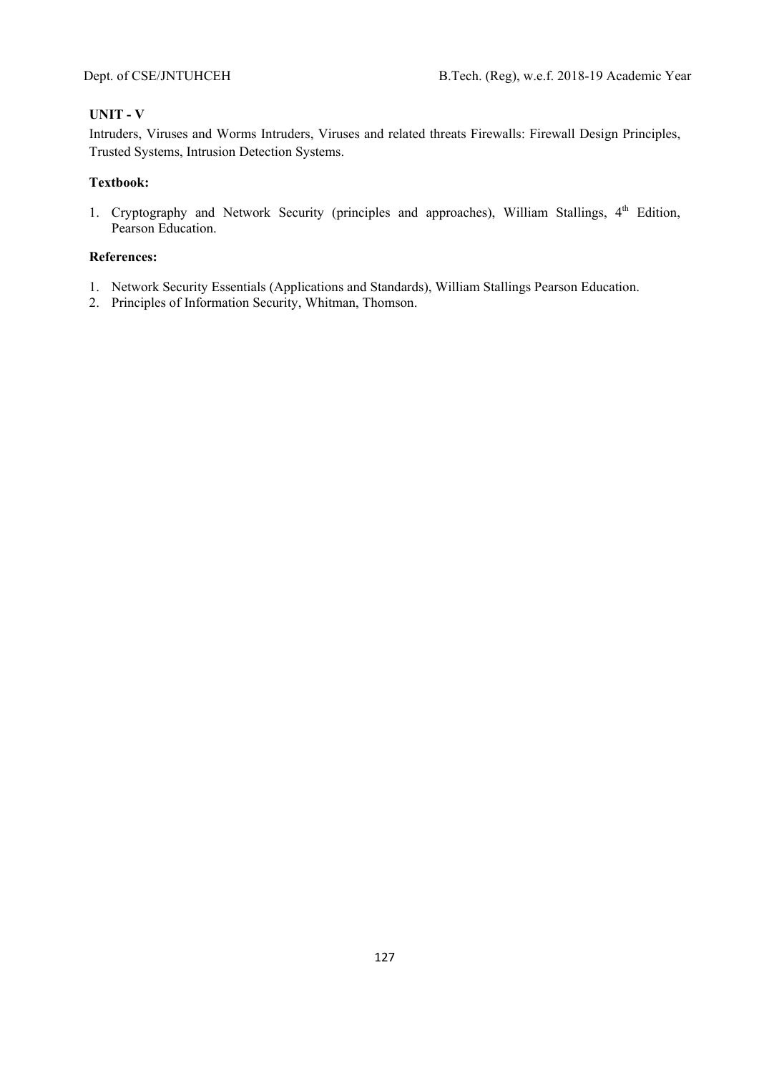# **UNIT - V**

Intruders, Viruses and Worms Intruders, Viruses and related threats Firewalls: Firewall Design Principles, Trusted Systems, Intrusion Detection Systems.

# **Textbook:**

1. Cryptography and Network Security (principles and approaches), William Stallings, 4<sup>th</sup> Edition, Pearson Education.

- 1. Network Security Essentials (Applications and Standards), William Stallings Pearson Education.
- 2. Principles of Information Security, Whitman, Thomson.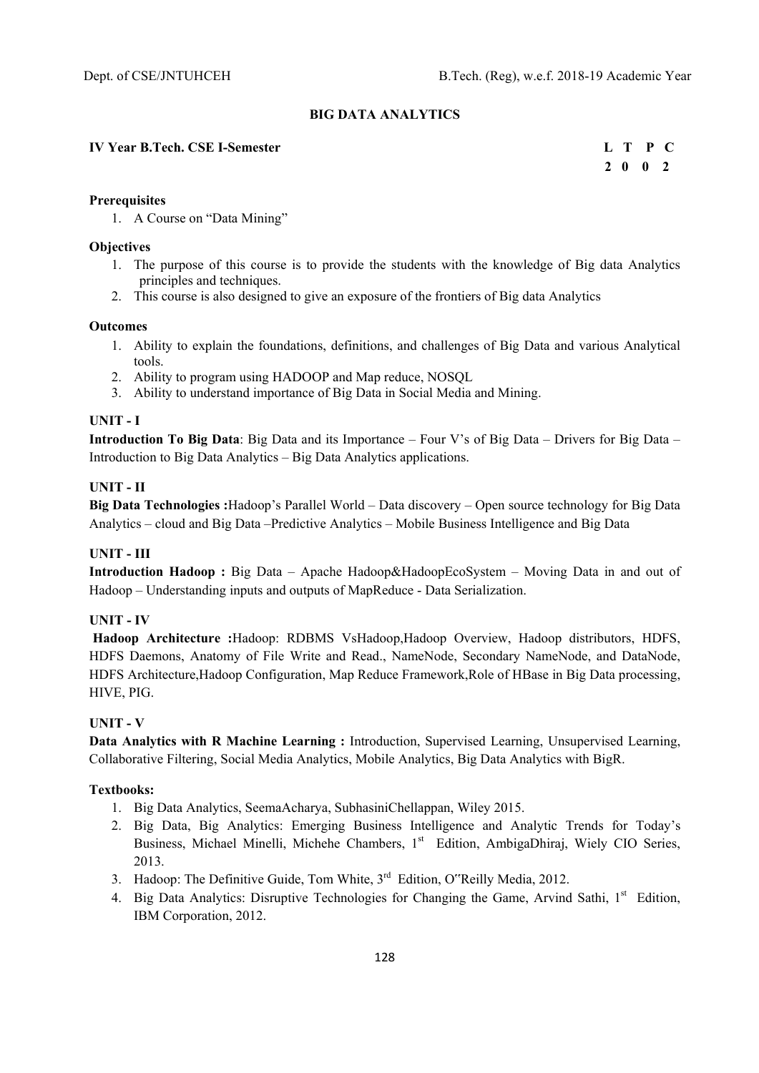# **BIG DATA ANALYTICS**

# **IV Year B.Tech. CSE I-Semester L T P C**

 **2 0 0 2** 

# **Prerequisites**

1. A Course on "Data Mining"

# **Objectives**

- 1. The purpose of this course is to provide the students with the knowledge of Big data Analytics principles and techniques.
- 2. This course is also designed to give an exposure of the frontiers of Big data Analytics

#### **Outcomes**

- 1. Ability to explain the foundations, definitions, and challenges of Big Data and various Analytical tools.
- 2. Ability to program using HADOOP and Map reduce, NOSQL
- 3. Ability to understand importance of Big Data in Social Media and Mining.

# **UNIT - I**

**Introduction To Big Data**: Big Data and its Importance – Four V's of Big Data – Drivers for Big Data – Introduction to Big Data Analytics – Big Data Analytics applications.

# **UNIT - II**

**Big Data Technologies :**Hadoop's Parallel World – Data discovery – Open source technology for Big Data Analytics – cloud and Big Data –Predictive Analytics – Mobile Business Intelligence and Big Data

# **UNIT - III**

**Introduction Hadoop :** Big Data – Apache Hadoop&HadoopEcoSystem – Moving Data in and out of Hadoop – Understanding inputs and outputs of MapReduce - Data Serialization.

# **UNIT - IV**

 **Hadoop Architecture :**Hadoop: RDBMS VsHadoop,Hadoop Overview, Hadoop distributors, HDFS, HDFS Daemons, Anatomy of File Write and Read., NameNode, Secondary NameNode, and DataNode, HDFS Architecture,Hadoop Configuration, Map Reduce Framework,Role of HBase in Big Data processing, HIVE, PIG.

# **UNIT - V**

**Data Analytics with R Machine Learning :** Introduction, Supervised Learning, Unsupervised Learning, Collaborative Filtering, Social Media Analytics, Mobile Analytics, Big Data Analytics with BigR.

# **Textbooks:**

- 1. Big Data Analytics, SeemaAcharya, SubhasiniChellappan, Wiley 2015.
- 2. Big Data, Big Analytics: Emerging Business Intelligence and Analytic Trends for Today's Business, Michael Minelli, Michehe Chambers, 1<sup>st</sup> Edition, AmbigaDhiraj, Wiely CIO Series, 2013.
- 3. Hadoop: The Definitive Guide, Tom White, 3<sup>rd</sup> Edition, O''Reilly Media, 2012.
- 4. Big Data Analytics: Disruptive Technologies for Changing the Game, Arvind Sathi, 1<sup>st</sup> Edition, IBM Corporation, 2012.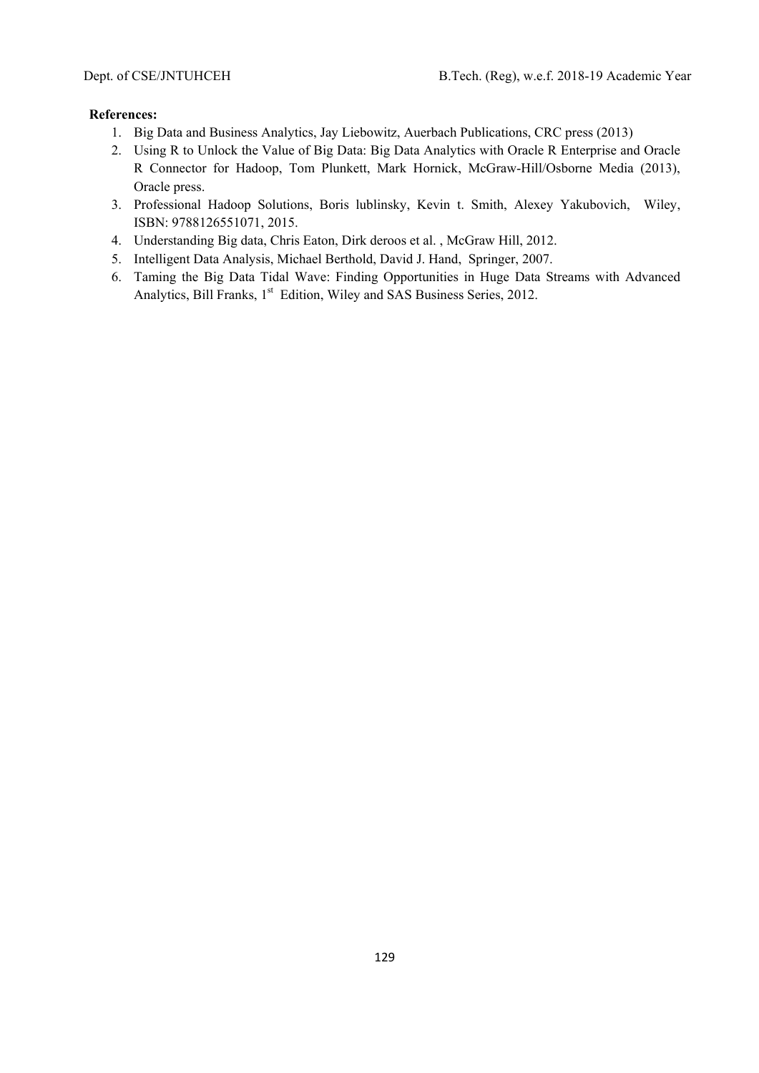- 1. Big Data and Business Analytics, Jay Liebowitz, Auerbach Publications, CRC press (2013)
- 2. Using R to Unlock the Value of Big Data: Big Data Analytics with Oracle R Enterprise and Oracle R Connector for Hadoop, Tom Plunkett, Mark Hornick, McGraw-Hill/Osborne Media (2013), Oracle press.
- 3. Professional Hadoop Solutions, Boris lublinsky, Kevin t. Smith, Alexey Yakubovich, Wiley, ISBN: 9788126551071, 2015.
- 4. Understanding Big data, Chris Eaton, Dirk deroos et al. , McGraw Hill, 2012.
- 5. Intelligent Data Analysis, Michael Berthold, David J. Hand, Springer, 2007.
- 6. Taming the Big Data Tidal Wave: Finding Opportunities in Huge Data Streams with Advanced Analytics, Bill Franks, 1<sup>st</sup> Edition, Wiley and SAS Business Series, 2012.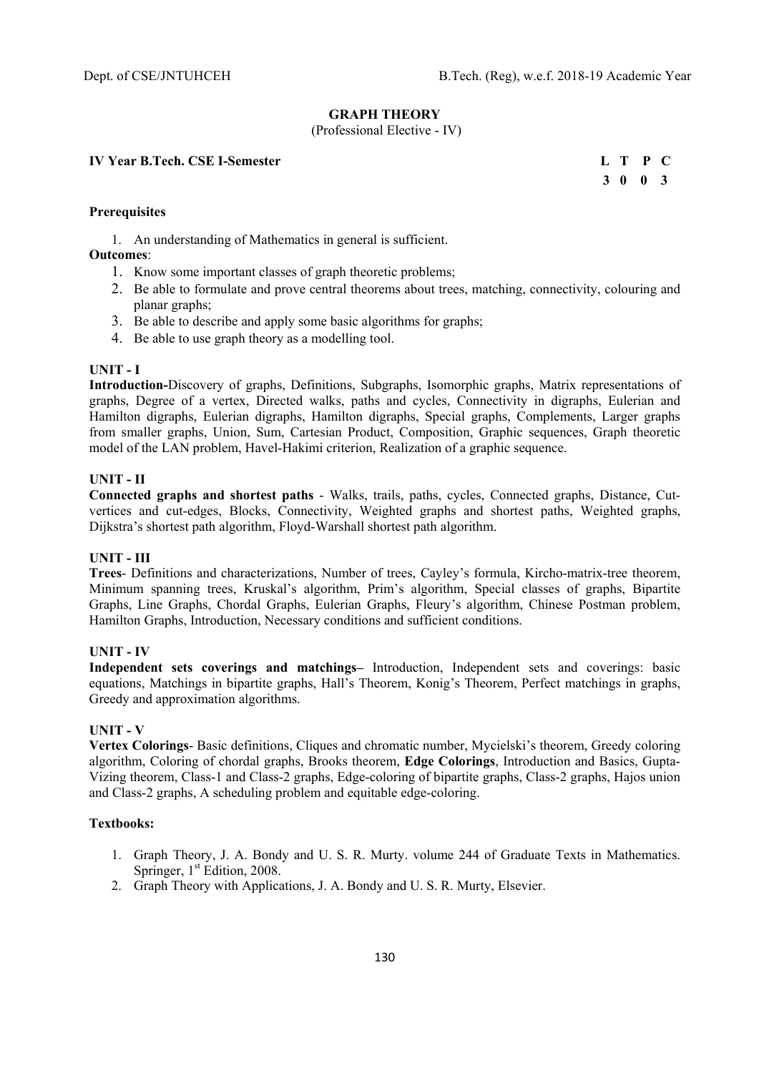#### **GRAPH THEORY**

(Professional Elective - IV)

#### **IV Year B.Tech. CSE I-Semester**

|  | L T P C |  |
|--|---------|--|
|  | 3 0 0 3 |  |

# **Prerequisites**

1. An understanding of Mathematics in general is sufficient.

# **Outcomes**:

- 1. Know some important classes of graph theoretic problems;
- 2. Be able to formulate and prove central theorems about trees, matching, connectivity, colouring and planar graphs;
- 3. Be able to describe and apply some basic algorithms for graphs;
- 4. Be able to use graph theory as a modelling tool.

#### **UNIT - I**

**Introduction-**Discovery of graphs, Definitions, Subgraphs, Isomorphic graphs, Matrix representations of graphs, Degree of a vertex, Directed walks, paths and cycles, Connectivity in digraphs, Eulerian and Hamilton digraphs, Eulerian digraphs, Hamilton digraphs, Special graphs, Complements, Larger graphs from smaller graphs, Union, Sum, Cartesian Product, Composition, Graphic sequences, Graph theoretic model of the LAN problem, Havel-Hakimi criterion, Realization of a graphic sequence.

# **UNIT - II**

**Connected graphs and shortest paths** - Walks, trails, paths, cycles, Connected graphs, Distance, Cutvertices and cut-edges, Blocks, Connectivity, Weighted graphs and shortest paths, Weighted graphs, Dijkstra's shortest path algorithm, Floyd-Warshall shortest path algorithm.

#### **UNIT - III**

**Trees**- Definitions and characterizations, Number of trees, Cayley's formula, Kircho-matrix-tree theorem, Minimum spanning trees, Kruskal's algorithm, Prim's algorithm, Special classes of graphs, Bipartite Graphs, Line Graphs, Chordal Graphs, Eulerian Graphs, Fleury's algorithm, Chinese Postman problem, Hamilton Graphs, Introduction, Necessary conditions and sufficient conditions.

# **UNIT - IV**

**Independent sets coverings and matchings–** Introduction, Independent sets and coverings: basic equations, Matchings in bipartite graphs, Hall's Theorem, Konig's Theorem, Perfect matchings in graphs, Greedy and approximation algorithms.

#### **UNIT - V**

**Vertex Colorings**- Basic definitions, Cliques and chromatic number, Mycielski's theorem, Greedy coloring algorithm, Coloring of chordal graphs, Brooks theorem, **Edge Colorings**, Introduction and Basics, Gupta-Vizing theorem, Class-1 and Class-2 graphs, Edge-coloring of bipartite graphs, Class-2 graphs, Hajos union and Class-2 graphs, A scheduling problem and equitable edge-coloring.

# **Textbooks:**

- 1. Graph Theory, J. A. Bondy and U. S. R. Murty. volume 244 of Graduate Texts in Mathematics. Springer,  $1<sup>st</sup>$  Edition, 2008.
- 2. Graph Theory with Applications, J. A. Bondy and U. S. R. Murty, Elsevier.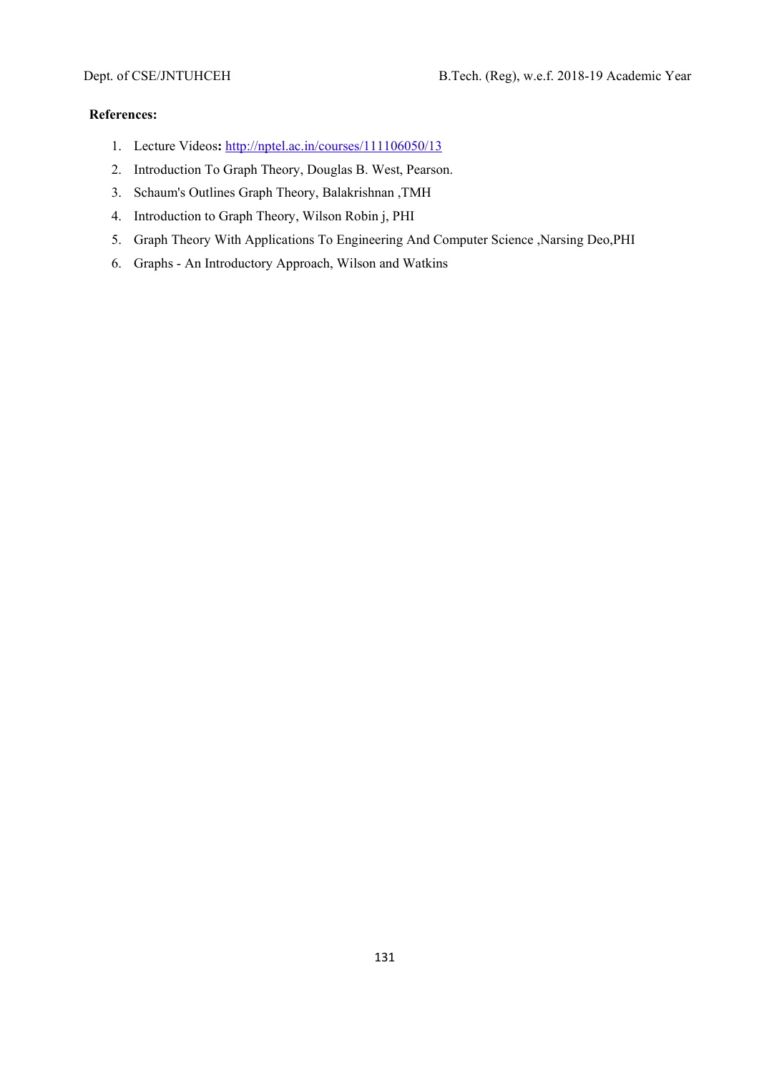- 1. Lecture Videos**:** http://nptel.ac.in/courses/111106050/13
- 2. Introduction To Graph Theory, Douglas B. West, Pearson.
- 3. Schaum's Outlines Graph Theory, Balakrishnan ,TMH
- 4. Introduction to Graph Theory, Wilson Robin j, PHI
- 5. Graph Theory With Applications To Engineering And Computer Science ,Narsing Deo,PHI
- 6. Graphs An Introductory Approach, Wilson and Watkins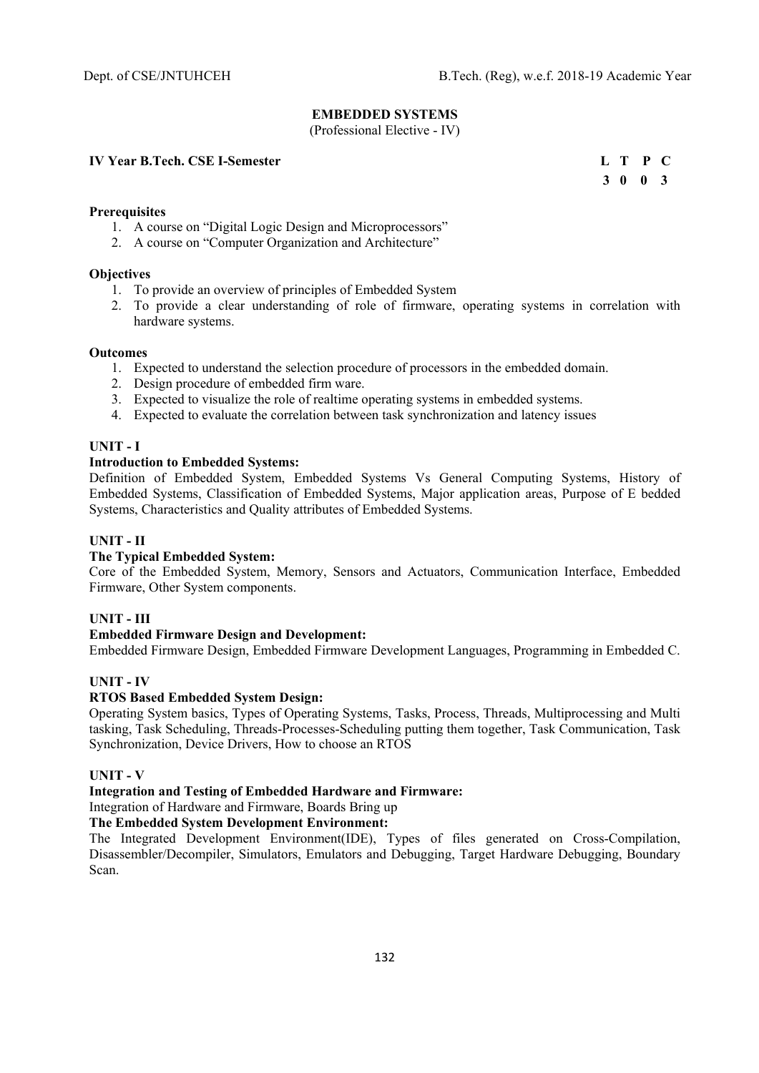# **EMBEDDED SYSTEMS**

(Professional Elective - IV)

#### **IV Year B.Tech. CSE I-Semester**

|  | L T P C |  |
|--|---------|--|
|  | 3 0 0 3 |  |

#### **Prerequisites**

- 1. A course on "Digital Logic Design and Microprocessors"
- 2. A course on "Computer Organization and Architecture"

#### **Objectives**

- 1. To provide an overview of principles of Embedded System
- 2. To provide a clear understanding of role of firmware, operating systems in correlation with hardware systems.

#### **Outcomes**

- 1. Expected to understand the selection procedure of processors in the embedded domain.
- 2. Design procedure of embedded firm ware.
- 3. Expected to visualize the role of realtime operating systems in embedded systems.
- 4. Expected to evaluate the correlation between task synchronization and latency issues

#### **UNIT - I**

#### **Introduction to Embedded Systems:**

Definition of Embedded System, Embedded Systems Vs General Computing Systems, History of Embedded Systems, Classification of Embedded Systems, Major application areas, Purpose of E bedded Systems, Characteristics and Quality attributes of Embedded Systems.

#### **UNIT - II**

# **The Typical Embedded System:**

Core of the Embedded System, Memory, Sensors and Actuators, Communication Interface, Embedded Firmware, Other System components.

#### **UNIT - III**

# **Embedded Firmware Design and Development:**

Embedded Firmware Design, Embedded Firmware Development Languages, Programming in Embedded C.

#### **UNIT - IV**

#### **RTOS Based Embedded System Design:**

Operating System basics, Types of Operating Systems, Tasks, Process, Threads, Multiprocessing and Multi tasking, Task Scheduling, Threads-Processes-Scheduling putting them together, Task Communication, Task Synchronization, Device Drivers, How to choose an RTOS

# **UNIT - V**

# **Integration and Testing of Embedded Hardware and Firmware:**

Integration of Hardware and Firmware, Boards Bring up

# **The Embedded System Development Environment:**

The Integrated Development Environment(IDE), Types of files generated on Cross-Compilation, Disassembler/Decompiler, Simulators, Emulators and Debugging, Target Hardware Debugging, Boundary Scan.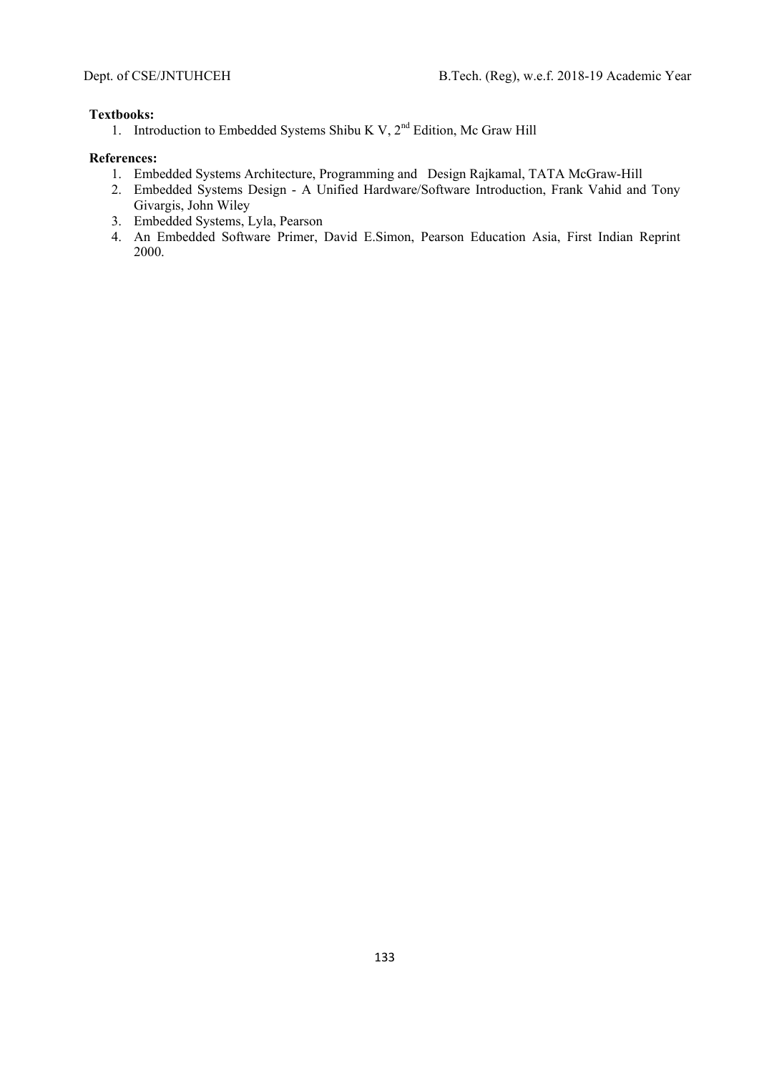#### **Textbooks:**

1. Introduction to Embedded Systems Shibu K V,  $2<sup>nd</sup>$  Edition, Mc Graw Hill

- 1. Embedded Systems Architecture, Programming and Design Rajkamal, TATA McGraw-Hill
- 2. Embedded Systems Design A Unified Hardware/Software Introduction, Frank Vahid and Tony Givargis, John Wiley
- 3. Embedded Systems, Lyla, Pearson
- 4. An Embedded Software Primer, David E.Simon, Pearson Education Asia, First Indian Reprint 2000.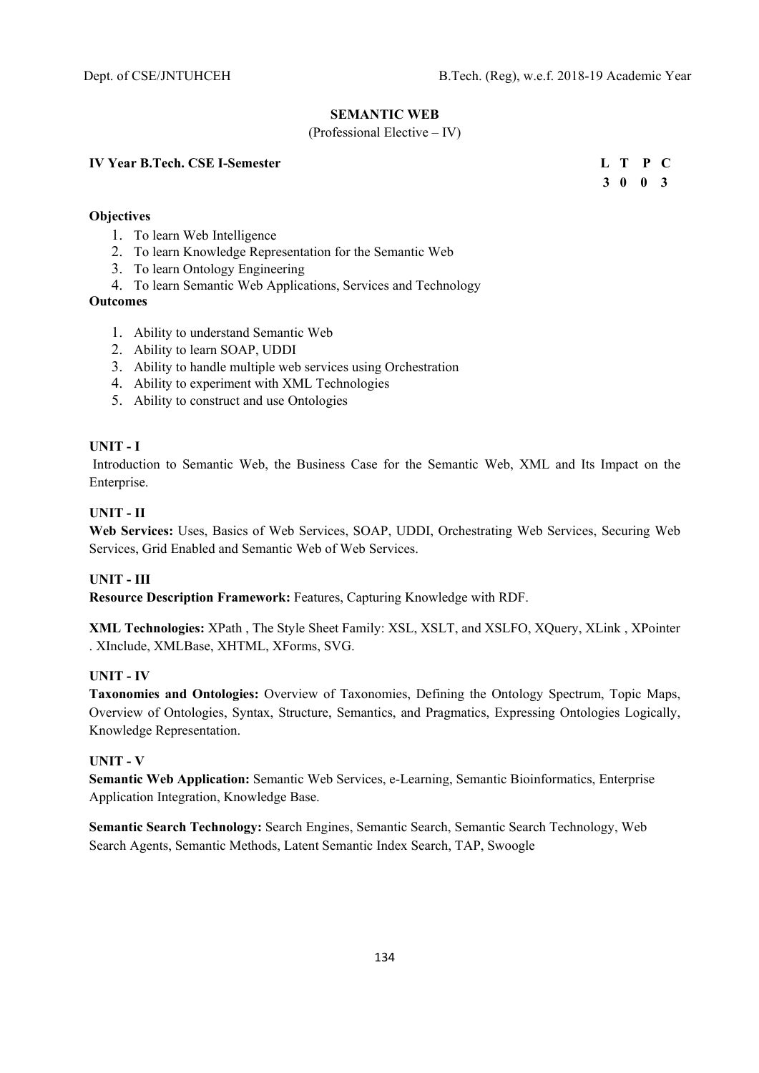# **SEMANTIC WEB**

#### (Professional Elective – IV)

#### **IV Year B.Tech. CSE I-Semester L T P C**

# **Objectives**

- 1. To learn Web Intelligence
- 2. To learn Knowledge Representation for the Semantic Web
- 3. To learn Ontology Engineering
- 4. To learn Semantic Web Applications, Services and Technology
- **Outcomes** 
	- 1. Ability to understand Semantic Web
	- 2. Ability to learn SOAP, UDDI
	- 3. Ability to handle multiple web services using Orchestration
	- 4. Ability to experiment with XML Technologies
	- 5. Ability to construct and use Ontologies

# **UNIT - I**

 Introduction to Semantic Web, the Business Case for the Semantic Web, XML and Its Impact on the Enterprise.

# **UNIT - II**

**Web Services:** Uses, Basics of Web Services, SOAP, UDDI, Orchestrating Web Services, Securing Web Services, Grid Enabled and Semantic Web of Web Services.

# **UNIT - III**

**Resource Description Framework:** Features, Capturing Knowledge with RDF.

**XML Technologies:** XPath , The Style Sheet Family: XSL, XSLT, and XSLFO, XQuery, XLink , XPointer . XInclude, XMLBase, XHTML, XForms, SVG.

# **UNIT - IV**

**Taxonomies and Ontologies:** Overview of Taxonomies, Defining the Ontology Spectrum, Topic Maps, Overview of Ontologies, Syntax, Structure, Semantics, and Pragmatics, Expressing Ontologies Logically, Knowledge Representation.

### **UNIT - V**

**Semantic Web Application:** Semantic Web Services, e-Learning, Semantic Bioinformatics, Enterprise Application Integration, Knowledge Base.

**Semantic Search Technology:** Search Engines, Semantic Search, Semantic Search Technology, Web Search Agents, Semantic Methods, Latent Semantic Index Search, TAP, Swoogle

 **3 0 0 3**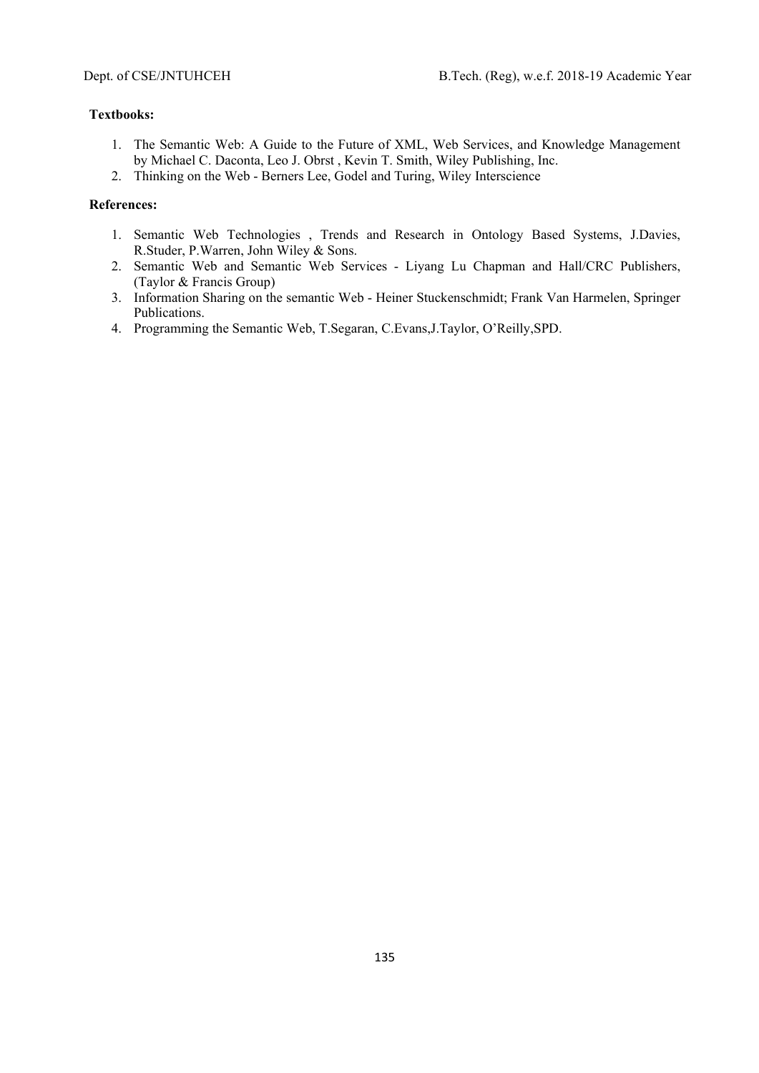# **Textbooks:**

- 1. The Semantic Web: A Guide to the Future of XML, Web Services, and Knowledge Management by Michael C. Daconta, Leo J. Obrst , Kevin T. Smith, Wiley Publishing, Inc.
- 2. Thinking on the Web Berners Lee, Godel and Turing, Wiley Interscience

- 1. Semantic Web Technologies , Trends and Research in Ontology Based Systems, J.Davies, R.Studer, P.Warren, John Wiley & Sons.
- 2. Semantic Web and Semantic Web Services Liyang Lu Chapman and Hall/CRC Publishers, (Taylor & Francis Group)
- 3. Information Sharing on the semantic Web Heiner Stuckenschmidt; Frank Van Harmelen, Springer Publications.
- 4. Programming the Semantic Web, T.Segaran, C.Evans,J.Taylor, O'Reilly,SPD.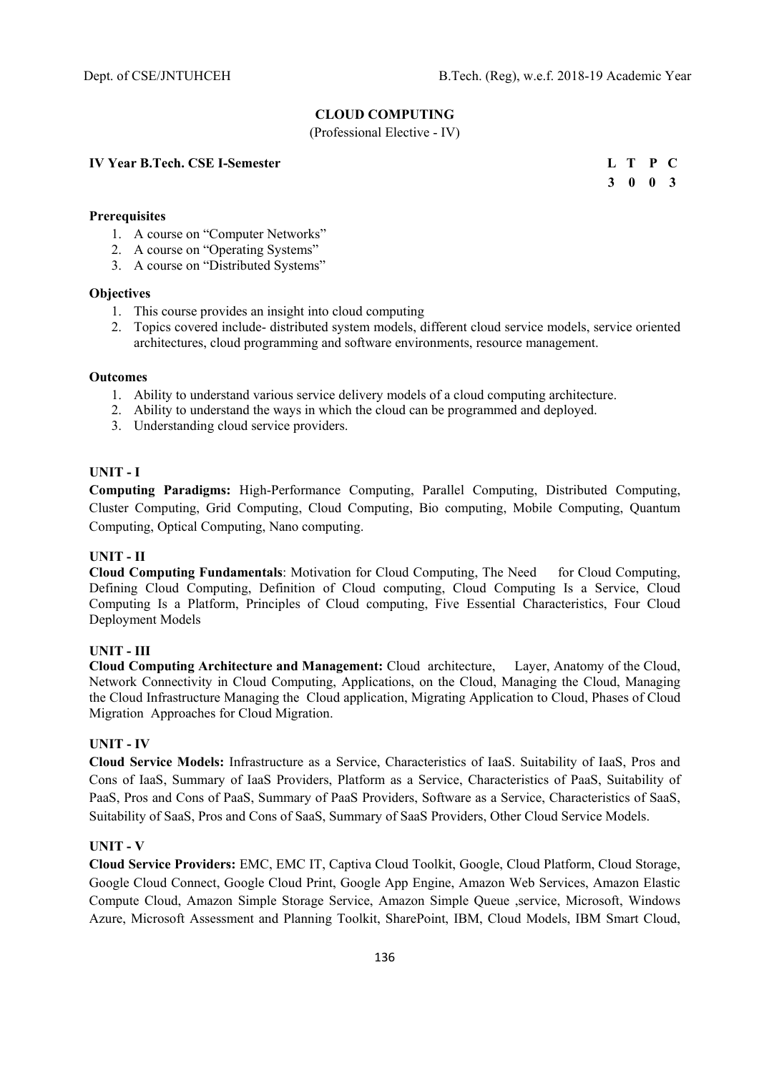# **CLOUD COMPUTING**

(Professional Elective - IV)

#### **IV Year B.Tech. CSE I-Semester**

|  | L T P C         |  |
|--|-----------------|--|
|  | $3 \t0 \t0 \t3$ |  |

# **Prerequisites**

- 1. A course on "Computer Networks"
- 2. A course on "Operating Systems"
- 3. A course on "Distributed Systems"

#### **Objectives**

- 1. This course provides an insight into cloud computing
- 2. Topics covered include- distributed system models, different cloud service models, service oriented architectures, cloud programming and software environments, resource management.

#### **Outcomes**

- 1. Ability to understand various service delivery models of a cloud computing architecture.
- 2. Ability to understand the ways in which the cloud can be programmed and deployed.
- 3. Understanding cloud service providers.

# **UNIT - I**

**Computing Paradigms:** High-Performance Computing, Parallel Computing, Distributed Computing, Cluster Computing, Grid Computing, Cloud Computing, Bio computing, Mobile Computing, Quantum Computing, Optical Computing, Nano computing.

#### **UNIT - II**

**Cloud Computing Fundamentals:** Motivation for Cloud Computing, The Need for Cloud Computing, Defining Cloud Computing, Definition of Cloud computing, Cloud Computing Is a Service, Cloud Computing Is a Platform, Principles of Cloud computing, Five Essential Characteristics, Four Cloud Deployment Models

# **UNIT - III**

**Cloud Computing Architecture and Management:** Cloud architecture, Layer, Anatomy of the Cloud, Network Connectivity in Cloud Computing, Applications, on the Cloud, Managing the Cloud, Managing the Cloud Infrastructure Managing the Cloud application, Migrating Application to Cloud, Phases of Cloud Migration Approaches for Cloud Migration.

#### **UNIT - IV**

**Cloud Service Models:** Infrastructure as a Service, Characteristics of IaaS. Suitability of IaaS, Pros and Cons of IaaS, Summary of IaaS Providers, Platform as a Service, Characteristics of PaaS, Suitability of PaaS, Pros and Cons of PaaS, Summary of PaaS Providers, Software as a Service, Characteristics of SaaS, Suitability of SaaS, Pros and Cons of SaaS, Summary of SaaS Providers, Other Cloud Service Models.

# **UNIT - V**

**Cloud Service Providers:** EMC, EMC IT, Captiva Cloud Toolkit, Google, Cloud Platform, Cloud Storage, Google Cloud Connect, Google Cloud Print, Google App Engine, Amazon Web Services, Amazon Elastic Compute Cloud, Amazon Simple Storage Service, Amazon Simple Queue ,service, Microsoft, Windows Azure, Microsoft Assessment and Planning Toolkit, SharePoint, IBM, Cloud Models, IBM Smart Cloud,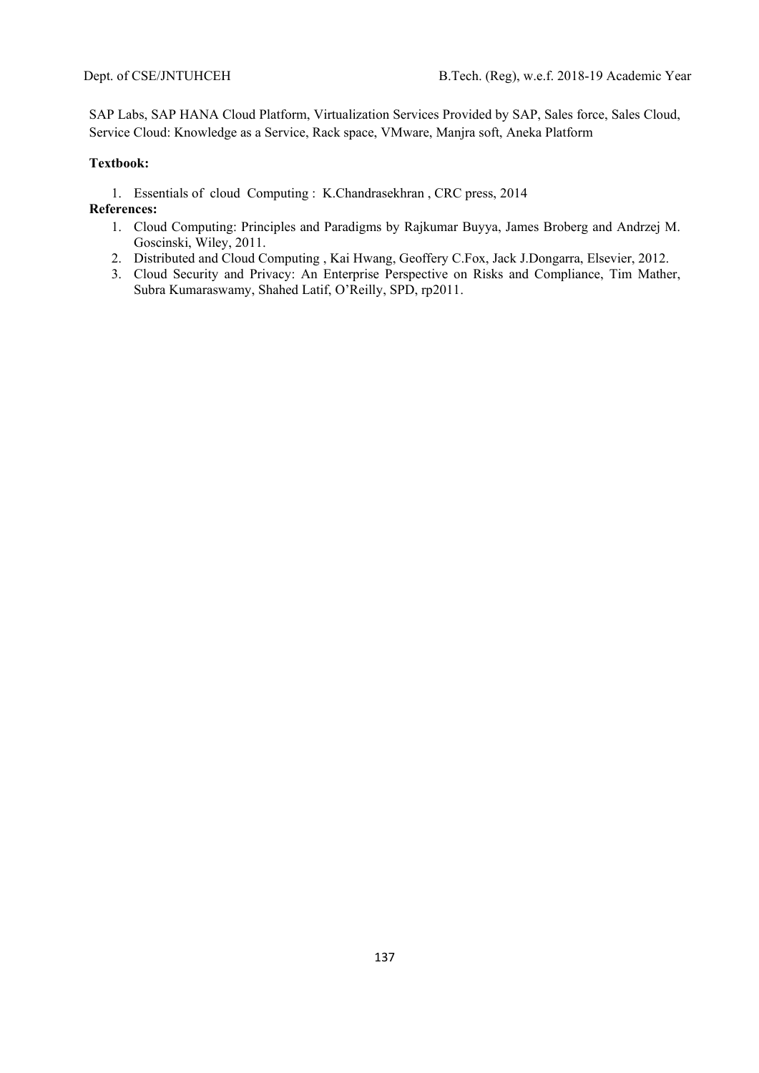SAP Labs, SAP HANA Cloud Platform, Virtualization Services Provided by SAP, Sales force, Sales Cloud, Service Cloud: Knowledge as a Service, Rack space, VMware, Manjra soft, Aneka Platform

# **Textbook:**

1. Essentials of cloud Computing : K.Chandrasekhran , CRC press, 2014

- 1. Cloud Computing: Principles and Paradigms by Rajkumar Buyya, James Broberg and Andrzej M. Goscinski, Wiley, 2011.
- 2. Distributed and Cloud Computing , Kai Hwang, Geoffery C.Fox, Jack J.Dongarra, Elsevier, 2012.
- 3. Cloud Security and Privacy: An Enterprise Perspective on Risks and Compliance, Tim Mather, Subra Kumaraswamy, Shahed Latif, O'Reilly, SPD, rp2011.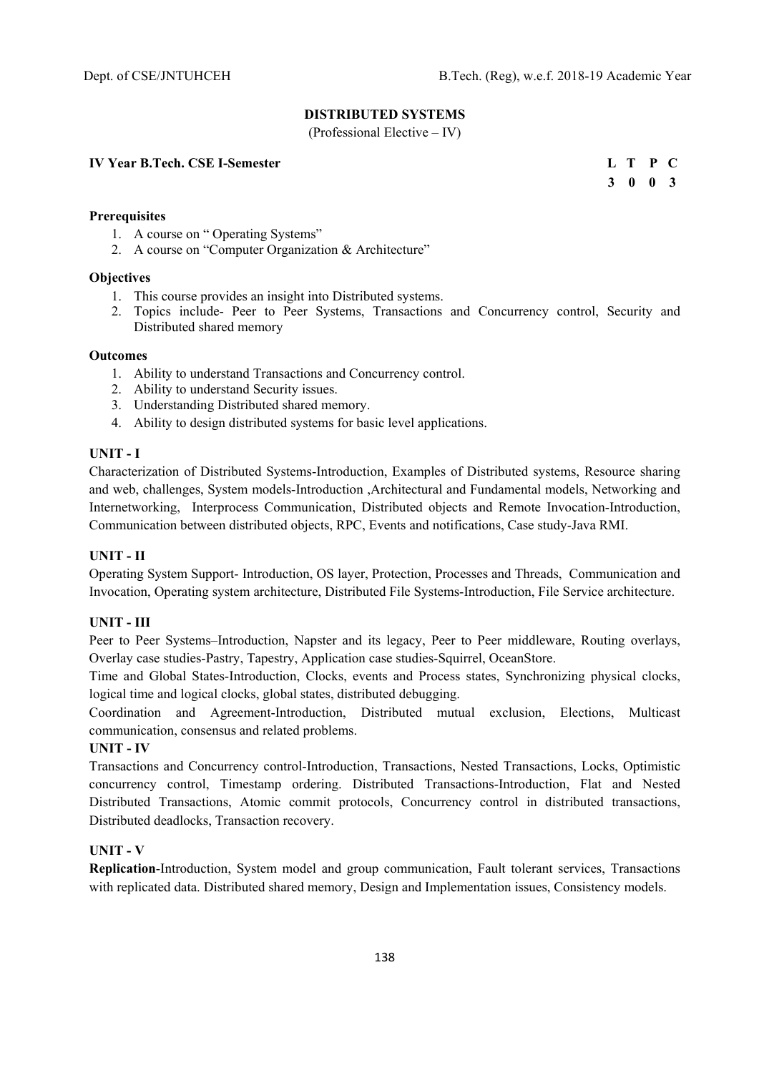# **DISTRIBUTED SYSTEMS**

(Professional Elective – IV)

**IV Year B.Tech. CSE I-Semester** 

|  | L T P C         |  |
|--|-----------------|--|
|  | $3 \t0 \t0 \t3$ |  |

# **Prerequisites**

- 1. A course on " Operating Systems"
- 2. A course on "Computer Organization & Architecture"

#### **Objectives**

- 1. This course provides an insight into Distributed systems.
- 2. Topics include- Peer to Peer Systems, Transactions and Concurrency control, Security and Distributed shared memory

# **Outcomes**

- 1. Ability to understand Transactions and Concurrency control.
- 2. Ability to understand Security issues.
- 3. Understanding Distributed shared memory.
- 4. Ability to design distributed systems for basic level applications.

# **UNIT - I**

Characterization of Distributed Systems-Introduction, Examples of Distributed systems, Resource sharing and web, challenges, System models-Introduction ,Architectural and Fundamental models, Networking and Internetworking, Interprocess Communication, Distributed objects and Remote Invocation-Introduction, Communication between distributed objects, RPC, Events and notifications, Case study-Java RMI.

# **UNIT - II**

Operating System Support- Introduction, OS layer, Protection, Processes and Threads, Communication and Invocation, Operating system architecture, Distributed File Systems-Introduction, File Service architecture.

# **UNIT - III**

Peer to Peer Systems–Introduction, Napster and its legacy, Peer to Peer middleware, Routing overlays, Overlay case studies-Pastry, Tapestry, Application case studies-Squirrel, OceanStore.

Time and Global States-Introduction, Clocks, events and Process states, Synchronizing physical clocks, logical time and logical clocks, global states, distributed debugging.

Coordination and Agreement-Introduction, Distributed mutual exclusion, Elections, Multicast communication, consensus and related problems.

#### **UNIT - IV**

Transactions and Concurrency control-Introduction, Transactions, Nested Transactions, Locks, Optimistic concurrency control, Timestamp ordering. Distributed Transactions-Introduction, Flat and Nested Distributed Transactions, Atomic commit protocols, Concurrency control in distributed transactions, Distributed deadlocks, Transaction recovery.

#### **UNIT - V**

**Replication**-Introduction, System model and group communication, Fault tolerant services, Transactions with replicated data. Distributed shared memory, Design and Implementation issues, Consistency models.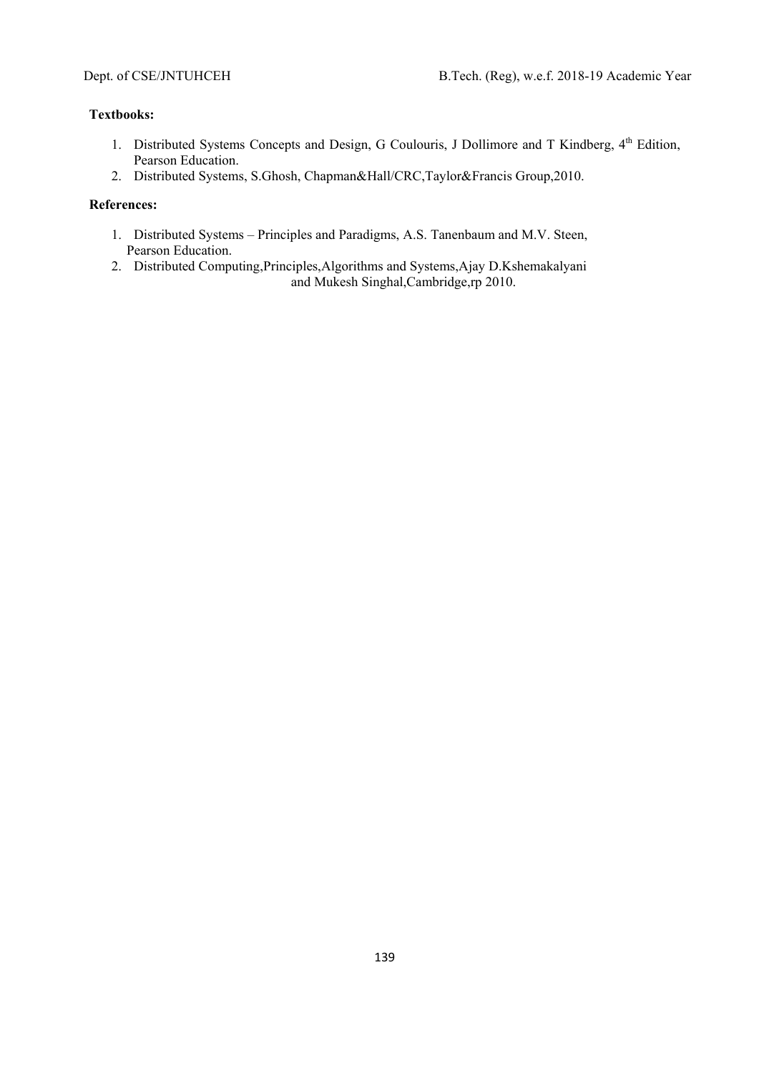# **Textbooks:**

- 1. Distributed Systems Concepts and Design, G Coulouris, J Dollimore and T Kindberg, 4<sup>th</sup> Edition, Pearson Education.
- 2. Distributed Systems, S.Ghosh, Chapman&Hall/CRC,Taylor&Francis Group,2010.

- 1. Distributed Systems Principles and Paradigms, A.S. Tanenbaum and M.V. Steen, Pearson Education.
- 2. Distributed Computing,Principles,Algorithms and Systems,Ajay D.Kshemakalyani and Mukesh Singhal,Cambridge,rp 2010.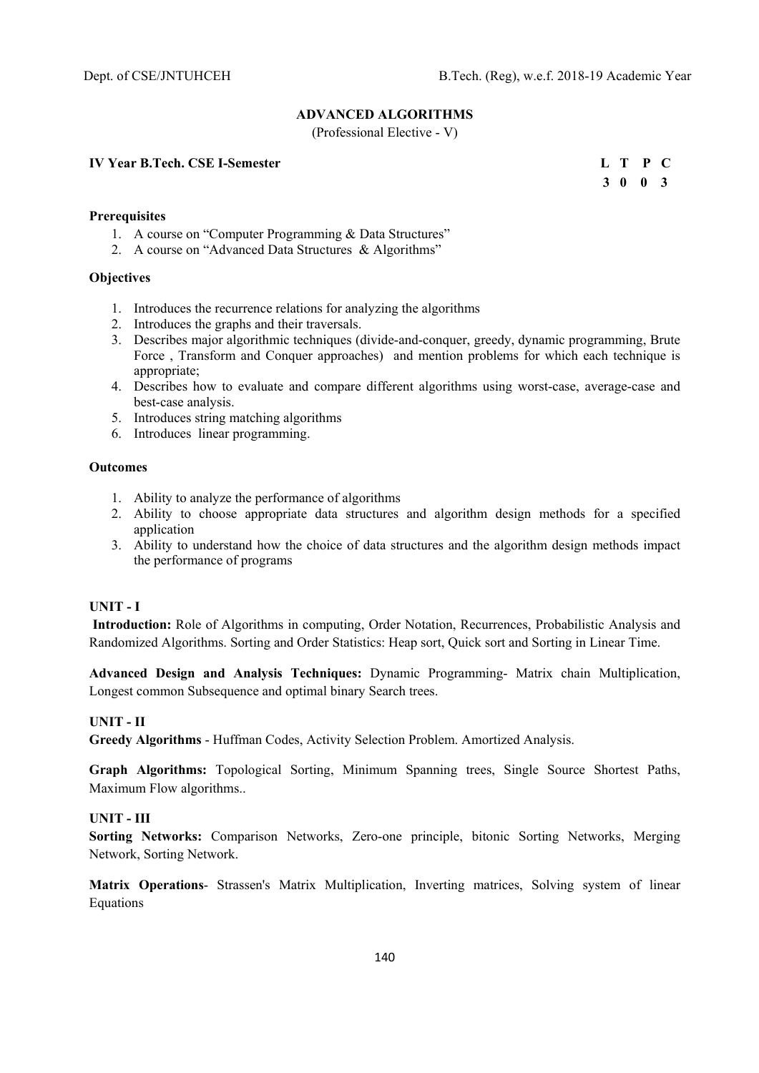# **ADVANCED ALGORITHMS**

(Professional Elective - V)

**IV Year B.Tech. CSE I-Semester** 

|  | L T P C |  |
|--|---------|--|
|  | 3 0 0 3 |  |

# **Prerequisites**

- 1. A course on "Computer Programming & Data Structures"
- 2. A course on "Advanced Data Structures & Algorithms"

# **Objectives**

- 1. Introduces the recurrence relations for analyzing the algorithms
- 2. Introduces the graphs and their traversals.
- 3. Describes major algorithmic techniques (divide-and-conquer, greedy, dynamic programming, Brute Force , Transform and Conquer approaches) and mention problems for which each technique is appropriate;
- 4. Describes how to evaluate and compare different algorithms using worst-case, average-case and best-case analysis.
- 5. Introduces string matching algorithms
- 6. Introduces linear programming.

# **Outcomes**

- 1. Ability to analyze the performance of algorithms
- 2. Ability to choose appropriate data structures and algorithm design methods for a specified application
- 3. Ability to understand how the choice of data structures and the algorithm design methods impact the performance of programs

# **UNIT - I**

 **Introduction:** Role of Algorithms in computing, Order Notation, Recurrences, Probabilistic Analysis and Randomized Algorithms. Sorting and Order Statistics: Heap sort, Quick sort and Sorting in Linear Time.

**Advanced Design and Analysis Techniques:** Dynamic Programming- Matrix chain Multiplication, Longest common Subsequence and optimal binary Search trees.

# **UNIT - II**

**Greedy Algorithms** - Huffman Codes, Activity Selection Problem. Amortized Analysis.

**Graph Algorithms:** Topological Sorting, Minimum Spanning trees, Single Source Shortest Paths, Maximum Flow algorithms..

# **UNIT - III**

**Sorting Networks:** Comparison Networks, Zero-one principle, bitonic Sorting Networks, Merging Network, Sorting Network.

**Matrix Operations**- Strassen's Matrix Multiplication, Inverting matrices, Solving system of linear Equations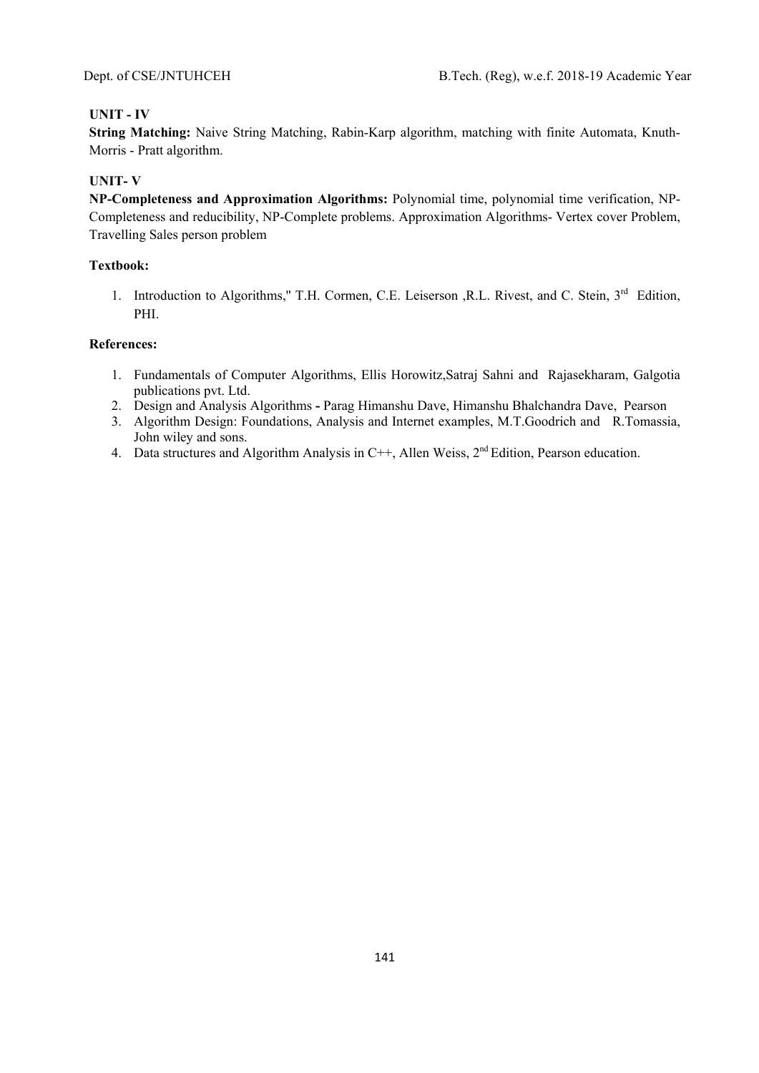# **UNIT - IV**

**String Matching:** Naive String Matching, Rabin-Karp algorithm, matching with finite Automata, Knuth-Morris - Pratt algorithm.

# **UNIT- V**

**NP-Completeness and Approximation Algorithms:** Polynomial time, polynomial time verification, NP-Completeness and reducibility, NP-Complete problems. Approximation Algorithms- Vertex cover Problem, Travelling Sales person problem

# **Textbook:**

1. Introduction to Algorithms," T.H. Cormen, C.E. Leiserson ,R.L. Rivest, and C. Stein, 3<sup>rd</sup> Edition, PHI.

- 1. Fundamentals of Computer Algorithms, Ellis Horowitz,Satraj Sahni and Rajasekharam, Galgotia publications pvt. Ltd.
- 2. Design and Analysis AlgorithmsParag Himanshu Dave, Himanshu Bhalchandra Dave, Pearson
- 3. Algorithm Design: Foundations, Analysis and Internet examples, M.T.Goodrich and R.Tomassia, John wiley and sons.
- 4. Data structures and Algorithm Analysis in C++, Allen Weiss,  $2<sup>nd</sup> Edition$ , Pearson education.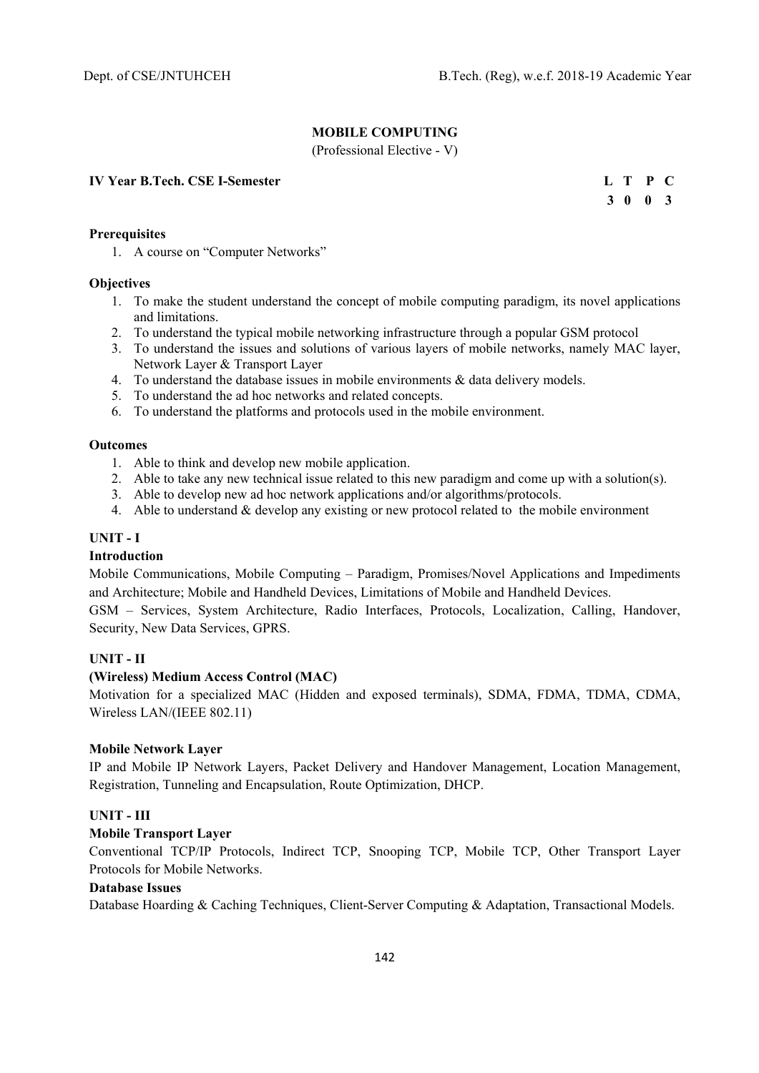**3 0 0 3** 

# **MOBILE COMPUTING**

(Professional Elective - V)

#### **IV Year B.Tech. CSE I-Semester L T P C**

| Prerequisites |  |
|---------------|--|
|               |  |

1. A course on "Computer Networks"

#### **Objectives**

- 1. To make the student understand the concept of mobile computing paradigm, its novel applications and limitations.
- 2. To understand the typical mobile networking infrastructure through a popular GSM protocol
- 3. To understand the issues and solutions of various layers of mobile networks, namely MAC layer, Network Layer & Transport Layer
- 4. To understand the database issues in mobile environments & data delivery models.
- 5. To understand the ad hoc networks and related concepts.
- 6. To understand the platforms and protocols used in the mobile environment.

# **Outcomes**

- 1. Able to think and develop new mobile application.
- 2. Able to take any new technical issue related to this new paradigm and come up with a solution(s).
- 3. Able to develop new ad hoc network applications and/or algorithms/protocols.
- 4. Able to understand & develop any existing or new protocol related to the mobile environment

# **UNIT - I**

# **Introduction**

Mobile Communications, Mobile Computing – Paradigm, Promises/Novel Applications and Impediments and Architecture; Mobile and Handheld Devices, Limitations of Mobile and Handheld Devices.

GSM – Services, System Architecture, Radio Interfaces, Protocols, Localization, Calling, Handover, Security, New Data Services, GPRS.

# **UNIT - II**

# **(Wireless) Medium Access Control (MAC)**

Motivation for a specialized MAC (Hidden and exposed terminals), SDMA, FDMA, TDMA, CDMA, Wireless LAN/(IEEE 802.11)

# **Mobile Network Layer**

IP and Mobile IP Network Layers, Packet Delivery and Handover Management, Location Management, Registration, Tunneling and Encapsulation, Route Optimization, DHCP.

# **UNIT - III**

# **Mobile Transport Layer**

Conventional TCP/IP Protocols, Indirect TCP, Snooping TCP, Mobile TCP, Other Transport Layer Protocols for Mobile Networks.

# **Database Issues**

Database Hoarding & Caching Techniques, Client-Server Computing & Adaptation, Transactional Models.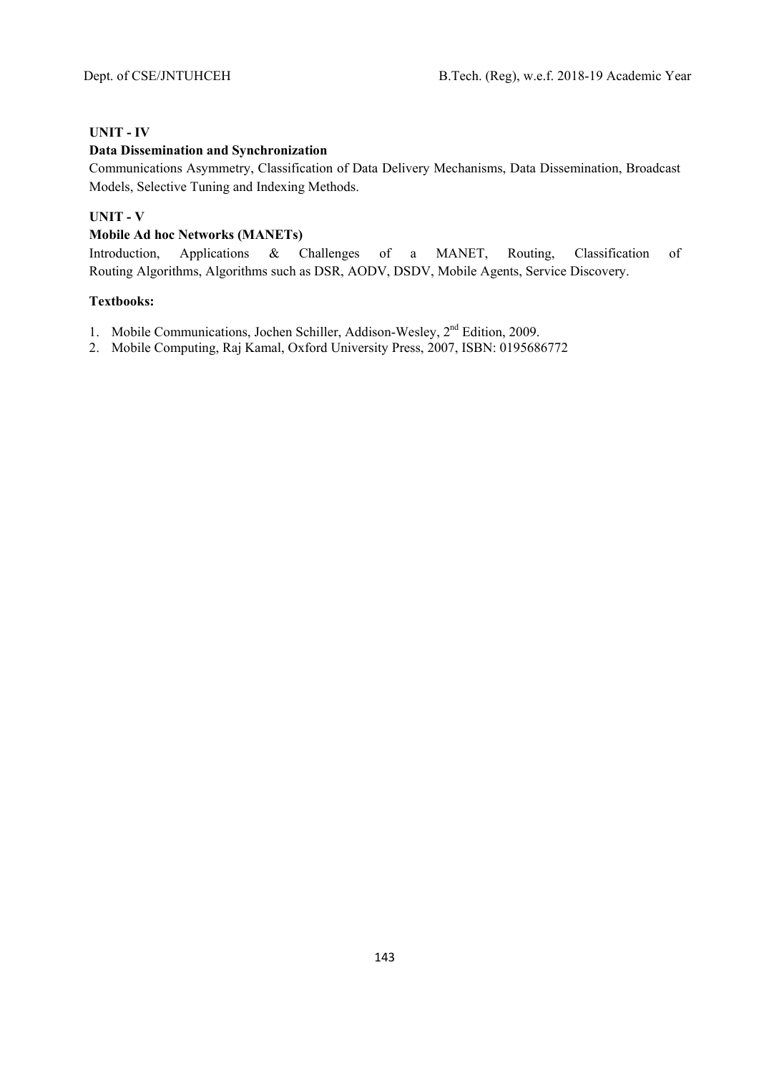# **UNIT - IV**

# **Data Dissemination and Synchronization**

Communications Asymmetry, Classification of Data Delivery Mechanisms, Data Dissemination, Broadcast Models, Selective Tuning and Indexing Methods.

# **UNIT - V**

# **Mobile Ad hoc Networks (MANETs)**

Introduction, Applications & Challenges of a MANET, Routing, Classification of Routing Algorithms, Algorithms such as DSR, AODV, DSDV, Mobile Agents, Service Discovery.

# **Textbooks:**

- 1. Mobile Communications, Jochen Schiller, Addison-Wesley, 2<sup>nd</sup> Edition, 2009.
- 2. Mobile Computing, Raj Kamal, Oxford University Press, 2007, ISBN: 0195686772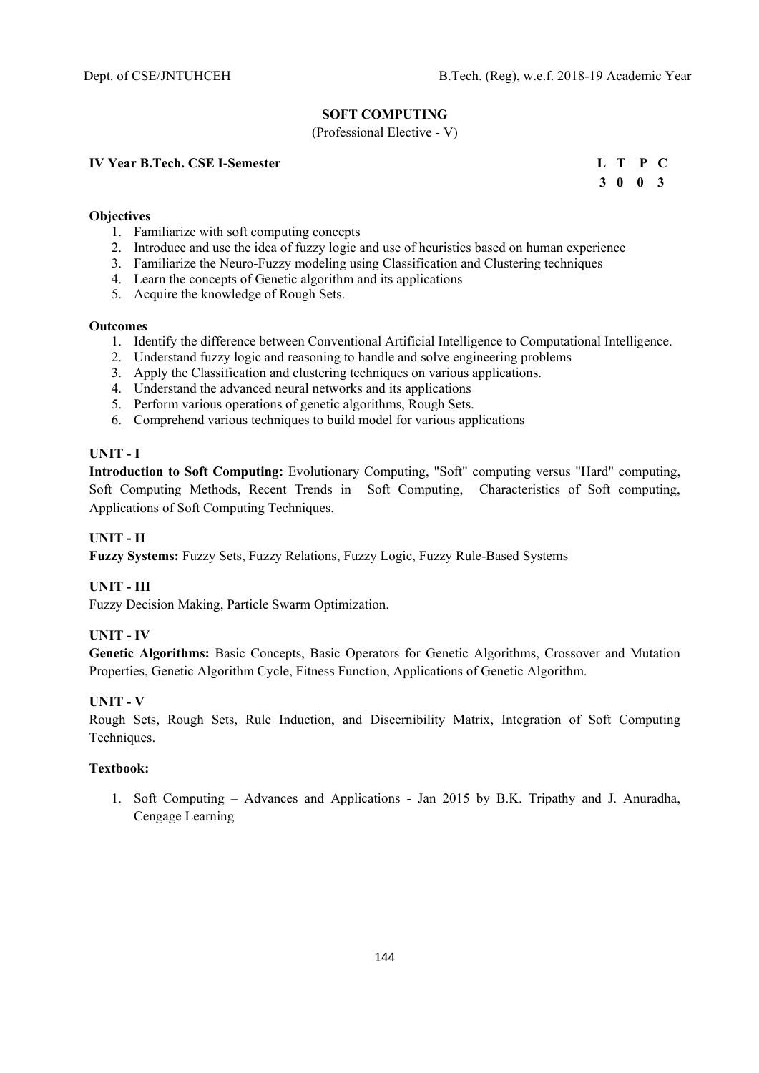# **SOFT COMPUTING**

(Professional Elective - V)

# **IV Year B.Tech. CSE I-Semester**

|  | L T P C |  |
|--|---------|--|
|  | 3 0 0 3 |  |

### **Objectives**

- 1. Familiarize with soft computing concepts
- 2. Introduce and use the idea of fuzzy logic and use of heuristics based on human experience
- 3. Familiarize the Neuro-Fuzzy modeling using Classification and Clustering techniques
- 4. Learn the concepts of Genetic algorithm and its applications
- 5. Acquire the knowledge of Rough Sets.

#### **Outcomes**

- 1. Identify the difference between Conventional Artificial Intelligence to Computational Intelligence.
- 2. Understand fuzzy logic and reasoning to handle and solve engineering problems
- 3. Apply the Classification and clustering techniques on various applications.
- 4. Understand the advanced neural networks and its applications
- 5. Perform various operations of genetic algorithms, Rough Sets.
- 6. Comprehend various techniques to build model for various applications

# **UNIT - I**

**Introduction to Soft Computing:** Evolutionary Computing, "Soft" computing versus "Hard" computing, Soft Computing Methods, Recent Trends in Soft Computing, Characteristics of Soft computing, Applications of Soft Computing Techniques.

# **UNIT - II**

**Fuzzy Systems:** Fuzzy Sets, Fuzzy Relations, Fuzzy Logic, Fuzzy Rule-Based Systems

# **UNIT - III**

Fuzzy Decision Making, Particle Swarm Optimization.

# **UNIT - IV**

**Genetic Algorithms:** Basic Concepts, Basic Operators for Genetic Algorithms, Crossover and Mutation Properties, Genetic Algorithm Cycle, Fitness Function, Applications of Genetic Algorithm.

# **UNIT - V**

Rough Sets, Rough Sets, Rule Induction, and Discernibility Matrix, Integration of Soft Computing Techniques.

# **Textbook:**

1. Soft Computing – Advances and Applications - Jan 2015 by B.K. Tripathy and J. Anuradha, Cengage Learning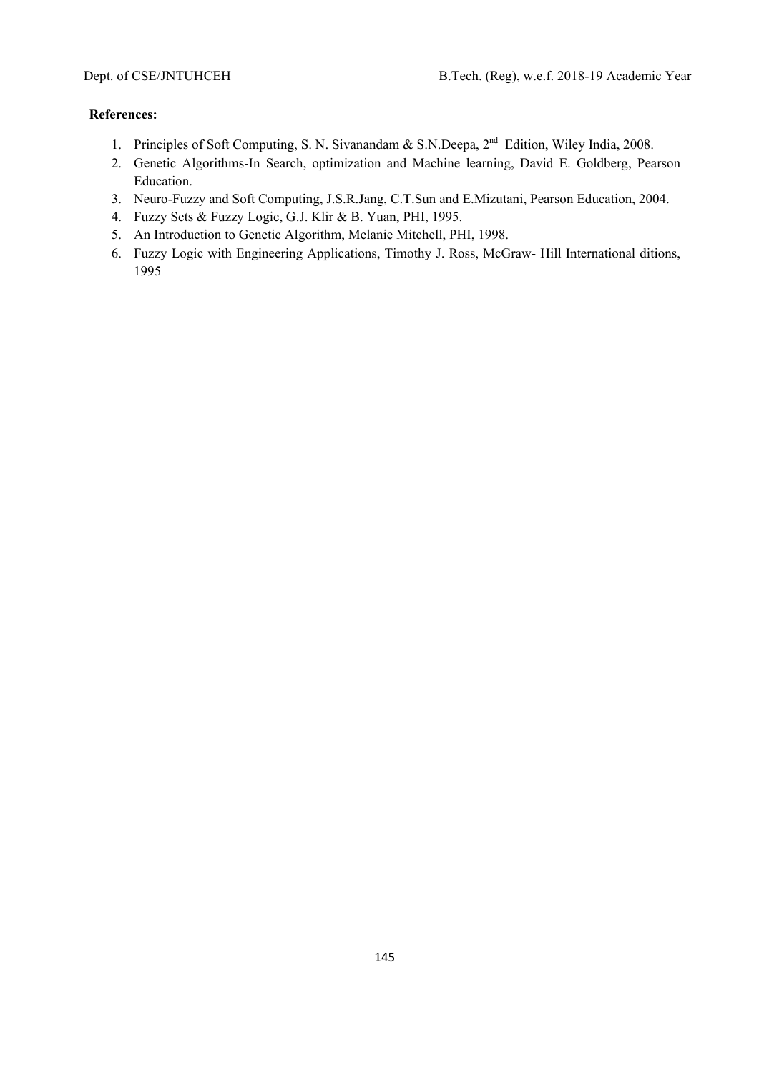- 1. Principles of Soft Computing, S. N. Sivanandam & S.N.Deepa, 2<sup>nd</sup> Edition, Wiley India, 2008.
- 2. Genetic Algorithms-In Search, optimization and Machine learning, David E. Goldberg, Pearson Education.
- 3. Neuro-Fuzzy and Soft Computing, J.S.R.Jang, C.T.Sun and E.Mizutani, Pearson Education, 2004.
- 4. Fuzzy Sets & Fuzzy Logic, G.J. Klir & B. Yuan, PHI, 1995.
- 5. An Introduction to Genetic Algorithm, Melanie Mitchell, PHI, 1998.
- 6. Fuzzy Logic with Engineering Applications, Timothy J. Ross, McGraw- Hill International ditions, 1995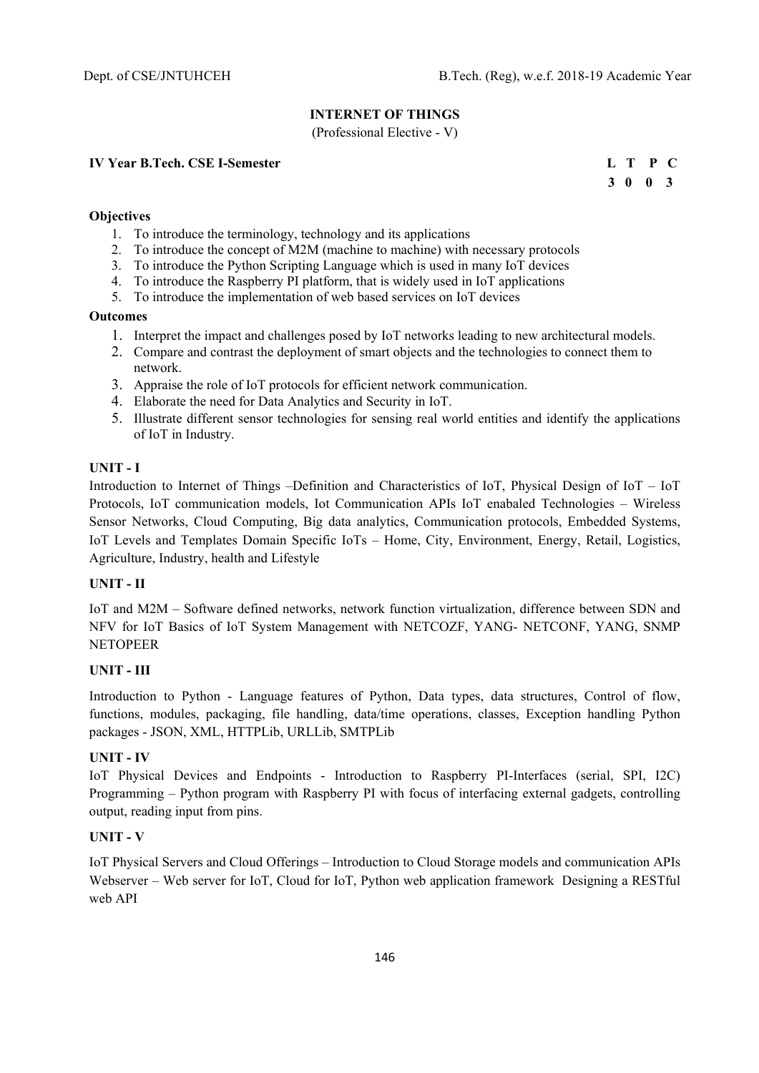# **INTERNET OF THINGS**

(Professional Elective - V)

### **IV Year B.Tech. CSE I-Semester L T P C**

 **3 0 0 3** 

# **Objectives**

- 1. To introduce the terminology, technology and its applications
- 2. To introduce the concept of M2M (machine to machine) with necessary protocols
- 3. To introduce the Python Scripting Language which is used in many IoT devices
- 4. To introduce the Raspberry PI platform, that is widely used in IoT applications
- 5. To introduce the implementation of web based services on IoT devices

### **Outcomes**

- 1. Interpret the impact and challenges posed by IoT networks leading to new architectural models.
- 2. Compare and contrast the deployment of smart objects and the technologies to connect them to network.
- 3. Appraise the role of IoT protocols for efficient network communication.
- 4. Elaborate the need for Data Analytics and Security in IoT.
- 5. Illustrate different sensor technologies for sensing real world entities and identify the applications of IoT in Industry.

## **UNIT - I**

Introduction to Internet of Things –Definition and Characteristics of IoT, Physical Design of IoT – IoT Protocols, IoT communication models, Iot Communication APIs IoT enabaled Technologies – Wireless Sensor Networks, Cloud Computing, Big data analytics, Communication protocols, Embedded Systems, IoT Levels and Templates Domain Specific IoTs – Home, City, Environment, Energy, Retail, Logistics, Agriculture, Industry, health and Lifestyle

## **UNIT - II**

IoT and M2M – Software defined networks, network function virtualization, difference between SDN and NFV for IoT Basics of IoT System Management with NETCOZF, YANG- NETCONF, YANG, SNMP NETOPEER

## **UNIT - III**

Introduction to Python - Language features of Python, Data types, data structures, Control of flow, functions, modules, packaging, file handling, data/time operations, classes, Exception handling Python packages - JSON, XML, HTTPLib, URLLib, SMTPLib

## **UNIT - IV**

IoT Physical Devices and Endpoints - Introduction to Raspberry PI-Interfaces (serial, SPI, I2C) Programming – Python program with Raspberry PI with focus of interfacing external gadgets, controlling output, reading input from pins.

### **UNIT - V**

IoT Physical Servers and Cloud Offerings – Introduction to Cloud Storage models and communication APIs Webserver – Web server for IoT, Cloud for IoT, Python web application framework Designing a RESTful web API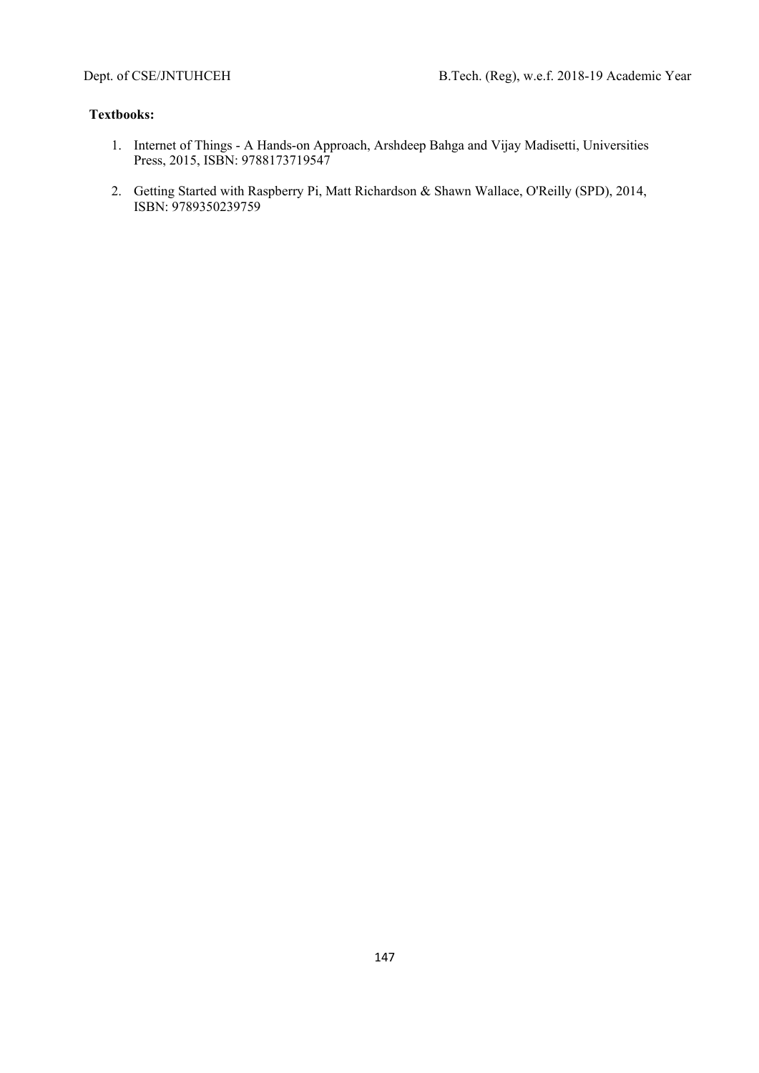- 1. Internet of Things A Hands-on Approach, Arshdeep Bahga and Vijay Madisetti, Universities Press, 2015, ISBN: 9788173719547
- 2. Getting Started with Raspberry Pi, Matt Richardson & Shawn Wallace, O'Reilly (SPD), 2014, ISBN: 9789350239759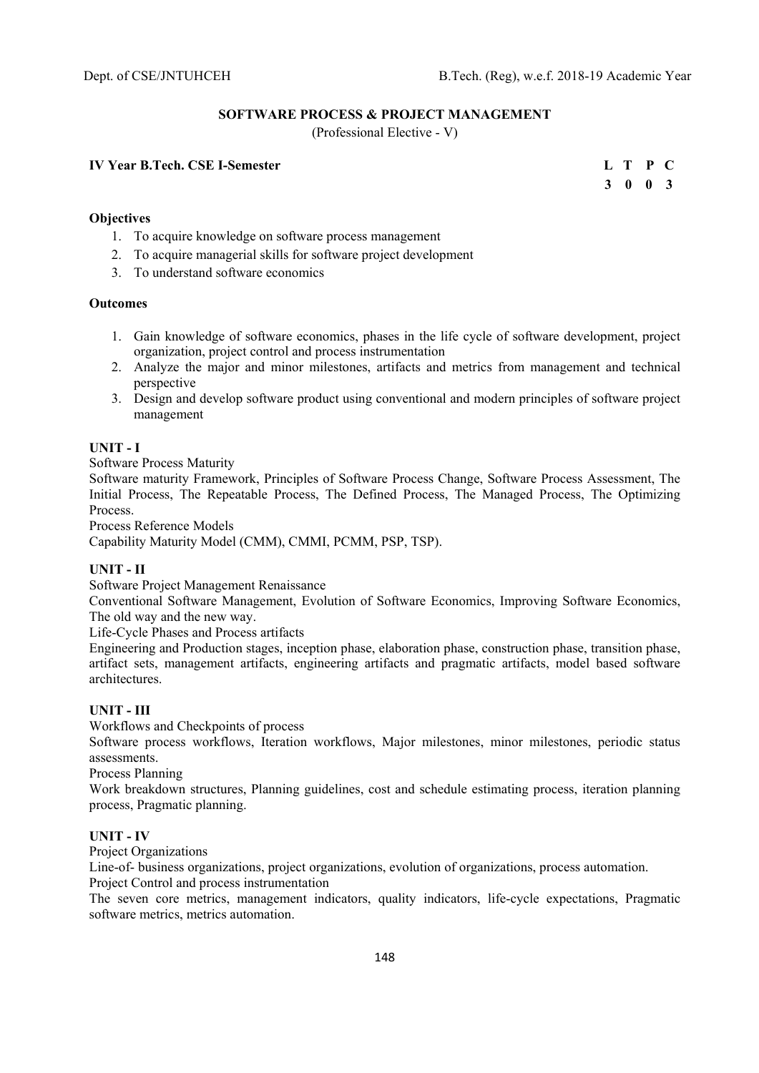## **SOFTWARE PROCESS & PROJECT MANAGEMENT**

(Professional Elective - V)

### **IV Year B.Tech. CSE I-Semester L T P C**

 **3 0 0 3** 

## **Objectives**

- 1. To acquire knowledge on software process management
- 2. To acquire managerial skills for software project development
- 3. To understand software economics

### **Outcomes**

- 1. Gain knowledge of software economics, phases in the life cycle of software development, project organization, project control and process instrumentation
- 2. Analyze the major and minor milestones, artifacts and metrics from management and technical perspective
- 3. Design and develop software product using conventional and modern principles of software project management

### **UNIT - I**

Software Process Maturity

Software maturity Framework, Principles of Software Process Change, Software Process Assessment, The Initial Process, The Repeatable Process, The Defined Process, The Managed Process, The Optimizing Process.

Process Reference Models

Capability Maturity Model (CMM), CMMI, PCMM, PSP, TSP).

### **UNIT - II**

Software Project Management Renaissance

Conventional Software Management, Evolution of Software Economics, Improving Software Economics, The old way and the new way.

Life-Cycle Phases and Process artifacts

Engineering and Production stages, inception phase, elaboration phase, construction phase, transition phase, artifact sets, management artifacts, engineering artifacts and pragmatic artifacts, model based software architectures.

### **UNIT - III**

Workflows and Checkpoints of process

Software process workflows, Iteration workflows, Major milestones, minor milestones, periodic status assessments.

Process Planning

Work breakdown structures, Planning guidelines, cost and schedule estimating process, iteration planning process, Pragmatic planning.

### **UNIT - IV**

Project Organizations

Line-of- business organizations, project organizations, evolution of organizations, process automation. Project Control and process instrumentation

The seven core metrics, management indicators, quality indicators, life-cycle expectations, Pragmatic software metrics, metrics automation.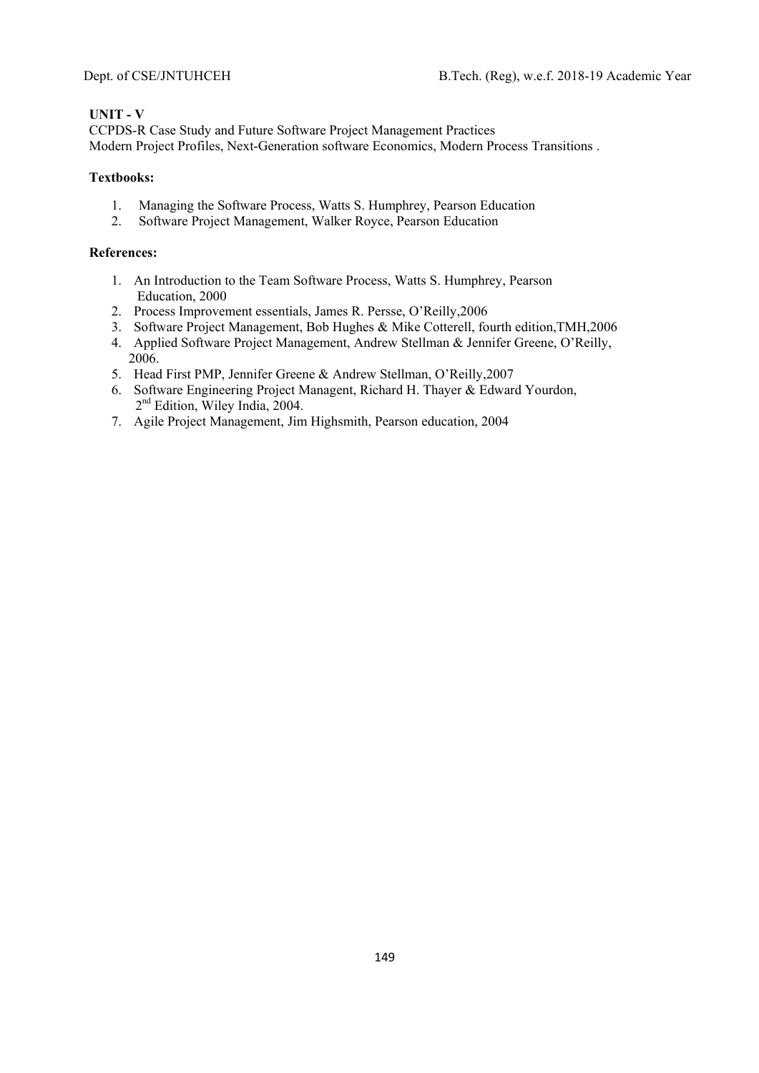### **UNIT - V**

CCPDS-R Case Study and Future Software Project Management Practices Modern Project Profiles, Next-Generation software Economics, Modern Process Transitions .

## **Textbooks:**

- 1. Managing the Software Process, Watts S. Humphrey, Pearson Education
- 2. Software Project Management, Walker Royce, Pearson Education

- 1. An Introduction to the Team Software Process, Watts S. Humphrey, Pearson Education, 2000
- 2. Process Improvement essentials, James R. Persse, O'Reilly,2006
- 3. Software Project Management, Bob Hughes & Mike Cotterell, fourth edition,TMH,2006
- 4. Applied Software Project Management, Andrew Stellman & Jennifer Greene, O'Reilly, 2006.
- 5. Head First PMP, Jennifer Greene & Andrew Stellman, O'Reilly,2007
- 6. Software Engineering Project Managent, Richard H. Thayer & Edward Yourdon, 2<sup>nd</sup> Edition, Wiley India, 2004.
- 7. Agile Project Management, Jim Highsmith, Pearson education, 2004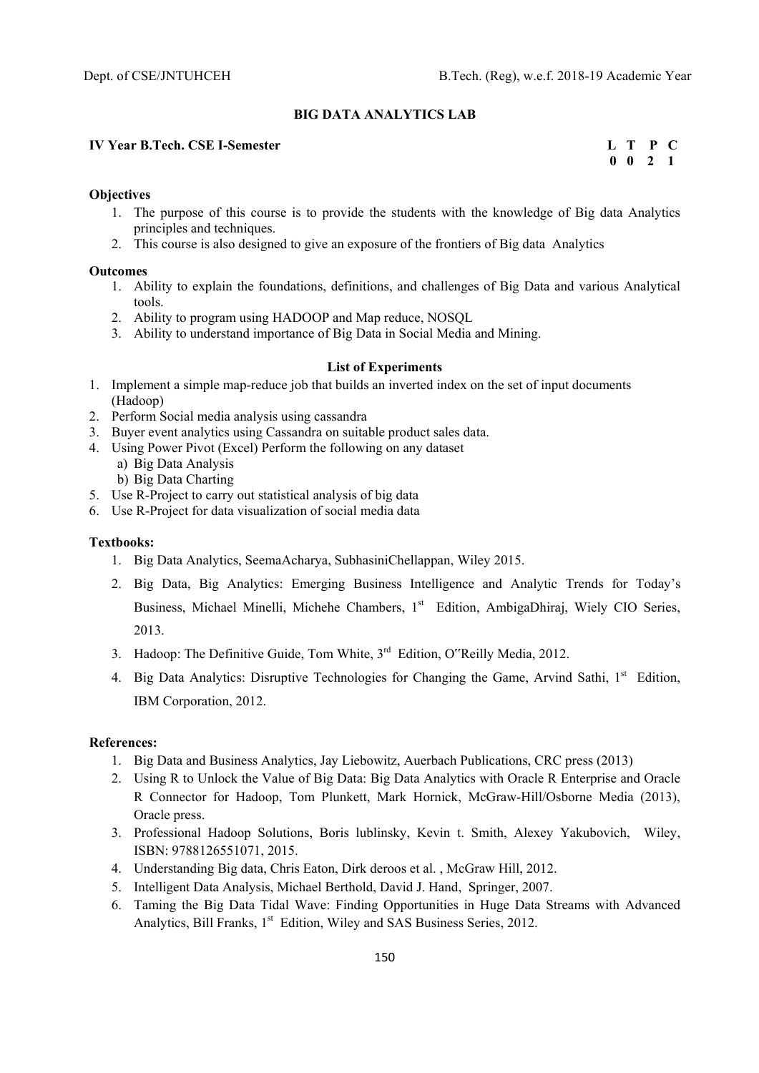### **BIG DATA ANALYTICS LAB**

### **IV Year B.Tech. CSE I-Semester L T P C**

 **0 0 2 1** 

### **Objectives**

- 1. The purpose of this course is to provide the students with the knowledge of Big data Analytics principles and techniques.
- 2. This course is also designed to give an exposure of the frontiers of Big data Analytics

#### **Outcomes**

- 1. Ability to explain the foundations, definitions, and challenges of Big Data and various Analytical tools.
- 2. Ability to program using HADOOP and Map reduce, NOSOL
- 3. Ability to understand importance of Big Data in Social Media and Mining.

### **List of Experiments**

- 1. Implement a simple map-reduce job that builds an inverted index on the set of input documents (Hadoop)
- 2. Perform Social media analysis using cassandra
- 3. Buyer event analytics using Cassandra on suitable product sales data.
- 4. Using Power Pivot (Excel) Perform the following on any dataset
	- a) Big Data Analysis
	- b) Big Data Charting
- 5. Use R-Project to carry out statistical analysis of big data
- 6. Use R-Project for data visualization of social media data

### **Textbooks:**

- 1. Big Data Analytics, SeemaAcharya, SubhasiniChellappan, Wiley 2015.
- 2. Big Data, Big Analytics: Emerging Business Intelligence and Analytic Trends for Today's Business, Michael Minelli, Michehe Chambers, 1st Edition, AmbigaDhiraj, Wiely CIO Series, 2013.
- 3. Hadoop: The Definitive Guide, Tom White,  $3<sup>rd</sup>$  Edition, O"Reilly Media, 2012.
- 4. Big Data Analytics: Disruptive Technologies for Changing the Game, Arvind Sathi, 1<sup>st</sup> Edition, IBM Corporation, 2012.

- 1. Big Data and Business Analytics, Jay Liebowitz, Auerbach Publications, CRC press (2013)
- 2. Using R to Unlock the Value of Big Data: Big Data Analytics with Oracle R Enterprise and Oracle R Connector for Hadoop, Tom Plunkett, Mark Hornick, McGraw-Hill/Osborne Media (2013), Oracle press.
- 3. Professional Hadoop Solutions, Boris lublinsky, Kevin t. Smith, Alexey Yakubovich, Wiley, ISBN: 9788126551071, 2015.
- 4. Understanding Big data, Chris Eaton, Dirk deroos et al. , McGraw Hill, 2012.
- 5. Intelligent Data Analysis, Michael Berthold, David J. Hand, Springer, 2007.
- 6. Taming the Big Data Tidal Wave: Finding Opportunities in Huge Data Streams with Advanced Analytics, Bill Franks, 1<sup>st</sup> Edition, Wiley and SAS Business Series, 2012.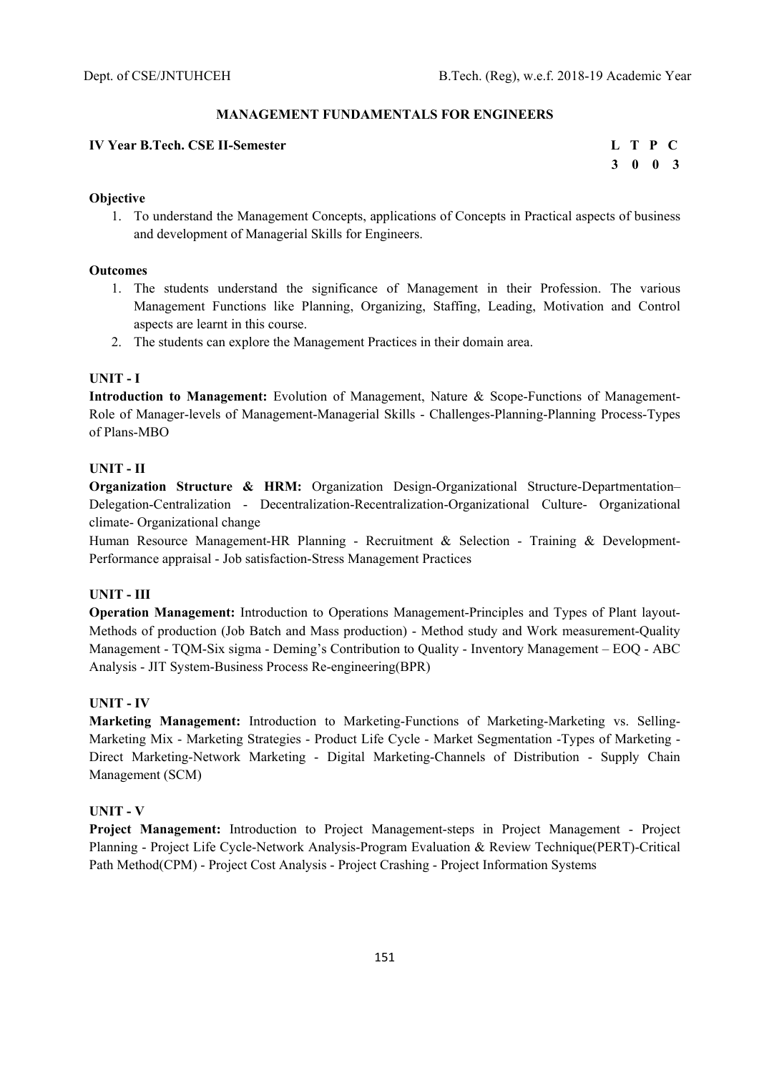### **MANAGEMENT FUNDAMENTALS FOR ENGINEERS**

### **IV Year B.Tech. CSE II-Semester Letter Letter Letter Letter Letter Letter Letter Letter Letter Letter Letter Letter Letter Letter Letter Letter Letter Letter Letter Letter Letter Letter Letter Letter Letter Letter Letter**

 **3 0 0 3** 

### **Objective**

1. To understand the Management Concepts, applications of Concepts in Practical aspects of business and development of Managerial Skills for Engineers.

### **Outcomes**

- 1. The students understand the significance of Management in their Profession. The various Management Functions like Planning, Organizing, Staffing, Leading, Motivation and Control aspects are learnt in this course.
- 2. The students can explore the Management Practices in their domain area.

### **UNIT - I**

**Introduction to Management:** Evolution of Management, Nature & Scope-Functions of Management-Role of Manager-levels of Management-Managerial Skills - Challenges-Planning-Planning Process-Types of Plans-MBO

### **UNIT - II**

**Organization Structure & HRM:** Organization Design-Organizational Structure-Departmentation– Delegation-Centralization - Decentralization-Recentralization-Organizational Culture- Organizational climate- Organizational change

Human Resource Management-HR Planning - Recruitment & Selection - Training & Development-Performance appraisal - Job satisfaction-Stress Management Practices

### **UNIT - III**

**Operation Management:** Introduction to Operations Management-Principles and Types of Plant layout-Methods of production (Job Batch and Mass production) - Method study and Work measurement-Quality Management - TQM-Six sigma - Deming's Contribution to Quality - Inventory Management – EOQ - ABC Analysis - JIT System-Business Process Re-engineering(BPR)

### **UNIT - IV**

**Marketing Management:** Introduction to Marketing-Functions of Marketing-Marketing vs. Selling-Marketing Mix - Marketing Strategies - Product Life Cycle - Market Segmentation -Types of Marketing - Direct Marketing-Network Marketing - Digital Marketing-Channels of Distribution - Supply Chain Management (SCM)

### **UNIT - V**

**Project Management:** Introduction to Project Management-steps in Project Management - Project Planning - Project Life Cycle-Network Analysis-Program Evaluation & Review Technique(PERT)-Critical Path Method(CPM) - Project Cost Analysis - Project Crashing - Project Information Systems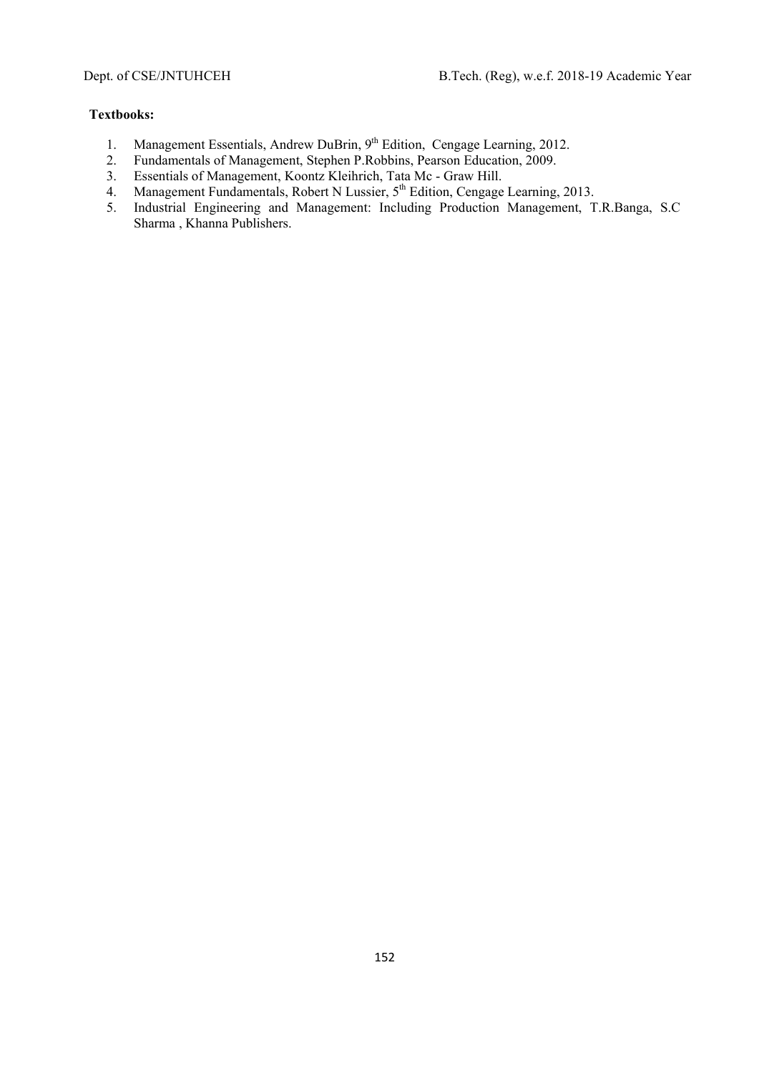- 1. Management Essentials, Andrew DuBrin, 9<sup>th</sup> Edition, Cengage Learning, 2012.
- 2. Fundamentals of Management, Stephen P.Robbins, Pearson Education, 2009.
- 3. Essentials of Management, Koontz Kleihrich, Tata Mc Graw Hill.
- 4. Management Fundamentals, Robert N Lussier, 5<sup>th</sup> Edition, Cengage Learning, 2013.
- 5. Industrial Engineering and Management: Including Production Management, T.R.Banga, S.C Sharma , Khanna Publishers.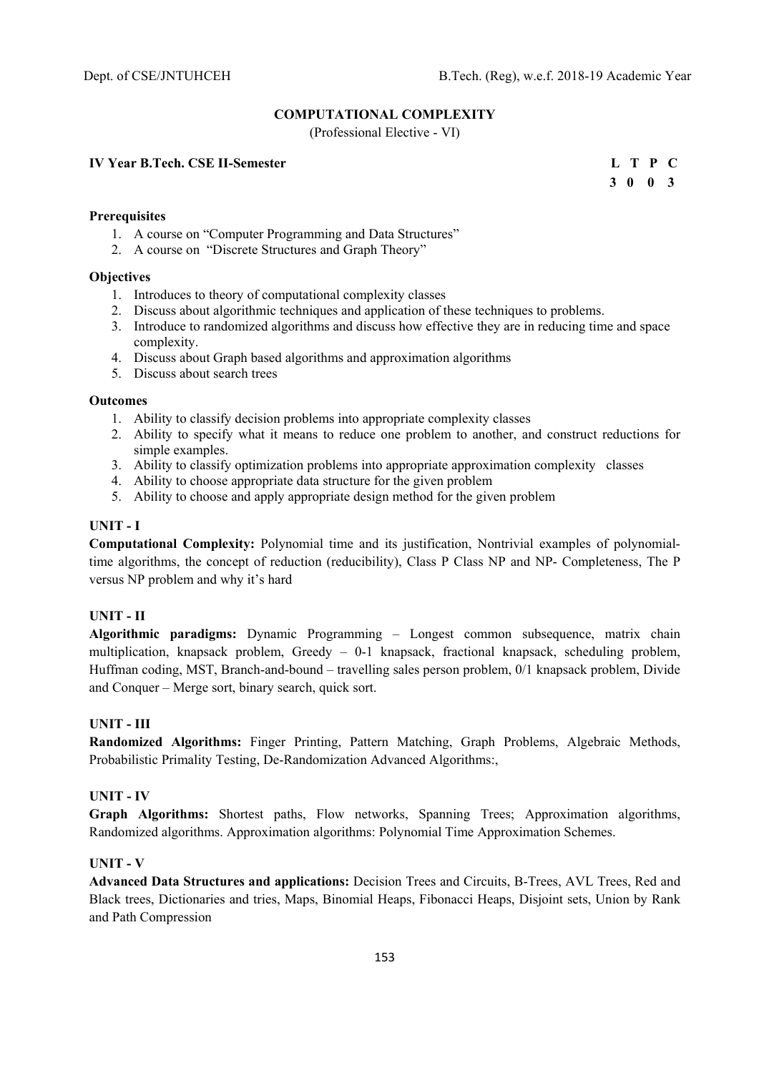### **COMPUTATIONAL COMPLEXITY**

(Professional Elective - VI)

### **IV Year B.Tech. CSE II-Semester L T P C**

 **3 0 0 3**

## **Prerequisites**

- 1. A course on "Computer Programming and Data Structures"
- 2. A course on "Discrete Structures and Graph Theory"

#### **Objectives**

- 1. Introduces to theory of computational complexity classes
- 2. Discuss about algorithmic techniques and application of these techniques to problems.
- 3. Introduce to randomized algorithms and discuss how effective they are in reducing time and space complexity.
- 4. Discuss about Graph based algorithms and approximation algorithms
- 5. Discuss about search trees

#### **Outcomes**

- 1. Ability to classify decision problems into appropriate complexity classes
- 2. Ability to specify what it means to reduce one problem to another, and construct reductions for simple examples.
- 3. Ability to classify optimization problems into appropriate approximation complexity classes
- 4. Ability to choose appropriate data structure for the given problem
- 5. Ability to choose and apply appropriate design method for the given problem

#### **UNIT - I**

**Computational Complexity:** Polynomial time and its justification, Nontrivial examples of polynomialtime algorithms, the concept of reduction (reducibility), Class P Class NP and NP- Completeness, The P versus NP problem and why it's hard

### **UNIT - II**

**Algorithmic paradigms:** Dynamic Programming – Longest common subsequence, matrix chain multiplication, knapsack problem, Greedy – 0-1 knapsack, fractional knapsack, scheduling problem, Huffman coding, MST, Branch-and-bound – travelling sales person problem, 0/1 knapsack problem, Divide and Conquer – Merge sort, binary search, quick sort.

### **UNIT - III**

**Randomized Algorithms:** Finger Printing, Pattern Matching, Graph Problems, Algebraic Methods, Probabilistic Primality Testing, De-Randomization Advanced Algorithms:,

### **UNIT - IV**

**Graph Algorithms:** Shortest paths, Flow networks, Spanning Trees; Approximation algorithms, Randomized algorithms. Approximation algorithms: Polynomial Time Approximation Schemes.

#### **UNIT - V**

**Advanced Data Structures and applications:** Decision Trees and Circuits, B-Trees, AVL Trees, Red and Black trees, Dictionaries and tries, Maps, Binomial Heaps, Fibonacci Heaps, Disjoint sets, Union by Rank and Path Compression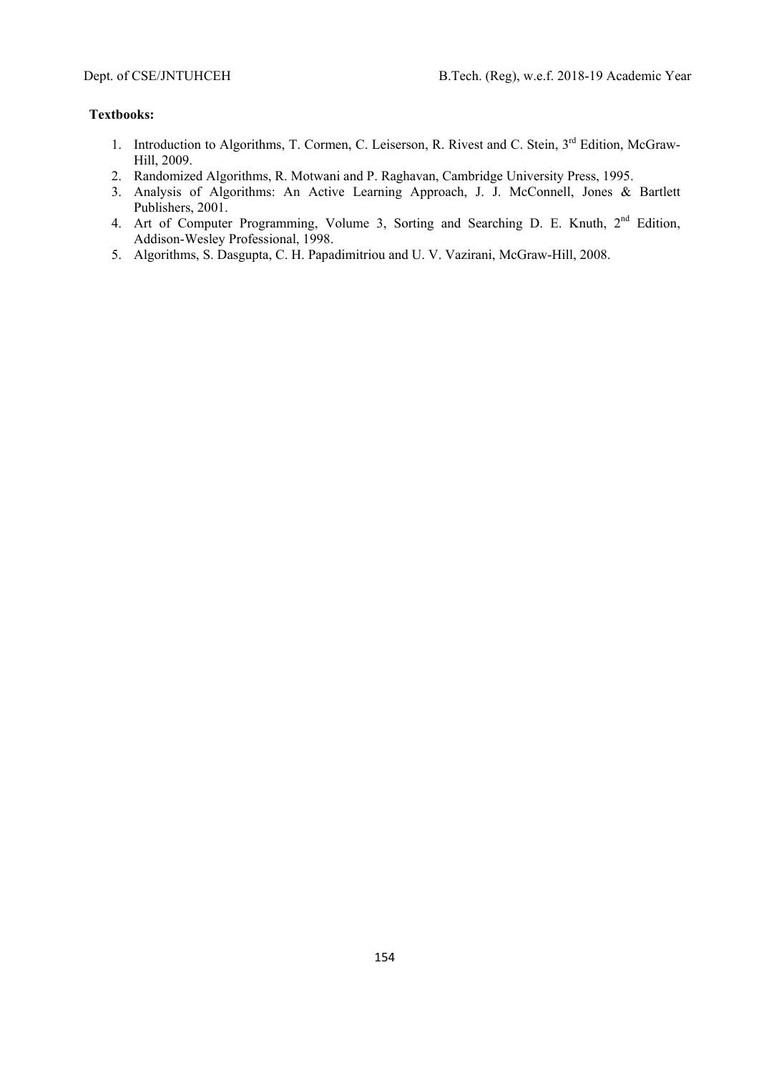- 1. Introduction to Algorithms, T. Cormen, C. Leiserson, R. Rivest and C. Stein, 3<sup>rd</sup> Edition, McGraw-Hill, 2009.
- 2. Randomized Algorithms, R. Motwani and P. Raghavan, Cambridge University Press, 1995.
- 3. Analysis of Algorithms: An Active Learning Approach, J. J. McConnell, Jones & Bartlett Publishers, 2001.
- 4. Art of Computer Programming, Volume 3, Sorting and Searching D. E. Knuth, 2<sup>nd</sup> Edition, Addison-Wesley Professional, 1998.
- 5. Algorithms, S. Dasgupta, C. H. Papadimitriou and U. V. Vazirani, McGraw-Hill, 2008.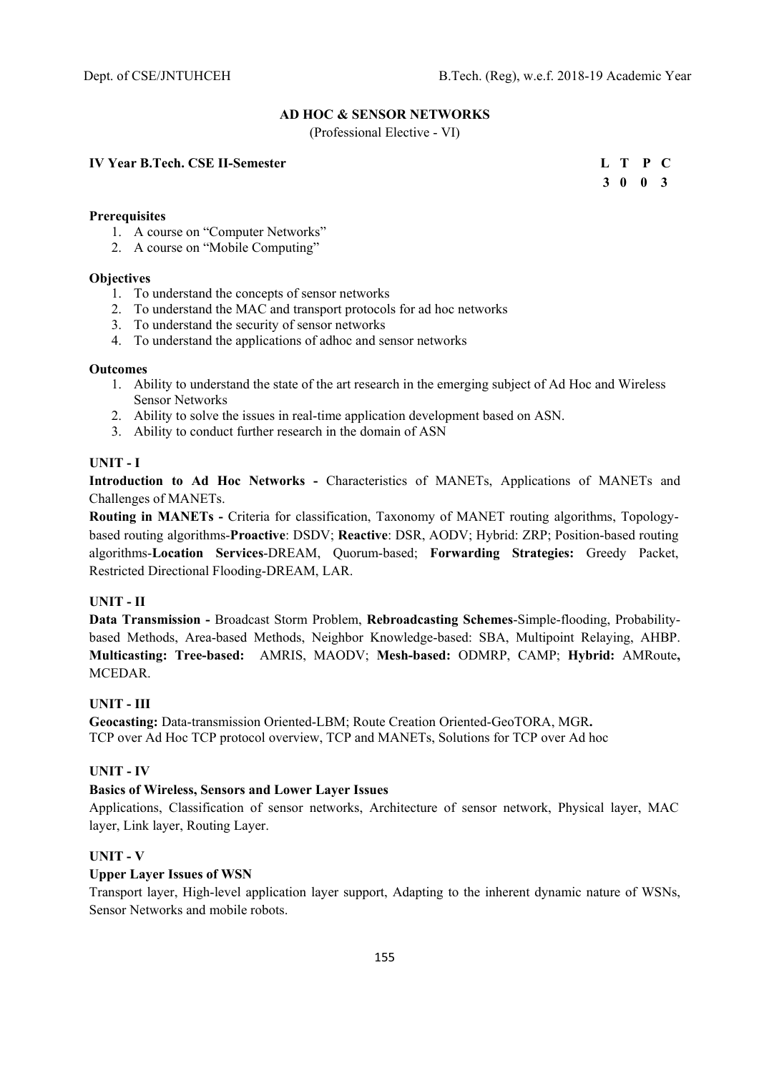### **AD HOC & SENSOR NETWORKS**

(Professional Elective - VI)

### **IV Year B.Tech. CSE II-Semester**

|  | L T P C |  |
|--|---------|--|
|  | 3 0 0 3 |  |

## **Prerequisites**

- 1. A course on "Computer Networks"
- 2. A course on "Mobile Computing"

### **Objectives**

- 1. To understand the concepts of sensor networks
- 2. To understand the MAC and transport protocols for ad hoc networks
- 3. To understand the security of sensor networks
- 4. To understand the applications of adhoc and sensor networks

### **Outcomes**

- 1. Ability to understand the state of the art research in the emerging subject of Ad Hoc and Wireless Sensor Networks
- 2. Ability to solve the issues in real-time application development based on ASN.
- 3. Ability to conduct further research in the domain of ASN

### **UNIT - I**

**Introduction to Ad Hoc Networks -** Characteristics of MANETs, Applications of MANETs and Challenges of MANETs.

**Routing in MANETs -** Criteria for classification, Taxonomy of MANET routing algorithms, Topologybased routing algorithms-**Proactive**: DSDV; **Reactive**: DSR, AODV; Hybrid: ZRP; Position-based routing algorithms-**Location Services**-DREAM, Quorum-based; **Forwarding Strategies:** Greedy Packet, Restricted Directional Flooding-DREAM, LAR.

### **UNIT - II**

**Data Transmission -** Broadcast Storm Problem, **Rebroadcasting Schemes**-Simple-flooding, Probabilitybased Methods, Area-based Methods, Neighbor Knowledge-based: SBA, Multipoint Relaying, AHBP. **Multicasting: Tree-based:** AMRIS, MAODV; **Mesh-based:** ODMRP, CAMP; **Hybrid:** AMRoute**,** MCEDAR.

## **UNIT - III**

**Geocasting:** Data-transmission Oriented-LBM; Route Creation Oriented-GeoTORA, MGR**.**  TCP over Ad Hoc TCP protocol overview, TCP and MANETs, Solutions for TCP over Ad hoc

### **UNIT - IV**

### **Basics of Wireless, Sensors and Lower Layer Issues**

Applications, Classification of sensor networks, Architecture of sensor network, Physical layer, MAC layer, Link layer, Routing Layer.

### **UNIT - V**

### **Upper Layer Issues of WSN**

Transport layer, High-level application layer support, Adapting to the inherent dynamic nature of WSNs, Sensor Networks and mobile robots.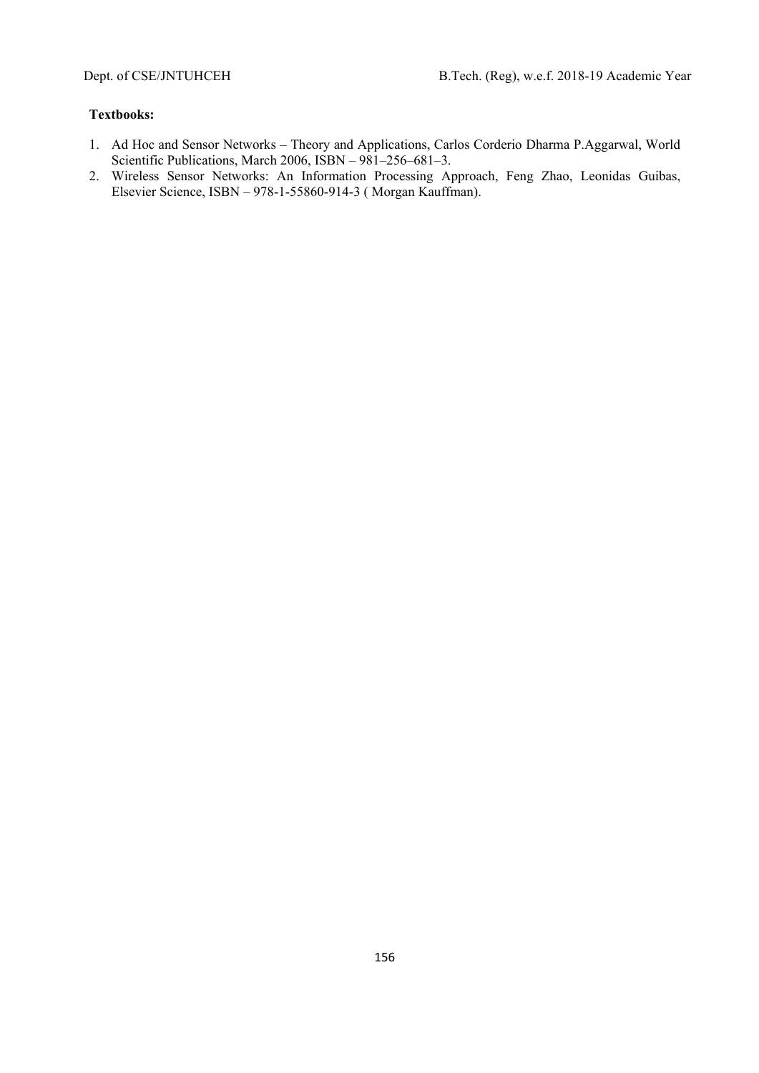- 1. Ad Hoc and Sensor Networks Theory and Applications, Carlos Corderio Dharma P.Aggarwal, World Scientific Publications, March 2006, ISBN – 981–256–681–3.
- 2. Wireless Sensor Networks: An Information Processing Approach, Feng Zhao, Leonidas Guibas, Elsevier Science, ISBN – 978-1-55860-914-3 ( Morgan Kauffman).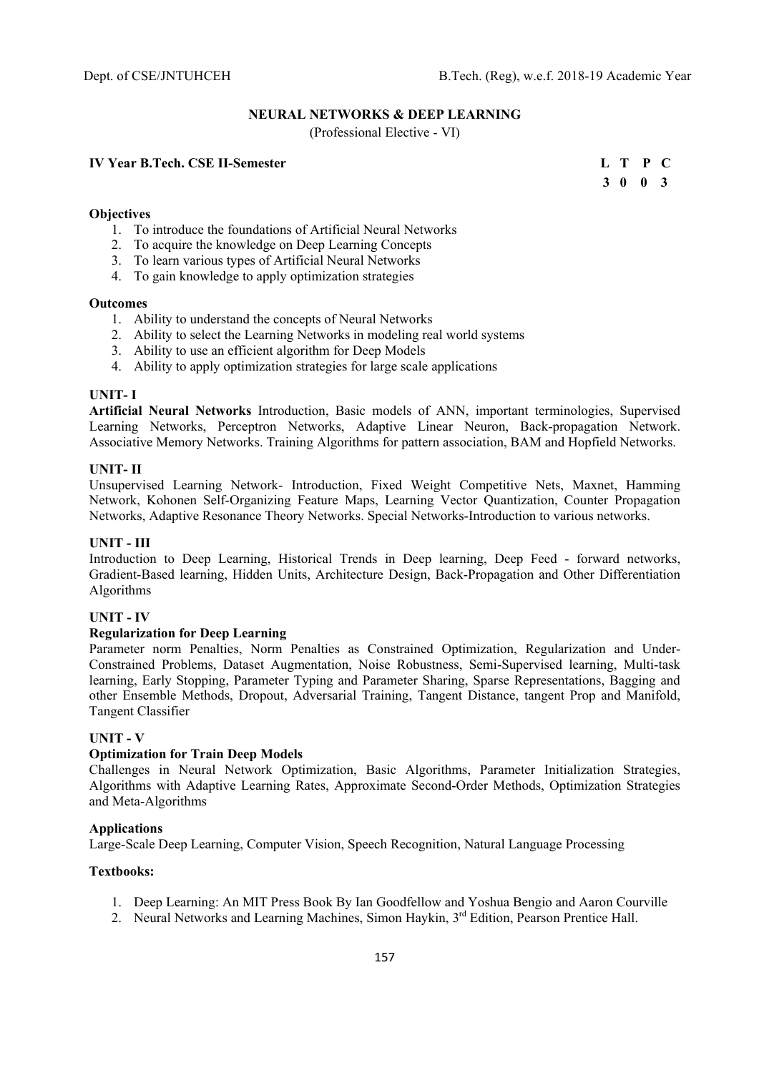## **NEURAL NETWORKS & DEEP LEARNING**

(Professional Elective - VI)

## **IV Year B.Tech. CSE II-Semester**

|  | L T P C |  |
|--|---------|--|
|  | 3 0 0 3 |  |

### **Objectives**

- 1. To introduce the foundations of Artificial Neural Networks
- 2. To acquire the knowledge on Deep Learning Concepts
- 3. To learn various types of Artificial Neural Networks
- 4. To gain knowledge to apply optimization strategies

### **Outcomes**

- 1. Ability to understand the concepts of Neural Networks
- 2. Ability to select the Learning Networks in modeling real world systems
- 3. Ability to use an efficient algorithm for Deep Models
- 4. Ability to apply optimization strategies for large scale applications

### **UNIT- I**

**Artificial Neural Networks** Introduction, Basic models of ANN, important terminologies, Supervised Learning Networks, Perceptron Networks, Adaptive Linear Neuron, Back-propagation Network. Associative Memory Networks. Training Algorithms for pattern association, BAM and Hopfield Networks.

### **UNIT- II**

Unsupervised Learning Network- Introduction, Fixed Weight Competitive Nets, Maxnet, Hamming Network, Kohonen Self-Organizing Feature Maps, Learning Vector Quantization, Counter Propagation Networks, Adaptive Resonance Theory Networks. Special Networks-Introduction to various networks.

### **UNIT - III**

Introduction to Deep Learning, Historical Trends in Deep learning, Deep Feed - forward networks, Gradient-Based learning, Hidden Units, Architecture Design, Back-Propagation and Other Differentiation Algorithms

### **UNIT - IV**

### **Regularization for Deep Learning**

Parameter norm Penalties, Norm Penalties as Constrained Optimization, Regularization and Under-Constrained Problems, Dataset Augmentation, Noise Robustness, Semi-Supervised learning, Multi-task learning, Early Stopping, Parameter Typing and Parameter Sharing, Sparse Representations, Bagging and other Ensemble Methods, Dropout, Adversarial Training, Tangent Distance, tangent Prop and Manifold, Tangent Classifier

### **UNIT - V**

### **Optimization for Train Deep Models**

Challenges in Neural Network Optimization, Basic Algorithms, Parameter Initialization Strategies, Algorithms with Adaptive Learning Rates, Approximate Second-Order Methods, Optimization Strategies and Meta-Algorithms

### **Applications**

Large-Scale Deep Learning, Computer Vision, Speech Recognition, Natural Language Processing

- 1. Deep Learning: An MIT Press Book By Ian Goodfellow and Yoshua Bengio and Aaron Courville
- 2. Neural Networks and Learning Machines, Simon Haykin, 3<sup>rd</sup> Edition, Pearson Prentice Hall.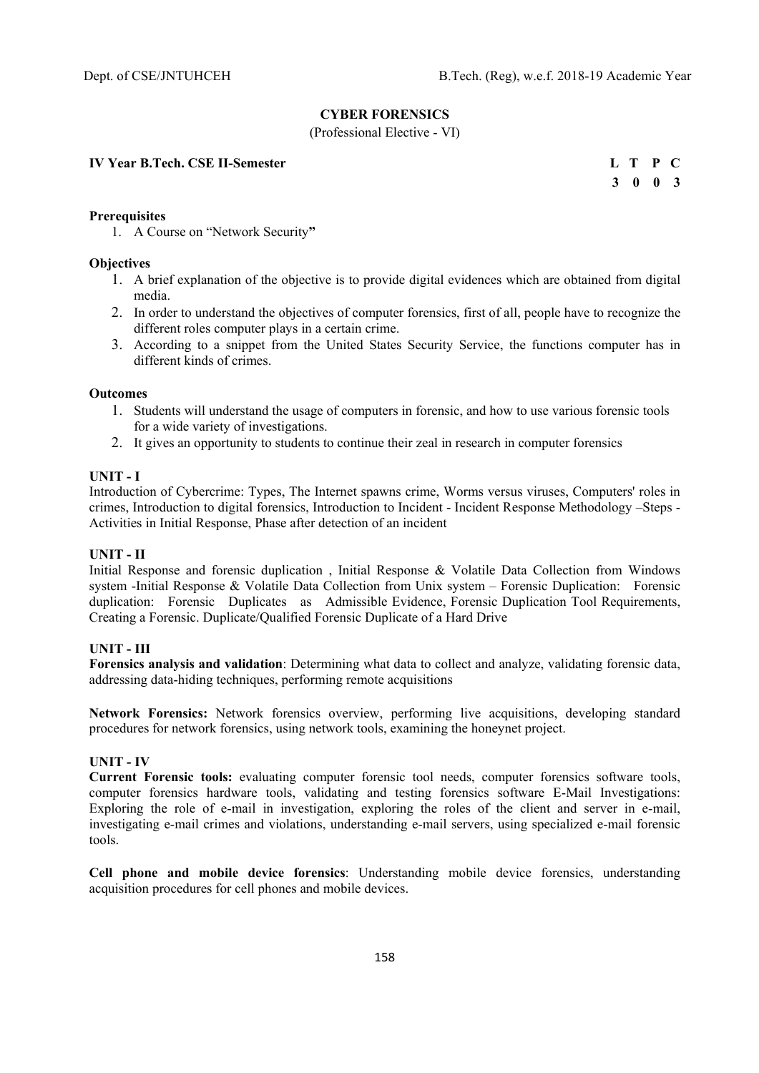### **CYBER FORENSICS**

(Professional Elective - VI)

**IV Year B.Tech. CSE II-Semester** 

| L T P C |  |
|---------|--|
| 3 0 0 3 |  |

### **Prerequisites**

1. A Course on "Network Security**"** 

### **Objectives**

- 1. A brief explanation of the objective is to provide digital evidences which are obtained from digital media.
- 2. In order to understand the objectives of computer forensics, first of all, people have to recognize the different roles computer plays in a certain crime.
- 3. According to a snippet from the United States Security Service, the functions computer has in different kinds of crimes.

#### **Outcomes**

- 1. Students will understand the usage of computers in forensic, and how to use various forensic tools for a wide variety of investigations.
- 2. It gives an opportunity to students to continue their zeal in research in computer forensics

#### **UNIT - I**

Introduction of Cybercrime: Types, The Internet spawns crime, Worms versus viruses, Computers' roles in crimes, Introduction to digital forensics, Introduction to Incident - Incident Response Methodology –Steps - Activities in Initial Response, Phase after detection of an incident

### **UNIT - II**

Initial Response and forensic duplication , Initial Response & Volatile Data Collection from Windows system -Initial Response & Volatile Data Collection from Unix system – Forensic Duplication: Forensic duplication: Forensic Duplicates as Admissible Evidence, Forensic Duplication Tool Requirements, Creating a Forensic. Duplicate/Qualified Forensic Duplicate of a Hard Drive

### **UNIT - III**

**Forensics analysis and validation**: Determining what data to collect and analyze, validating forensic data, addressing data-hiding techniques, performing remote acquisitions

**Network Forensics:** Network forensics overview, performing live acquisitions, developing standard procedures for network forensics, using network tools, examining the honeynet project.

### **UNIT - IV**

**Current Forensic tools:** evaluating computer forensic tool needs, computer forensics software tools, computer forensics hardware tools, validating and testing forensics software E-Mail Investigations: Exploring the role of e-mail in investigation, exploring the roles of the client and server in e-mail, investigating e-mail crimes and violations, understanding e-mail servers, using specialized e-mail forensic tools.

**Cell phone and mobile device forensics**: Understanding mobile device forensics, understanding acquisition procedures for cell phones and mobile devices.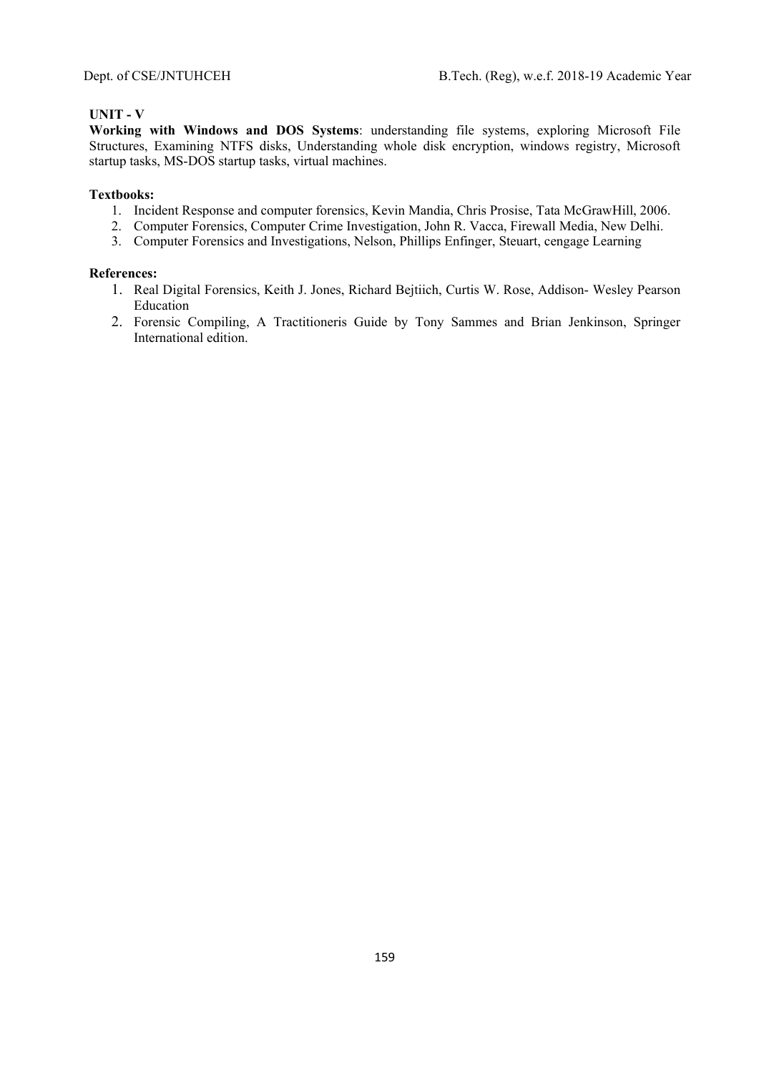## **UNIT - V**

**Working with Windows and DOS Systems**: understanding file systems, exploring Microsoft File Structures, Examining NTFS disks, Understanding whole disk encryption, windows registry, Microsoft startup tasks, MS-DOS startup tasks, virtual machines.

## **Textbooks:**

- 1. Incident Response and computer forensics, Kevin Mandia, Chris Prosise, Tata McGrawHill, 2006.
- 2. Computer Forensics, Computer Crime Investigation, John R. Vacca, Firewall Media, New Delhi.
- 3. Computer Forensics and Investigations, Nelson, Phillips Enfinger, Steuart, cengage Learning

- 1. Real Digital Forensics, Keith J. Jones, Richard Bejtiich, Curtis W. Rose, Addison- Wesley Pearson Education
- 2. Forensic Compiling, A Tractitioneris Guide by Tony Sammes and Brian Jenkinson, Springer International edition.